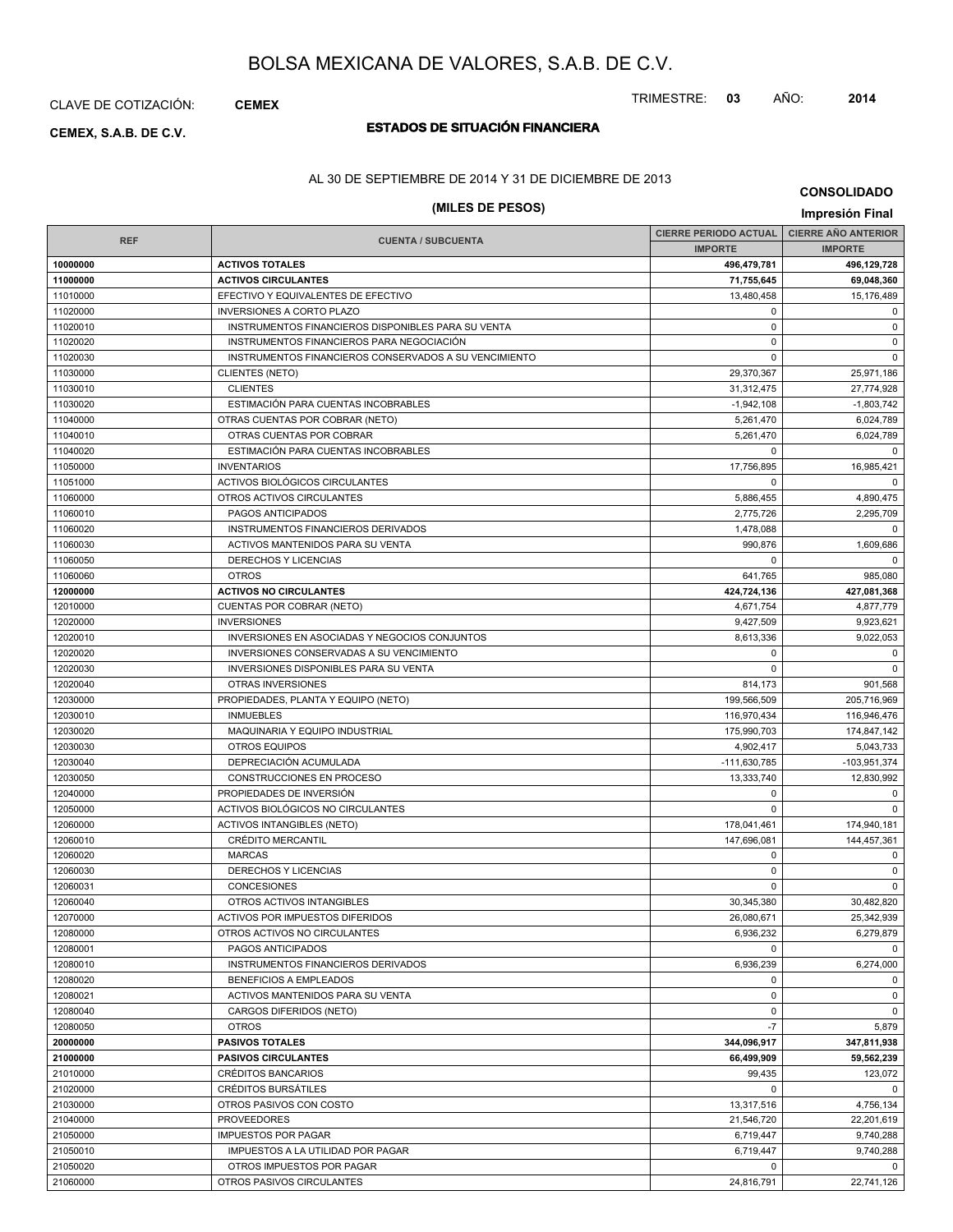### CLAVE DE COTIZACIÓN: **CEMEX**

# **ESTADOS DE SITUACIÓN FINANCIERA CEMEX, S.A.B. DE C.V.**

#### AL 30 DE SEPTIEMBRE DE 2014 Y 31 DE DICIEMBRE DE 2013

### **(MILES DE PESOS) Impresión Final**

**CONSOLIDADO**

|            |                                                       | <b>CIERRE PERIODO ACTUAL</b> | <b>CIERRE AÑO ANTERIOR</b> |
|------------|-------------------------------------------------------|------------------------------|----------------------------|
| <b>REF</b> | <b>CUENTA / SUBCUENTA</b>                             | <b>IMPORTE</b>               | <b>IMPORTE</b>             |
| 10000000   | <b>ACTIVOS TOTALES</b>                                | 496,479,781                  | 496,129,728                |
| 11000000   | <b>ACTIVOS CIRCULANTES</b>                            | 71,755,645                   | 69,048,360                 |
| 11010000   | EFECTIVO Y EQUIVALENTES DE EFECTIVO                   | 13,480,458                   | 15,176,489                 |
| 11020000   | <b>INVERSIONES A CORTO PLAZO</b>                      | $\mathbf 0$                  | $\mathbf 0$                |
| 11020010   | INSTRUMENTOS FINANCIEROS DISPONIBLES PARA SU VENTA    | $\pmb{0}$                    | $\mathbf 0$                |
| 11020020   | INSTRUMENTOS FINANCIEROS PARA NEGOCIACIÓN             | $\Omega$                     | $\mathbf 0$                |
| 11020030   | INSTRUMENTOS FINANCIEROS CONSERVADOS A SU VENCIMIENTO | $\mathbf 0$                  | $\mathbf 0$                |
| 11030000   | <b>CLIENTES (NETO)</b>                                | 29,370,367                   | 25,971,186                 |
| 11030010   | <b>CLIENTES</b>                                       | 31,312,475                   | 27,774,928                 |
| 11030020   | ESTIMACIÓN PARA CUENTAS INCOBRABLES                   | $-1,942,108$                 | $-1,803,742$               |
| 11040000   | OTRAS CUENTAS POR COBRAR (NETO)                       | 5,261,470                    | 6,024,789                  |
| 11040010   | OTRAS CUENTAS POR COBRAR                              | 5,261,470                    | 6,024,789                  |
| 11040020   | ESTIMACIÓN PARA CUENTAS INCOBRABLES                   | $\mathbf 0$                  | $\Omega$                   |
| 11050000   | <b>INVENTARIOS</b>                                    | 17,756,895                   | 16,985,421                 |
| 11051000   | ACTIVOS BIOLÓGICOS CIRCULANTES                        | $\mathbf 0$                  | $\Omega$                   |
| 11060000   | OTROS ACTIVOS CIRCULANTES                             | 5,886,455                    | 4,890,475                  |
| 11060010   | PAGOS ANTICIPADOS                                     | 2,775,726                    | 2,295,709                  |
| 11060020   | INSTRUMENTOS FINANCIEROS DERIVADOS                    | 1,478,088                    | $\Omega$                   |
| 11060030   | ACTIVOS MANTENIDOS PARA SU VENTA                      | 990,876                      | 1,609,686                  |
| 11060050   | DERECHOS Y LICENCIAS                                  | $\Omega$                     | $\Omega$                   |
| 11060060   | <b>OTROS</b>                                          | 641,765                      | 985,080                    |
| 12000000   | <b>ACTIVOS NO CIRCULANTES</b>                         | 424,724,136                  | 427,081,368                |
| 12010000   | <b>CUENTAS POR COBRAR (NETO)</b>                      | 4,671,754                    | 4,877,779                  |
| 12020000   | <b>INVERSIONES</b>                                    | 9,427,509                    | 9,923,621                  |
| 12020010   | INVERSIONES EN ASOCIADAS Y NEGOCIOS CONJUNTOS         | 8,613,336                    | 9,022,053                  |
| 12020020   | INVERSIONES CONSERVADAS A SU VENCIMIENTO              | $\mathbf 0$                  | 0                          |
| 12020030   | INVERSIONES DISPONIBLES PARA SU VENTA                 | $\Omega$                     | $\mathbf 0$                |
| 12020040   | OTRAS INVERSIONES                                     | 814,173                      | 901,568                    |
| 12030000   | PROPIEDADES, PLANTA Y EQUIPO (NETO)                   | 199,566,509                  | 205,716,969                |
| 12030010   | <b>INMUEBLES</b>                                      | 116,970,434                  | 116,946,476                |
| 12030020   | MAQUINARIA Y EQUIPO INDUSTRIAL                        | 175,990,703                  | 174,847,142                |
| 12030030   | OTROS EQUIPOS                                         | 4,902,417                    | 5,043,733                  |
| 12030040   | DEPRECIACIÓN ACUMULADA                                | -111,630,785                 | -103,951,374               |
| 12030050   | CONSTRUCCIONES EN PROCESO                             | 13,333,740                   | 12,830,992                 |
| 12040000   | PROPIEDADES DE INVERSIÓN                              | $\mathbf 0$                  | 0                          |
| 12050000   | ACTIVOS BIOLÓGICOS NO CIRCULANTES                     | $\Omega$                     | $\Omega$                   |
| 12060000   | <b>ACTIVOS INTANGIBLES (NETO)</b>                     | 178,041,461                  | 174,940,181                |
| 12060010   | <b>CRÉDITO MERCANTIL</b>                              | 147,696,081                  | 144,457,361                |
| 12060020   | <b>MARCAS</b>                                         | 0                            | $\mathbf 0$                |
| 12060030   | <b>DERECHOS Y LICENCIAS</b>                           | $\pmb{0}$                    | $\mathbf 0$                |
| 12060031   | <b>CONCESIONES</b>                                    | $\mathbf 0$                  | $\Omega$                   |
| 12060040   | OTROS ACTIVOS INTANGIBLES                             | 30,345,380                   | 30,482,820                 |
| 12070000   | ACTIVOS POR IMPUESTOS DIFERIDOS                       | 26,080,671                   | 25,342,939                 |
| 12080000   | OTROS ACTIVOS NO CIRCULANTES                          | 6,936,232                    | 6,279,879                  |
| 12080001   | PAGOS ANTICIPADOS                                     | $\Omega$                     | $\Omega$                   |
| 12080010   | INSTRUMENTOS FINANCIEROS DERIVADOS                    | 6,936,239                    | 6,274,000                  |
| 12080020   | BENEFICIOS A EMPLEADOS                                | 0                            | 0                          |
| 12080021   | ACTIVOS MANTENIDOS PARA SU VENTA                      | $\mathbf 0$                  | $\mathbf 0$                |
| 12080040   | CARGOS DIFERIDOS (NETO)                               | 0                            | $\mathbf 0$                |
| 12080050   | <b>OTROS</b>                                          | $-7$                         | 5,879                      |
| 20000000   | <b>PASIVOS TOTALES</b>                                | 344,096,917                  | 347,811,938                |
| 21000000   | <b>PASIVOS CIRCULANTES</b>                            | 66,499,909                   | 59,562,239                 |
| 21010000   | <b>CRÉDITOS BANCARIOS</b>                             | 99,435                       | 123,072                    |
| 21020000   | <b>CRÉDITOS BURSATILES</b>                            | $\Omega$                     | $\Omega$                   |
| 21030000   | OTROS PASIVOS CON COSTO                               | 13,317,516                   | 4,756,134                  |
| 21040000   | <b>PROVEEDORES</b>                                    | 21,546,720                   | 22,201,619                 |
| 21050000   | <b>IMPUESTOS POR PAGAR</b>                            | 6,719,447                    | 9,740,288                  |
| 21050010   | IMPUESTOS A LA UTILIDAD POR PAGAR                     | 6,719,447                    | 9,740,288                  |
| 21050020   | OTROS IMPUESTOS POR PAGAR                             | $\mathbf 0$                  | $\mathbf 0$                |
| 21060000   | OTROS PASIVOS CIRCULANTES                             | 24,816,791                   | 22,741,126                 |
|            |                                                       |                              |                            |

TRIMESTRE: **03** AÑO: **2014**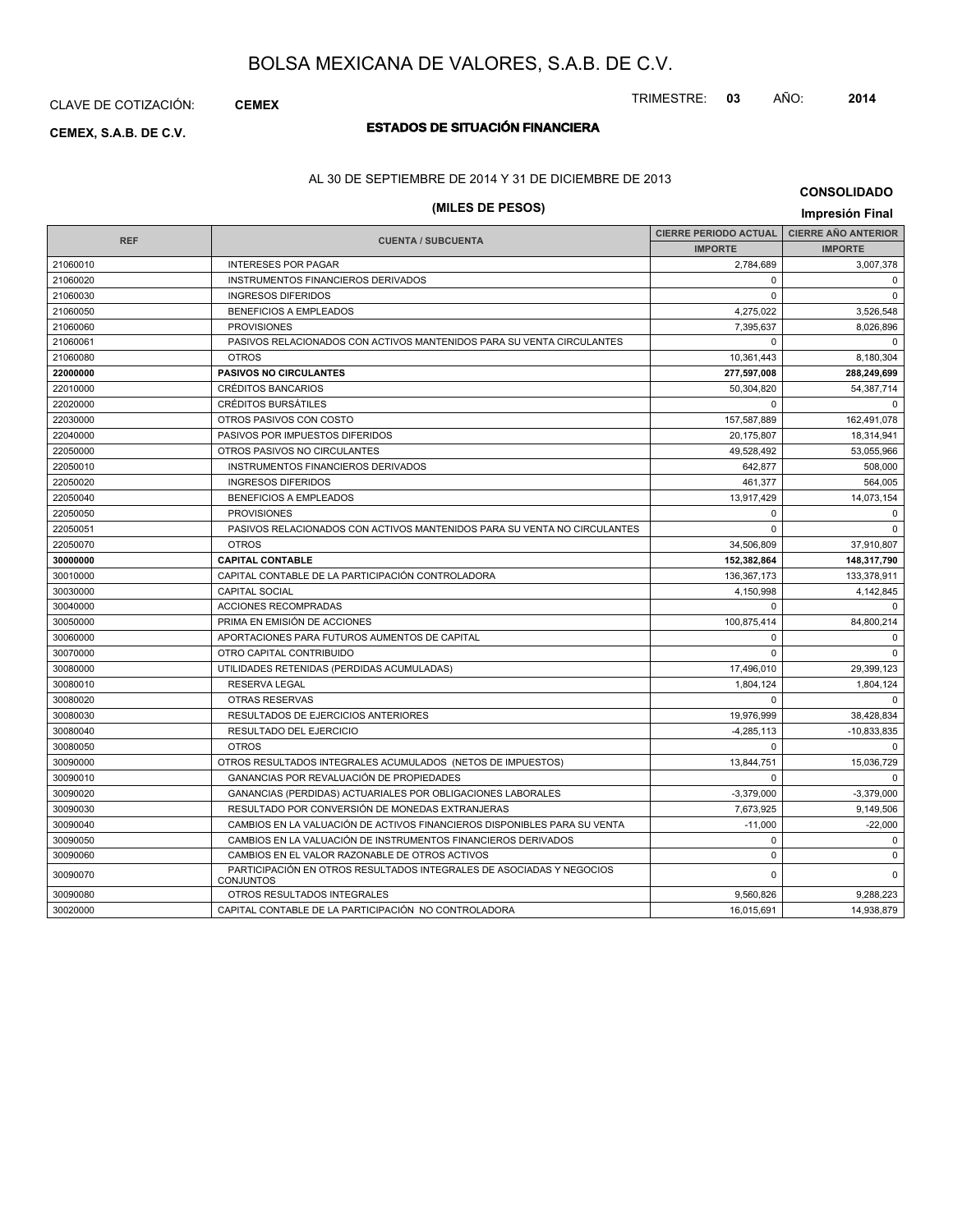CLAVE DE COTIZACIÓN: **CEMEX**

# **ESTADOS DE SITUACIÓN FINANCIERA CEMEX, S.A.B. DE C.V.**

### AL 30 DE SEPTIEMBRE DE 2014 Y 31 DE DICIEMBRE DE 2013

### **(MILES DE PESOS) Impresión Final**

**CONSOLIDADO**

| <b>REF</b> |                                                                                          | <b>CIERRE PERIODO ACTUAL</b> | <b>CIERRE AÑO ANTERIOR</b> |
|------------|------------------------------------------------------------------------------------------|------------------------------|----------------------------|
|            | <b>CUENTA / SUBCUENTA</b>                                                                | <b>IMPORTE</b>               | <b>IMPORTE</b>             |
| 21060010   | <b>INTERESES POR PAGAR</b>                                                               | 2,784,689                    | 3,007,378                  |
| 21060020   | INSTRUMENTOS FINANCIEROS DERIVADOS                                                       | $\Omega$                     | $\Omega$                   |
| 21060030   | <b>INGRESOS DIFERIDOS</b>                                                                | $\Omega$                     | $\Omega$                   |
| 21060050   | <b>BENEFICIOS A EMPLEADOS</b>                                                            | 4,275,022                    | 3,526,548                  |
| 21060060   | <b>PROVISIONES</b>                                                                       | 7,395,637                    | 8,026,896                  |
| 21060061   | PASIVOS RELACIONADOS CON ACTIVOS MANTENIDOS PARA SU VENTA CIRCULANTES                    | $\Omega$                     | $\Omega$                   |
| 21060080   | <b>OTROS</b>                                                                             | 10,361,443                   | 8,180,304                  |
| 22000000   | <b>PASIVOS NO CIRCULANTES</b>                                                            | 277,597,008                  | 288,249,699                |
| 22010000   | <b>CRÉDITOS BANCARIOS</b>                                                                | 50,304,820                   | 54,387,714                 |
| 22020000   | <b>CRÉDITOS BURSÁTILES</b>                                                               | $\Omega$                     | $\Omega$                   |
| 22030000   | OTROS PASIVOS CON COSTO                                                                  | 157,587,889                  | 162,491,078                |
| 22040000   | PASIVOS POR IMPUESTOS DIFERIDOS                                                          | 20,175,807                   | 18,314,941                 |
| 22050000   | OTROS PASIVOS NO CIRCULANTES                                                             | 49,528,492                   | 53,055,966                 |
| 22050010   | INSTRUMENTOS FINANCIEROS DERIVADOS                                                       | 642,877                      | 508,000                    |
| 22050020   | <b>INGRESOS DIFERIDOS</b>                                                                | 461,377                      | 564,005                    |
| 22050040   | <b>BENEFICIOS A EMPLEADOS</b>                                                            | 13,917,429                   | 14,073,154                 |
| 22050050   | <b>PROVISIONES</b>                                                                       | $\mathbf 0$                  | $\mathbf 0$                |
| 22050051   | PASIVOS RELACIONADOS CON ACTIVOS MANTENIDOS PARA SU VENTA NO CIRCULANTES                 | $\Omega$                     | $\Omega$                   |
| 22050070   | <b>OTROS</b>                                                                             | 34,506,809                   | 37,910,807                 |
| 30000000   | <b>CAPITAL CONTABLE</b>                                                                  | 152,382,864                  | 148,317,790                |
| 30010000   | CAPITAL CONTABLE DE LA PARTICIPACIÓN CONTROLADORA                                        | 136, 367, 173                | 133,378,911                |
| 30030000   | <b>CAPITAL SOCIAL</b>                                                                    | 4,150,998                    | 4,142,845                  |
| 30040000   | <b>ACCIONES RECOMPRADAS</b>                                                              | $\Omega$                     | $\Omega$                   |
| 30050000   | PRIMA EN EMISIÓN DE ACCIONES                                                             | 100.875.414                  | 84,800,214                 |
| 30060000   | APORTACIONES PARA FUTUROS AUMENTOS DE CAPITAL                                            | $\Omega$                     | $\Omega$                   |
| 30070000   | OTRO CAPITAL CONTRIBUIDO                                                                 | $\Omega$                     | $\Omega$                   |
| 30080000   | UTILIDADES RETENIDAS (PERDIDAS ACUMULADAS)                                               | 17,496,010                   | 29,399,123                 |
| 30080010   | <b>RESERVA LEGAL</b>                                                                     | 1,804,124                    | 1,804,124                  |
| 30080020   | <b>OTRAS RESERVAS</b>                                                                    | $\Omega$                     | $\Omega$                   |
| 30080030   | RESULTADOS DE EJERCICIOS ANTERIORES                                                      | 19,976,999                   | 38,428,834                 |
| 30080040   | RESULTADO DEL EJERCICIO                                                                  | $-4,285,113$                 | $-10,833,835$              |
| 30080050   | <b>OTROS</b>                                                                             | $\Omega$                     | $\Omega$                   |
| 30090000   | OTROS RESULTADOS INTEGRALES ACUMULADOS (NETOS DE IMPUESTOS)                              | 13,844,751                   | 15,036,729                 |
| 30090010   | GANANCIAS POR REVALUACIÓN DE PROPIEDADES                                                 | $\Omega$                     | $\mathbf 0$                |
| 30090020   | GANANCIAS (PERDIDAS) ACTUARIALES POR OBLIGACIONES LABORALES                              | $-3,379,000$                 | $-3,379,000$               |
| 30090030   | RESULTADO POR CONVERSIÓN DE MONEDAS EXTRANJERAS                                          | 7,673,925                    | 9,149,506                  |
| 30090040   | CAMBIOS EN LA VALUACIÓN DE ACTIVOS FINANCIEROS DISPONIBLES PARA SU VENTA                 | $-11,000$                    | $-22,000$                  |
| 30090050   | CAMBIOS EN LA VALUACIÓN DE INSTRUMENTOS FINANCIEROS DERIVADOS                            | $\mathbf 0$                  | $\mathbf 0$                |
| 30090060   | CAMBIOS EN EL VALOR RAZONABLE DE OTROS ACTIVOS                                           | $\mathbf 0$                  | $\mathbf 0$                |
| 30090070   | PARTICIPACIÓN EN OTROS RESULTADOS INTEGRALES DE ASOCIADAS Y NEGOCIOS<br><b>CONJUNTOS</b> | $\Omega$                     | $\Omega$                   |
| 30090080   | OTROS RESULTADOS INTEGRALES                                                              | 9,560,826                    | 9,288,223                  |
| 30020000   | CAPITAL CONTABLE DE LA PARTICIPACIÓN NO CONTROLADORA                                     | 16,015,691                   | 14,938,879                 |

#### TRIMESTRE: **03** AÑO: **2014**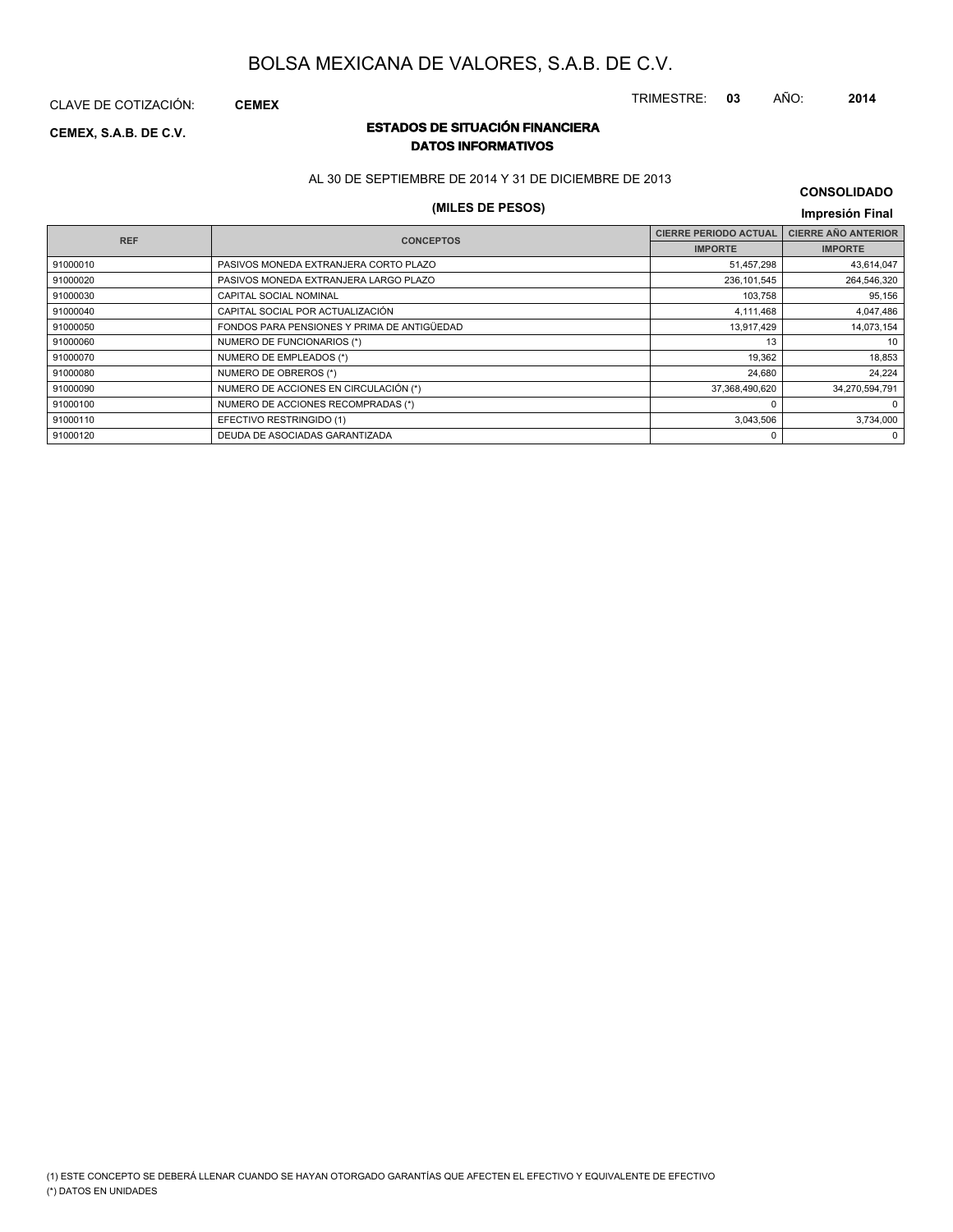TRIMESTRE: **03** AÑO: **2014**

CLAVE DE COTIZACIÓN: **CEMEX**

### **ESTADOS DE SITUACIÓN FINANCIERA CEMEX, S.A.B. DE C.V. DATOS INFORMATIVOS**

AL 30 DE SEPTIEMBRE DE 2014 Y 31 DE DICIEMBRE DE 2013

### **(MILES DE PESOS) Impresión Final**

### **CONSOLIDADO**

|            |                                             |                              | <b>HIPLOSIOLL HIGH</b>     |
|------------|---------------------------------------------|------------------------------|----------------------------|
| <b>REF</b> | <b>CONCEPTOS</b>                            | <b>CIERRE PERIODO ACTUAL</b> | <b>CIERRE AÑO ANTERIOR</b> |
|            |                                             | <b>IMPORTE</b>               | <b>IMPORTE</b>             |
| 91000010   | PASIVOS MONEDA EXTRANJERA CORTO PLAZO       | 51,457,298                   | 43,614,047                 |
| 91000020   | PASIVOS MONEDA EXTRANJERA LARGO PLAZO       | 236, 101, 545                | 264,546,320                |
| 91000030   | CAPITAL SOCIAL NOMINAL                      | 103,758                      | 95,156                     |
| 91000040   | CAPITAL SOCIAL POR ACTUALIZACIÓN            | 4,111,468                    | 4,047,486                  |
| 91000050   | FONDOS PARA PENSIONES Y PRIMA DE ANTIGÜEDAD | 13,917,429                   | 14,073,154                 |
| 91000060   | NUMERO DE FUNCIONARIOS (*)                  | 13                           | 10                         |
| 91000070   | NUMERO DE EMPLEADOS (*)                     | 19,362                       | 18,853                     |
| 91000080   | NUMERO DE OBREROS (*)                       | 24,680                       | 24.224                     |
| 91000090   | NUMERO DE ACCIONES EN CIRCULACIÓN (*)       | 37,368,490,620               | 34,270,594,791             |
| 91000100   | NUMERO DE ACCIONES RECOMPRADAS (*)          | 0                            | $\Omega$                   |
| 91000110   | EFECTIVO RESTRINGIDO (1)                    | 3,043,506                    | 3,734,000                  |
| 91000120   | DEUDA DE ASOCIADAS GARANTIZADA              | 0                            | 0                          |
|            |                                             |                              |                            |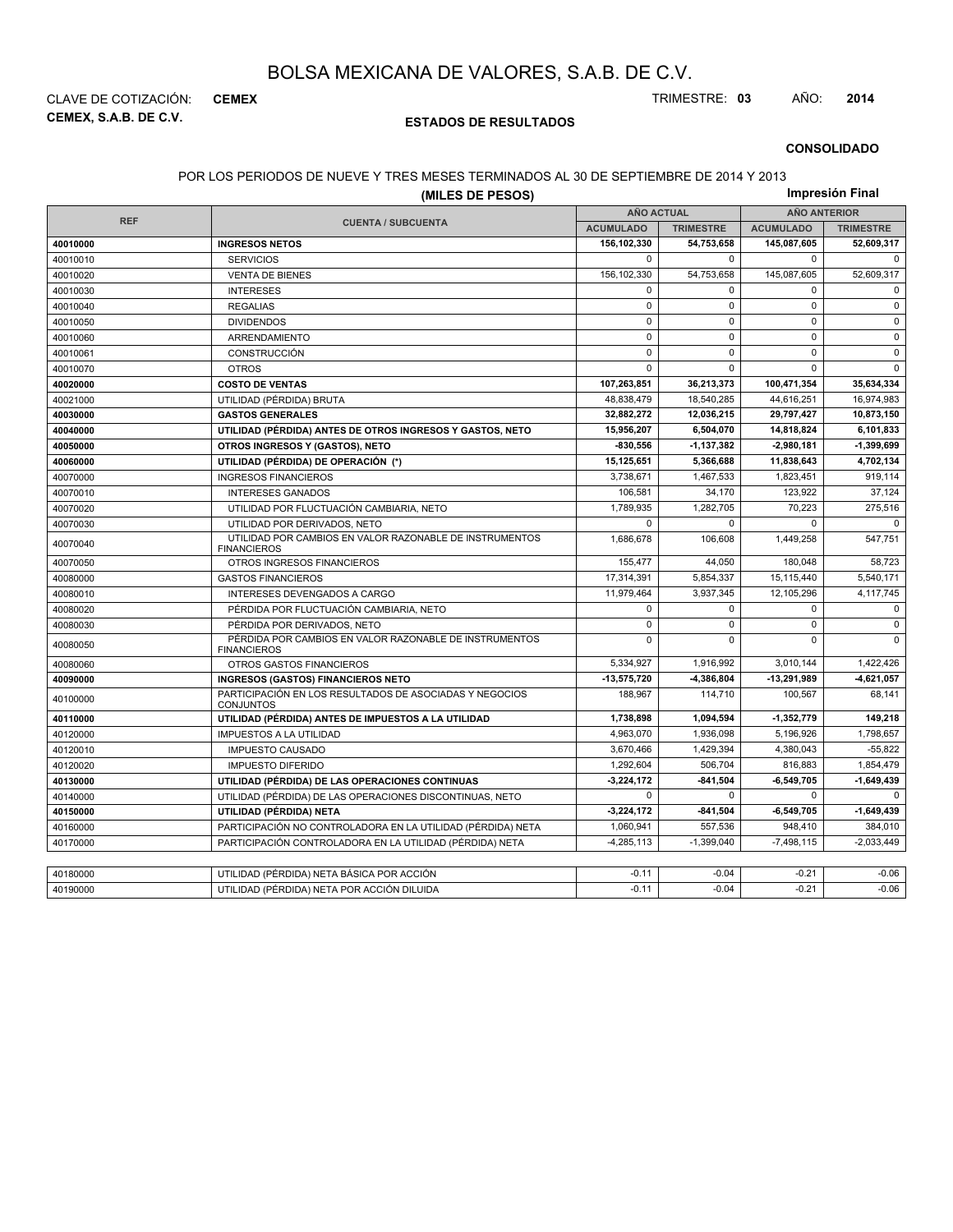**CEMEX, S.A.B. DE C.V.** CLAVE DE COTIZACIÓN: **CEMEX** TRIMESTRE: **03** AÑO: **2014**

#### **ESTADOS DE RESULTADOS**

**CONSOLIDADO**

#### POR LOS PERIODOS DE NUEVE Y TRES MESES TERMINADOS AL 30 DE SEPTIEMBRE DE 2014 Y 2013

|            |                                                                               | Impresión Final   |                  |                     |                  |  |
|------------|-------------------------------------------------------------------------------|-------------------|------------------|---------------------|------------------|--|
|            |                                                                               | <b>AÑO ACTUAL</b> |                  | <b>AÑO ANTERIOR</b> |                  |  |
| <b>REF</b> | <b>CUENTA / SUBCUENTA</b>                                                     | <b>ACUMULADO</b>  | <b>TRIMESTRE</b> | <b>ACUMULADO</b>    | <b>TRIMESTRE</b> |  |
| 40010000   | <b>INGRESOS NETOS</b>                                                         | 156,102,330       | 54,753,658       | 145,087,605         | 52,609,317       |  |
| 40010010   | <b>SERVICIOS</b>                                                              | 0                 | $\mathbf 0$      | $\mathbf 0$         | $\mathbf 0$      |  |
| 40010020   | <b>VENTA DE BIENES</b>                                                        | 156,102,330       | 54,753,658       | 145,087,605         | 52,609,317       |  |
| 40010030   | <b>INTERESES</b>                                                              | 0                 | $\Omega$         | $\mathbf 0$         | 0                |  |
| 40010040   | <b>REGALIAS</b>                                                               | 0                 | $\Omega$         | $\mathbf 0$         | 0                |  |
| 40010050   | <b>DIVIDENDOS</b>                                                             | $\mathbf 0$       | $\mathbf 0$      | $\Omega$            | $\mathbf 0$      |  |
| 40010060   | ARRENDAMIENTO                                                                 | 0                 | 0                | $\mathbf 0$         | $\pmb{0}$        |  |
| 40010061   | <b>CONSTRUCCIÓN</b>                                                           | $\mathbf 0$       | $\Omega$         | $\Omega$            | $\mathbf 0$      |  |
| 40010070   | <b>OTROS</b>                                                                  | 0                 | 0                | $\Omega$            | $\mathbf 0$      |  |
| 40020000   | <b>COSTO DE VENTAS</b>                                                        | 107,263,851       | 36,213,373       | 100,471,354         | 35,634,334       |  |
| 40021000   | UTILIDAD (PÉRDIDA) BRUTA                                                      | 48,838,479        | 18,540,285       | 44,616,251          | 16,974,983       |  |
| 40030000   | <b>GASTOS GENERALES</b>                                                       | 32,882,272        | 12,036,215       | 29,797,427          | 10,873,150       |  |
| 40040000   | UTILIDAD (PÉRDIDA) ANTES DE OTROS INGRESOS Y GASTOS, NETO                     | 15,956,207        | 6,504,070        | 14,818,824          | 6,101,833        |  |
| 40050000   | OTROS INGRESOS Y (GASTOS), NETO                                               | $-830,556$        | $-1, 137, 382$   | -2,980,181          | $-1,399,699$     |  |
| 40060000   | UTILIDAD (PÉRDIDA) DE OPERACIÓN (*)                                           | 15,125,651        | 5,366,688        | 11,838,643          | 4,702,134        |  |
| 40070000   | <b>INGRESOS FINANCIEROS</b>                                                   | 3,738,671         | 1,467,533        | 1,823,451           | 919,114          |  |
| 40070010   | <b>INTERESES GANADOS</b>                                                      | 106,581           | 34,170           | 123,922             | 37,124           |  |
| 40070020   | UTILIDAD POR FLUCTUACIÓN CAMBIARIA, NETO                                      | 1,789,935         | 1,282,705        | 70,223              | 275,516          |  |
| 40070030   | UTILIDAD POR DERIVADOS, NETO                                                  | 0                 | $\Omega$         | $\Omega$            | $\Omega$         |  |
| 40070040   | UTILIDAD POR CAMBIOS EN VALOR RAZONABLE DE INSTRUMENTOS<br><b>FINANCIEROS</b> | 1,686,678         | 106,608          | 1,449,258           | 547,751          |  |
| 40070050   | OTROS INGRESOS FINANCIEROS                                                    | 155.477           | 44.050           | 180.048             | 58.723           |  |
| 40080000   | <b>GASTOS FINANCIEROS</b>                                                     | 17,314,391        | 5,854,337        | 15,115,440          | 5,540,171        |  |
| 40080010   | INTERESES DEVENGADOS A CARGO                                                  | 11,979,464        | 3,937,345        | 12,105,296          | 4,117,745        |  |
| 40080020   | PÉRDIDA POR FLUCTUACIÓN CAMBIARIA, NETO                                       | $\mathbf 0$       | $\Omega$         | $\mathbf 0$         | $\mathbf 0$      |  |
| 40080030   | PÉRDIDA POR DERIVADOS, NETO                                                   | 0                 | 0                | $\mathbf 0$         | $\pmb{0}$        |  |
| 40080050   | PÉRDIDA POR CAMBIOS EN VALOR RAZONABLE DE INSTRUMENTOS<br><b>FINANCIEROS</b>  | 0                 | $\mathbf 0$      | $\mathbf 0$         | $\mathbf 0$      |  |
| 40080060   | OTROS GASTOS FINANCIEROS                                                      | 5,334,927         | 1,916,992        | 3,010,144           | 1,422,426        |  |
| 40090000   | <b>INGRESOS (GASTOS) FINANCIEROS NETO</b>                                     | $-13,575,720$     | -4,386,804       | -13,291,989         | -4,621,057       |  |
| 40100000   | PARTICIPACIÓN EN LOS RESULTADOS DE ASOCIADAS Y NEGOCIOS<br><b>CONJUNTOS</b>   | 188,967           | 114,710          | 100,567             | 68,141           |  |
| 40110000   | UTILIDAD (PÉRDIDA) ANTES DE IMPUESTOS A LA UTILIDAD                           | 1,738,898         | 1,094,594        | $-1,352,779$        | 149,218          |  |
| 40120000   | <b>IMPUESTOS A LA UTILIDAD</b>                                                | 4,963,070         | 1,936,098        | 5,196,926           | 1,798,657        |  |
| 40120010   | <b>IMPUESTO CAUSADO</b>                                                       | 3,670,466         | 1,429,394        | 4,380,043           | $-55,822$        |  |
| 40120020   | <b>IMPUESTO DIFERIDO</b>                                                      | 1.292.604         | 506.704          | 816.883             | 1,854,479        |  |
| 40130000   | UTILIDAD (PÉRDIDA) DE LAS OPERACIONES CONTINUAS                               | $-3,224,172$      | $-841,504$       | $-6,549,705$        | $-1,649,439$     |  |
| 40140000   | UTILIDAD (PÉRDIDA) DE LAS OPERACIONES DISCONTINUAS, NETO                      | 0                 | $\Omega$         | $\Omega$            | 0                |  |
| 40150000   | UTILIDAD (PÉRDIDA) NETA                                                       | 3,224,172         | $-841,504$       | 6,549,705           | $-1,649,439$     |  |
| 40160000   | PARTICIPACIÓN NO CONTROLADORA EN LA UTILIDAD (PÉRDIDA) NETA                   | 1,060,941         | 557.536          | 948.410             | 384,010          |  |
| 40170000   | PARTICIPACIÓN CONTROLADORA EN LA UTILIDAD (PÉRDIDA) NETA                      | $-4,285,113$      | $-1,399,040$     | $-7,498,115$        | $-2,033,449$     |  |
|            |                                                                               |                   |                  |                     |                  |  |
| 40180000   | UTILIDAD (PÉRDIDA) NETA BÁSICA POR ACCIÓN                                     | $-0.11$           | $-0.04$          | $-0.21$             | $-0.06$          |  |
| 40190000   | UTILIDAD (PÉRDIDA) NETA POR ACCIÓN DILUIDA                                    | $-0.11$           | $-0.04$          | $-0.21$             | $-0.06$          |  |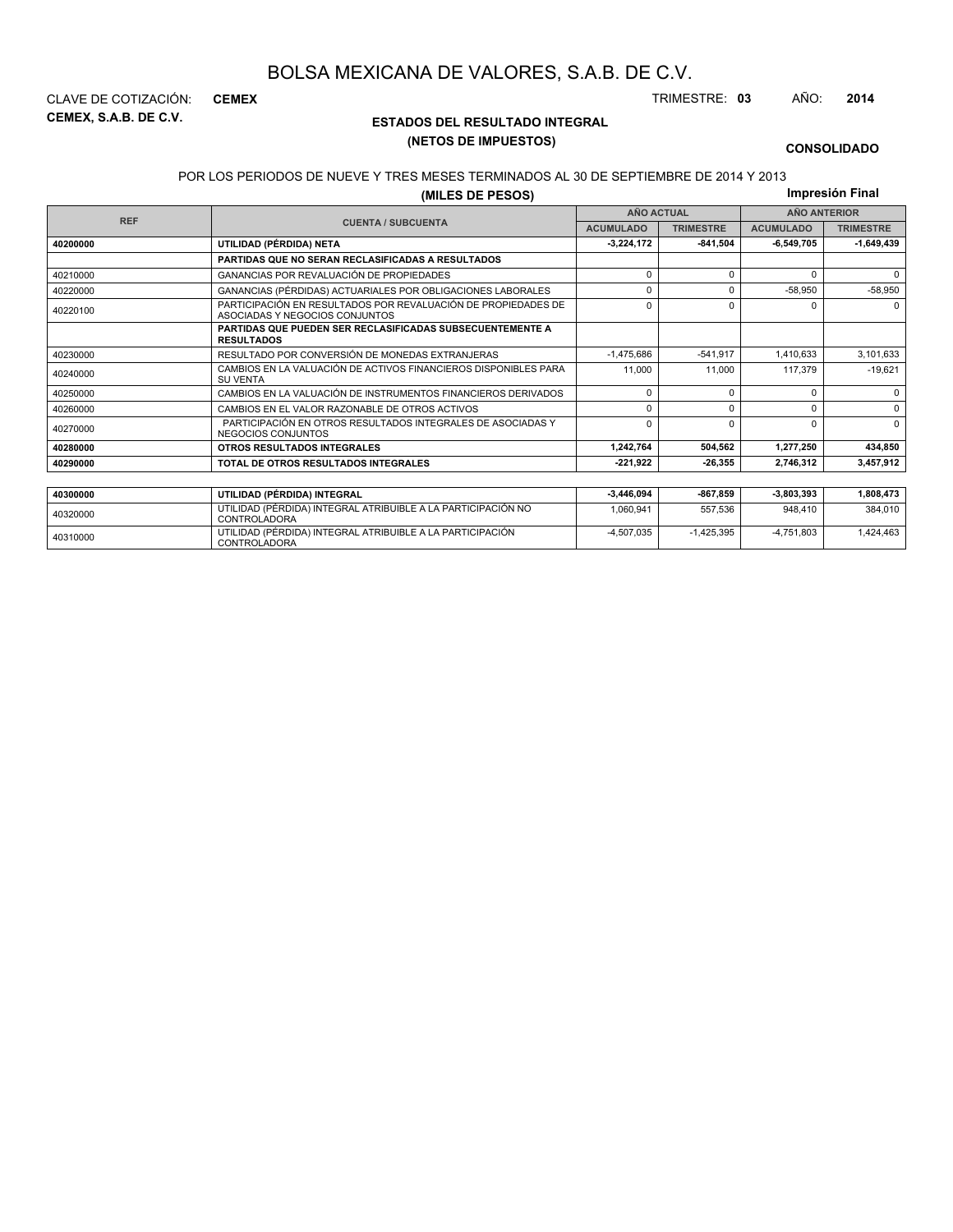**CEMEX, S.A.B. DE C.V.** CLAVE DE COTIZACIÓN: **CEMEX** TRIMESTRE: **03** AÑO: **2014**

### **ESTADOS DEL RESULTADO INTEGRAL (NETOS DE IMPUESTOS)**

 $-4,507,035$   $-1,425,395$   $-4,751,803$   $1,424,463$ 

#### **CONSOLIDADO**

#### POR LOS PERIODOS DE NUEVE Y TRES MESES TERMINADOS AL 30 DE SEPTIEMBRE DE 2014 Y 2013

**(MILES DE PESOS)**

**Impresión Final**

|            |                                                                                                 |                  | <b>AÑO ACTUAL</b> |                  | <b>AÑO ANTERIOR</b> |
|------------|-------------------------------------------------------------------------------------------------|------------------|-------------------|------------------|---------------------|
| <b>REF</b> | <b>CUENTA / SUBCUENTA</b>                                                                       | <b>ACUMULADO</b> | <b>TRIMESTRE</b>  | <b>ACUMULADO</b> | <b>TRIMESTRE</b>    |
| 40200000   | UTILIDAD (PÉRDIDA) NETA                                                                         | $-3,224,172$     | $-841.504$        | $-6,549,705$     | $-1,649,439$        |
|            | <b>PARTIDAS QUE NO SERAN RECLASIFICADAS A RESULTADOS</b>                                        |                  |                   |                  |                     |
| 40210000   | GANANCIAS POR REVALUACIÓN DE PROPIEDADES                                                        | $\Omega$         | $\Omega$          | <sup>0</sup>     | $\Omega$            |
| 40220000   | GANANCIAS (PÉRDIDAS) ACTUARIALES POR OBLIGACIONES LABORALES                                     | $\Omega$         | O                 | $-58,950$        | $-58,950$           |
| 40220100   | PARTICIPACIÓN EN RESULTADOS POR REVALUACIÓN DE PROPIEDADES DE<br>ASOCIADAS Y NEGOCIOS CONJUNTOS | $\Omega$         | $\Omega$          | O                | $\Omega$            |
|            | <b>PARTIDAS QUE PUEDEN SER RECLASIFICADAS SUBSECUENTEMENTE A</b><br><b>RESULTADOS</b>           |                  |                   |                  |                     |
| 40230000   | RESULTADO POR CONVERSIÓN DE MONEDAS EXTRANJERAS                                                 | $-1.475.686$     | $-541.917$        | 1,410,633        | 3,101,633           |
| 40240000   | CAMBIOS EN LA VALUACIÓN DE ACTIVOS FINANCIEROS DISPONIBLES PARA<br><b>SU VENTA</b>              | 11.000           | 11.000            | 117.379          | $-19,621$           |
| 40250000   | CAMBIOS EN LA VALUACIÓN DE INSTRUMENTOS FINANCIEROS DERIVADOS                                   | $\Omega$         | $\Omega$          | 0                | $\Omega$            |
| 40260000   | CAMBIOS EN EL VALOR RAZONABLE DE OTROS ACTIVOS                                                  | $\Omega$         | $\Omega$          | 0                | $\Omega$            |
| 40270000   | PARTICIPACIÓN EN OTROS RESULTADOS INTEGRALES DE ASOCIADAS Y<br>NEGOCIOS CONJUNTOS               | $\Omega$         | $\Omega$          | $\Omega$         | $\Omega$            |
| 40280000   | OTROS RESULTADOS INTEGRALES                                                                     | 1,242,764        | 504.562           | 1,277,250        | 434,850             |
| 40290000   | TOTAL DE OTROS RESULTADOS INTEGRALES                                                            | $-221,922$       | $-26.355$         | 2,746,312        | 3,457,912           |
|            |                                                                                                 |                  |                   |                  |                     |
| 40300000   | UTILIDAD (PÉRDIDA) INTEGRAL                                                                     | $-3,446,094$     | $-867,859$        | $-3,803,393$     | 1,808,473           |
| 40320000   | UTILIDAD (PÉRDIDA) INTEGRAL ATRIBUIBLE A LA PARTICIPACIÓN NO<br><b>CONTROLADORA</b>             | 1,060,941        | 557,536           | 948,410          | 384,010             |

<sup>40310000</sup> UTILIDAD (PÉRDIDA) INTEGRAL ATRIBUIBLE A LA PARTICIPACIÓN CONTROLADORA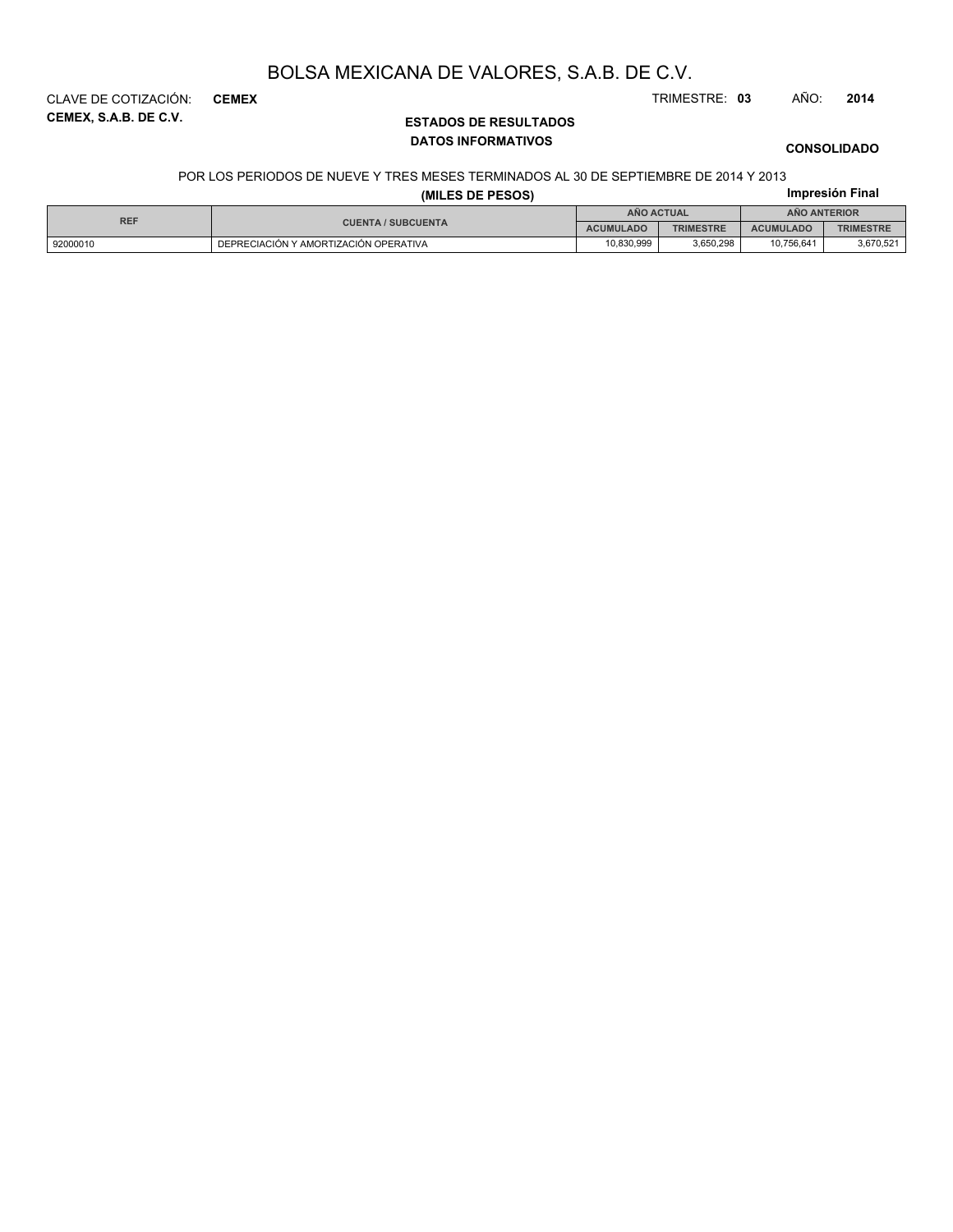**CEMEX, S.A.B. DE C.V.** CLAVE DE COTIZACIÓN: **CEMEX** TRIMESTRE: **03** AÑO: **2014**

### **ESTADOS DE RESULTADOS DATOS INFORMATIVOS**

**CONSOLIDADO**

#### POR LOS PERIODOS DE NUEVE Y TRES MESES TERMINADOS AL 30 DE SEPTIEMBRE DE 2014 Y 2013

#### **Impresión Final (MILES DE PESOS)**

| <b>REF</b><br><b>CUENTA / SUBCUENTA</b> |                                       |                  | ANO ACTUAL       | <b>ANO ANTERIOR</b> |           |  |
|-----------------------------------------|---------------------------------------|------------------|------------------|---------------------|-----------|--|
|                                         | <b>ACUMULADO</b>                      | <b>TRIMESTRE</b> | <b>ACUMULADO</b> | <b>TRIMESTRE</b>    |           |  |
| 92000010                                | DEPRECIACIÓN Y AMORTIZACIÓN OPERATIVA | 10.830.999       | 3.650.298        | 10.756.641          | 3,670,521 |  |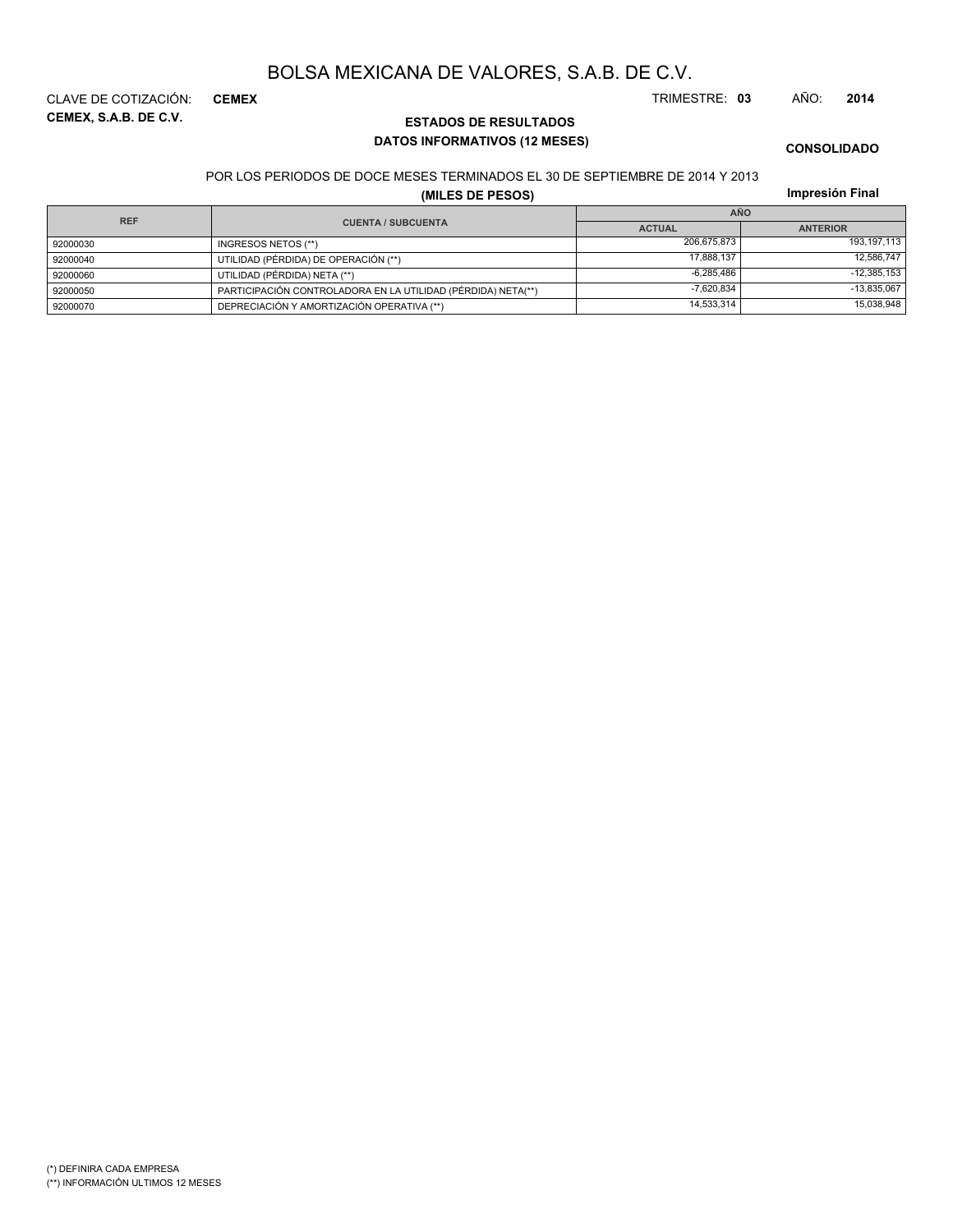**CEMEX, S.A.B. DE C.V.** CLAVE DE COTIZACIÓN: **CEMEX** TRIMESTRE: **03** AÑO: **2014**

### **ESTADOS DE RESULTADOS DATOS INFORMATIVOS (12 MESES)**

# **CONSOLIDADO**

POR LOS PERIODOS DE DOCE MESES TERMINADOS EL 30 DE SEPTIEMBRE DE 2014 Y 2013

**(MILES DE PESOS)**

| Impresión Final |  |
|-----------------|--|
|                 |  |

| <b>REF</b> |                                                              | <b>AÑO</b>    |                 |
|------------|--------------------------------------------------------------|---------------|-----------------|
|            | <b>CUENTA / SUBCUENTA</b>                                    | <b>ACTUAL</b> | <b>ANTERIOR</b> |
| 92000030   | INGRESOS NETOS (**)                                          | 206,675,873   | 193,197,113     |
| 92000040   | UTILIDAD (PÉRDIDA) DE OPERACIÓN (**)                         | 17.888.137    | 12,586,747      |
| 92000060   | UTILIDAD (PÉRDIDA) NETA (**)                                 | $-6.285.486$  | $-12,385,153$   |
| 92000050   | PARTICIPACIÓN CONTROLADORA EN LA UTILIDAD (PÉRDIDA) NETA(**) | $-7.620.834$  | $-13,835,067$   |
| 92000070   | DEPRECIACIÓN Y AMORTIZACIÓN OPERATIVA (**)                   | 14,533,314    | 15,038,948      |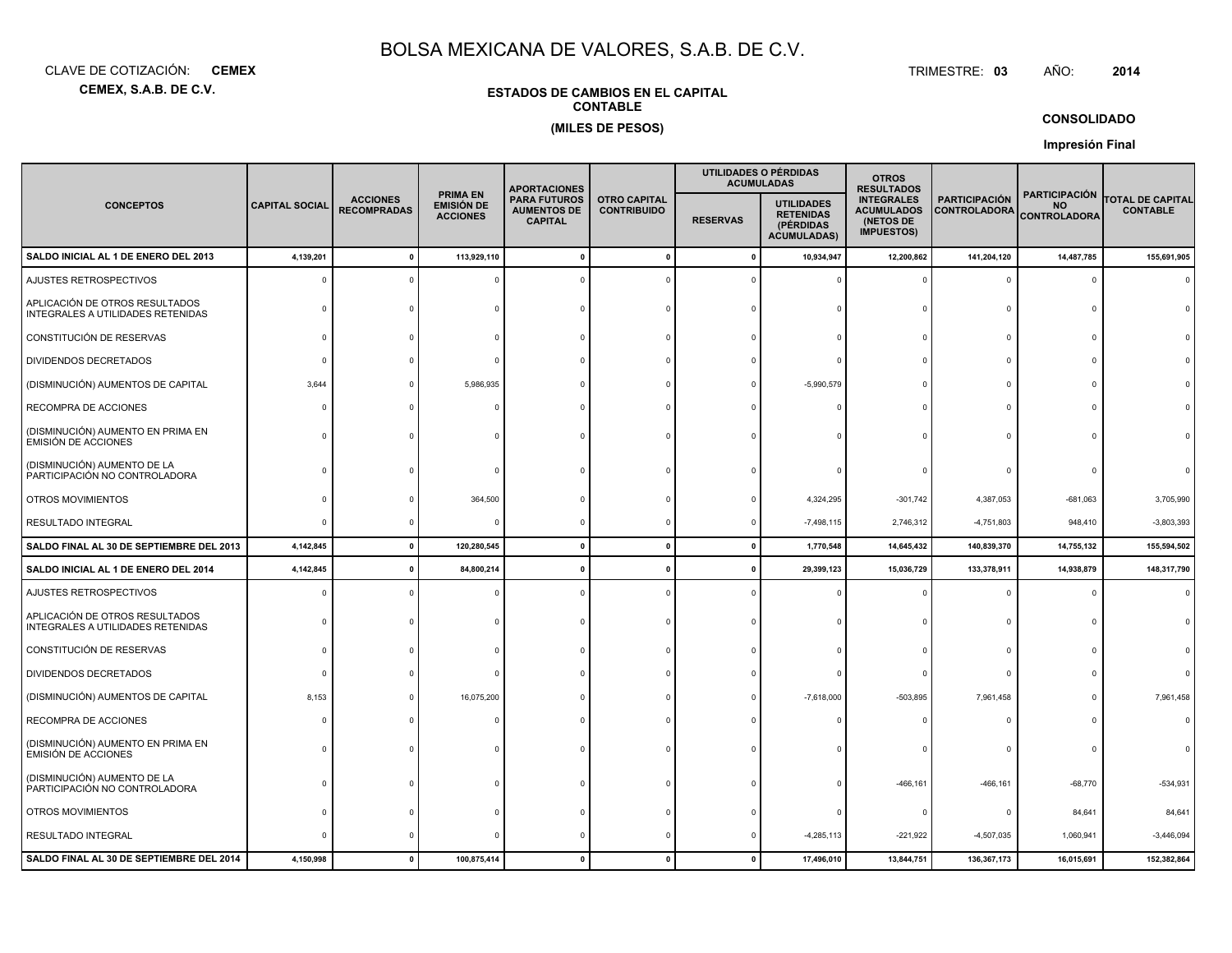**CEMEX, S.A.B. DE C.V.**CLAVE DE COTIZACIÓN:**CEMEX**: **CEMEX** TRIMESTRE:

#### TRIMESTRE: 03 AÑO: **<sup>2014</sup>**

### **ESTADOS DE CAMBIOS EN EL CAPITALCONTABLE(MILES DE PESOS)**

#### **CONSOLIDADO**

**Impresión Final**

|                                                                     |                       |                                       |                                                         | <b>APORTACIONES</b>                                         |                                           |                 | UTILIDADES O PÉRDIDAS<br><b>ACUMULADAS</b>                               | <b>OTROS</b><br><b>RESULTADOS</b>                                        |                                             |                                                          |                                            |
|---------------------------------------------------------------------|-----------------------|---------------------------------------|---------------------------------------------------------|-------------------------------------------------------------|-------------------------------------------|-----------------|--------------------------------------------------------------------------|--------------------------------------------------------------------------|---------------------------------------------|----------------------------------------------------------|--------------------------------------------|
| <b>CONCEPTOS</b>                                                    | <b>CAPITAL SOCIAL</b> | <b>ACCIONES</b><br><b>RECOMPRADAS</b> | <b>PRIMA EN</b><br><b>EMISIÓN DE</b><br><b>ACCIONES</b> | <b>PARA FUTUROS</b><br><b>AUMENTOS DE</b><br><b>CAPITAL</b> | <b>OTRO CAPITAL</b><br><b>CONTRIBUIDO</b> | <b>RESERVAS</b> | <b>UTILIDADES</b><br><b>RETENIDAS</b><br>(PÉRDIDAS<br><b>ACUMULADAS)</b> | <b>INTEGRALES</b><br><b>ACUMULADOS</b><br>(NETOS DE<br><b>IMPUESTOS)</b> | <b>PARTICIPACIÓN</b><br><b>CONTROLADORA</b> | <b>PARTICIPACIÓN</b><br><b>NO</b><br><b>CONTROLADORA</b> | <b>TOTAL DE CAPITAL</b><br><b>CONTABLE</b> |
| SALDO INICIAL AL 1 DE ENERO DEL 2013                                | 4,139,201             |                                       | 113,929,110                                             |                                                             |                                           | -C              | 10,934,947                                                               | 12,200,862                                                               | 141,204,120                                 | 14,487,785                                               | 155,691,905                                |
| AJUSTES RETROSPECTIVOS                                              | $\Omega$              |                                       |                                                         |                                                             |                                           |                 |                                                                          |                                                                          | $\Omega$                                    | $\Omega$                                                 |                                            |
| APLICACIÓN DE OTROS RESULTADOS<br>INTEGRALES A UTILIDADES RETENIDAS |                       |                                       |                                                         |                                                             |                                           |                 |                                                                          |                                                                          | $\Omega$                                    |                                                          |                                            |
| CONSTITUCIÓN DE RESERVAS                                            | $\Omega$              |                                       |                                                         |                                                             |                                           |                 |                                                                          |                                                                          | $\Omega$                                    | $\Omega$                                                 |                                            |
| DIVIDENDOS DECRETADOS                                               | $\Omega$              |                                       |                                                         |                                                             |                                           |                 |                                                                          |                                                                          | $\Omega$                                    |                                                          |                                            |
| (DISMINUCIÓN) AUMENTOS DE CAPITAL                                   | 3,644                 |                                       | 5,986,935                                               |                                                             |                                           |                 | $-5,990,579$                                                             |                                                                          | $\Omega$                                    |                                                          |                                            |
| RECOMPRA DE ACCIONES                                                |                       |                                       |                                                         |                                                             |                                           |                 |                                                                          |                                                                          | $\Omega$                                    |                                                          |                                            |
| (DISMINUCIÓN) AUMENTO EN PRIMA EN<br><b>EMISIÓN DE ACCIONES</b>     |                       |                                       |                                                         |                                                             |                                           |                 |                                                                          |                                                                          | $\Omega$                                    |                                                          |                                            |
| (DISMINUCIÓN) AUMENTO DE LA<br>PARTICIPACIÓN NO CONTROLADORA        |                       |                                       |                                                         |                                                             |                                           |                 |                                                                          |                                                                          |                                             |                                                          |                                            |
| OTROS MOVIMIENTOS                                                   |                       |                                       | 364,500                                                 |                                                             |                                           |                 | 4,324,295                                                                | $-301,742$                                                               | 4,387,053                                   | $-681,063$                                               | 3,705,990                                  |
| RESULTADO INTEGRAL                                                  |                       |                                       | $\Omega$                                                |                                                             |                                           |                 | $-7,498,115$                                                             | 2,746,312                                                                | $-4,751,803$                                | 948,410                                                  | $-3,803,393$                               |
| SALDO FINAL AL 30 DE SEPTIEMBRE DEL 2013                            | 4,142,845             | $\mathbf 0$                           | 120,280,545                                             | $\mathbf{0}$                                                | $\mathbf{0}$                              | $\mathbf{0}$    | 1,770,548                                                                | 14,645,432                                                               | 140,839,370                                 | 14,755,132                                               | 155,594,502                                |
| SALDO INICIAL AL 1 DE ENERO DEL 2014                                | 4,142,845             | 0                                     | 84,800,214                                              | $\mathbf{0}$                                                | -0                                        |                 | 29,399,123                                                               | 15,036,729                                                               | 133,378,911                                 | 14,938,879                                               | 148,317,790                                |
| AJUSTES RETROSPECTIVOS                                              | $\Omega$              |                                       |                                                         |                                                             |                                           |                 |                                                                          |                                                                          | $\Omega$                                    | $\Omega$                                                 | $\Omega$                                   |
| APLICACIÓN DE OTROS RESULTADOS<br>INTEGRALES A UTILIDADES RETENIDAS | <sup>n</sup>          |                                       |                                                         |                                                             |                                           |                 |                                                                          |                                                                          | $\Omega$                                    | $\Omega$                                                 |                                            |
| CONSTITUCIÓN DE RESERVAS                                            |                       |                                       |                                                         |                                                             |                                           |                 |                                                                          |                                                                          | $\Omega$                                    | $\Omega$                                                 |                                            |
| DIVIDENDOS DECRETADOS                                               |                       |                                       |                                                         |                                                             |                                           |                 |                                                                          |                                                                          | $\mathbf 0$                                 |                                                          |                                            |
| (DISMINUCIÓN) AUMENTOS DE CAPITAL                                   | 8,153                 |                                       | 16,075,200                                              |                                                             |                                           |                 | $-7,618,000$                                                             | $-503,895$                                                               | 7,961,458                                   |                                                          | 7,961,458                                  |
| RECOMPRA DE ACCIONES                                                |                       |                                       |                                                         |                                                             |                                           |                 |                                                                          |                                                                          |                                             |                                                          |                                            |
| (DISMINUCIÓN) AUMENTO EN PRIMA EN<br><b>EMISIÓN DE ACCIONES</b>     |                       |                                       |                                                         |                                                             |                                           |                 |                                                                          |                                                                          |                                             |                                                          |                                            |
| (DISMINUCIÓN) AUMENTO DE LA<br>PARTICIPACIÓN NO CONTROLADORA        |                       |                                       |                                                         |                                                             |                                           |                 |                                                                          | $-466, 161$                                                              | $-466, 161$                                 | $-68,770$                                                | $-534,931$                                 |
| OTROS MOVIMIENTOS                                                   |                       |                                       |                                                         |                                                             |                                           |                 |                                                                          |                                                                          | $^{\circ}$                                  | 84,641                                                   | 84,641                                     |
| RESULTADO INTEGRAL                                                  |                       |                                       |                                                         |                                                             |                                           |                 | $-4,285,113$                                                             | $-221,922$                                                               | $-4,507,035$                                | 1,060,941                                                | $-3,446,094$                               |
| SALDO FINAL AL 30 DE SEPTIEMBRE DEL 2014                            | 4,150,998             |                                       | 100,875,414                                             | $\Omega$                                                    |                                           |                 | 17,496,010                                                               | 13,844,751                                                               | 136, 367, 173                               | 16,015,691                                               | 152,382,864                                |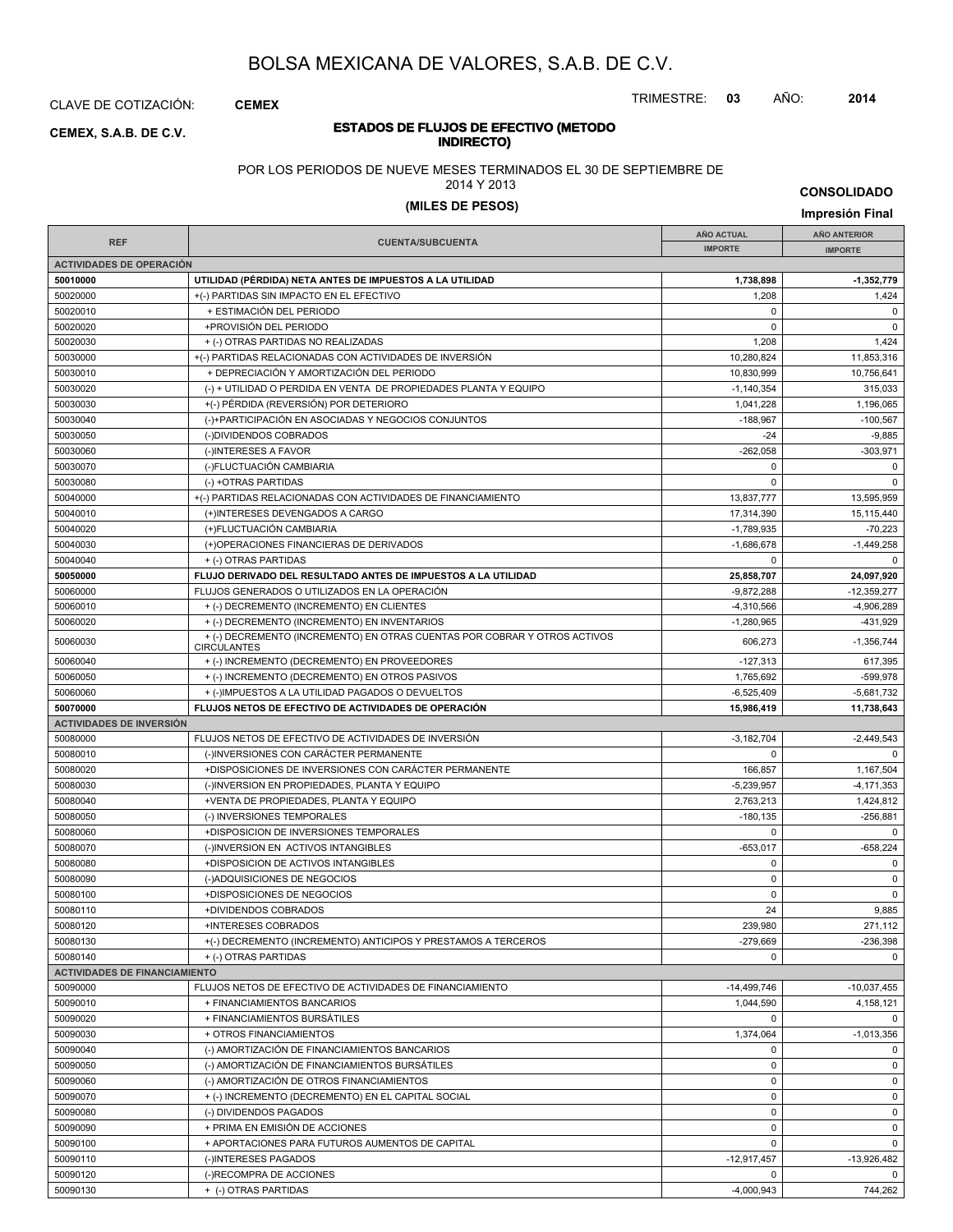CLAVE DE COTIZACIÓN: **CEMEX**

**INDIRECTO) CEMEX, S.A.B. DE C.V.**

# **ESTADOS DE FLUJOS DE EFECTIVO (METODO**

POR LOS PERIODOS DE NUEVE MESES TERMINADOS EL 30 DE SEPTIEMBRE DE

2014 Y 2013

## **(MILES DE PESOS) Impresión Final**

**CONSOLIDADO**

TRIMESTRE: **03** AÑO: **2014**

|                                                                                                                                       | <b>AÑO ACTUAL</b>            | <b>AÑO ANTERIOR</b>        |
|---------------------------------------------------------------------------------------------------------------------------------------|------------------------------|----------------------------|
| <b>REF</b><br><b>CUENTA/SUBCUENTA</b>                                                                                                 | <b>IMPORTE</b>               | <b>IMPORTE</b>             |
| <b>ACTIVIDADES DE OPERACIÓN</b>                                                                                                       |                              |                            |
| 50010000<br>UTILIDAD (PÉRDIDA) NETA ANTES DE IMPUESTOS A LA UTILIDAD                                                                  | 1,738,898                    | $-1,352,779$               |
| 50020000<br>+(-) PARTIDAS SIN IMPACTO EN EL EFECTIVO                                                                                  | 1,208                        | 1,424                      |
| 50020010<br>+ ESTIMACIÓN DEL PERIODO                                                                                                  | $\mathbf 0$                  | $\mathbf 0$                |
| 50020020<br>+PROVISIÓN DEL PERIODO                                                                                                    | $\mathbf 0$                  | $\mathbf 0$                |
| 50020030<br>+ (-) OTRAS PARTIDAS NO REALIZADAS                                                                                        | 1,208                        | 1,424                      |
| 50030000<br>+(-) PARTIDAS RELACIONADAS CON ACTIVIDADES DE INVERSIÓN                                                                   | 10,280,824                   | 11,853,316                 |
| 50030010<br>+ DEPRECIACIÓN Y AMORTIZACIÓN DEL PERIODO                                                                                 | 10,830,999                   | 10,756,641                 |
| 50030020<br>(-) + UTILIDAD O PERDIDA EN VENTA DE PROPIEDADES PLANTA Y EQUIPO                                                          | $-1,140,354$                 | 315,033                    |
| 50030030<br>+(-) PÉRDIDA (REVERSIÓN) POR DETERIORO                                                                                    | 1,041,228                    | 1,196,065                  |
| 50030040<br>(-)+PARTICIPACIÓN EN ASOCIADAS Y NEGOCIOS CONJUNTOS                                                                       | $-188,967$                   | $-100,567$                 |
| 50030050<br>(-)DIVIDENDOS COBRADOS                                                                                                    | $-24$                        | $-9,885$                   |
| 50030060<br>(-)INTERESES A FAVOR                                                                                                      | $-262,058$                   | $-303,971$                 |
| 50030070<br>(-)FLUCTUACIÓN CAMBIARIA                                                                                                  | $\mathbf 0$                  | $\mathbf 0$                |
| 50030080<br>(-) +OTRAS PARTIDAS                                                                                                       | $\Omega$                     | $\mathbf 0$                |
| 50040000<br>+(-) PARTIDAS RELACIONADAS CON ACTIVIDADES DE FINANCIAMIENTO                                                              | 13,837,777                   | 13,595,959                 |
| 50040010<br>(+)INTERESES DEVENGADOS A CARGO                                                                                           | 17,314,390                   | 15,115,440                 |
| 50040020<br>(+)FLUCTUACIÓN CAMBIARIA                                                                                                  | $-1,789,935$                 | $-70,223$                  |
| 50040030<br>(+)OPERACIONES FINANCIERAS DE DERIVADOS                                                                                   | $-1,686,678$                 | $-1,449,258$               |
| 50040040<br>+ (-) OTRAS PARTIDAS                                                                                                      | $\mathbf 0$                  | $\Omega$                   |
| 50050000<br>FLUJO DERIVADO DEL RESULTADO ANTES DE IMPUESTOS A LA UTILIDAD                                                             | 25,858,707                   | 24,097,920                 |
| FLUJOS GENERADOS O UTILIZADOS EN LA OPERACIÓN<br>50060000                                                                             | $-9,872,288$                 | $-12,359,277$              |
| 50060010<br>+ (-) DECREMENTO (INCREMENTO) EN CLIENTES                                                                                 | $-4,310,566$                 | $-4.906.289$               |
| 50060020<br>+ (-) DECREMENTO (INCREMENTO) EN INVENTARIOS<br>+ (-) DECREMENTO (INCREMENTO) EN OTRAS CUENTAS POR COBRAR Y OTROS ACTIVOS | $-1,280,965$                 | -431,929                   |
| 50060030<br><b>CIRCULANTES</b>                                                                                                        | 606,273                      | $-1,356,744$               |
|                                                                                                                                       |                              |                            |
| + (-) INCREMENTO (DECREMENTO) EN PROVEEDORES<br>50060040                                                                              | $-127,313$                   | 617,395                    |
| 50060050<br>+ (-) INCREMENTO (DECREMENTO) EN OTROS PASIVOS                                                                            | 1,765,692                    | $-599.978$                 |
| 50060060<br>+ (-)IMPUESTOS A LA UTILIDAD PAGADOS O DEVUELTOS                                                                          | $-6,525,409$                 | $-5,681,732$               |
| 50070000<br><b>FLUJOS NETOS DE EFECTIVO DE ACTIVIDADES DE OPERACIÓN</b>                                                               | 15,986,419                   | 11,738,643                 |
| <b>ACTIVIDADES DE INVERSIÓN</b>                                                                                                       |                              |                            |
| 50080000<br>FLUJOS NETOS DE EFECTIVO DE ACTIVIDADES DE INVERSIÓN                                                                      | $-3,182,704$                 | $-2,449,543$               |
| 50080010<br>(-)INVERSIONES CON CARÁCTER PERMANENTE                                                                                    | $\mathbf 0$                  | $\mathbf 0$                |
| 50080020<br>+DISPOSICIONES DE INVERSIONES CON CARÁCTER PERMANENTE                                                                     | 166,857                      | 1,167,504                  |
| 50080030<br>(-)INVERSION EN PROPIEDADES, PLANTA Y EQUIPO                                                                              | $-5,239,957$                 | $-4, 171, 353$             |
| 50080040<br>+VENTA DE PROPIEDADES, PLANTA Y EQUIPO                                                                                    | 2,763,213                    | 1,424,812                  |
| 50080050<br>(-) INVERSIONES TEMPORALES                                                                                                | $-180, 135$                  | $-256,881$                 |
| 50080060<br>+DISPOSICION DE INVERSIONES TEMPORALES                                                                                    | $\mathbf 0$                  | $\mathbf 0$                |
| 50080070<br>(-)INVERSION EN ACTIVOS INTANGIBLES                                                                                       | $-653.017$                   | $-658,224$                 |
| 50080080<br>+DISPOSICION DE ACTIVOS INTANGIBLES                                                                                       | $\mathbf 0$                  | $\mathbf 0$                |
| 50080090<br>(-)ADQUISICIONES DE NEGOCIOS                                                                                              | $\mathbf 0$                  | $\mathbf 0$                |
| 50080100<br>+DISPOSICIONES DE NEGOCIOS                                                                                                | $\mathbf 0$                  | $\mathbf 0$                |
| 50080110<br>+DIVIDENDOS COBRADOS                                                                                                      | 24                           | 9,885                      |
| 50080120<br>+INTERESES COBRADOS                                                                                                       | 239.980                      | 271,112                    |
| +(-) DECREMENTO (INCREMENTO) ANTICIPOS Y PRESTAMOS A TERCEROS<br>50080130                                                             | $-279,669$                   | $-236,398$                 |
| 50080140<br>+ (-) OTRAS PARTIDAS                                                                                                      | $\Omega$                     | 0                          |
| <b>ACTIVIDADES DE FINANCIAMIENTO</b>                                                                                                  |                              |                            |
| FLUJOS NETOS DE EFECTIVO DE ACTIVIDADES DE FINANCIAMIENTO<br>50090000                                                                 | $-14,499,746$                | $-10,037,455$              |
| 50090010<br>+ FINANCIAMIENTOS BANCARIOS                                                                                               | 1,044,590                    | 4,158,121                  |
| 50090020<br>+ FINANCIAMIENTOS BURSÁTILES                                                                                              | $\mathbf 0$                  | $\mathbf 0$                |
| 50090030<br>+ OTROS FINANCIAMIENTOS                                                                                                   | 1,374,064                    | $-1,013,356$               |
| 50090040<br>(-) AMORTIZACIÓN DE FINANCIAMIENTOS BANCARIOS                                                                             | $\mathbf 0$                  | $\mathbf 0$                |
| 50090050<br>(-) AMORTIZACIÓN DE FINANCIAMIENTOS BURSÁTILES                                                                            | $\mathbf 0$                  | $\mathbf 0$                |
| 50090060<br>(-) AMORTIZACIÓN DE OTROS FINANCIAMIENTOS                                                                                 | $\mathbf 0$                  | $\mathbf 0$                |
| 50090070<br>+ (-) INCREMENTO (DECREMENTO) EN EL CAPITAL SOCIAL                                                                        | $\mathbf 0$                  | 0                          |
| 50090080<br>(-) DIVIDENDOS PAGADOS                                                                                                    | $\mathbf 0$                  | $\mathbf 0$                |
| 50090090<br>+ PRIMA EN EMISIÓN DE ACCIONES                                                                                            | $\mathsf 0$<br>$\mathbf 0$   | $\mathbf 0$<br>$\mathbf 0$ |
| 50090100<br>+ APORTACIONES PARA FUTUROS AUMENTOS DE CAPITAL                                                                           |                              |                            |
| 50090110<br>(-)INTERESES PAGADOS<br>50090120<br>(-)RECOMPRA DE ACCIONES                                                               | $-12,917,457$<br>$\mathbf 0$ | $-13,926,482$<br>$\Omega$  |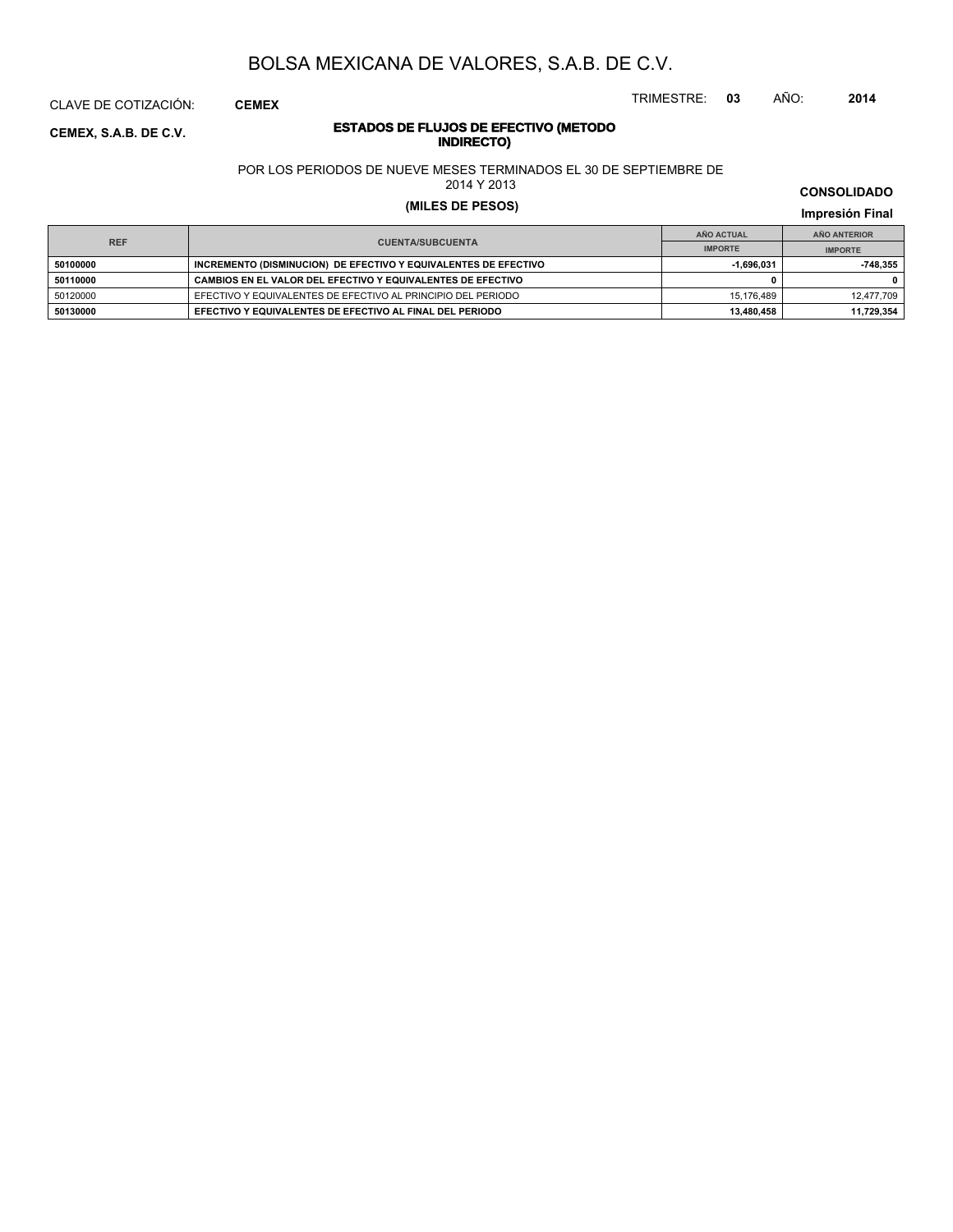CLAVE DE COTIZACIÓN: **CEMEX**

#### **ESTADOS DE FLUJOS DE EFECTIVO (METODO INDIRECTO CEMEX, S.A.B. DE C.V.**<br>**INDIRECTO**

POR LOS PERIODOS DE NUEVE MESES TERMINADOS EL 30 DE SEPTIEMBRE DE

2014 Y 2013

### **(MILES DE PESOS) Impresión Final**

**IMPRESIÓN FINAL EN EN ENCLORED EN EL ENCLORED EN EL ENCLORED EN EL ENCLORED EN EL ENCLORED EN EL ENCLORED EN EL ENCLORED EN EL ENCLORED EN EL ENCLORED EN EL ENCLORED EN EL ENCLORED EN EL ENCLORED EN EL ENCLORED EN EL ENCL AÑO ACTUAL IMPORTE IMPORTE REF AÑO ANTERIOR IMPORTE 50100000 INCREMENTO (DISMINUCION) DE EFECTIVO Y EQUIVALENTES DE EFECTIVO 1,696,031** -1,696,031 **-748,355 50110000 CAMBIOS EN EL VALOR DEL EFECTIVO Y EQUIVALENTES DE EFECTIVO 0 0** 50120000 EFECTIVO Y EQUIVALENTES DE EFECTIVO AL PRINCIPIO DEL PERIODO 15,176,489 12,477,709 12,477,709 **50130000 EFECTIVO Y EQUIVALENTES DE EFECTIVO AL FINAL DEL PERIODO 13,480,458 11,729,354**

### **CONSOLIDADO**

TRIMESTRE: **03** AÑO: **2014**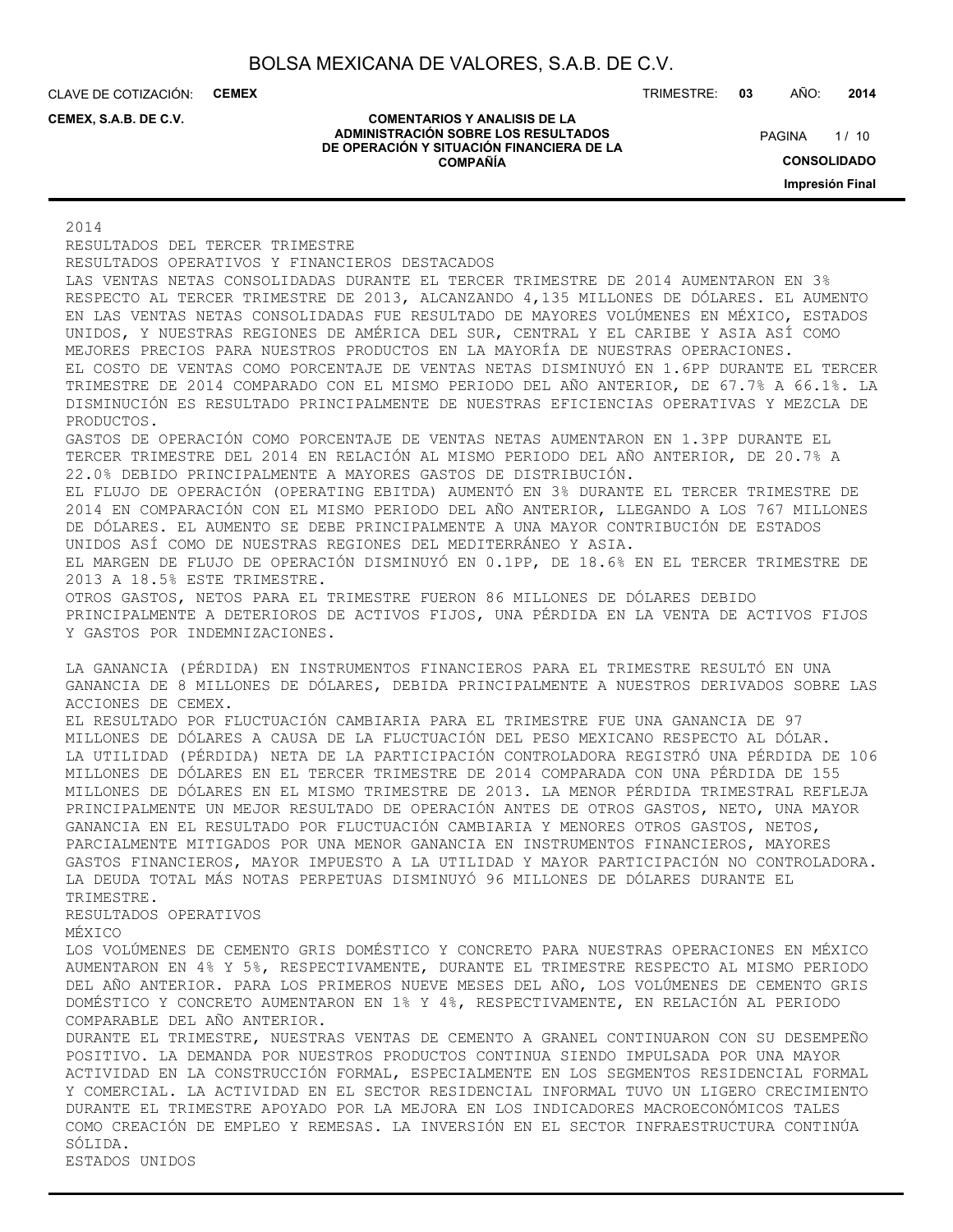CLAVE DE COTIZACIÓN: **CEMEX**

**CEMEX, S.A.B. DE C.V.**

#### **COMENTARIOS Y ANALISIS DE LA ADMINISTRACIÓN SOBRE LOS RESULTADOS DE OPERACIÓN Y SITUACIÓN FINANCIERA DE LA COMPAÑÍA**

TRIMESTRE: **03** AÑO: **2014**

 $1/10$ **CONSOLIDADO Impresión Final PAGINA** 

2014

RESULTADOS DEL TERCER TRIMESTRE RESULTADOS OPERATIVOS Y FINANCIEROS DESTACADOS LAS VENTAS NETAS CONSOLIDADAS DURANTE EL TERCER TRIMESTRE DE 2014 AUMENTARON EN 3% RESPECTO AL TERCER TRIMESTRE DE 2013, ALCANZANDO 4,135 MILLONES DE DÓLARES. EL AUMENTO EN LAS VENTAS NETAS CONSOLIDADAS FUE RESULTADO DE MAYORES VOLÚMENES EN MÉXICO, ESTADOS UNIDOS, Y NUESTRAS REGIONES DE AMÉRICA DEL SUR, CENTRAL Y EL CARIBE Y ASIA ASÍ COMO MEJORES PRECIOS PARA NUESTROS PRODUCTOS EN LA MAYORÍA DE NUESTRAS OPERACIONES. EL COSTO DE VENTAS COMO PORCENTAJE DE VENTAS NETAS DISMINUYÓ EN 1.6PP DURANTE EL TERCER TRIMESTRE DE 2014 COMPARADO CON EL MISMO PERIODO DEL AÑO ANTERIOR, DE 67.7% A 66.1%. LA DISMINUCIÓN ES RESULTADO PRINCIPALMENTE DE NUESTRAS EFICIENCIAS OPERATIVAS Y MEZCLA DE PRODUCTOS. GASTOS DE OPERACIÓN COMO PORCENTAJE DE VENTAS NETAS AUMENTARON EN 1.3PP DURANTE EL TERCER TRIMESTRE DEL 2014 EN RELACIÓN AL MISMO PERIODO DEL AÑO ANTERIOR, DE 20.7% A 22.0% DEBIDO PRINCIPALMENTE A MAYORES GASTOS DE DISTRIBUCIÓN. EL FLUJO DE OPERACIÓN (OPERATING EBITDA) AUMENTÓ EN 3% DURANTE EL TERCER TRIMESTRE DE 2014 EN COMPARACIÓN CON EL MISMO PERIODO DEL AÑO ANTERIOR, LLEGANDO A LOS 767 MILLONES DE DÓLARES. EL AUMENTO SE DEBE PRINCIPALMENTE A UNA MAYOR CONTRIBUCIÓN DE ESTADOS UNIDOS ASÍ COMO DE NUESTRAS REGIONES DEL MEDITERRÁNEO Y ASIA. EL MARGEN DE FLUJO DE OPERACIÓN DISMINUYÓ EN 0.1PP, DE 18.6% EN EL TERCER TRIMESTRE DE 2013 A 18.5% ESTE TRIMESTRE. OTROS GASTOS, NETOS PARA EL TRIMESTRE FUERON 86 MILLONES DE DÓLARES DEBIDO PRINCIPALMENTE A DETERIOROS DE ACTIVOS FIJOS, UNA PÉRDIDA EN LA VENTA DE ACTIVOS FIJOS Y GASTOS POR INDEMNIZACIONES. LA GANANCIA (PÉRDIDA) EN INSTRUMENTOS FINANCIEROS PARA EL TRIMESTRE RESULTÓ EN UNA GANANCIA DE 8 MILLONES DE DÓLARES, DEBIDA PRINCIPALMENTE A NUESTROS DERIVADOS SOBRE LAS ACCIONES DE CEMEX. EL RESULTADO POR FLUCTUACIÓN CAMBIARIA PARA EL TRIMESTRE FUE UNA GANANCIA DE 97 MILLONES DE DÓLARES A CAUSA DE LA FLUCTUACIÓN DEL PESO MEXICANO RESPECTO AL DÓLAR. LA UTILIDAD (PÉRDIDA) NETA DE LA PARTICIPACIÓN CONTROLADORA REGISTRÓ UNA PÉRDIDA DE 106 MILLONES DE DÓLARES EN EL TERCER TRIMESTRE DE 2014 COMPARADA CON UNA PÉRDIDA DE 155 MILLONES DE DÓLARES EN EL MISMO TRIMESTRE DE 2013. LA MENOR PÉRDIDA TRIMESTRAL REFLEJA PRINCIPALMENTE UN MEJOR RESULTADO DE OPERACIÓN ANTES DE OTROS GASTOS, NETO, UNA MAYOR GANANCIA EN EL RESULTADO POR FLUCTUACIÓN CAMBIARIA Y MENORES OTROS GASTOS, NETOS, PARCIALMENTE MITIGADOS POR UNA MENOR GANANCIA EN INSTRUMENTOS FINANCIEROS, MAYORES GASTOS FINANCIEROS, MAYOR IMPUESTO A LA UTILIDAD Y MAYOR PARTICIPACIÓN NO CONTROLADORA. LA DEUDA TOTAL MÁS NOTAS PERPETUAS DISMINUYÓ 96 MILLONES DE DÓLARES DURANTE EL TRIMESTRE. RESULTADOS OPERATIVOS MÉXICO LOS VOLÚMENES DE CEMENTO GRIS DOMÉSTICO Y CONCRETO PARA NUESTRAS OPERACIONES EN MÉXICO AUMENTARON EN 4% Y 5%, RESPECTIVAMENTE, DURANTE EL TRIMESTRE RESPECTO AL MISMO PERIODO DEL AÑO ANTERIOR. PARA LOS PRIMEROS NUEVE MESES DEL AÑO, LOS VOLÚMENES DE CEMENTO GRIS DOMÉSTICO Y CONCRETO AUMENTARON EN 1% Y 4%, RESPECTIVAMENTE, EN RELACIÓN AL PERIODO COMPARABLE DEL AÑO ANTERIOR. DURANTE EL TRIMESTRE, NUESTRAS VENTAS DE CEMENTO A GRANEL CONTINUARON CON SU DESEMPEÑO POSITIVO. LA DEMANDA POR NUESTROS PRODUCTOS CONTINUA SIENDO IMPULSADA POR UNA MAYOR ACTIVIDAD EN LA CONSTRUCCIÓN FORMAL, ESPECIALMENTE EN LOS SEGMENTOS RESIDENCIAL FORMAL Y COMERCIAL. LA ACTIVIDAD EN EL SECTOR RESIDENCIAL INFORMAL TUVO UN LIGERO CRECIMIENTO DURANTE EL TRIMESTRE APOYADO POR LA MEJORA EN LOS INDICADORES MACROECONÓMICOS TALES COMO CREACIÓN DE EMPLEO Y REMESAS. LA INVERSIÓN EN EL SECTOR INFRAESTRUCTURA CONTINÚA

SÓLIDA.

ESTADOS UNIDOS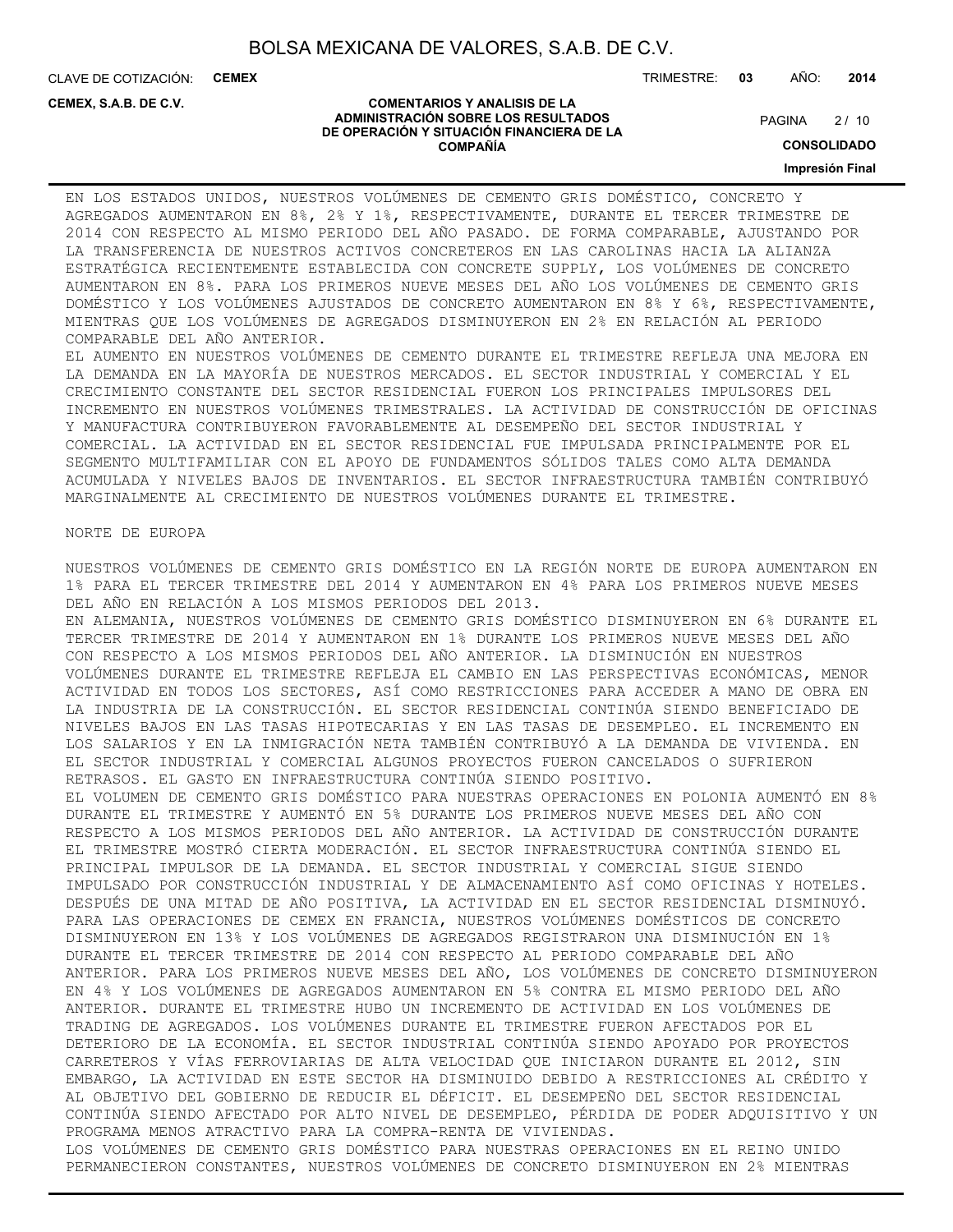CLAVE DE COTIZACIÓN: **CEMEX**

**CEMEX, S.A.B. DE C.V.**

TRIMESTRE: **03** AÑO: **2014**

#### **COMENTARIOS Y ANALISIS DE LA ADMINISTRACIÓN SOBRE LOS RESULTADOS DE OPERACIÓN Y SITUACIÓN FINANCIERA DE LA COMPAÑÍA**

 $2/10$ **PAGINA** 

**CONSOLIDADO**

**Impresión Final**

EN LOS ESTADOS UNIDOS, NUESTROS VOLÚMENES DE CEMENTO GRIS DOMÉSTICO, CONCRETO Y AGREGADOS AUMENTARON EN 8%, 2% Y 1%, RESPECTIVAMENTE, DURANTE EL TERCER TRIMESTRE DE 2014 CON RESPECTO AL MISMO PERIODO DEL AÑO PASADO. DE FORMA COMPARABLE, AJUSTANDO POR LA TRANSFERENCIA DE NUESTROS ACTIVOS CONCRETEROS EN LAS CAROLINAS HACIA LA ALIANZA ESTRATÉGICA RECIENTEMENTE ESTABLECIDA CON CONCRETE SUPPLY, LOS VOLÚMENES DE CONCRETO AUMENTARON EN 8%. PARA LOS PRIMEROS NUEVE MESES DEL AÑO LOS VOLÚMENES DE CEMENTO GRIS DOMÉSTICO Y LOS VOLÚMENES AJUSTADOS DE CONCRETO AUMENTARON EN 8% Y 6%, RESPECTIVAMENTE, MIENTRAS QUE LOS VOLÚMENES DE AGREGADOS DISMINUYERON EN 2% EN RELACIÓN AL PERIODO COMPARABLE DEL AÑO ANTERIOR.

EL AUMENTO EN NUESTROS VOLÚMENES DE CEMENTO DURANTE EL TRIMESTRE REFLEJA UNA MEJORA EN LA DEMANDA EN LA MAYORÍA DE NUESTROS MERCADOS. EL SECTOR INDUSTRIAL Y COMERCIAL Y EL CRECIMIENTO CONSTANTE DEL SECTOR RESIDENCIAL FUERON LOS PRINCIPALES IMPULSORES DEL INCREMENTO EN NUESTROS VOLÚMENES TRIMESTRALES. LA ACTIVIDAD DE CONSTRUCCIÓN DE OFICINAS Y MANUFACTURA CONTRIBUYERON FAVORABLEMENTE AL DESEMPEÑO DEL SECTOR INDUSTRIAL Y COMERCIAL. LA ACTIVIDAD EN EL SECTOR RESIDENCIAL FUE IMPULSADA PRINCIPALMENTE POR EL SEGMENTO MULTIFAMILIAR CON EL APOYO DE FUNDAMENTOS SÓLIDOS TALES COMO ALTA DEMANDA ACUMULADA Y NIVELES BAJOS DE INVENTARIOS. EL SECTOR INFRAESTRUCTURA TAMBIÉN CONTRIBUYÓ MARGINALMENTE AL CRECIMIENTO DE NUESTROS VOLÚMENES DURANTE EL TRIMESTRE.

#### NORTE DE EUROPA

NUESTROS VOLÚMENES DE CEMENTO GRIS DOMÉSTICO EN LA REGIÓN NORTE DE EUROPA AUMENTARON EN 1% PARA EL TERCER TRIMESTRE DEL 2014 Y AUMENTARON EN 4% PARA LOS PRIMEROS NUEVE MESES DEL AÑO EN RELACIÓN A LOS MISMOS PERIODOS DEL 2013. EN ALEMANIA, NUESTROS VOLÚMENES DE CEMENTO GRIS DOMÉSTICO DISMINUYERON EN 6% DURANTE EL TERCER TRIMESTRE DE 2014 Y AUMENTARON EN 1% DURANTE LOS PRIMEROS NUEVE MESES DEL AÑO CON RESPECTO A LOS MISMOS PERIODOS DEL AÑO ANTERIOR. LA DISMINUCIÓN EN NUESTROS VOLÚMENES DURANTE EL TRIMESTRE REFLEJA EL CAMBIO EN LAS PERSPECTIVAS ECONÓMICAS, MENOR ACTIVIDAD EN TODOS LOS SECTORES, ASÍ COMO RESTRICCIONES PARA ACCEDER A MANO DE OBRA EN LA INDUSTRIA DE LA CONSTRUCCIÓN. EL SECTOR RESIDENCIAL CONTINÚA SIENDO BENEFICIADO DE NIVELES BAJOS EN LAS TASAS HIPOTECARIAS Y EN LAS TASAS DE DESEMPLEO. EL INCREMENTO EN LOS SALARIOS Y EN LA INMIGRACIÓN NETA TAMBIÉN CONTRIBUYÓ A LA DEMANDA DE VIVIENDA. EN EL SECTOR INDUSTRIAL Y COMERCIAL ALGUNOS PROYECTOS FUERON CANCELADOS O SUFRIERON RETRASOS. EL GASTO EN INFRAESTRUCTURA CONTINÚA SIENDO POSITIVO. EL VOLUMEN DE CEMENTO GRIS DOMÉSTICO PARA NUESTRAS OPERACIONES EN POLONIA AUMENTÓ EN 8% DURANTE EL TRIMESTRE Y AUMENTÓ EN 5% DURANTE LOS PRIMEROS NUEVE MESES DEL AÑO CON RESPECTO A LOS MISMOS PERIODOS DEL AÑO ANTERIOR. LA ACTIVIDAD DE CONSTRUCCIÓN DURANTE EL TRIMESTRE MOSTRÓ CIERTA MODERACIÓN. EL SECTOR INFRAESTRUCTURA CONTINÚA SIENDO EL PRINCIPAL IMPULSOR DE LA DEMANDA. EL SECTOR INDUSTRIAL Y COMERCIAL SIGUE SIENDO IMPULSADO POR CONSTRUCCIÓN INDUSTRIAL Y DE ALMACENAMIENTO ASÍ COMO OFICINAS Y HOTELES. DESPUÉS DE UNA MITAD DE AÑO POSITIVA, LA ACTIVIDAD EN EL SECTOR RESIDENCIAL DISMINUYÓ. PARA LAS OPERACIONES DE CEMEX EN FRANCIA, NUESTROS VOLÚMENES DOMÉSTICOS DE CONCRETO DISMINUYERON EN 13% Y LOS VOLÚMENES DE AGREGADOS REGISTRARON UNA DISMINUCIÓN EN 1% DURANTE EL TERCER TRIMESTRE DE 2014 CON RESPECTO AL PERIODO COMPARABLE DEL AÑO ANTERIOR. PARA LOS PRIMEROS NUEVE MESES DEL AÑO, LOS VOLÚMENES DE CONCRETO DISMINUYERON EN 4% Y LOS VOLÚMENES DE AGREGADOS AUMENTARON EN 5% CONTRA EL MISMO PERIODO DEL AÑO ANTERIOR. DURANTE EL TRIMESTRE HUBO UN INCREMENTO DE ACTIVIDAD EN LOS VOLÚMENES DE TRADING DE AGREGADOS. LOS VOLÚMENES DURANTE EL TRIMESTRE FUERON AFECTADOS POR EL DETERIORO DE LA ECONOMÍA. EL SECTOR INDUSTRIAL CONTINÚA SIENDO APOYADO POR PROYECTOS CARRETEROS Y VÍAS FERROVIARIAS DE ALTA VELOCIDAD QUE INICIARON DURANTE EL 2012, SIN EMBARGO, LA ACTIVIDAD EN ESTE SECTOR HA DISMINUIDO DEBIDO A RESTRICCIONES AL CRÉDITO Y AL OBJETIVO DEL GOBIERNO DE REDUCIR EL DÉFICIT. EL DESEMPEÑO DEL SECTOR RESIDENCIAL CONTINÚA SIENDO AFECTADO POR ALTO NIVEL DE DESEMPLEO, PÉRDIDA DE PODER ADQUISITIVO Y UN PROGRAMA MENOS ATRACTIVO PARA LA COMPRA-RENTA DE VIVIENDAS. LOS VOLÚMENES DE CEMENTO GRIS DOMÉSTICO PARA NUESTRAS OPERACIONES EN EL REINO UNIDO PERMANECIERON CONSTANTES, NUESTROS VOLÚMENES DE CONCRETO DISMINUYERON EN 2% MIENTRAS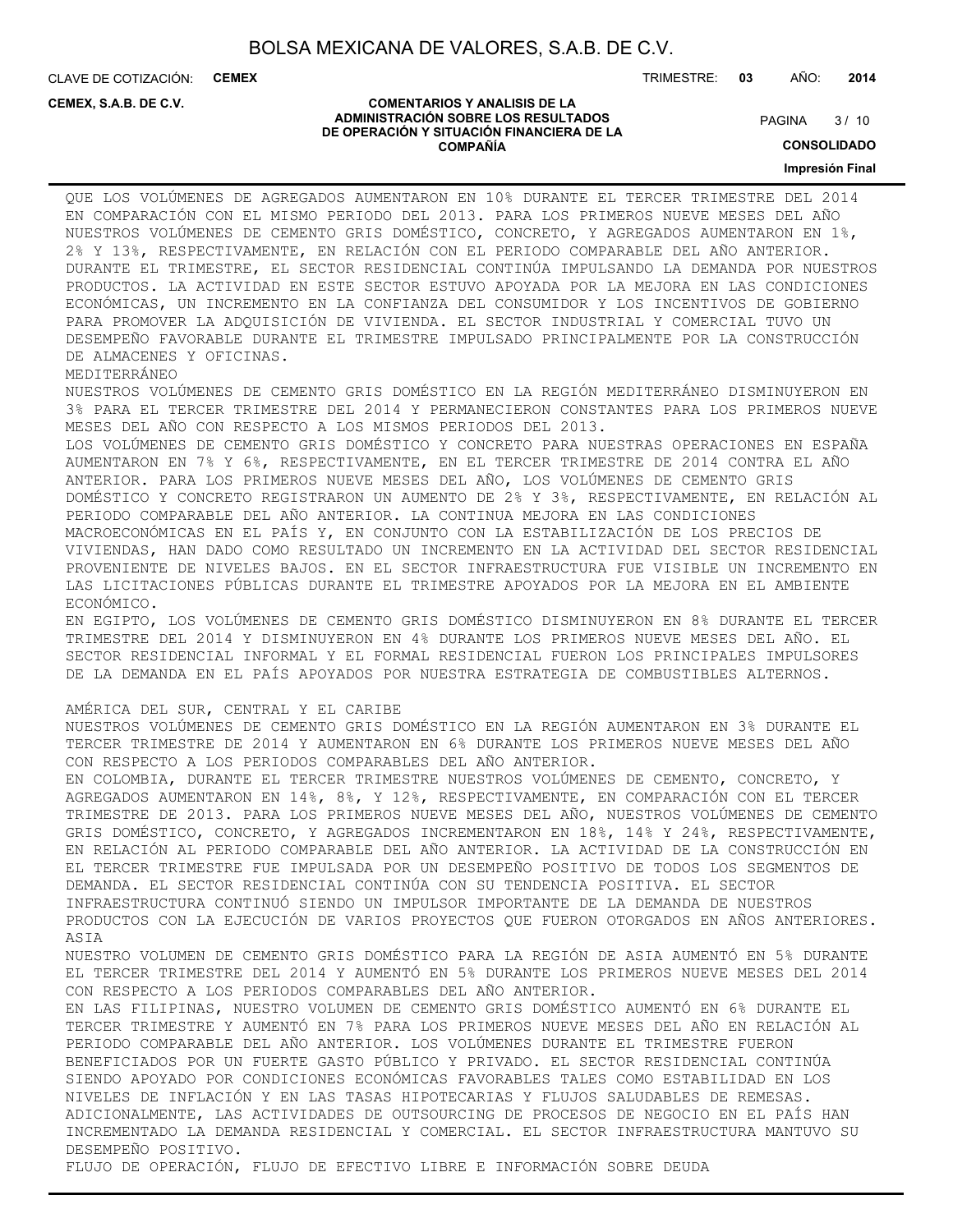CLAVE DE COTIZACIÓN: **CEMEX**

**CEMEX, S.A.B. DE C.V.**

TRIMESTRE: **03** AÑO: **2014**

#### **COMENTARIOS Y ANALISIS DE LA ADMINISTRACIÓN SOBRE LOS RESULTADOS DE OPERACIÓN Y SITUACIÓN FINANCIERA DE LA COMPAÑÍA**

 $3/10$ **PAGINA** 

**CONSOLIDADO**

**Impresión Final**

QUE LOS VOLÚMENES DE AGREGADOS AUMENTARON EN 10% DURANTE EL TERCER TRIMESTRE DEL 2014 EN COMPARACIÓN CON EL MISMO PERIODO DEL 2013. PARA LOS PRIMEROS NUEVE MESES DEL AÑO NUESTROS VOLÚMENES DE CEMENTO GRIS DOMÉSTICO, CONCRETO, Y AGREGADOS AUMENTARON EN 1%, 2% Y 13%, RESPECTIVAMENTE, EN RELACIÓN CON EL PERIODO COMPARABLE DEL AÑO ANTERIOR. DURANTE EL TRIMESTRE, EL SECTOR RESIDENCIAL CONTINÚA IMPULSANDO LA DEMANDA POR NUESTROS PRODUCTOS. LA ACTIVIDAD EN ESTE SECTOR ESTUVO APOYADA POR LA MEJORA EN LAS CONDICIONES ECONÓMICAS, UN INCREMENTO EN LA CONFIANZA DEL CONSUMIDOR Y LOS INCENTIVOS DE GOBIERNO PARA PROMOVER LA ADQUISICIÓN DE VIVIENDA. EL SECTOR INDUSTRIAL Y COMERCIAL TUVO UN DESEMPEÑO FAVORABLE DURANTE EL TRIMESTRE IMPULSADO PRINCIPALMENTE POR LA CONSTRUCCIÓN DE ALMACENES Y OFICINAS. MEDITERRÁNEO NUESTROS VOLÚMENES DE CEMENTO GRIS DOMÉSTICO EN LA REGIÓN MEDITERRÁNEO DISMINUYERON EN 3% PARA EL TERCER TRIMESTRE DEL 2014 Y PERMANECIERON CONSTANTES PARA LOS PRIMEROS NUEVE MESES DEL AÑO CON RESPECTO A LOS MISMOS PERIODOS DEL 2013. LOS VOLÚMENES DE CEMENTO GRIS DOMÉSTICO Y CONCRETO PARA NUESTRAS OPERACIONES EN ESPAÑA AUMENTARON EN 7% Y 6%, RESPECTIVAMENTE, EN EL TERCER TRIMESTRE DE 2014 CONTRA EL AÑO ANTERIOR. PARA LOS PRIMEROS NUEVE MESES DEL AÑO, LOS VOLÚMENES DE CEMENTO GRIS DOMÉSTICO Y CONCRETO REGISTRARON UN AUMENTO DE 2% Y 3%, RESPECTIVAMENTE, EN RELACIÓN AL PERIODO COMPARABLE DEL AÑO ANTERIOR. LA CONTINUA MEJORA EN LAS CONDICIONES MACROECONÓMICAS EN EL PAÍS Y, EN CONJUNTO CON LA ESTABILIZACIÓN DE LOS PRECIOS DE VIVIENDAS, HAN DADO COMO RESULTADO UN INCREMENTO EN LA ACTIVIDAD DEL SECTOR RESIDENCIAL PROVENIENTE DE NIVELES BAJOS. EN EL SECTOR INFRAESTRUCTURA FUE VISIBLE UN INCREMENTO EN LAS LICITACIONES PÚBLICAS DURANTE EL TRIMESTRE APOYADOS POR LA MEJORA EN EL AMBIENTE ECONÓMICO. EN EGIPTO, LOS VOLÚMENES DE CEMENTO GRIS DOMÉSTICO DISMINUYERON EN 8% DURANTE EL TERCER TRIMESTRE DEL 2014 Y DISMINUYERON EN 4% DURANTE LOS PRIMEROS NUEVE MESES DEL AÑO. EL SECTOR RESIDENCIAL INFORMAL Y EL FORMAL RESIDENCIAL FUERON LOS PRINCIPALES IMPULSORES DE LA DEMANDA EN EL PAÍS APOYADOS POR NUESTRA ESTRATEGIA DE COMBUSTIBLES ALTERNOS. AMÉRICA DEL SUR, CENTRAL Y EL CARIBE NUESTROS VOLÚMENES DE CEMENTO GRIS DOMÉSTICO EN LA REGIÓN AUMENTARON EN 3% DURANTE EL TERCER TRIMESTRE DE 2014 Y AUMENTARON EN 6% DURANTE LOS PRIMEROS NUEVE MESES DEL AÑO CON RESPECTO A LOS PERIODOS COMPARABLES DEL AÑO ANTERIOR. EN COLOMBIA, DURANTE EL TERCER TRIMESTRE NUESTROS VOLÚMENES DE CEMENTO, CONCRETO, Y AGREGADOS AUMENTARON EN 14%, 8%, Y 12%, RESPECTIVAMENTE, EN COMPARACIÓN CON EL TERCER TRIMESTRE DE 2013. PARA LOS PRIMEROS NUEVE MESES DEL AÑO, NUESTROS VOLÚMENES DE CEMENTO GRIS DOMÉSTICO, CONCRETO, Y AGREGADOS INCREMENTARON EN 18%, 14% Y 24%, RESPECTIVAMENTE, EN RELACIÓN AL PERIODO COMPARABLE DEL AÑO ANTERIOR. LA ACTIVIDAD DE LA CONSTRUCCIÓN EN EL TERCER TRIMESTRE FUE IMPULSADA POR UN DESEMPEÑO POSITIVO DE TODOS LOS SEGMENTOS DE DEMANDA. EL SECTOR RESIDENCIAL CONTINÚA CON SU TENDENCIA POSITIVA. EL SECTOR INFRAESTRUCTURA CONTINUÓ SIENDO UN IMPULSOR IMPORTANTE DE LA DEMANDA DE NUESTROS PRODUCTOS CON LA EJECUCIÓN DE VARIOS PROYECTOS QUE FUERON OTORGADOS EN AÑOS ANTERIORES. ASIA NUESTRO VOLUMEN DE CEMENTO GRIS DOMÉSTICO PARA LA REGIÓN DE ASIA AUMENTÓ EN 5% DURANTE EL TERCER TRIMESTRE DEL 2014 Y AUMENTÓ EN 5% DURANTE LOS PRIMEROS NUEVE MESES DEL 2014 CON RESPECTO A LOS PERIODOS COMPARABLES DEL AÑO ANTERIOR. EN LAS FILIPINAS, NUESTRO VOLUMEN DE CEMENTO GRIS DOMÉSTICO AUMENTÓ EN 6% DURANTE EL TERCER TRIMESTRE Y AUMENTÓ EN 7% PARA LOS PRIMEROS NUEVE MESES DEL AÑO EN RELACIÓN AL PERIODO COMPARABLE DEL AÑO ANTERIOR. LOS VOLÚMENES DURANTE EL TRIMESTRE FUERON BENEFICIADOS POR UN FUERTE GASTO PÚBLICO Y PRIVADO. EL SECTOR RESIDENCIAL CONTINÚA SIENDO APOYADO POR CONDICIONES ECONÓMICAS FAVORABLES TALES COMO ESTABILIDAD EN LOS NIVELES DE INFLACIÓN Y EN LAS TASAS HIPOTECARIAS Y FLUJOS SALUDABLES DE REMESAS.

ADICIONALMENTE, LAS ACTIVIDADES DE OUTSOURCING DE PROCESOS DE NEGOCIO EN EL PAÍS HAN INCREMENTADO LA DEMANDA RESIDENCIAL Y COMERCIAL. EL SECTOR INFRAESTRUCTURA MANTUVO SU DESEMPEÑO POSITIVO.

FLUJO DE OPERACIÓN, FLUJO DE EFECTIVO LIBRE E INFORMACIÓN SOBRE DEUDA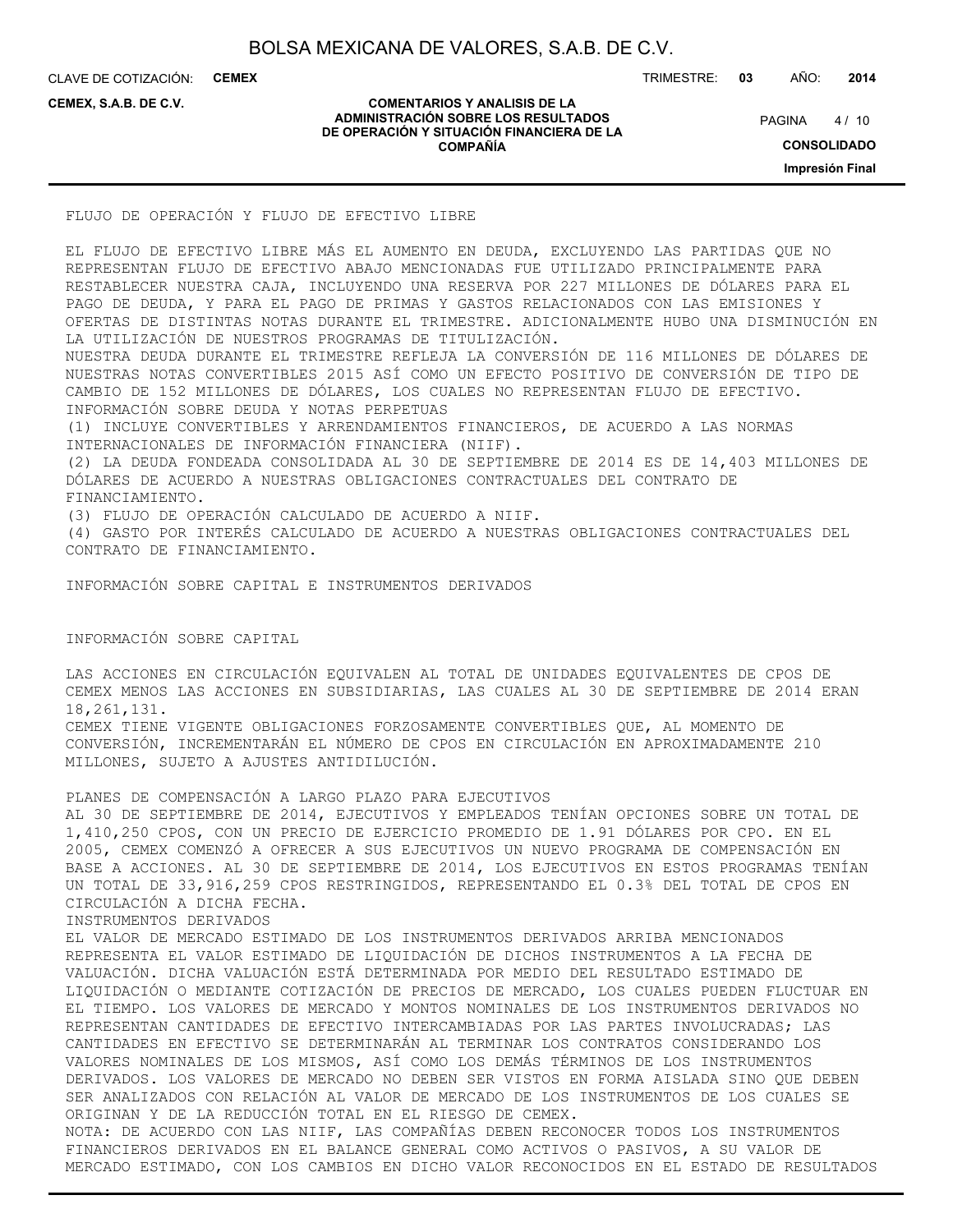CLAVE DE COTIZACIÓN: **CEMEX**

TRIMESTRE: **03** AÑO: **2014**

**CEMEX, S.A.B. DE C.V.**

#### **COMENTARIOS Y ANALISIS DE LA ADMINISTRACIÓN SOBRE LOS RESULTADOS DE OPERACIÓN Y SITUACIÓN FINANCIERA DE LA COMPAÑÍA**

 $4/10$ **PAGINA** 

**CONSOLIDADO**

**Impresión Final**

FLUJO DE OPERACIÓN Y FLUJO DE EFECTIVO LIBRE

EL FLUJO DE EFECTIVO LIBRE MÁS EL AUMENTO EN DEUDA, EXCLUYENDO LAS PARTIDAS QUE NO REPRESENTAN FLUJO DE EFECTIVO ABAJO MENCIONADAS FUE UTILIZADO PRINCIPALMENTE PARA RESTABLECER NUESTRA CAJA, INCLUYENDO UNA RESERVA POR 227 MILLONES DE DÓLARES PARA EL PAGO DE DEUDA, Y PARA EL PAGO DE PRIMAS Y GASTOS RELACIONADOS CON LAS EMISIONES Y OFERTAS DE DISTINTAS NOTAS DURANTE EL TRIMESTRE. ADICIONALMENTE HUBO UNA DISMINUCIÓN EN LA UTILIZACIÓN DE NUESTROS PROGRAMAS DE TITULIZACIÓN.

NUESTRA DEUDA DURANTE EL TRIMESTRE REFLEJA LA CONVERSIÓN DE 116 MILLONES DE DÓLARES DE NUESTRAS NOTAS CONVERTIBLES 2015 ASÍ COMO UN EFECTO POSITIVO DE CONVERSIÓN DE TIPO DE CAMBIO DE 152 MILLONES DE DÓLARES, LOS CUALES NO REPRESENTAN FLUJO DE EFECTIVO. INFORMACIÓN SOBRE DEUDA Y NOTAS PERPETUAS

(1) INCLUYE CONVERTIBLES Y ARRENDAMIENTOS FINANCIEROS, DE ACUERDO A LAS NORMAS INTERNACIONALES DE INFORMACIÓN FINANCIERA (NIIF).

(2) LA DEUDA FONDEADA CONSOLIDADA AL 30 DE SEPTIEMBRE DE 2014 ES DE 14,403 MILLONES DE DÓLARES DE ACUERDO A NUESTRAS OBLIGACIONES CONTRACTUALES DEL CONTRATO DE FINANCIAMIENTO.

(3) FLUJO DE OPERACIÓN CALCULADO DE ACUERDO A NIIF.

(4) GASTO POR INTERÉS CALCULADO DE ACUERDO A NUESTRAS OBLIGACIONES CONTRACTUALES DEL CONTRATO DE FINANCIAMIENTO.

INFORMACIÓN SOBRE CAPITAL E INSTRUMENTOS DERIVADOS

INFORMACIÓN SOBRE CAPITAL

LAS ACCIONES EN CIRCULACIÓN EQUIVALEN AL TOTAL DE UNIDADES EQUIVALENTES DE CPOS DE CEMEX MENOS LAS ACCIONES EN SUBSIDIARIAS, LAS CUALES AL 30 DE SEPTIEMBRE DE 2014 ERAN 18,261,131. CEMEX TIENE VIGENTE OBLIGACIONES FORZOSAMENTE CONVERTIBLES QUE, AL MOMENTO DE CONVERSIÓN, INCREMENTARÁN EL NÚMERO DE CPOS EN CIRCULACIÓN EN APROXIMADAMENTE 210 MILLONES, SUJETO A AJUSTES ANTIDILUCIÓN.

PLANES DE COMPENSACIÓN A LARGO PLAZO PARA EJECUTIVOS AL 30 DE SEPTIEMBRE DE 2014, EJECUTIVOS Y EMPLEADOS TENÍAN OPCIONES SOBRE UN TOTAL DE 1,410,250 CPOS, CON UN PRECIO DE EJERCICIO PROMEDIO DE 1.91 DÓLARES POR CPO. EN EL 2005, CEMEX COMENZÓ A OFRECER A SUS EJECUTIVOS UN NUEVO PROGRAMA DE COMPENSACIÓN EN BASE A ACCIONES. AL 30 DE SEPTIEMBRE DE 2014, LOS EJECUTIVOS EN ESTOS PROGRAMAS TENÍAN UN TOTAL DE 33,916,259 CPOS RESTRINGIDOS, REPRESENTANDO EL 0.3% DEL TOTAL DE CPOS EN CIRCULACIÓN A DICHA FECHA. INSTRUMENTOS DERIVADOS

EL VALOR DE MERCADO ESTIMADO DE LOS INSTRUMENTOS DERIVADOS ARRIBA MENCIONADOS REPRESENTA EL VALOR ESTIMADO DE LIQUIDACIÓN DE DICHOS INSTRUMENTOS A LA FECHA DE VALUACIÓN. DICHA VALUACIÓN ESTÁ DETERMINADA POR MEDIO DEL RESULTADO ESTIMADO DE LIQUIDACIÓN O MEDIANTE COTIZACIÓN DE PRECIOS DE MERCADO, LOS CUALES PUEDEN FLUCTUAR EN EL TIEMPO. LOS VALORES DE MERCADO Y MONTOS NOMINALES DE LOS INSTRUMENTOS DERIVADOS NO REPRESENTAN CANTIDADES DE EFECTIVO INTERCAMBIADAS POR LAS PARTES INVOLUCRADAS; LAS CANTIDADES EN EFECTIVO SE DETERMINARÁN AL TERMINAR LOS CONTRATOS CONSIDERANDO LOS VALORES NOMINALES DE LOS MISMOS, ASÍ COMO LOS DEMÁS TÉRMINOS DE LOS INSTRUMENTOS DERIVADOS. LOS VALORES DE MERCADO NO DEBEN SER VISTOS EN FORMA AISLADA SINO QUE DEBEN SER ANALIZADOS CON RELACIÓN AL VALOR DE MERCADO DE LOS INSTRUMENTOS DE LOS CUALES SE ORIGINAN Y DE LA REDUCCIÓN TOTAL EN EL RIESGO DE CEMEX. NOTA: DE ACUERDO CON LAS NIIF, LAS COMPAÑÍAS DEBEN RECONOCER TODOS LOS INSTRUMENTOS FINANCIEROS DERIVADOS EN EL BALANCE GENERAL COMO ACTIVOS O PASIVOS, A SU VALOR DE

MERCADO ESTIMADO, CON LOS CAMBIOS EN DICHO VALOR RECONOCIDOS EN EL ESTADO DE RESULTADOS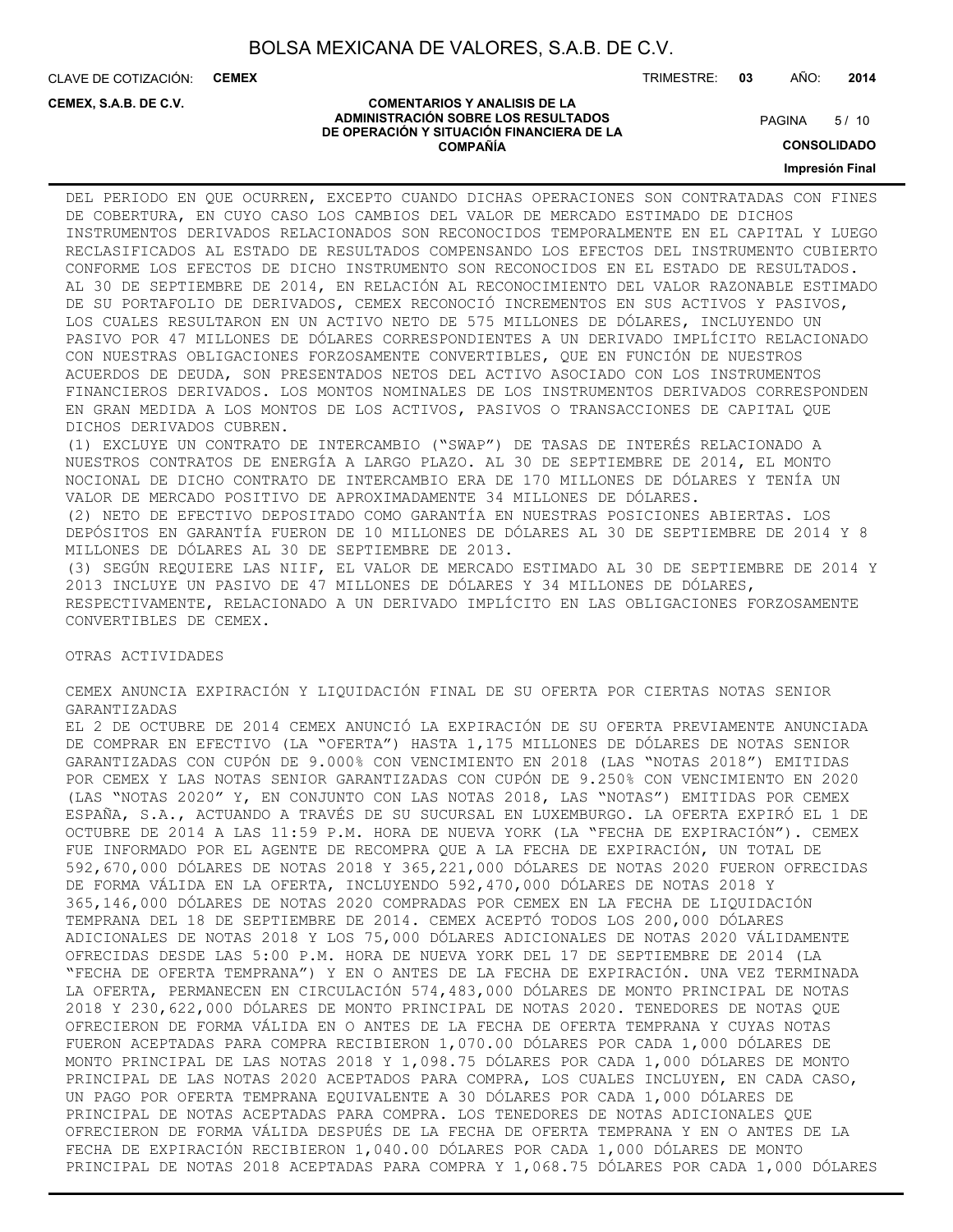CLAVE DE COTIZACIÓN: **CEMEX**

**CEMEX, S.A.B. DE C.V.**

TRIMESTRE: **03** AÑO: **2014**

#### **COMENTARIOS Y ANALISIS DE LA ADMINISTRACIÓN SOBRE LOS RESULTADOS DE OPERACIÓN Y SITUACIÓN FINANCIERA DE LA COMPAÑÍA**

 $5/10$ **PAGINA** 

**CONSOLIDADO**

#### **Impresión Final**

DEL PERIODO EN QUE OCURREN, EXCEPTO CUANDO DICHAS OPERACIONES SON CONTRATADAS CON FINES DE COBERTURA, EN CUYO CASO LOS CAMBIOS DEL VALOR DE MERCADO ESTIMADO DE DICHOS INSTRUMENTOS DERIVADOS RELACIONADOS SON RECONOCIDOS TEMPORALMENTE EN EL CAPITAL Y LUEGO RECLASIFICADOS AL ESTADO DE RESULTADOS COMPENSANDO LOS EFECTOS DEL INSTRUMENTO CUBIERTO CONFORME LOS EFECTOS DE DICHO INSTRUMENTO SON RECONOCIDOS EN EL ESTADO DE RESULTADOS. AL 30 DE SEPTIEMBRE DE 2014, EN RELACIÓN AL RECONOCIMIENTO DEL VALOR RAZONABLE ESTIMADO DE SU PORTAFOLIO DE DERIVADOS, CEMEX RECONOCIÓ INCREMENTOS EN SUS ACTIVOS Y PASIVOS, LOS CUALES RESULTARON EN UN ACTIVO NETO DE 575 MILLONES DE DÓLARES, INCLUYENDO UN PASIVO POR 47 MILLONES DE DÓLARES CORRESPONDIENTES A UN DERIVADO IMPLÍCITO RELACIONADO CON NUESTRAS OBLIGACIONES FORZOSAMENTE CONVERTIBLES, QUE EN FUNCIÓN DE NUESTROS ACUERDOS DE DEUDA, SON PRESENTADOS NETOS DEL ACTIVO ASOCIADO CON LOS INSTRUMENTOS FINANCIEROS DERIVADOS. LOS MONTOS NOMINALES DE LOS INSTRUMENTOS DERIVADOS CORRESPONDEN EN GRAN MEDIDA A LOS MONTOS DE LOS ACTIVOS, PASIVOS O TRANSACCIONES DE CAPITAL QUE DICHOS DERIVADOS CUBREN. (1) EXCLUYE UN CONTRATO DE INTERCAMBIO ("SWAP") DE TASAS DE INTERÉS RELACIONADO A NUESTROS CONTRATOS DE ENERGÍA A LARGO PLAZO. AL 30 DE SEPTIEMBRE DE 2014, EL MONTO NOCIONAL DE DICHO CONTRATO DE INTERCAMBIO ERA DE 170 MILLONES DE DÓLARES Y TENÍA UN VALOR DE MERCADO POSITIVO DE APROXIMADAMENTE 34 MILLONES DE DÓLARES. (2) NETO DE EFECTIVO DEPOSITADO COMO GARANTÍA EN NUESTRAS POSICIONES ABIERTAS. LOS DEPÓSITOS EN GARANTÍA FUERON DE 10 MILLONES DE DÓLARES AL 30 DE SEPTIEMBRE DE 2014 Y 8 MILLONES DE DÓLARES AL 30 DE SEPTIEMBRE DE 2013. (3) SEGÚN REQUIERE LAS NIIF, EL VALOR DE MERCADO ESTIMADO AL 30 DE SEPTIEMBRE DE 2014 Y

2013 INCLUYE UN PASIVO DE 47 MILLONES DE DÓLARES Y 34 MILLONES DE DÓLARES, RESPECTIVAMENTE, RELACIONADO A UN DERIVADO IMPLÍCITO EN LAS OBLIGACIONES FORZOSAMENTE CONVERTIBLES DE CEMEX.

OTRAS ACTIVIDADES

CEMEX ANUNCIA EXPIRACIÓN Y LIQUIDACIÓN FINAL DE SU OFERTA POR CIERTAS NOTAS SENIOR GARANTIZADAS

EL 2 DE OCTUBRE DE 2014 CEMEX ANUNCIÓ LA EXPIRACIÓN DE SU OFERTA PREVIAMENTE ANUNCIADA DE COMPRAR EN EFECTIVO (LA "OFERTA") HASTA 1,175 MILLONES DE DÓLARES DE NOTAS SENIOR GARANTIZADAS CON CUPÓN DE 9.000% CON VENCIMIENTO EN 2018 (LAS "NOTAS 2018") EMITIDAS POR CEMEX Y LAS NOTAS SENIOR GARANTIZADAS CON CUPÓN DE 9.250% CON VENCIMIENTO EN 2020 (LAS "NOTAS 2020" Y, EN CONJUNTO CON LAS NOTAS 2018, LAS "NOTAS") EMITIDAS POR CEMEX ESPAÑA, S.A., ACTUANDO A TRAVÉS DE SU SUCURSAL EN LUXEMBURGO. LA OFERTA EXPIRÓ EL 1 DE OCTUBRE DE 2014 A LAS 11:59 P.M. HORA DE NUEVA YORK (LA "FECHA DE EXPIRACIÓN"). CEMEX FUE INFORMADO POR EL AGENTE DE RECOMPRA QUE A LA FECHA DE EXPIRACIÓN, UN TOTAL DE 592,670,000 DÓLARES DE NOTAS 2018 Y 365,221,000 DÓLARES DE NOTAS 2020 FUERON OFRECIDAS DE FORMA VÁLIDA EN LA OFERTA, INCLUYENDO 592,470,000 DÓLARES DE NOTAS 2018 Y 365,146,000 DÓLARES DE NOTAS 2020 COMPRADAS POR CEMEX EN LA FECHA DE LIQUIDACIÓN TEMPRANA DEL 18 DE SEPTIEMBRE DE 2014. CEMEX ACEPTÓ TODOS LOS 200,000 DÓLARES ADICIONALES DE NOTAS 2018 Y LOS 75,000 DÓLARES ADICIONALES DE NOTAS 2020 VÁLIDAMENTE OFRECIDAS DESDE LAS 5:00 P.M. HORA DE NUEVA YORK DEL 17 DE SEPTIEMBRE DE 2014 (LA "FECHA DE OFERTA TEMPRANA") Y EN O ANTES DE LA FECHA DE EXPIRACIÓN. UNA VEZ TERMINADA LA OFERTA, PERMANECEN EN CIRCULACIÓN 574,483,000 DÓLARES DE MONTO PRINCIPAL DE NOTAS 2018 Y 230,622,000 DÓLARES DE MONTO PRINCIPAL DE NOTAS 2020. TENEDORES DE NOTAS QUE OFRECIERON DE FORMA VÁLIDA EN O ANTES DE LA FECHA DE OFERTA TEMPRANA Y CUYAS NOTAS FUERON ACEPTADAS PARA COMPRA RECIBIERON 1,070.00 DÓLARES POR CADA 1,000 DÓLARES DE MONTO PRINCIPAL DE LAS NOTAS 2018 Y 1,098.75 DÓLARES POR CADA 1,000 DÓLARES DE MONTO PRINCIPAL DE LAS NOTAS 2020 ACEPTADOS PARA COMPRA, LOS CUALES INCLUYEN, EN CADA CASO, UN PAGO POR OFERTA TEMPRANA EQUIVALENTE A 30 DÓLARES POR CADA 1,000 DÓLARES DE PRINCIPAL DE NOTAS ACEPTADAS PARA COMPRA. LOS TENEDORES DE NOTAS ADICIONALES QUE OFRECIERON DE FORMA VÁLIDA DESPUÉS DE LA FECHA DE OFERTA TEMPRANA Y EN O ANTES DE LA FECHA DE EXPIRACIÓN RECIBIERON 1,040.00 DÓLARES POR CADA 1,000 DÓLARES DE MONTO PRINCIPAL DE NOTAS 2018 ACEPTADAS PARA COMPRA Y 1,068.75 DÓLARES POR CADA 1,000 DÓLARES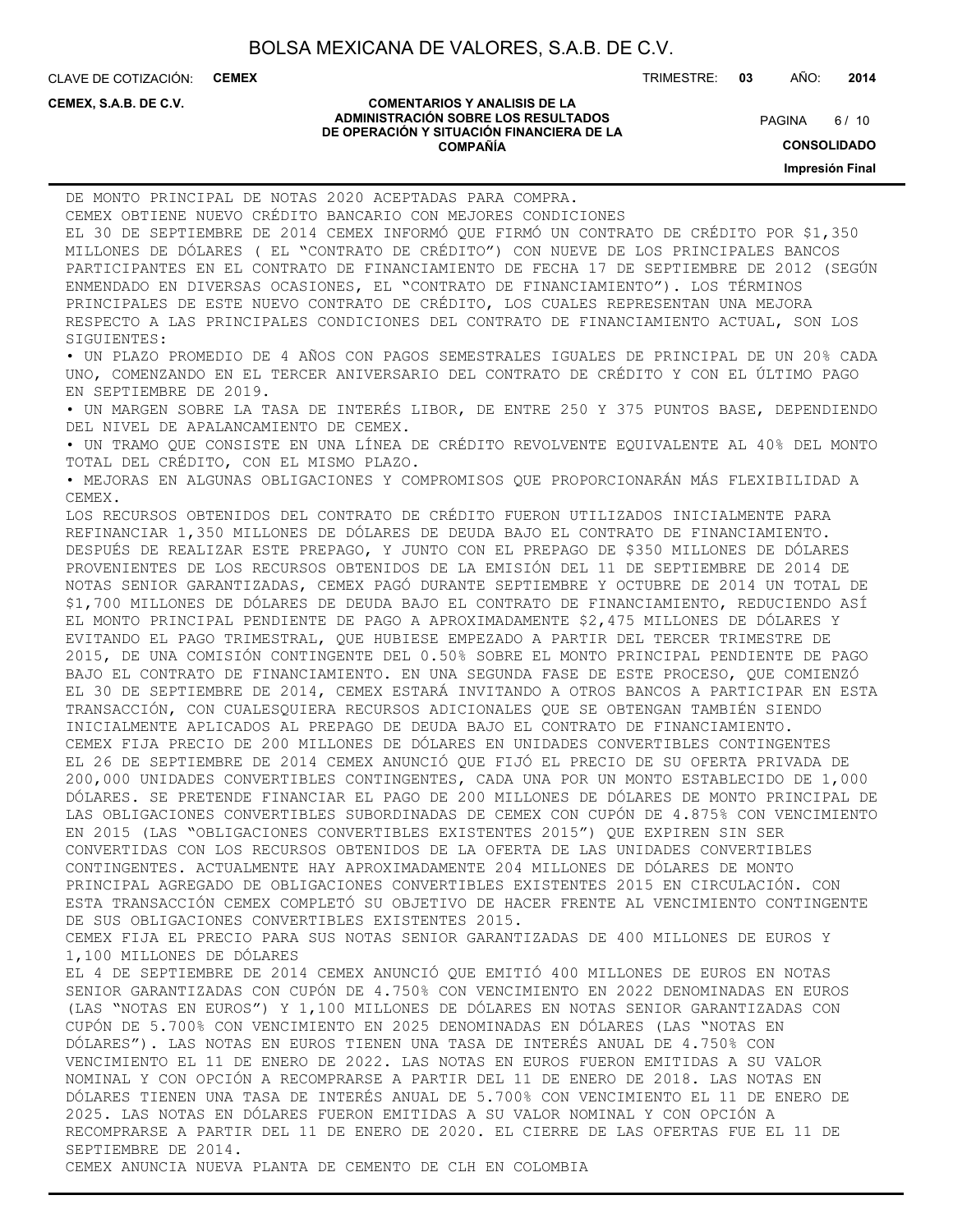CLAVE DE COTIZACIÓN: **CEMEX** TRIMESTRE: **03** AÑO: **2014**

**CEMEX, S.A.B. DE C.V.**

#### **COMENTARIOS Y ANALISIS DE LA ADMINISTRACIÓN SOBRE LOS RESULTADOS DE OPERACIÓN Y SITUACIÓN FINANCIERA DE LA COMPAÑÍA**

6/10 PAGINA

**CONSOLIDADO**

**Impresión Final**

| DE MONTO PRINCIPAL DE NOTAS 2020 ACEPTADAS PARA COMPRA.                                 |
|-----------------------------------------------------------------------------------------|
| CEMEX OBTIENE NUEVO CRÉDITO BANCARIO CON MEJORES CONDICIONES                            |
| EL 30 DE SEPTIEMBRE DE 2014 CEMEX INFORMÓ QUE FIRMÓ UN CONTRATO DE CRÉDITO POR \$1,350  |
| MILLONES DE DÓLARES ( EL "CONTRATO DE CRÉDITO") CON NUEVE DE LOS PRINCIPALES BANCOS     |
| PARTICIPANTES EN EL CONTRATO DE FINANCIAMIENTO DE FECHA 17 DE SEPTIEMBRE DE 2012 (SEGÚN |
| ENMENDADO EN DIVERSAS OCASIONES, EL "CONTRATO DE FINANCIAMIENTO"). LOS TÉRMINOS         |
| PRINCIPALES DE ESTE NUEVO CONTRATO DE CRÉDITO, LOS CUALES REPRESENTAN UNA MEJORA        |
| RESPECTO A LAS PRINCIPALES CONDICIONES DEL CONTRATO DE FINANCIAMIENTO ACTUAL, SON LOS   |
| SIGUIENTES:                                                                             |
| · UN PLAZO PROMEDIO DE 4 AÑOS CON PAGOS SEMESTRALES IGUALES DE PRINCIPAL DE UN 20% CADA |
| UNO, COMENZANDO EN EL TERCER ANIVERSARIO DEL CONTRATO DE CRÉDITO Y CON EL ÚLTIMO PAGO   |
| EN SEPTIEMBRE DE 2019.                                                                  |
| · UN MARGEN SOBRE LA TASA DE INTERÉS LIBOR, DE ENTRE 250 Y 375 PUNTOS BASE, DEPENDIENDO |
| DEL NIVEL DE APALANCAMIENTO DE CEMEX.                                                   |
| · UN TRAMO QUE CONSISTE EN UNA LÍNEA DE CRÉDITO REVOLVENTE EQUIVALENTE AL 40% DEL MONTO |
| TOTAL DEL CRÉDITO, CON EL MISMO PLAZO.                                                  |
| · MEJORAS EN ALGUNAS OBLIGACIONES Y COMPROMISOS QUE PROPORCIONARÁN MÁS FLEXIBILIDAD A   |
| CEMEX.                                                                                  |
| LOS RECURSOS OBTENIDOS DEL CONTRATO DE CRÉDITO FUERON UTILIZADOS INICIALMENTE PARA      |
| REFINANCIAR 1,350 MILLONES DE DÓLARES DE DEUDA BAJO EL CONTRATO DE FINANCIAMIENTO.      |
| DESPUÉS DE REALIZAR ESTE PREPAGO, Y JUNTO CON EL PREPAGO DE \$350 MILLONES DE DÓLARES   |
| PROVENIENTES DE LOS RECURSOS OBTENIDOS DE LA EMISIÓN DEL 11 DE SEPTIEMBRE DE 2014 DE    |
| NOTAS SENIOR GARANTIZADAS, CEMEX PAGÓ DURANTE SEPTIEMBRE Y OCTUBRE DE 2014 UN TOTAL DE  |
| \$1,700 MILLONES DE DÓLARES DE DEUDA BAJO EL CONTRATO DE FINANCIAMIENTO, REDUCIENDO ASÍ |
| EL MONTO PRINCIPAL PENDIENTE DE PAGO A APROXIMADAMENTE \$2,475 MILLONES DE DÓLARES Y    |
| EVITANDO EL PAGO TRIMESTRAL, QUE HUBIESE EMPEZADO A PARTIR DEL TERCER TRIMESTRE DE      |
| 2015, DE UNA COMISIÓN CONTINGENTE DEL 0.50% SOBRE EL MONTO PRINCIPAL PENDIENTE DE PAGO  |
| BAJO EL CONTRATO DE FINANCIAMIENTO. EN UNA SEGUNDA FASE DE ESTE PROCESO, QUE COMIENZÓ   |
| EL 30 DE SEPTIEMBRE DE 2014, CEMEX ESTARÁ INVITANDO A OTROS BANCOS A PARTICIPAR EN ESTA |
| TRANSACCIÓN, CON CUALESQUIERA RECURSOS ADICIONALES QUE SE OBTENGAN TAMBIÉN SIENDO       |
| INICIALMENTE APLICADOS AL PREPAGO DE DEUDA BAJO EL CONTRATO DE FINANCIAMIENTO.          |
| CEMEX FIJA PRECIO DE 200 MILLONES DE DÓLARES EN UNIDADES CONVERTIBLES CONTINGENTES      |
| EL 26 DE SEPTIEMBRE DE 2014 CEMEX ANUNCIÓ QUE FIJÓ EL PRECIO DE SU OFERTA PRIVADA DE    |
| 200,000 UNIDADES CONVERTIBLES CONTINGENTES, CADA UNA POR UN MONTO ESTABLECIDO DE 1,000  |
| DÓLARES. SE PRETENDE FINANCIAR EL PAGO DE 200 MILLONES DE DÓLARES DE MONTO PRINCIPAL DE |
| LAS OBLIGACIONES CONVERTIBLES SUBORDINADAS DE CEMEX CON CUPÓN DE 4.875% CON VENCIMIENTO |
| EN 2015 (LAS "OBLIGACIONES CONVERTIBLES EXISTENTES 2015") QUE EXPIREN SIN SER           |
| CONVERTIDAS CON LOS RECURSOS OBTENIDOS DE LA OFERTA DE LAS UNIDADES CONVERTIBLES        |
| CONTINGENTES. ACTUALMENTE HAY APROXIMADAMENTE 204 MILLONES DE DÓLARES DE MONTO          |
| PRINCIPAL AGREGADO DE OBLIGACIONES CONVERTIBLES EXISTENTES 2015 EN CIRCULACIÓN. CON     |
| ESTA TRANSACCIÓN CEMEX COMPLETÓ SU OBJETIVO DE HACER FRENTE AL VENCIMIENTO CONTINGENTE  |
| DE SUS OBLIGACIONES CONVERTIBLES EXISTENTES 2015.                                       |
| CEMEX FIJA EL PRECIO PARA SUS NOTAS SENIOR GARANTIZADAS DE 400 MILLONES DE EUROS Y      |
| 1,100 MILLONES DE DÓLARES                                                               |
| EL 4 DE SEPTIEMBRE DE 2014 CEMEX ANUNCIÓ QUE EMITIÓ 400 MILLONES DE EUROS EN NOTAS      |
| SENIOR GARANTIZADAS CON CUPÓN DE 4.750% CON VENCIMIENTO EN 2022 DENOMINADAS EN EUROS    |
| (LAS "NOTAS EN EUROS") Y 1,100 MILLONES DE DÓLARES EN NOTAS SENIOR GARANTIZADAS CON     |
| CUPÓN DE 5.700% CON VENCIMIENTO EN 2025 DENOMINADAS EN DÓLARES (LAS "NOTAS EN           |
| DÓLARES"). LAS NOTAS EN EUROS TIENEN UNA TASA DE INTERÉS ANUAL DE 4.750% CON            |
| VENCIMIENTO EL 11 DE ENERO DE 2022. LAS NOTAS EN EUROS FUERON EMITIDAS A SU VALOR       |
| NOMINAL Y CON OPCIÓN A RECOMPRARSE A PARTIR DEL 11 DE ENERO DE 2018. LAS NOTAS EN       |
| DÓLARES TIENEN UNA TASA DE INTERÉS ANUAL DE 5.700% CON VENCIMIENTO EL 11 DE ENERO DE    |
| 2025. LAS NOTAS EN DÓLARES FUERON EMITIDAS A SU VALOR NOMINAL Y CON OPCIÓN A            |
| RECOMPRARSE A PARTIR DEL 11 DE ENERO DE 2020. EL CIERRE DE LAS OFERTAS FUE EL 11 DE     |
| SEPTIEMBRE DE 2014.                                                                     |
| CEMEX ANUNCIA NUEVA PLANTA DE CEMENTO DE CLH EN COLOMBIA                                |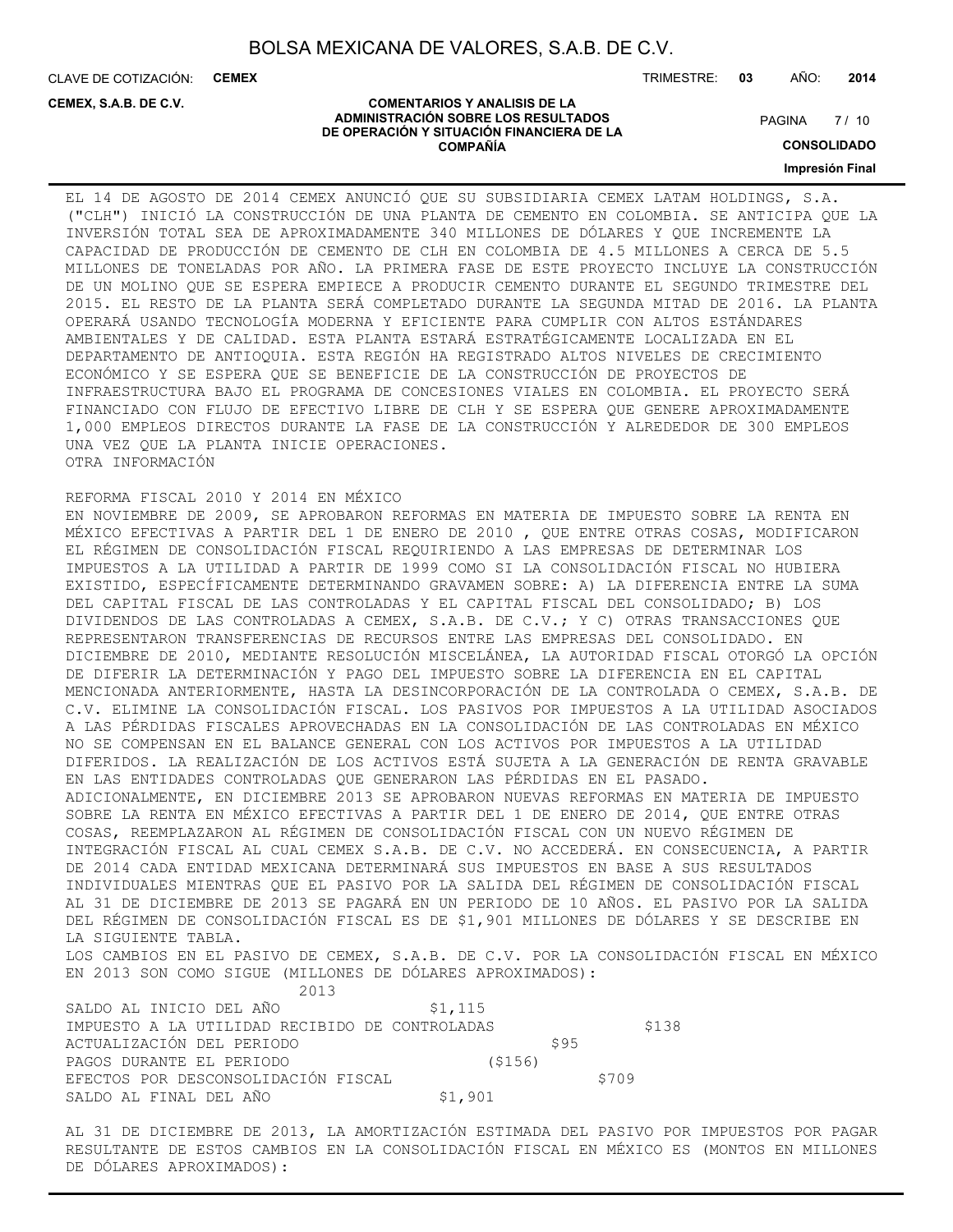CLAVE DE COTIZACIÓN: **CEMEX**

**CEMEX, S.A.B. DE C.V.**

TRIMESTRE: **03** AÑO: **2014**

#### **COMENTARIOS Y ANALISIS DE LA ADMINISTRACIÓN SOBRE LOS RESULTADOS DE OPERACIÓN Y SITUACIÓN FINANCIERA DE LA COMPAÑÍA**

 $7/10$ **PAGINA** 

**CONSOLIDADO**

**Impresión Final**

EL 14 DE AGOSTO DE 2014 CEMEX ANUNCIÓ QUE SU SUBSIDIARIA CEMEX LATAM HOLDINGS, S.A. ("CLH") INICIÓ LA CONSTRUCCIÓN DE UNA PLANTA DE CEMENTO EN COLOMBIA. SE ANTICIPA QUE LA INVERSIÓN TOTAL SEA DE APROXIMADAMENTE 340 MILLONES DE DÓLARES Y QUE INCREMENTE LA CAPACIDAD DE PRODUCCIÓN DE CEMENTO DE CLH EN COLOMBIA DE 4.5 MILLONES A CERCA DE 5.5 MILLONES DE TONELADAS POR AÑO. LA PRIMERA FASE DE ESTE PROYECTO INCLUYE LA CONSTRUCCIÓN DE UN MOLINO QUE SE ESPERA EMPIECE A PRODUCIR CEMENTO DURANTE EL SEGUNDO TRIMESTRE DEL 2015. EL RESTO DE LA PLANTA SERÁ COMPLETADO DURANTE LA SEGUNDA MITAD DE 2016. LA PLANTA OPERARÁ USANDO TECNOLOGÍA MODERNA Y EFICIENTE PARA CUMPLIR CON ALTOS ESTÁNDARES AMBIENTALES Y DE CALIDAD. ESTA PLANTA ESTARÁ ESTRATÉGICAMENTE LOCALIZADA EN EL DEPARTAMENTO DE ANTIOQUIA. ESTA REGIÓN HA REGISTRADO ALTOS NIVELES DE CRECIMIENTO ECONÓMICO Y SE ESPERA QUE SE BENEFICIE DE LA CONSTRUCCIÓN DE PROYECTOS DE INFRAESTRUCTURA BAJO EL PROGRAMA DE CONCESIONES VIALES EN COLOMBIA. EL PROYECTO SERÁ FINANCIADO CON FLUJO DE EFECTIVO LIBRE DE CLH Y SE ESPERA QUE GENERE APROXIMADAMENTE 1,000 EMPLEOS DIRECTOS DURANTE LA FASE DE LA CONSTRUCCIÓN Y ALREDEDOR DE 300 EMPLEOS UNA VEZ QUE LA PLANTA INICIE OPERACIONES. OTRA INFORMACIÓN

#### REFORMA FISCAL 2010 Y 2014 EN MÉXICO

EN NOVIEMBRE DE 2009, SE APROBARON REFORMAS EN MATERIA DE IMPUESTO SOBRE LA RENTA EN MÉXICO EFECTIVAS A PARTIR DEL 1 DE ENERO DE 2010 , QUE ENTRE OTRAS COSAS, MODIFICARON EL RÉGIMEN DE CONSOLIDACIÓN FISCAL REQUIRIENDO A LAS EMPRESAS DE DETERMINAR LOS IMPUESTOS A LA UTILIDAD A PARTIR DE 1999 COMO SI LA CONSOLIDACIÓN FISCAL NO HUBIERA EXISTIDO, ESPECÍFICAMENTE DETERMINANDO GRAVAMEN SOBRE: A) LA DIFERENCIA ENTRE LA SUMA DEL CAPITAL FISCAL DE LAS CONTROLADAS Y EL CAPITAL FISCAL DEL CONSOLIDADO; B) LOS DIVIDENDOS DE LAS CONTROLADAS A CEMEX, S.A.B. DE C.V.; Y C) OTRAS TRANSACCIONES QUE REPRESENTARON TRANSFERENCIAS DE RECURSOS ENTRE LAS EMPRESAS DEL CONSOLIDADO. EN DICIEMBRE DE 2010, MEDIANTE RESOLUCIÓN MISCELÁNEA, LA AUTORIDAD FISCAL OTORGÓ LA OPCIÓN DE DIFERIR LA DETERMINACIÓN Y PAGO DEL IMPUESTO SOBRE LA DIFERENCIA EN EL CAPITAL MENCIONADA ANTERIORMENTE, HASTA LA DESINCORPORACIÓN DE LA CONTROLADA O CEMEX, S.A.B. DE C.V. ELIMINE LA CONSOLIDACIÓN FISCAL. LOS PASIVOS POR IMPUESTOS A LA UTILIDAD ASOCIADOS A LAS PÉRDIDAS FISCALES APROVECHADAS EN LA CONSOLIDACIÓN DE LAS CONTROLADAS EN MÉXICO NO SE COMPENSAN EN EL BALANCE GENERAL CON LOS ACTIVOS POR IMPUESTOS A LA UTILIDAD DIFERIDOS. LA REALIZACIÓN DE LOS ACTIVOS ESTÁ SUJETA A LA GENERACIÓN DE RENTA GRAVABLE EN LAS ENTIDADES CONTROLADAS QUE GENERARON LAS PÉRDIDAS EN EL PASADO. ADICIONALMENTE, EN DICIEMBRE 2013 SE APROBARON NUEVAS REFORMAS EN MATERIA DE IMPUESTO SOBRE LA RENTA EN MÉXICO EFECTIVAS A PARTIR DEL 1 DE ENERO DE 2014, QUE ENTRE OTRAS COSAS, REEMPLAZARON AL RÉGIMEN DE CONSOLIDACIÓN FISCAL CON UN NUEVO RÉGIMEN DE INTEGRACIÓN FISCAL AL CUAL CEMEX S.A.B. DE C.V. NO ACCEDERÁ. EN CONSECUENCIA, A PARTIR DE 2014 CADA ENTIDAD MEXICANA DETERMINARÁ SUS IMPUESTOS EN BASE A SUS RESULTADOS INDIVIDUALES MIENTRAS QUE EL PASIVO POR LA SALIDA DEL RÉGIMEN DE CONSOLIDACIÓN FISCAL AL 31 DE DICIEMBRE DE 2013 SE PAGARÁ EN UN PERIODO DE 10 AÑOS. EL PASIVO POR LA SALIDA DEL RÉGIMEN DE CONSOLIDACIÓN FISCAL ES DE \$1,901 MILLONES DE DÓLARES Y SE DESCRIBE EN LA SIGUIENTE TABLA.

LOS CAMBIOS EN EL PASIVO DE CEMEX, S.A.B. DE C.V. POR LA CONSOLIDACIÓN FISCAL EN MÉXICO EN 2013 SON COMO SIGUE (MILLONES DE DÓLARES APROXIMADOS):

2013

| SALDO AL INICIO DEL AÑO                        | \$1,115 |       |
|------------------------------------------------|---------|-------|
| IMPUESTO A LA UTILIDAD RECIBIDO DE CONTROLADAS |         | \$138 |
| ACTUALIZACIÓN DEL PERIODO                      | S95     |       |
| PAGOS DURANTE EL PERIODO                       | (\$156) |       |
| EFECTOS POR DESCONSOLIDACIÓN FISCAL            |         | \$709 |
| SALDO AL FINAL DEL AÑO                         | \$1,901 |       |

AL 31 DE DICIEMBRE DE 2013, LA AMORTIZACIÓN ESTIMADA DEL PASIVO POR IMPUESTOS POR PAGAR RESULTANTE DE ESTOS CAMBIOS EN LA CONSOLIDACIÓN FISCAL EN MÉXICO ES (MONTOS EN MILLONES DE DÓLARES APROXIMADOS):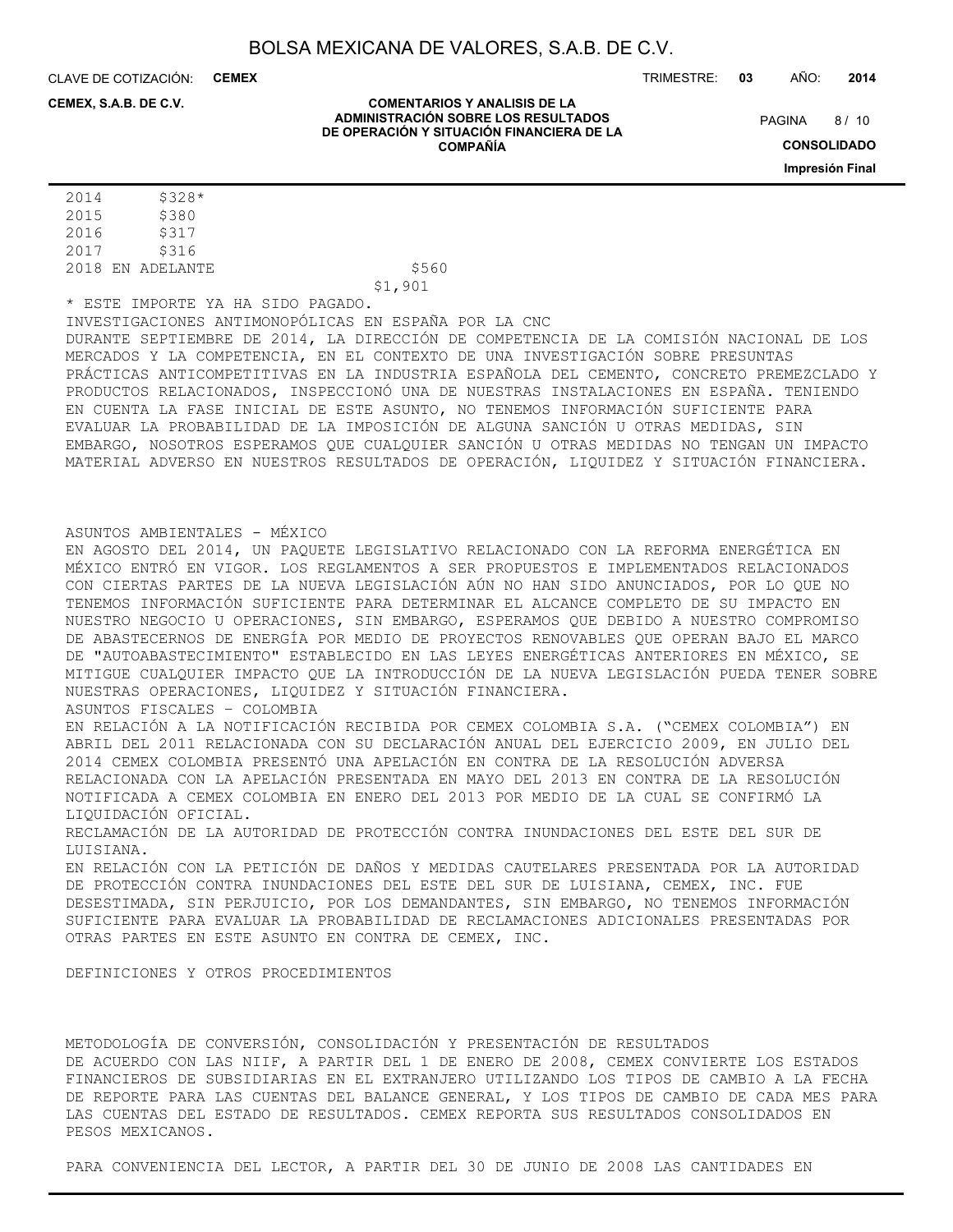CLAVE DE COTIZACIÓN: **CEMEX**

TRIMESTRE: **03** AÑO: **2014**

#### **CEMEX, S.A.B. DE C.V.**

#### **COMENTARIOS Y ANALISIS DE LA ADMINISTRACIÓN SOBRE LOS RESULTADOS DE OPERACIÓN Y SITUACIÓN FINANCIERA DE LA COMPAÑÍA**

 $8/10$ **PAGINA** 

> **CONSOLIDADO Impresión Final**

2014 \$328\* 2015 \$380 2016 \$317 2017 \$316 2018 EN ADELANTE \$560

\$1,901

\* ESTE IMPORTE YA HA SIDO PAGADO.

INVESTIGACIONES ANTIMONOPÓLICAS EN ESPAÑA POR LA CNC

DURANTE SEPTIEMBRE DE 2014, LA DIRECCIÓN DE COMPETENCIA DE LA COMISIÓN NACIONAL DE LOS MERCADOS Y LA COMPETENCIA, EN EL CONTEXTO DE UNA INVESTIGACIÓN SOBRE PRESUNTAS PRÁCTICAS ANTICOMPETITIVAS EN LA INDUSTRIA ESPAÑOLA DEL CEMENTO, CONCRETO PREMEZCLADO Y PRODUCTOS RELACIONADOS, INSPECCIONÓ UNA DE NUESTRAS INSTALACIONES EN ESPAÑA. TENIENDO EN CUENTA LA FASE INICIAL DE ESTE ASUNTO, NO TENEMOS INFORMACIÓN SUFICIENTE PARA EVALUAR LA PROBABILIDAD DE LA IMPOSICIÓN DE ALGUNA SANCIÓN U OTRAS MEDIDAS, SIN EMBARGO, NOSOTROS ESPERAMOS QUE CUALQUIER SANCIÓN U OTRAS MEDIDAS NO TENGAN UN IMPACTO MATERIAL ADVERSO EN NUESTROS RESULTADOS DE OPERACIÓN, LIQUIDEZ Y SITUACIÓN FINANCIERA.

#### ASUNTOS AMBIENTALES - MÉXICO

EN AGOSTO DEL 2014, UN PAQUETE LEGISLATIVO RELACIONADO CON LA REFORMA ENERGÉTICA EN MÉXICO ENTRÓ EN VIGOR. LOS REGLAMENTOS A SER PROPUESTOS E IMPLEMENTADOS RELACIONADOS CON CIERTAS PARTES DE LA NUEVA LEGISLACIÓN AÚN NO HAN SIDO ANUNCIADOS, POR LO QUE NO TENEMOS INFORMACIÓN SUFICIENTE PARA DETERMINAR EL ALCANCE COMPLETO DE SU IMPACTO EN NUESTRO NEGOCIO U OPERACIONES, SIN EMBARGO, ESPERAMOS QUE DEBIDO A NUESTRO COMPROMISO DE ABASTECERNOS DE ENERGÍA POR MEDIO DE PROYECTOS RENOVABLES QUE OPERAN BAJO EL MARCO DE "AUTOABASTECIMIENTO" ESTABLECIDO EN LAS LEYES ENERGÉTICAS ANTERIORES EN MÉXICO, SE MITIGUE CUALQUIER IMPACTO QUE LA INTRODUCCIÓN DE LA NUEVA LEGISLACIÓN PUEDA TENER SOBRE NUESTRAS OPERACIONES, LIQUIDEZ Y SITUACIÓN FINANCIERA.

ASUNTOS FISCALES – COLOMBIA

EN RELACIÓN A LA NOTIFICACIÓN RECIBIDA POR CEMEX COLOMBIA S.A. ("CEMEX COLOMBIA") EN ABRIL DEL 2011 RELACIONADA CON SU DECLARACIÓN ANUAL DEL EJERCICIO 2009, EN JULIO DEL 2014 CEMEX COLOMBIA PRESENTÓ UNA APELACIÓN EN CONTRA DE LA RESOLUCIÓN ADVERSA RELACIONADA CON LA APELACIÓN PRESENTADA EN MAYO DEL 2013 EN CONTRA DE LA RESOLUCIÓN NOTIFICADA A CEMEX COLOMBIA EN ENERO DEL 2013 POR MEDIO DE LA CUAL SE CONFIRMÓ LA LIQUIDACIÓN OFICIAL.

RECLAMACIÓN DE LA AUTORIDAD DE PROTECCIÓN CONTRA INUNDACIONES DEL ESTE DEL SUR DE LUISIANA.

EN RELACIÓN CON LA PETICIÓN DE DAÑOS Y MEDIDAS CAUTELARES PRESENTADA POR LA AUTORIDAD DE PROTECCIÓN CONTRA INUNDACIONES DEL ESTE DEL SUR DE LUISIANA, CEMEX, INC. FUE DESESTIMADA, SIN PERJUICIO, POR LOS DEMANDANTES, SIN EMBARGO, NO TENEMOS INFORMACIÓN SUFICIENTE PARA EVALUAR LA PROBABILIDAD DE RECLAMACIONES ADICIONALES PRESENTADAS POR OTRAS PARTES EN ESTE ASUNTO EN CONTRA DE CEMEX, INC.

DEFINICIONES Y OTROS PROCEDIMIENTOS

METODOLOGÍA DE CONVERSIÓN, CONSOLIDACIÓN Y PRESENTACIÓN DE RESULTADOS DE ACUERDO CON LAS NIIF, A PARTIR DEL 1 DE ENERO DE 2008, CEMEX CONVIERTE LOS ESTADOS FINANCIEROS DE SUBSIDIARIAS EN EL EXTRANJERO UTILIZANDO LOS TIPOS DE CAMBIO A LA FECHA DE REPORTE PARA LAS CUENTAS DEL BALANCE GENERAL, Y LOS TIPOS DE CAMBIO DE CADA MES PARA LAS CUENTAS DEL ESTADO DE RESULTADOS. CEMEX REPORTA SUS RESULTADOS CONSOLIDADOS EN PESOS MEXICANOS.

PARA CONVENIENCIA DEL LECTOR, A PARTIR DEL 30 DE JUNIO DE 2008 LAS CANTIDADES EN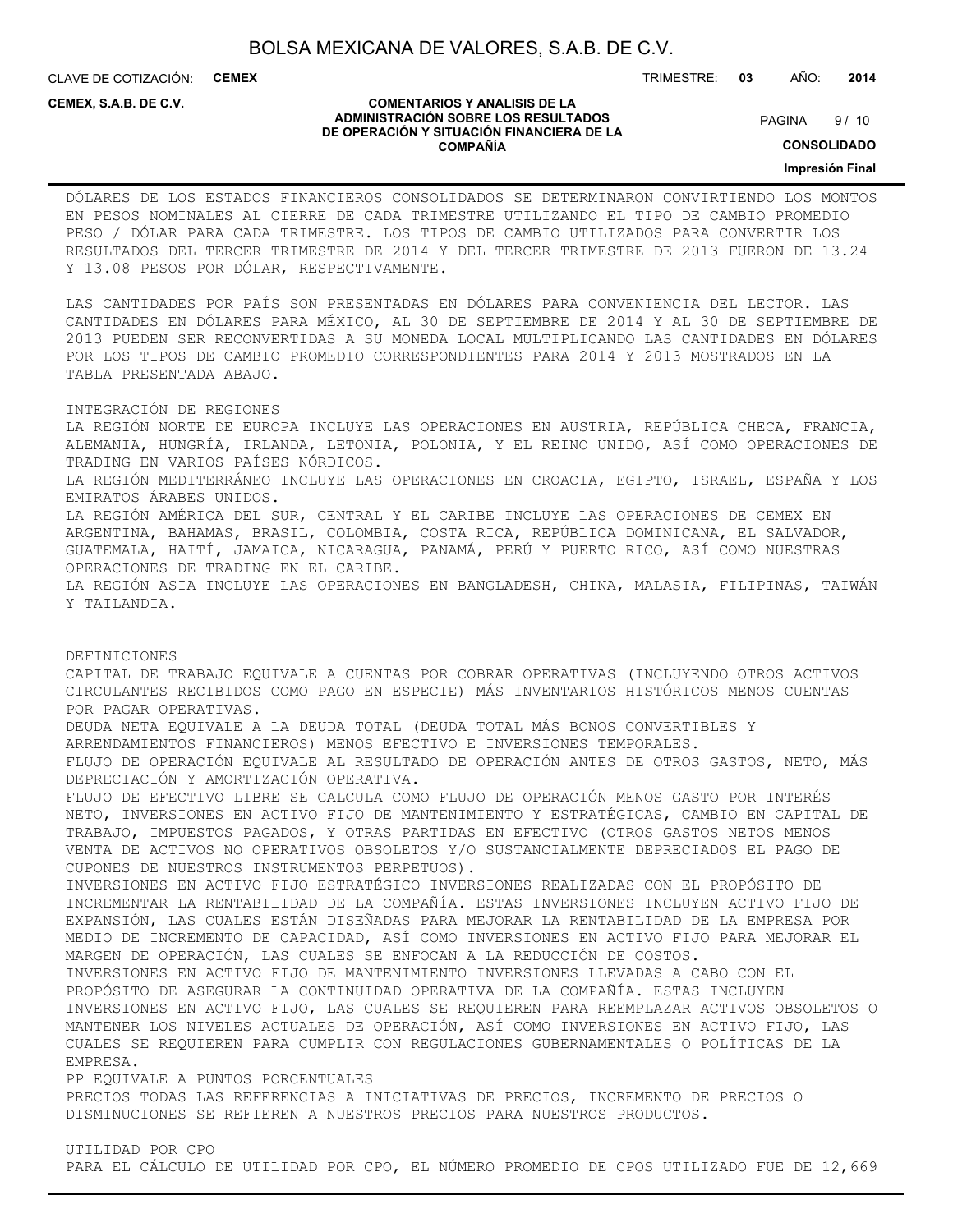CLAVE DE COTIZACIÓN: **CEMEX**

**CEMEX, S.A.B. DE C.V.**

#### **COMENTARIOS Y ANALISIS DE LA ADMINISTRACIÓN SOBRE LOS RESULTADOS DE OPERACIÓN Y SITUACIÓN FINANCIERA DE LA COMPAÑÍA**

 $9/10$ **PAGINA** 

TRIMESTRE: **03** AÑO: **2014**

**CONSOLIDADO**

**Impresión Final**

DÓLARES DE LOS ESTADOS FINANCIEROS CONSOLIDADOS SE DETERMINARON CONVIRTIENDO LOS MONTOS EN PESOS NOMINALES AL CIERRE DE CADA TRIMESTRE UTILIZANDO EL TIPO DE CAMBIO PROMEDIO PESO / DÓLAR PARA CADA TRIMESTRE. LOS TIPOS DE CAMBIO UTILIZADOS PARA CONVERTIR LOS RESULTADOS DEL TERCER TRIMESTRE DE 2014 Y DEL TERCER TRIMESTRE DE 2013 FUERON DE 13.24 Y 13.08 PESOS POR DÓLAR, RESPECTIVAMENTE.

LAS CANTIDADES POR PAÍS SON PRESENTADAS EN DÓLARES PARA CONVENIENCIA DEL LECTOR. LAS CANTIDADES EN DÓLARES PARA MÉXICO, AL 30 DE SEPTIEMBRE DE 2014 Y AL 30 DE SEPTIEMBRE DE 2013 PUEDEN SER RECONVERTIDAS A SU MONEDA LOCAL MULTIPLICANDO LAS CANTIDADES EN DÓLARES POR LOS TIPOS DE CAMBIO PROMEDIO CORRESPONDIENTES PARA 2014 Y 2013 MOSTRADOS EN LA TABLA PRESENTADA ABAJO.

INTEGRACIÓN DE REGIONES

LA REGIÓN NORTE DE EUROPA INCLUYE LAS OPERACIONES EN AUSTRIA, REPÚBLICA CHECA, FRANCIA, ALEMANIA, HUNGRÍA, IRLANDA, LETONIA, POLONIA, Y EL REINO UNIDO, ASÍ COMO OPERACIONES DE TRADING EN VARIOS PAÍSES NÓRDICOS. LA REGIÓN MEDITERRÁNEO INCLUYE LAS OPERACIONES EN CROACIA, EGIPTO, ISRAEL, ESPAÑA Y LOS EMIRATOS ÁRABES UNIDOS. LA REGIÓN AMÉRICA DEL SUR, CENTRAL Y EL CARIBE INCLUYE LAS OPERACIONES DE CEMEX EN ARGENTINA, BAHAMAS, BRASIL, COLOMBIA, COSTA RICA, REPÚBLICA DOMINICANA, EL SALVADOR, GUATEMALA, HAITÍ, JAMAICA, NICARAGUA, PANAMÁ, PERÚ Y PUERTO RICO, ASÍ COMO NUESTRAS OPERACIONES DE TRADING EN EL CARIBE. LA REGIÓN ASIA INCLUYE LAS OPERACIONES EN BANGLADESH, CHINA, MALASIA, FILIPINAS, TAIWÁN Y TAILANDIA.

DEFINICIONES CAPITAL DE TRABAJO EQUIVALE A CUENTAS POR COBRAR OPERATIVAS (INCLUYENDO OTROS ACTIVOS CIRCULANTES RECIBIDOS COMO PAGO EN ESPECIE) MÁS INVENTARIOS HISTÓRICOS MENOS CUENTAS POR PAGAR OPERATIVAS. DEUDA NETA EQUIVALE A LA DEUDA TOTAL (DEUDA TOTAL MÁS BONOS CONVERTIBLES Y ARRENDAMIENTOS FINANCIEROS) MENOS EFECTIVO E INVERSIONES TEMPORALES. FLUJO DE OPERACIÓN EQUIVALE AL RESULTADO DE OPERACIÓN ANTES DE OTROS GASTOS, NETO, MÁS DEPRECIACIÓN Y AMORTIZACIÓN OPERATIVA. FLUJO DE EFECTIVO LIBRE SE CALCULA COMO FLUJO DE OPERACIÓN MENOS GASTO POR INTERÉS NETO, INVERSIONES EN ACTIVO FIJO DE MANTENIMIENTO Y ESTRATÉGICAS, CAMBIO EN CAPITAL DE TRABAJO, IMPUESTOS PAGADOS, Y OTRAS PARTIDAS EN EFECTIVO (OTROS GASTOS NETOS MENOS VENTA DE ACTIVOS NO OPERATIVOS OBSOLETOS Y/O SUSTANCIALMENTE DEPRECIADOS EL PAGO DE CUPONES DE NUESTROS INSTRUMENTOS PERPETUOS). INVERSIONES EN ACTIVO FIJO ESTRATÉGICO INVERSIONES REALIZADAS CON EL PROPÓSITO DE INCREMENTAR LA RENTABILIDAD DE LA COMPAÑÍA. ESTAS INVERSIONES INCLUYEN ACTIVO FIJO DE EXPANSIÓN, LAS CUALES ESTÁN DISEÑADAS PARA MEJORAR LA RENTABILIDAD DE LA EMPRESA POR MEDIO DE INCREMENTO DE CAPACIDAD, ASÍ COMO INVERSIONES EN ACTIVO FIJO PARA MEJORAR EL MARGEN DE OPERACIÓN, LAS CUALES SE ENFOCAN A LA REDUCCIÓN DE COSTOS. INVERSIONES EN ACTIVO FIJO DE MANTENIMIENTO INVERSIONES LLEVADAS A CABO CON EL PROPÓSITO DE ASEGURAR LA CONTINUIDAD OPERATIVA DE LA COMPAÑÍA. ESTAS INCLUYEN INVERSIONES EN ACTIVO FIJO, LAS CUALES SE REQUIEREN PARA REEMPLAZAR ACTIVOS OBSOLETOS O MANTENER LOS NIVELES ACTUALES DE OPERACIÓN, ASÍ COMO INVERSIONES EN ACTIVO FIJO, LAS CUALES SE REQUIEREN PARA CUMPLIR CON REGULACIONES GUBERNAMENTALES O POLÍTICAS DE LA EMPRESA. PP EQUIVALE A PUNTOS PORCENTUALES PRECIOS TODAS LAS REFERENCIAS A INICIATIVAS DE PRECIOS, INCREMENTO DE PRECIOS O DISMINUCIONES SE REFIEREN A NUESTROS PRECIOS PARA NUESTROS PRODUCTOS.

UTILIDAD POR CPO PARA EL CÁLCULO DE UTILIDAD POR CPO, EL NÚMERO PROMEDIO DE CPOS UTILIZADO FUE DE 12,669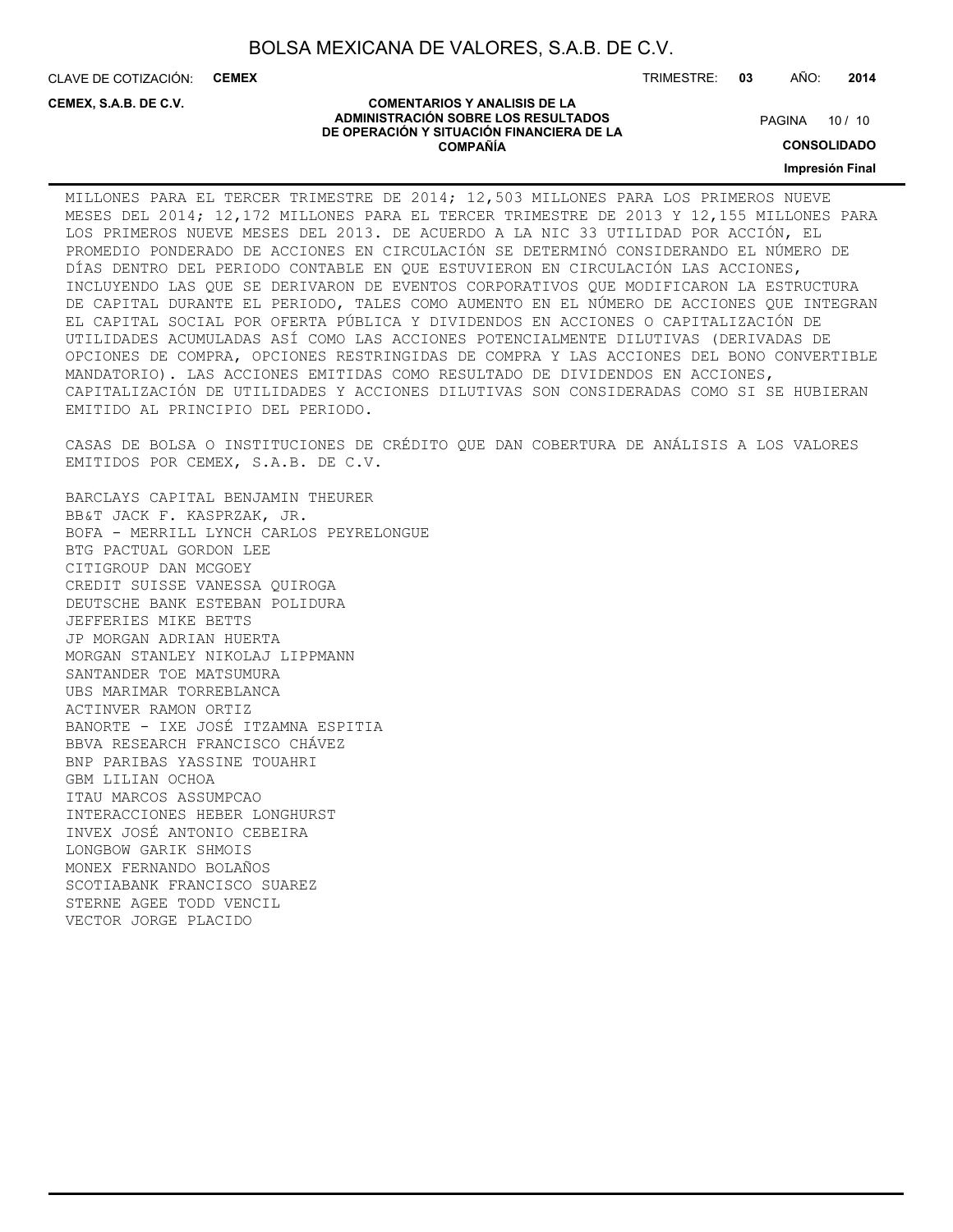CLAVE DE COTIZACIÓN: **CEMEX**

**CEMEX, S.A.B. DE C.V.**

TRIMESTRE: **03** AÑO: **2014**

#### **COMENTARIOS Y ANALISIS DE LA ADMINISTRACIÓN SOBRE LOS RESULTADOS DE OPERACIÓN Y SITUACIÓN FINANCIERA DE LA COMPAÑÍA**

PAGINA 10 / 10

**CONSOLIDADO**

**Impresión Final**

MILLONES PARA EL TERCER TRIMESTRE DE 2014; 12,503 MILLONES PARA LOS PRIMEROS NUEVE MESES DEL 2014; 12,172 MILLONES PARA EL TERCER TRIMESTRE DE 2013 Y 12,155 MILLONES PARA LOS PRIMEROS NUEVE MESES DEL 2013. DE ACUERDO A LA NIC 33 UTILIDAD POR ACCIÓN, EL PROMEDIO PONDERADO DE ACCIONES EN CIRCULACIÓN SE DETERMINÓ CONSIDERANDO EL NÚMERO DE DÍAS DENTRO DEL PERIODO CONTABLE EN QUE ESTUVIERON EN CIRCULACIÓN LAS ACCIONES, INCLUYENDO LAS QUE SE DERIVARON DE EVENTOS CORPORATIVOS QUE MODIFICARON LA ESTRUCTURA DE CAPITAL DURANTE EL PERIODO, TALES COMO AUMENTO EN EL NÚMERO DE ACCIONES QUE INTEGRAN EL CAPITAL SOCIAL POR OFERTA PÚBLICA Y DIVIDENDOS EN ACCIONES O CAPITALIZACIÓN DE UTILIDADES ACUMULADAS ASÍ COMO LAS ACCIONES POTENCIALMENTE DILUTIVAS (DERIVADAS DE OPCIONES DE COMPRA, OPCIONES RESTRINGIDAS DE COMPRA Y LAS ACCIONES DEL BONO CONVERTIBLE MANDATORIO). LAS ACCIONES EMITIDAS COMO RESULTADO DE DIVIDENDOS EN ACCIONES, CAPITALIZACIÓN DE UTILIDADES Y ACCIONES DILUTIVAS SON CONSIDERADAS COMO SI SE HUBIERAN EMITIDO AL PRINCIPIO DEL PERIODO.

CASAS DE BOLSA O INSTITUCIONES DE CRÉDITO QUE DAN COBERTURA DE ANÁLISIS A LOS VALORES EMITIDOS POR CEMEX, S.A.B. DE C.V.

BARCLAYS CAPITAL BENJAMIN THEURER BB&T JACK F. KASPRZAK, JR. BOFA - MERRILL LYNCH CARLOS PEYRELONGUE BTG PACTUAL GORDON LEE CITIGROUP DAN MCGOEY CREDIT SUISSE VANESSA QUIROGA DEUTSCHE BANK ESTEBAN POLIDURA JEFFERIES MIKE BETTS JP MORGAN ADRIAN HUERTA MORGAN STANLEY NIKOLAJ LIPPMANN SANTANDER TOE MATSUMURA UBS MARIMAR TORREBLANCA ACTINVER RAMON ORTIZ BANORTE - IXE JOSÉ ITZAMNA ESPITIA BBVA RESEARCH FRANCISCO CHÁVEZ BNP PARIBAS YASSINE TOUAHRI GBM LILIAN OCHOA ITAU MARCOS ASSUMPCAO INTERACCIONES HEBER LONGHURST INVEX JOSÉ ANTONIO CEBEIRA LONGBOW GARIK SHMOIS MONEX FERNANDO BOLAÑOS SCOTIABANK FRANCISCO SUAREZ STERNE AGEE TODD VENCIL VECTOR JORGE PLACIDO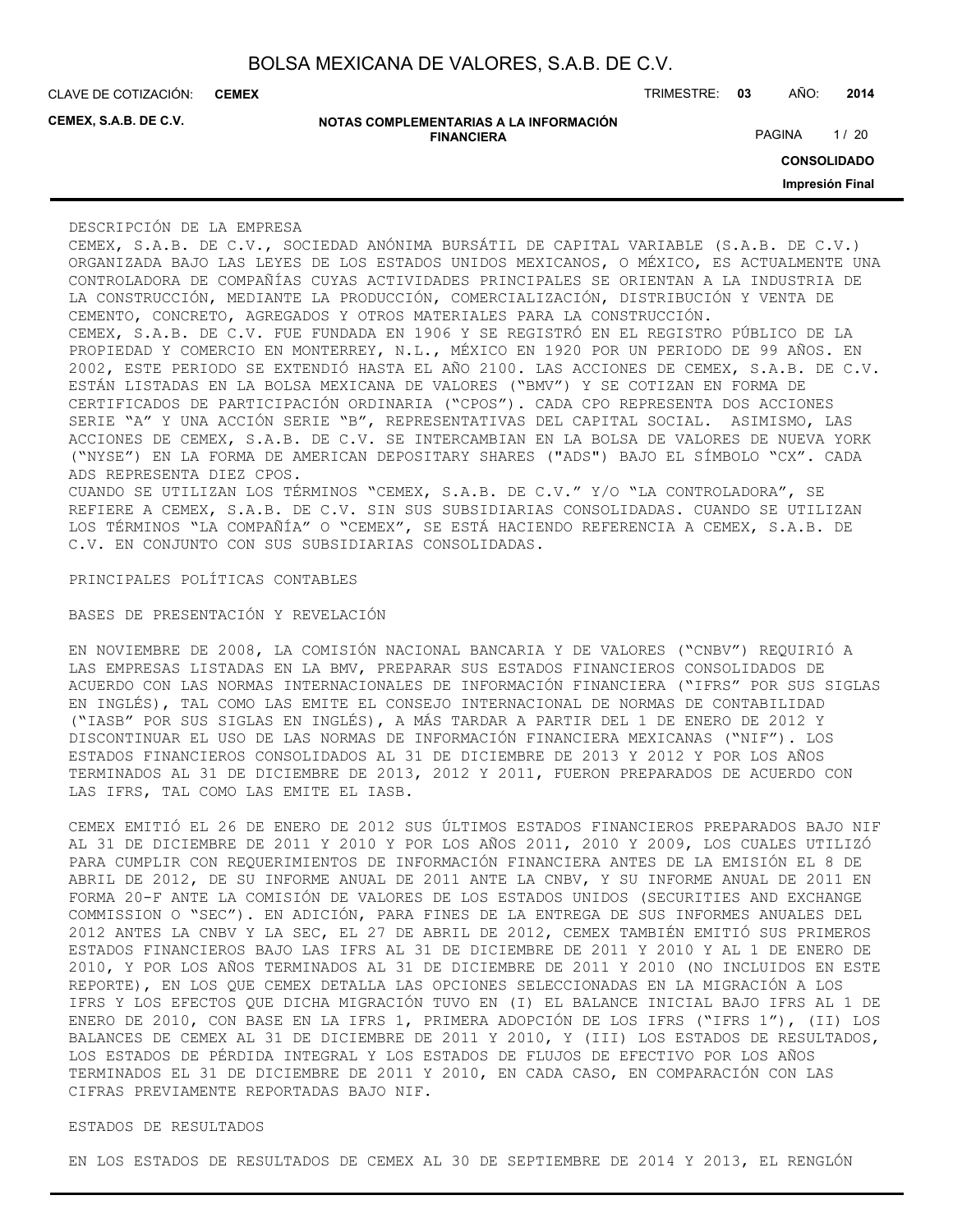**CEMEX**

**CEMEX, S.A.B. DE C.V.**

| NOTAS COMPLEMENTARIAS A LA INFORMACIÓN |  |
|----------------------------------------|--|
| <b>FINANCIERA</b>                      |  |

CLAVE DE COTIZACIÓN: TRIMESTRE: **03** AÑO: **2014**

PAGINA 1/20

**CONSOLIDADO**

**Impresión Final**

#### DESCRIPCIÓN DE LA EMPRESA

CEMEX, S.A.B. DE C.V., SOCIEDAD ANÓNIMA BURSÁTIL DE CAPITAL VARIABLE (S.A.B. DE C.V.) ORGANIZADA BAJO LAS LEYES DE LOS ESTADOS UNIDOS MEXICANOS, O MÉXICO, ES ACTUALMENTE UNA CONTROLADORA DE COMPAÑÍAS CUYAS ACTIVIDADES PRINCIPALES SE ORIENTAN A LA INDUSTRIA DE LA CONSTRUCCIÓN, MEDIANTE LA PRODUCCIÓN, COMERCIALIZACIÓN, DISTRIBUCIÓN Y VENTA DE CEMENTO, CONCRETO, AGREGADOS Y OTROS MATERIALES PARA LA CONSTRUCCIÓN. CEMEX, S.A.B. DE C.V. FUE FUNDADA EN 1906 Y SE REGISTRÓ EN EL REGISTRO PÚBLICO DE LA PROPIEDAD Y COMERCIO EN MONTERREY, N.L., MÉXICO EN 1920 POR UN PERIODO DE 99 AÑOS. EN 2002, ESTE PERIODO SE EXTENDIÓ HASTA EL AÑO 2100. LAS ACCIONES DE CEMEX, S.A.B. DE C.V. ESTÁN LISTADAS EN LA BOLSA MEXICANA DE VALORES ("BMV") Y SE COTIZAN EN FORMA DE CERTIFICADOS DE PARTICIPACIÓN ORDINARIA ("CPOS"). CADA CPO REPRESENTA DOS ACCIONES SERIE "A" Y UNA ACCIÓN SERIE "B", REPRESENTATIVAS DEL CAPITAL SOCIAL. ASIMISMO, LAS ACCIONES DE CEMEX, S.A.B. DE C.V. SE INTERCAMBIAN EN LA BOLSA DE VALORES DE NUEVA YORK ("NYSE") EN LA FORMA DE AMERICAN DEPOSITARY SHARES ("ADS") BAJO EL SÍMBOLO "CX". CADA ADS REPRESENTA DIEZ CPOS.

CUANDO SE UTILIZAN LOS TÉRMINOS "CEMEX, S.A.B. DE C.V." Y/O "LA CONTROLADORA", SE REFIERE A CEMEX, S.A.B. DE C.V. SIN SUS SUBSIDIARIAS CONSOLIDADAS. CUANDO SE UTILIZAN LOS TÉRMINOS "LA COMPAÑÍA" O "CEMEX", SE ESTÁ HACIENDO REFERENCIA A CEMEX, S.A.B. DE C.V. EN CONJUNTO CON SUS SUBSIDIARIAS CONSOLIDADAS.

PRINCIPALES POLÍTICAS CONTABLES

BASES DE PRESENTACIÓN Y REVELACIÓN

EN NOVIEMBRE DE 2008, LA COMISIÓN NACIONAL BANCARIA Y DE VALORES ("CNBV") REQUIRIÓ A LAS EMPRESAS LISTADAS EN LA BMV, PREPARAR SUS ESTADOS FINANCIEROS CONSOLIDADOS DE ACUERDO CON LAS NORMAS INTERNACIONALES DE INFORMACIÓN FINANCIERA ("IFRS" POR SUS SIGLAS EN INGLÉS), TAL COMO LAS EMITE EL CONSEJO INTERNACIONAL DE NORMAS DE CONTABILIDAD ("IASB" POR SUS SIGLAS EN INGLÉS), A MÁS TARDAR A PARTIR DEL 1 DE ENERO DE 2012 Y DISCONTINUAR EL USO DE LAS NORMAS DE INFORMACIÓN FINANCIERA MEXICANAS ("NIF"). LOS ESTADOS FINANCIEROS CONSOLIDADOS AL 31 DE DICIEMBRE DE 2013 Y 2012 Y POR LOS AÑOS TERMINADOS AL 31 DE DICIEMBRE DE 2013, 2012 Y 2011, FUERON PREPARADOS DE ACUERDO CON LAS IFRS, TAL COMO LAS EMITE EL IASB.

CEMEX EMITIÓ EL 26 DE ENERO DE 2012 SUS ÚLTIMOS ESTADOS FINANCIEROS PREPARADOS BAJO NIF AL 31 DE DICIEMBRE DE 2011 Y 2010 Y POR LOS AÑOS 2011, 2010 Y 2009, LOS CUALES UTILIZÓ PARA CUMPLIR CON REQUERIMIENTOS DE INFORMACIÓN FINANCIERA ANTES DE LA EMISIÓN EL 8 DE ABRIL DE 2012, DE SU INFORME ANUAL DE 2011 ANTE LA CNBV, Y SU INFORME ANUAL DE 2011 EN FORMA 20-F ANTE LA COMISIÓN DE VALORES DE LOS ESTADOS UNIDOS (SECURITIES AND EXCHANGE COMMISSION O "SEC"). EN ADICIÓN, PARA FINES DE LA ENTREGA DE SUS INFORMES ANUALES DEL 2012 ANTES LA CNBV Y LA SEC, EL 27 DE ABRIL DE 2012, CEMEX TAMBIÉN EMITIÓ SUS PRIMEROS ESTADOS FINANCIEROS BAJO LAS IFRS AL 31 DE DICIEMBRE DE 2011 Y 2010 Y AL 1 DE ENERO DE 2010, Y POR LOS AÑOS TERMINADOS AL 31 DE DICIEMBRE DE 2011 Y 2010 (NO INCLUIDOS EN ESTE REPORTE), EN LOS QUE CEMEX DETALLA LAS OPCIONES SELECCIONADAS EN LA MIGRACIÓN A LOS IFRS Y LOS EFECTOS QUE DICHA MIGRACIÓN TUVO EN (I) EL BALANCE INICIAL BAJO IFRS AL 1 DE ENERO DE 2010, CON BASE EN LA IFRS 1, PRIMERA ADOPCIÓN DE LOS IFRS ("IFRS 1"), (II) LOS BALANCES DE CEMEX AL 31 DE DICIEMBRE DE 2011 Y 2010, Y (III) LOS ESTADOS DE RESULTADOS, LOS ESTADOS DE PÉRDIDA INTEGRAL Y LOS ESTADOS DE FLUJOS DE EFECTIVO POR LOS AÑOS TERMINADOS EL 31 DE DICIEMBRE DE 2011 Y 2010, EN CADA CASO, EN COMPARACIÓN CON LAS CIFRAS PREVIAMENTE REPORTADAS BAJO NIF.

### ESTADOS DE RESULTADOS

EN LOS ESTADOS DE RESULTADOS DE CEMEX AL 30 DE SEPTIEMBRE DE 2014 Y 2013, EL RENGLÓN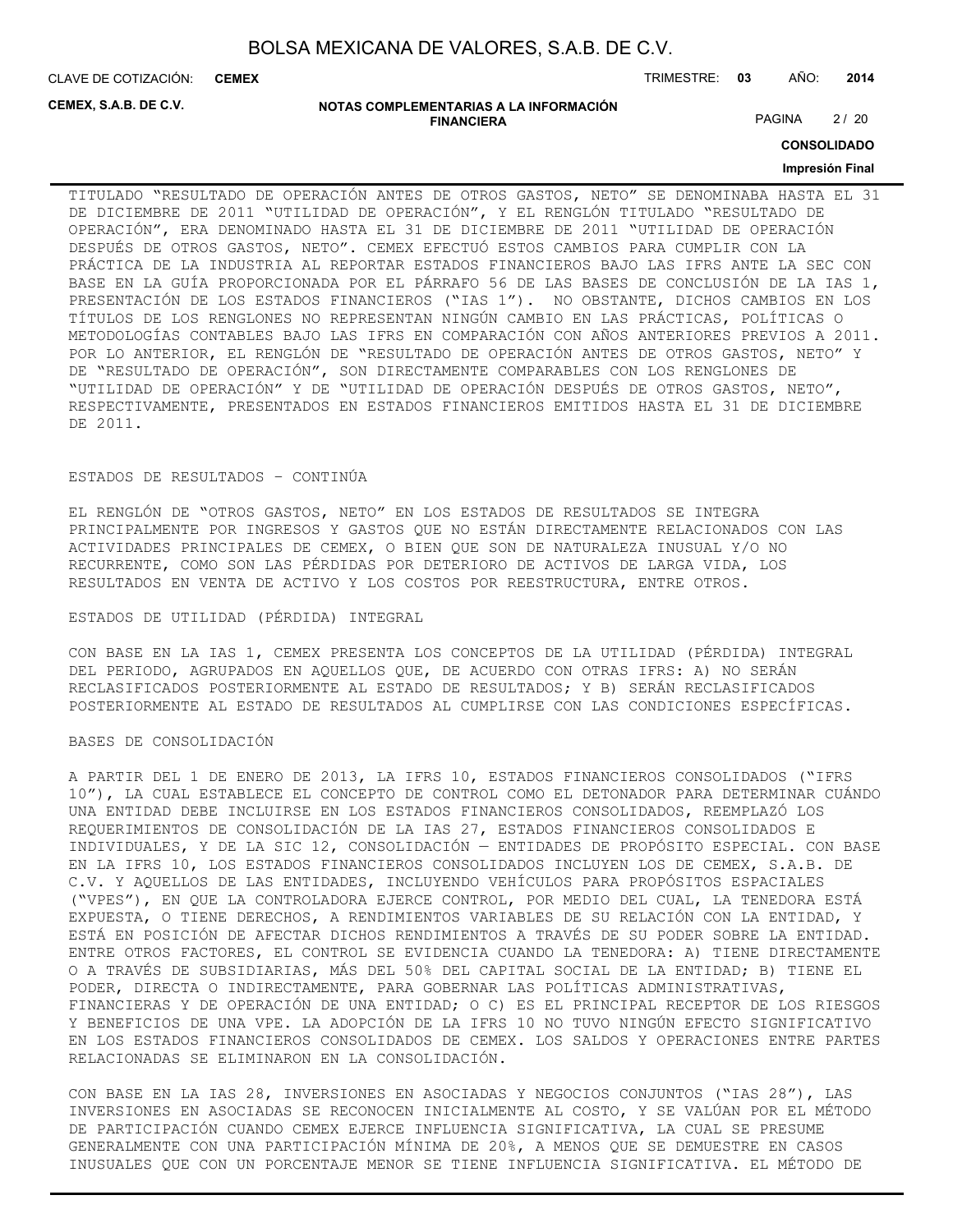CLAVE DE COTIZACIÓN: TRIMESTRE: **03** AÑO: **2014 CEMEX**

**CEMEX, S.A.B. DE C.V.**

#### **NOTAS COMPLEMENTARIAS A LA INFORMACIÓN FINANCIERA**

PAGINA 2/20

**CONSOLIDADO**

#### **Impresión Final**

TITULADO "RESULTADO DE OPERACIÓN ANTES DE OTROS GASTOS, NETO" SE DENOMINABA HASTA EL 31 DE DICIEMBRE DE 2011 "UTILIDAD DE OPERACIÓN", Y EL RENGLÓN TITULADO "RESULTADO DE OPERACIÓN", ERA DENOMINADO HASTA EL 31 DE DICIEMBRE DE 2011 "UTILIDAD DE OPERACIÓN DESPUÉS DE OTROS GASTOS, NETO". CEMEX EFECTUÓ ESTOS CAMBIOS PARA CUMPLIR CON LA PRÁCTICA DE LA INDUSTRIA AL REPORTAR ESTADOS FINANCIEROS BAJO LAS IFRS ANTE LA SEC CON BASE EN LA GUÍA PROPORCIONADA POR EL PÁRRAFO 56 DE LAS BASES DE CONCLUSIÓN DE LA IAS 1, PRESENTACIÓN DE LOS ESTADOS FINANCIEROS ("IAS 1"). NO OBSTANTE, DICHOS CAMBIOS EN LOS TÍTULOS DE LOS RENGLONES NO REPRESENTAN NINGÚN CAMBIO EN LAS PRÁCTICAS, POLÍTICAS O METODOLOGÍAS CONTABLES BAJO LAS IFRS EN COMPARACIÓN CON AÑOS ANTERIORES PREVIOS A 2011. POR LO ANTERIOR, EL RENGLÓN DE "RESULTADO DE OPERACIÓN ANTES DE OTROS GASTOS, NETO" Y DE "RESULTADO DE OPERACIÓN", SON DIRECTAMENTE COMPARABLES CON LOS RENGLONES DE "UTILIDAD DE OPERACIÓN" Y DE "UTILIDAD DE OPERACIÓN DESPUÉS DE OTROS GASTOS, NETO", RESPECTIVAMENTE, PRESENTADOS EN ESTADOS FINANCIEROS EMITIDOS HASTA EL 31 DE DICIEMBRE DE 2011.

#### ESTADOS DE RESULTADOS – CONTINÚA

EL RENGLÓN DE "OTROS GASTOS, NETO" EN LOS ESTADOS DE RESULTADOS SE INTEGRA PRINCIPALMENTE POR INGRESOS Y GASTOS QUE NO ESTÁN DIRECTAMENTE RELACIONADOS CON LAS ACTIVIDADES PRINCIPALES DE CEMEX, O BIEN QUE SON DE NATURALEZA INUSUAL Y/O NO RECURRENTE, COMO SON LAS PÉRDIDAS POR DETERIORO DE ACTIVOS DE LARGA VIDA, LOS RESULTADOS EN VENTA DE ACTIVO Y LOS COSTOS POR REESTRUCTURA, ENTRE OTROS.

#### ESTADOS DE UTILIDAD (PÉRDIDA) INTEGRAL

CON BASE EN LA IAS 1, CEMEX PRESENTA LOS CONCEPTOS DE LA UTILIDAD (PÉRDIDA) INTEGRAL DEL PERIODO, AGRUPADOS EN AQUELLOS QUE, DE ACUERDO CON OTRAS IFRS: A) NO SERÁN RECLASIFICADOS POSTERIORMENTE AL ESTADO DE RESULTADOS; Y B) SERÁN RECLASIFICADOS POSTERIORMENTE AL ESTADO DE RESULTADOS AL CUMPLIRSE CON LAS CONDICIONES ESPECÍFICAS.

#### BASES DE CONSOLIDACIÓN

A PARTIR DEL 1 DE ENERO DE 2013, LA IFRS 10, ESTADOS FINANCIEROS CONSOLIDADOS ("IFRS 10"), LA CUAL ESTABLECE EL CONCEPTO DE CONTROL COMO EL DETONADOR PARA DETERMINAR CUÁNDO UNA ENTIDAD DEBE INCLUIRSE EN LOS ESTADOS FINANCIEROS CONSOLIDADOS, REEMPLAZÓ LOS REQUERIMIENTOS DE CONSOLIDACIÓN DE LA IAS 27, ESTADOS FINANCIEROS CONSOLIDADOS E INDIVIDUALES, Y DE LA SIC 12, CONSOLIDACIÓN — ENTIDADES DE PROPÓSITO ESPECIAL. CON BASE EN LA IFRS 10, LOS ESTADOS FINANCIEROS CONSOLIDADOS INCLUYEN LOS DE CEMEX, S.A.B. DE C.V. Y AQUELLOS DE LAS ENTIDADES, INCLUYENDO VEHÍCULOS PARA PROPÓSITOS ESPACIALES ("VPES"), EN QUE LA CONTROLADORA EJERCE CONTROL, POR MEDIO DEL CUAL, LA TENEDORA ESTÁ EXPUESTA, O TIENE DERECHOS, A RENDIMIENTOS VARIABLES DE SU RELACIÓN CON LA ENTIDAD, Y ESTÁ EN POSICIÓN DE AFECTAR DICHOS RENDIMIENTOS A TRAVÉS DE SU PODER SOBRE LA ENTIDAD. ENTRE OTROS FACTORES, EL CONTROL SE EVIDENCIA CUANDO LA TENEDORA: A) TIENE DIRECTAMENTE O A TRAVÉS DE SUBSIDIARIAS, MÁS DEL 50% DEL CAPITAL SOCIAL DE LA ENTIDAD; B) TIENE EL PODER, DIRECTA O INDIRECTAMENTE, PARA GOBERNAR LAS POLÍTICAS ADMINISTRATIVAS, FINANCIERAS Y DE OPERACIÓN DE UNA ENTIDAD; O C) ES EL PRINCIPAL RECEPTOR DE LOS RIESGOS Y BENEFICIOS DE UNA VPE. LA ADOPCIÓN DE LA IFRS 10 NO TUVO NINGÚN EFECTO SIGNIFICATIVO EN LOS ESTADOS FINANCIEROS CONSOLIDADOS DE CEMEX. LOS SALDOS Y OPERACIONES ENTRE PARTES RELACIONADAS SE ELIMINARON EN LA CONSOLIDACIÓN.

CON BASE EN LA IAS 28, INVERSIONES EN ASOCIADAS Y NEGOCIOS CONJUNTOS ("IAS 28"), LAS INVERSIONES EN ASOCIADAS SE RECONOCEN INICIALMENTE AL COSTO, Y SE VALÚAN POR EL MÉTODO DE PARTICIPACIÓN CUANDO CEMEX EJERCE INFLUENCIA SIGNIFICATIVA, LA CUAL SE PRESUME GENERALMENTE CON UNA PARTICIPACIÓN MÍNIMA DE 20%, A MENOS QUE SE DEMUESTRE EN CASOS INUSUALES QUE CON UN PORCENTAJE MENOR SE TIENE INFLUENCIA SIGNIFICATIVA. EL MÉTODO DE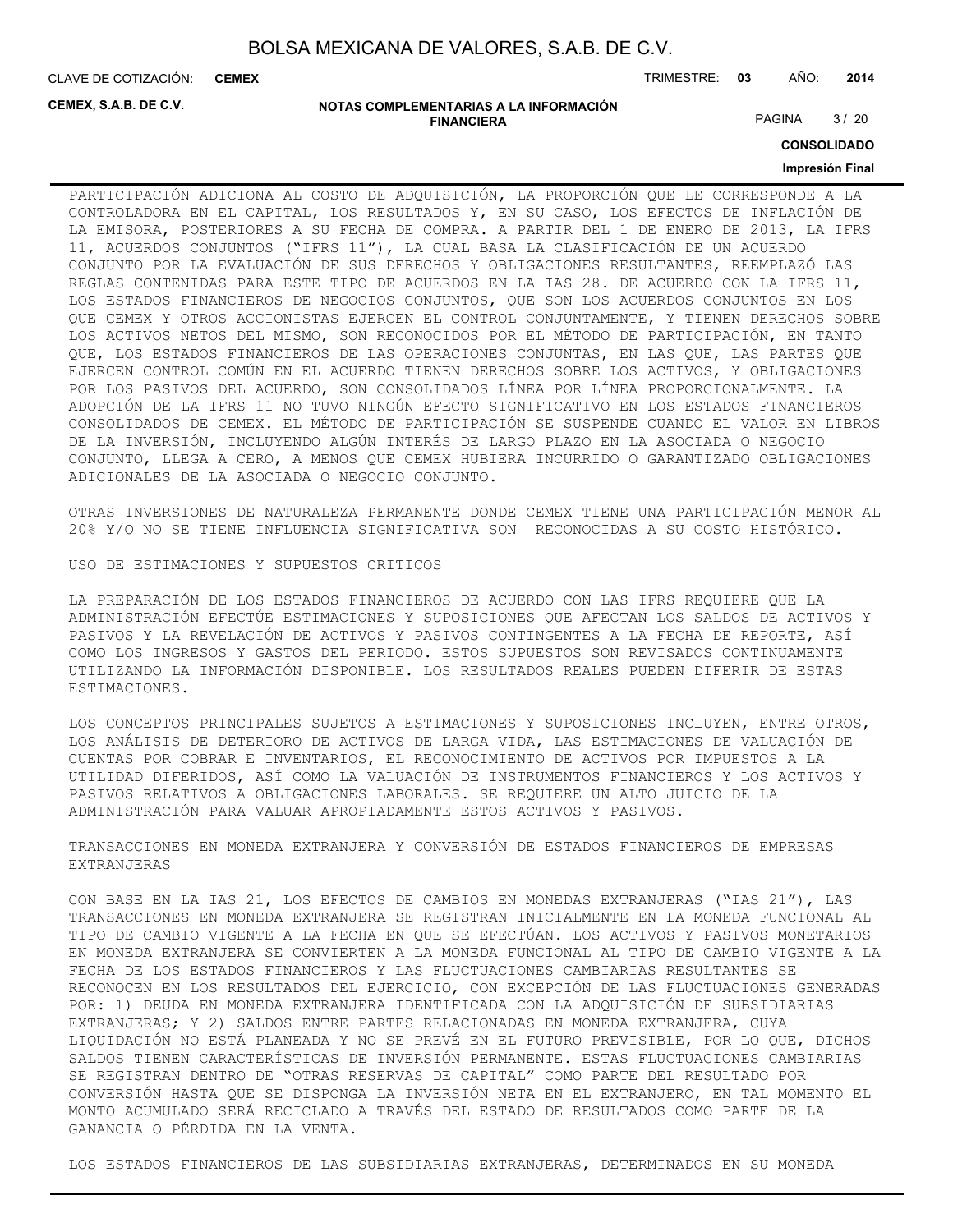CLAVE DE COTIZACIÓN: TRIMESTRE: **03** AÑO: **2014 CEMEX**

**CEMEX, S.A.B. DE C.V.**

#### **NOTAS COMPLEMENTARIAS A LA INFORMACIÓN FINANCIERA**

PAGINA 3/20

**CONSOLIDADO**

#### **Impresión Final**

PARTICIPACIÓN ADICIONA AL COSTO DE ADQUISICIÓN, LA PROPORCIÓN QUE LE CORRESPONDE A LA CONTROLADORA EN EL CAPITAL, LOS RESULTADOS Y, EN SU CASO, LOS EFECTOS DE INFLACIÓN DE LA EMISORA, POSTERIORES A SU FECHA DE COMPRA. A PARTIR DEL 1 DE ENERO DE 2013, LA IFRS 11, ACUERDOS CONJUNTOS ("IFRS 11"), LA CUAL BASA LA CLASIFICACIÓN DE UN ACUERDO CONJUNTO POR LA EVALUACIÓN DE SUS DERECHOS Y OBLIGACIONES RESULTANTES, REEMPLAZÓ LAS REGLAS CONTENIDAS PARA ESTE TIPO DE ACUERDOS EN LA IAS 28. DE ACUERDO CON LA IFRS 11, LOS ESTADOS FINANCIEROS DE NEGOCIOS CONJUNTOS, QUE SON LOS ACUERDOS CONJUNTOS EN LOS QUE CEMEX Y OTROS ACCIONISTAS EJERCEN EL CONTROL CONJUNTAMENTE, Y TIENEN DERECHOS SOBRE LOS ACTIVOS NETOS DEL MISMO, SON RECONOCIDOS POR EL MÉTODO DE PARTICIPACIÓN, EN TANTO QUE, LOS ESTADOS FINANCIEROS DE LAS OPERACIONES CONJUNTAS, EN LAS QUE, LAS PARTES QUE EJERCEN CONTROL COMÚN EN EL ACUERDO TIENEN DERECHOS SOBRE LOS ACTIVOS, Y OBLIGACIONES POR LOS PASIVOS DEL ACUERDO, SON CONSOLIDADOS LÍNEA POR LÍNEA PROPORCIONALMENTE. LA ADOPCIÓN DE LA IFRS 11 NO TUVO NINGÚN EFECTO SIGNIFICATIVO EN LOS ESTADOS FINANCIEROS CONSOLIDADOS DE CEMEX. EL MÉTODO DE PARTICIPACIÓN SE SUSPENDE CUANDO EL VALOR EN LIBROS DE LA INVERSIÓN, INCLUYENDO ALGÚN INTERÉS DE LARGO PLAZO EN LA ASOCIADA O NEGOCIO CONJUNTO, LLEGA A CERO, A MENOS QUE CEMEX HUBIERA INCURRIDO O GARANTIZADO OBLIGACIONES ADICIONALES DE LA ASOCIADA O NEGOCIO CONJUNTO.

OTRAS INVERSIONES DE NATURALEZA PERMANENTE DONDE CEMEX TIENE UNA PARTICIPACIÓN MENOR AL 20% Y/O NO SE TIENE INFLUENCIA SIGNIFICATIVA SON RECONOCIDAS A SU COSTO HISTÓRICO.

USO DE ESTIMACIONES Y SUPUESTOS CRITICOS

LA PREPARACIÓN DE LOS ESTADOS FINANCIEROS DE ACUERDO CON LAS IFRS REQUIERE QUE LA ADMINISTRACIÓN EFECTÚE ESTIMACIONES Y SUPOSICIONES QUE AFECTAN LOS SALDOS DE ACTIVOS Y PASIVOS Y LA REVELACIÓN DE ACTIVOS Y PASIVOS CONTINGENTES A LA FECHA DE REPORTE, ASÍ COMO LOS INGRESOS Y GASTOS DEL PERIODO. ESTOS SUPUESTOS SON REVISADOS CONTINUAMENTE UTILIZANDO LA INFORMACIÓN DISPONIBLE. LOS RESULTADOS REALES PUEDEN DIFERIR DE ESTAS ESTIMACIONES.

LOS CONCEPTOS PRINCIPALES SUJETOS A ESTIMACIONES Y SUPOSICIONES INCLUYEN, ENTRE OTROS, LOS ANÁLISIS DE DETERIORO DE ACTIVOS DE LARGA VIDA, LAS ESTIMACIONES DE VALUACIÓN DE CUENTAS POR COBRAR E INVENTARIOS, EL RECONOCIMIENTO DE ACTIVOS POR IMPUESTOS A LA UTILIDAD DIFERIDOS, ASÍ COMO LA VALUACIÓN DE INSTRUMENTOS FINANCIEROS Y LOS ACTIVOS Y PASIVOS RELATIVOS A OBLIGACIONES LABORALES. SE REQUIERE UN ALTO JUICIO DE LA ADMINISTRACIÓN PARA VALUAR APROPIADAMENTE ESTOS ACTIVOS Y PASIVOS.

TRANSACCIONES EN MONEDA EXTRANJERA Y CONVERSIÓN DE ESTADOS FINANCIEROS DE EMPRESAS EXTRANJERAS

CON BASE EN LA IAS 21, LOS EFECTOS DE CAMBIOS EN MONEDAS EXTRANJERAS ("IAS 21"), LAS TRANSACCIONES EN MONEDA EXTRANJERA SE REGISTRAN INICIALMENTE EN LA MONEDA FUNCIONAL AL TIPO DE CAMBIO VIGENTE A LA FECHA EN QUE SE EFECTÚAN. LOS ACTIVOS Y PASIVOS MONETARIOS EN MONEDA EXTRANJERA SE CONVIERTEN A LA MONEDA FUNCIONAL AL TIPO DE CAMBIO VIGENTE A LA FECHA DE LOS ESTADOS FINANCIEROS Y LAS FLUCTUACIONES CAMBIARIAS RESULTANTES SE RECONOCEN EN LOS RESULTADOS DEL EJERCICIO, CON EXCEPCIÓN DE LAS FLUCTUACIONES GENERADAS POR: 1) DEUDA EN MONEDA EXTRANJERA IDENTIFICADA CON LA ADQUISICIÓN DE SUBSIDIARIAS EXTRANJERAS; Y 2) SALDOS ENTRE PARTES RELACIONADAS EN MONEDA EXTRANJERA, CUYA LIQUIDACIÓN NO ESTÁ PLANEADA Y NO SE PREVÉ EN EL FUTURO PREVISIBLE, POR LO QUE, DICHOS SALDOS TIENEN CARACTERÍSTICAS DE INVERSIÓN PERMANENTE. ESTAS FLUCTUACIONES CAMBIARIAS SE REGISTRAN DENTRO DE "OTRAS RESERVAS DE CAPITAL" COMO PARTE DEL RESULTADO POR CONVERSIÓN HASTA QUE SE DISPONGA LA INVERSIÓN NETA EN EL EXTRANJERO, EN TAL MOMENTO EL MONTO ACUMULADO SERÁ RECICLADO A TRAVÉS DEL ESTADO DE RESULTADOS COMO PARTE DE LA GANANCIA O PÉRDIDA EN LA VENTA.

LOS ESTADOS FINANCIEROS DE LAS SUBSIDIARIAS EXTRANJERAS, DETERMINADOS EN SU MONEDA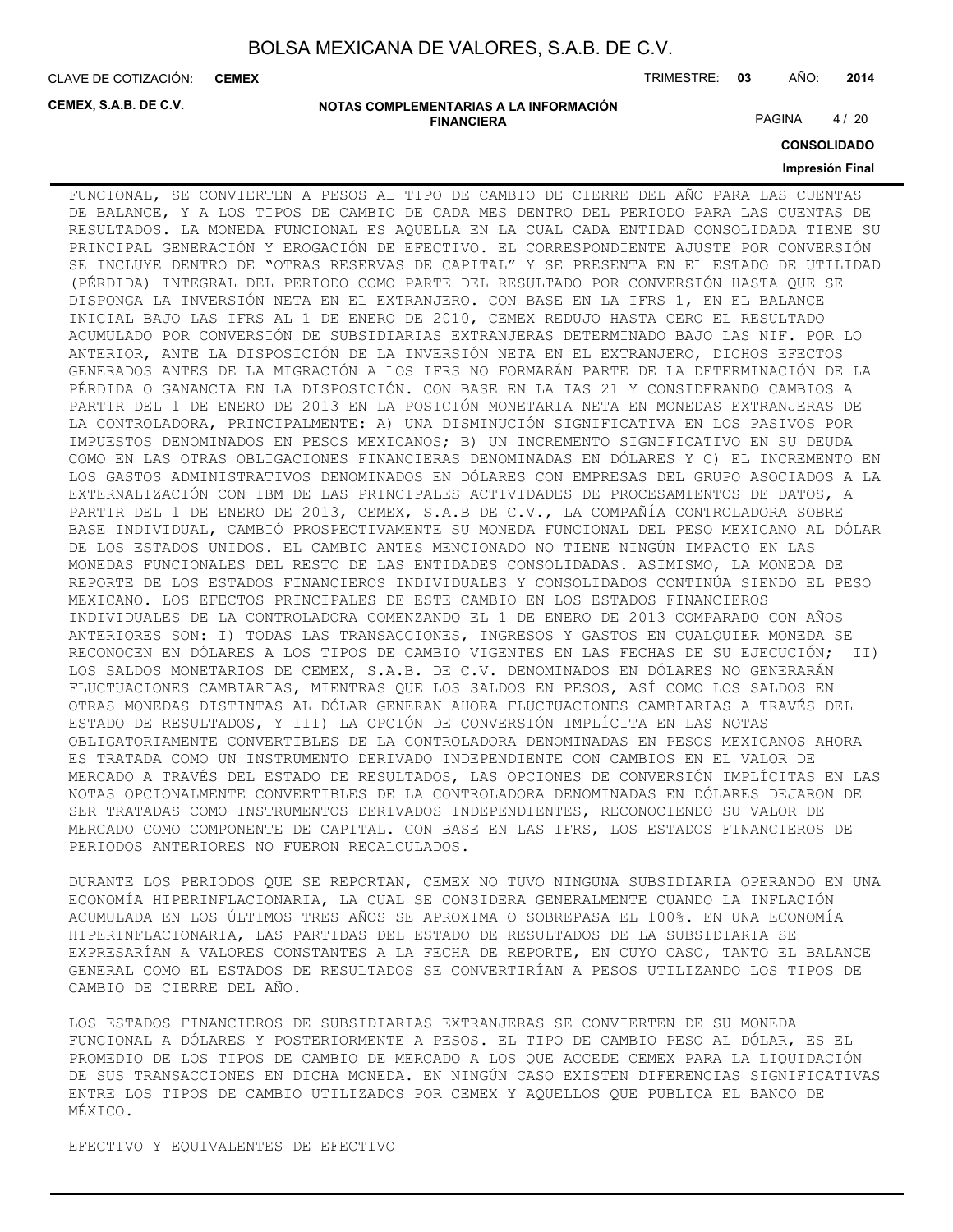**CEMEX**

CLAVE DE COTIZACIÓN: TRIMESTRE: **03** AÑO: **2014**

**CEMEX, S.A.B. DE C.V.**

**NOTAS COMPLEMENTARIAS A LA INFORMACIÓN FINANCIERA**

PAGINA 4/20

**CONSOLIDADO**

#### **Impresión Final**

FUNCIONAL, SE CONVIERTEN A PESOS AL TIPO DE CAMBIO DE CIERRE DEL AÑO PARA LAS CUENTAS DE BALANCE, Y A LOS TIPOS DE CAMBIO DE CADA MES DENTRO DEL PERIODO PARA LAS CUENTAS DE RESULTADOS. LA MONEDA FUNCIONAL ES AQUELLA EN LA CUAL CADA ENTIDAD CONSOLIDADA TIENE SU PRINCIPAL GENERACIÓN Y EROGACIÓN DE EFECTIVO. EL CORRESPONDIENTE AJUSTE POR CONVERSIÓN SE INCLUYE DENTRO DE "OTRAS RESERVAS DE CAPITAL" Y SE PRESENTA EN EL ESTADO DE UTILIDAD (PÉRDIDA) INTEGRAL DEL PERIODO COMO PARTE DEL RESULTADO POR CONVERSIÓN HASTA QUE SE DISPONGA LA INVERSIÓN NETA EN EL EXTRANJERO. CON BASE EN LA IFRS 1, EN EL BALANCE INICIAL BAJO LAS IFRS AL 1 DE ENERO DE 2010, CEMEX REDUJO HASTA CERO EL RESULTADO ACUMULADO POR CONVERSIÓN DE SUBSIDIARIAS EXTRANJERAS DETERMINADO BAJO LAS NIF. POR LO ANTERIOR, ANTE LA DISPOSICIÓN DE LA INVERSIÓN NETA EN EL EXTRANJERO, DICHOS EFECTOS GENERADOS ANTES DE LA MIGRACIÓN A LOS IFRS NO FORMARÁN PARTE DE LA DETERMINACIÓN DE LA PÉRDIDA O GANANCIA EN LA DISPOSICIÓN. CON BASE EN LA IAS 21 Y CONSIDERANDO CAMBIOS A PARTIR DEL 1 DE ENERO DE 2013 EN LA POSICIÓN MONETARIA NETA EN MONEDAS EXTRANJERAS DE LA CONTROLADORA, PRINCIPALMENTE: A) UNA DISMINUCIÓN SIGNIFICATIVA EN LOS PASIVOS POR IMPUESTOS DENOMINADOS EN PESOS MEXICANOS; B) UN INCREMENTO SIGNIFICATIVO EN SU DEUDA COMO EN LAS OTRAS OBLIGACIONES FINANCIERAS DENOMINADAS EN DÓLARES Y C) EL INCREMENTO EN LOS GASTOS ADMINISTRATIVOS DENOMINADOS EN DÓLARES CON EMPRESAS DEL GRUPO ASOCIADOS A LA EXTERNALIZACIÓN CON IBM DE LAS PRINCIPALES ACTIVIDADES DE PROCESAMIENTOS DE DATOS, A PARTIR DEL 1 DE ENERO DE 2013, CEMEX, S.A.B DE C.V., LA COMPAÑÍA CONTROLADORA SOBRE BASE INDIVIDUAL, CAMBIÓ PROSPECTIVAMENTE SU MONEDA FUNCIONAL DEL PESO MEXICANO AL DÓLAR DE LOS ESTADOS UNIDOS. EL CAMBIO ANTES MENCIONADO NO TIENE NINGÚN IMPACTO EN LAS MONEDAS FUNCIONALES DEL RESTO DE LAS ENTIDADES CONSOLIDADAS. ASIMISMO, LA MONEDA DE REPORTE DE LOS ESTADOS FINANCIEROS INDIVIDUALES Y CONSOLIDADOS CONTINÚA SIENDO EL PESO MEXICANO. LOS EFECTOS PRINCIPALES DE ESTE CAMBIO EN LOS ESTADOS FINANCIEROS INDIVIDUALES DE LA CONTROLADORA COMENZANDO EL 1 DE ENERO DE 2013 COMPARADO CON AÑOS ANTERIORES SON: I) TODAS LAS TRANSACCIONES, INGRESOS Y GASTOS EN CUALQUIER MONEDA SE RECONOCEN EN DÓLARES A LOS TIPOS DE CAMBIO VIGENTES EN LAS FECHAS DE SU EJECUCIÓN; II) LOS SALDOS MONETARIOS DE CEMEX, S.A.B. DE C.V. DENOMINADOS EN DÓLARES NO GENERARÁN FLUCTUACIONES CAMBIARIAS, MIENTRAS QUE LOS SALDOS EN PESOS, ASÍ COMO LOS SALDOS EN OTRAS MONEDAS DISTINTAS AL DÓLAR GENERAN AHORA FLUCTUACIONES CAMBIARIAS A TRAVÉS DEL ESTADO DE RESULTADOS, Y III) LA OPCIÓN DE CONVERSIÓN IMPLÍCITA EN LAS NOTAS OBLIGATORIAMENTE CONVERTIBLES DE LA CONTROLADORA DENOMINADAS EN PESOS MEXICANOS AHORA ES TRATADA COMO UN INSTRUMENTO DERIVADO INDEPENDIENTE CON CAMBIOS EN EL VALOR DE MERCADO A TRAVÉS DEL ESTADO DE RESULTADOS, LAS OPCIONES DE CONVERSIÓN IMPLÍCITAS EN LAS NOTAS OPCIONALMENTE CONVERTIBLES DE LA CONTROLADORA DENOMINADAS EN DÓLARES DEJARON DE SER TRATADAS COMO INSTRUMENTOS DERIVADOS INDEPENDIENTES, RECONOCIENDO SU VALOR DE MERCADO COMO COMPONENTE DE CAPITAL. CON BASE EN LAS IFRS, LOS ESTADOS FINANCIEROS DE PERIODOS ANTERIORES NO FUERON RECALCULADOS.

DURANTE LOS PERIODOS QUE SE REPORTAN, CEMEX NO TUVO NINGUNA SUBSIDIARIA OPERANDO EN UNA ECONOMÍA HIPERINFLACIONARIA, LA CUAL SE CONSIDERA GENERALMENTE CUANDO LA INFLACIÓN ACUMULADA EN LOS ÚLTIMOS TRES AÑOS SE APROXIMA O SOBREPASA EL 100%. EN UNA ECONOMÍA HIPERINFLACIONARIA, LAS PARTIDAS DEL ESTADO DE RESULTADOS DE LA SUBSIDIARIA SE EXPRESARÍAN A VALORES CONSTANTES A LA FECHA DE REPORTE, EN CUYO CASO, TANTO EL BALANCE GENERAL COMO EL ESTADOS DE RESULTADOS SE CONVERTIRÍAN A PESOS UTILIZANDO LOS TIPOS DE CAMBIO DE CIERRE DEL AÑO.

LOS ESTADOS FINANCIEROS DE SUBSIDIARIAS EXTRANJERAS SE CONVIERTEN DE SU MONEDA FUNCIONAL A DÓLARES Y POSTERIORMENTE A PESOS. EL TIPO DE CAMBIO PESO AL DÓLAR, ES EL PROMEDIO DE LOS TIPOS DE CAMBIO DE MERCADO A LOS QUE ACCEDE CEMEX PARA LA LIQUIDACIÓN DE SUS TRANSACCIONES EN DICHA MONEDA. EN NINGÚN CASO EXISTEN DIFERENCIAS SIGNIFICATIVAS ENTRE LOS TIPOS DE CAMBIO UTILIZADOS POR CEMEX Y AQUELLOS QUE PUBLICA EL BANCO DE MÉXICO.

EFECTIVO Y EQUIVALENTES DE EFECTIVO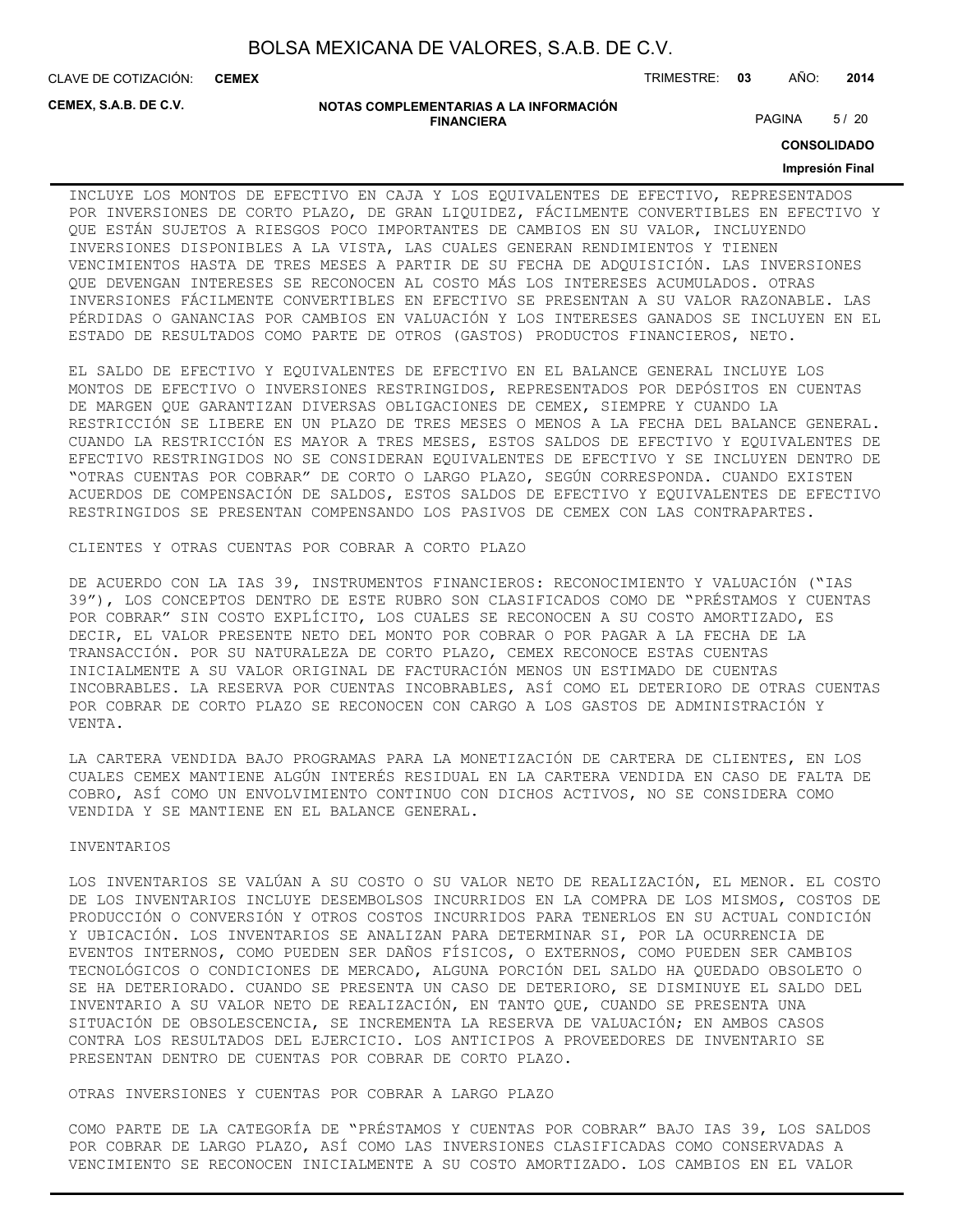CLAVE DE COTIZACIÓN: TRIMESTRE: **03** AÑO: **2014 CEMEX**

**CEMEX, S.A.B. DE C.V.**

#### **NOTAS COMPLEMENTARIAS A LA INFORMACIÓN FINANCIERA**

PAGINA 5/20

**CONSOLIDADO**

#### **Impresión Final**

INCLUYE LOS MONTOS DE EFECTIVO EN CAJA Y LOS EQUIVALENTES DE EFECTIVO, REPRESENTADOS POR INVERSIONES DE CORTO PLAZO, DE GRAN LIQUIDEZ, FÁCILMENTE CONVERTIBLES EN EFECTIVO Y QUE ESTÁN SUJETOS A RIESGOS POCO IMPORTANTES DE CAMBIOS EN SU VALOR, INCLUYENDO INVERSIONES DISPONIBLES A LA VISTA, LAS CUALES GENERAN RENDIMIENTOS Y TIENEN VENCIMIENTOS HASTA DE TRES MESES A PARTIR DE SU FECHA DE ADQUISICIÓN. LAS INVERSIONES QUE DEVENGAN INTERESES SE RECONOCEN AL COSTO MÁS LOS INTERESES ACUMULADOS. OTRAS INVERSIONES FÁCILMENTE CONVERTIBLES EN EFECTIVO SE PRESENTAN A SU VALOR RAZONABLE. LAS PÉRDIDAS O GANANCIAS POR CAMBIOS EN VALUACIÓN Y LOS INTERESES GANADOS SE INCLUYEN EN EL ESTADO DE RESULTADOS COMO PARTE DE OTROS (GASTOS) PRODUCTOS FINANCIEROS, NETO.

EL SALDO DE EFECTIVO Y EQUIVALENTES DE EFECTIVO EN EL BALANCE GENERAL INCLUYE LOS MONTOS DE EFECTIVO O INVERSIONES RESTRINGIDOS, REPRESENTADOS POR DEPÓSITOS EN CUENTAS DE MARGEN QUE GARANTIZAN DIVERSAS OBLIGACIONES DE CEMEX, SIEMPRE Y CUANDO LA RESTRICCIÓN SE LIBERE EN UN PLAZO DE TRES MESES O MENOS A LA FECHA DEL BALANCE GENERAL. CUANDO LA RESTRICCIÓN ES MAYOR A TRES MESES, ESTOS SALDOS DE EFECTIVO Y EQUIVALENTES DE EFECTIVO RESTRINGIDOS NO SE CONSIDERAN EQUIVALENTES DE EFECTIVO Y SE INCLUYEN DENTRO DE "OTRAS CUENTAS POR COBRAR" DE CORTO O LARGO PLAZO, SEGÚN CORRESPONDA. CUANDO EXISTEN ACUERDOS DE COMPENSACIÓN DE SALDOS, ESTOS SALDOS DE EFECTIVO Y EQUIVALENTES DE EFECTIVO RESTRINGIDOS SE PRESENTAN COMPENSANDO LOS PASIVOS DE CEMEX CON LAS CONTRAPARTES.

CLIENTES Y OTRAS CUENTAS POR COBRAR A CORTO PLAZO

DE ACUERDO CON LA IAS 39, INSTRUMENTOS FINANCIEROS: RECONOCIMIENTO Y VALUACIÓN ("IAS 39"), LOS CONCEPTOS DENTRO DE ESTE RUBRO SON CLASIFICADOS COMO DE "PRÉSTAMOS Y CUENTAS POR COBRAR" SIN COSTO EXPLÍCITO, LOS CUALES SE RECONOCEN A SU COSTO AMORTIZADO, ES DECIR, EL VALOR PRESENTE NETO DEL MONTO POR COBRAR O POR PAGAR A LA FECHA DE LA TRANSACCIÓN. POR SU NATURALEZA DE CORTO PLAZO, CEMEX RECONOCE ESTAS CUENTAS INICIALMENTE A SU VALOR ORIGINAL DE FACTURACIÓN MENOS UN ESTIMADO DE CUENTAS INCOBRABLES. LA RESERVA POR CUENTAS INCOBRABLES, ASÍ COMO EL DETERIORO DE OTRAS CUENTAS POR COBRAR DE CORTO PLAZO SE RECONOCEN CON CARGO A LOS GASTOS DE ADMINISTRACIÓN Y VENTA.

LA CARTERA VENDIDA BAJO PROGRAMAS PARA LA MONETIZACIÓN DE CARTERA DE CLIENTES, EN LOS CUALES CEMEX MANTIENE ALGÚN INTERÉS RESIDUAL EN LA CARTERA VENDIDA EN CASO DE FALTA DE COBRO, ASÍ COMO UN ENVOLVIMIENTO CONTINUO CON DICHOS ACTIVOS, NO SE CONSIDERA COMO VENDIDA Y SE MANTIENE EN EL BALANCE GENERAL.

#### INVENTARIOS

LOS INVENTARIOS SE VALÚAN A SU COSTO O SU VALOR NETO DE REALIZACIÓN, EL MENOR. EL COSTO DE LOS INVENTARIOS INCLUYE DESEMBOLSOS INCURRIDOS EN LA COMPRA DE LOS MISMOS, COSTOS DE PRODUCCIÓN O CONVERSIÓN Y OTROS COSTOS INCURRIDOS PARA TENERLOS EN SU ACTUAL CONDICIÓN Y UBICACIÓN. LOS INVENTARIOS SE ANALIZAN PARA DETERMINAR SI, POR LA OCURRENCIA DE EVENTOS INTERNOS, COMO PUEDEN SER DAÑOS FÍSICOS, O EXTERNOS, COMO PUEDEN SER CAMBIOS TECNOLÓGICOS O CONDICIONES DE MERCADO, ALGUNA PORCIÓN DEL SALDO HA QUEDADO OBSOLETO O SE HA DETERIORADO. CUANDO SE PRESENTA UN CASO DE DETERIORO, SE DISMINUYE EL SALDO DEL INVENTARIO A SU VALOR NETO DE REALIZACIÓN, EN TANTO QUE, CUANDO SE PRESENTA UNA SITUACIÓN DE OBSOLESCENCIA, SE INCREMENTA LA RESERVA DE VALUACIÓN; EN AMBOS CASOS CONTRA LOS RESULTADOS DEL EJERCICIO. LOS ANTICIPOS A PROVEEDORES DE INVENTARIO SE PRESENTAN DENTRO DE CUENTAS POR COBRAR DE CORTO PLAZO.

OTRAS INVERSIONES Y CUENTAS POR COBRAR A LARGO PLAZO

COMO PARTE DE LA CATEGORÍA DE "PRÉSTAMOS Y CUENTAS POR COBRAR" BAJO IAS 39, LOS SALDOS POR COBRAR DE LARGO PLAZO, ASÍ COMO LAS INVERSIONES CLASIFICADAS COMO CONSERVADAS A VENCIMIENTO SE RECONOCEN INICIALMENTE A SU COSTO AMORTIZADO. LOS CAMBIOS EN EL VALOR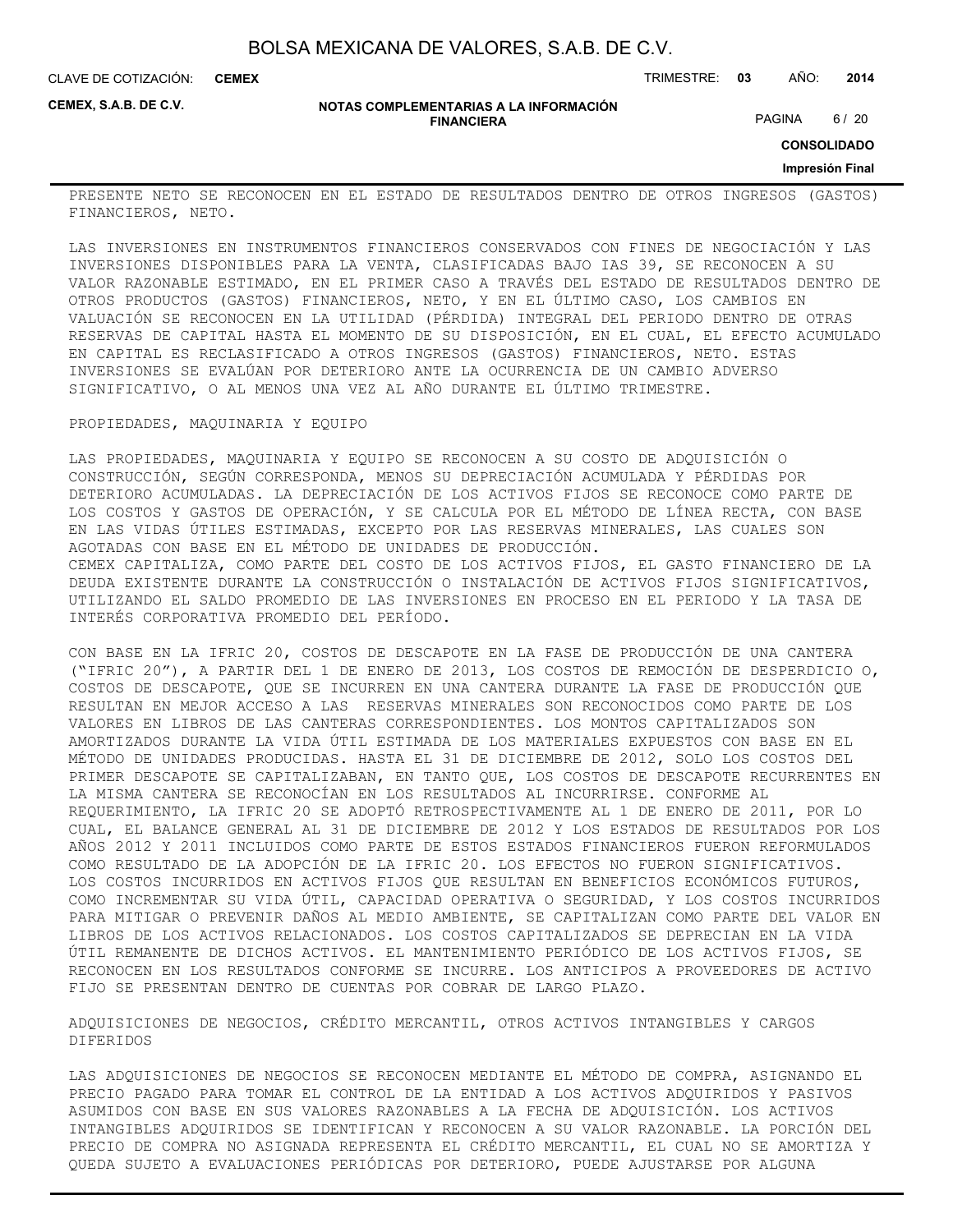CLAVE DE COTIZACIÓN: TRIMESTRE: **03** AÑO: **2014 CEMEX**

**CEMEX, S.A.B. DE C.V.**

#### **NOTAS COMPLEMENTARIAS A LA INFORMACIÓN FINANCIERA**

PAGINA 6 / 20

**CONSOLIDADO**

#### **Impresión Final**

PRESENTE NETO SE RECONOCEN EN EL ESTADO DE RESULTADOS DENTRO DE OTROS INGRESOS (GASTOS) FINANCIEROS, NETO.

LAS INVERSIONES EN INSTRUMENTOS FINANCIEROS CONSERVADOS CON FINES DE NEGOCIACIÓN Y LAS INVERSIONES DISPONIBLES PARA LA VENTA, CLASIFICADAS BAJO IAS 39, SE RECONOCEN A SU VALOR RAZONABLE ESTIMADO, EN EL PRIMER CASO A TRAVÉS DEL ESTADO DE RESULTADOS DENTRO DE OTROS PRODUCTOS (GASTOS) FINANCIEROS, NETO, Y EN EL ÚLTIMO CASO, LOS CAMBIOS EN VALUACIÓN SE RECONOCEN EN LA UTILIDAD (PÉRDIDA) INTEGRAL DEL PERIODO DENTRO DE OTRAS RESERVAS DE CAPITAL HASTA EL MOMENTO DE SU DISPOSICIÓN, EN EL CUAL, EL EFECTO ACUMULADO EN CAPITAL ES RECLASIFICADO A OTROS INGRESOS (GASTOS) FINANCIEROS, NETO. ESTAS INVERSIONES SE EVALÚAN POR DETERIORO ANTE LA OCURRENCIA DE UN CAMBIO ADVERSO SIGNIFICATIVO, O AL MENOS UNA VEZ AL AÑO DURANTE EL ÚLTIMO TRIMESTRE.

#### PROPIEDADES, MAQUINARIA Y EQUIPO

LAS PROPIEDADES, MAQUINARIA Y EQUIPO SE RECONOCEN A SU COSTO DE ADQUISICIÓN O CONSTRUCCIÓN, SEGÚN CORRESPONDA, MENOS SU DEPRECIACIÓN ACUMULADA Y PÉRDIDAS POR DETERIORO ACUMULADAS. LA DEPRECIACIÓN DE LOS ACTIVOS FIJOS SE RECONOCE COMO PARTE DE LOS COSTOS Y GASTOS DE OPERACIÓN, Y SE CALCULA POR EL MÉTODO DE LÍNEA RECTA, CON BASE EN LAS VIDAS ÚTILES ESTIMADAS, EXCEPTO POR LAS RESERVAS MINERALES, LAS CUALES SON AGOTADAS CON BASE EN EL MÉTODO DE UNIDADES DE PRODUCCIÓN. CEMEX CAPITALIZA, COMO PARTE DEL COSTO DE LOS ACTIVOS FIJOS, EL GASTO FINANCIERO DE LA DEUDA EXISTENTE DURANTE LA CONSTRUCCIÓN O INSTALACIÓN DE ACTIVOS FIJOS SIGNIFICATIVOS, UTILIZANDO EL SALDO PROMEDIO DE LAS INVERSIONES EN PROCESO EN EL PERIODO Y LA TASA DE INTERÉS CORPORATIVA PROMEDIO DEL PERÍODO.

CON BASE EN LA IFRIC 20, COSTOS DE DESCAPOTE EN LA FASE DE PRODUCCIÓN DE UNA CANTERA ("IFRIC 20"), A PARTIR DEL 1 DE ENERO DE 2013, LOS COSTOS DE REMOCIÓN DE DESPERDICIO O, COSTOS DE DESCAPOTE, QUE SE INCURREN EN UNA CANTERA DURANTE LA FASE DE PRODUCCIÓN QUE RESULTAN EN MEJOR ACCESO A LAS RESERVAS MINERALES SON RECONOCIDOS COMO PARTE DE LOS VALORES EN LIBROS DE LAS CANTERAS CORRESPONDIENTES. LOS MONTOS CAPITALIZADOS SON AMORTIZADOS DURANTE LA VIDA ÚTIL ESTIMADA DE LOS MATERIALES EXPUESTOS CON BASE EN EL MÉTODO DE UNIDADES PRODUCIDAS. HASTA EL 31 DE DICIEMBRE DE 2012, SOLO LOS COSTOS DEL PRIMER DESCAPOTE SE CAPITALIZABAN, EN TANTO QUE, LOS COSTOS DE DESCAPOTE RECURRENTES EN LA MISMA CANTERA SE RECONOCÍAN EN LOS RESULTADOS AL INCURRIRSE. CONFORME AL REQUERIMIENTO, LA IFRIC 20 SE ADOPTÓ RETROSPECTIVAMENTE AL 1 DE ENERO DE 2011, POR LO CUAL, EL BALANCE GENERAL AL 31 DE DICIEMBRE DE 2012 Y LOS ESTADOS DE RESULTADOS POR LOS AÑOS 2012 Y 2011 INCLUIDOS COMO PARTE DE ESTOS ESTADOS FINANCIEROS FUERON REFORMULADOS COMO RESULTADO DE LA ADOPCIÓN DE LA IFRIC 20. LOS EFECTOS NO FUERON SIGNIFICATIVOS. LOS COSTOS INCURRIDOS EN ACTIVOS FIJOS QUE RESULTAN EN BENEFICIOS ECONÓMICOS FUTUROS, COMO INCREMENTAR SU VIDA ÚTIL, CAPACIDAD OPERATIVA O SEGURIDAD, Y LOS COSTOS INCURRIDOS PARA MITIGAR O PREVENIR DAÑOS AL MEDIO AMBIENTE, SE CAPITALIZAN COMO PARTE DEL VALOR EN LIBROS DE LOS ACTIVOS RELACIONADOS. LOS COSTOS CAPITALIZADOS SE DEPRECIAN EN LA VIDA ÚTIL REMANENTE DE DICHOS ACTIVOS. EL MANTENIMIENTO PERIÓDICO DE LOS ACTIVOS FIJOS, SE RECONOCEN EN LOS RESULTADOS CONFORME SE INCURRE. LOS ANTICIPOS A PROVEEDORES DE ACTIVO FIJO SE PRESENTAN DENTRO DE CUENTAS POR COBRAR DE LARGO PLAZO.

ADQUISICIONES DE NEGOCIOS, CRÉDITO MERCANTIL, OTROS ACTIVOS INTANGIBLES Y CARGOS DIFERIDOS

LAS ADQUISICIONES DE NEGOCIOS SE RECONOCEN MEDIANTE EL MÉTODO DE COMPRA, ASIGNANDO EL PRECIO PAGADO PARA TOMAR EL CONTROL DE LA ENTIDAD A LOS ACTIVOS ADQUIRIDOS Y PASIVOS ASUMIDOS CON BASE EN SUS VALORES RAZONABLES A LA FECHA DE ADQUISICIÓN. LOS ACTIVOS INTANGIBLES ADQUIRIDOS SE IDENTIFICAN Y RECONOCEN A SU VALOR RAZONABLE. LA PORCIÓN DEL PRECIO DE COMPRA NO ASIGNADA REPRESENTA EL CRÉDITO MERCANTIL, EL CUAL NO SE AMORTIZA Y QUEDA SUJETO A EVALUACIONES PERIÓDICAS POR DETERIORO, PUEDE AJUSTARSE POR ALGUNA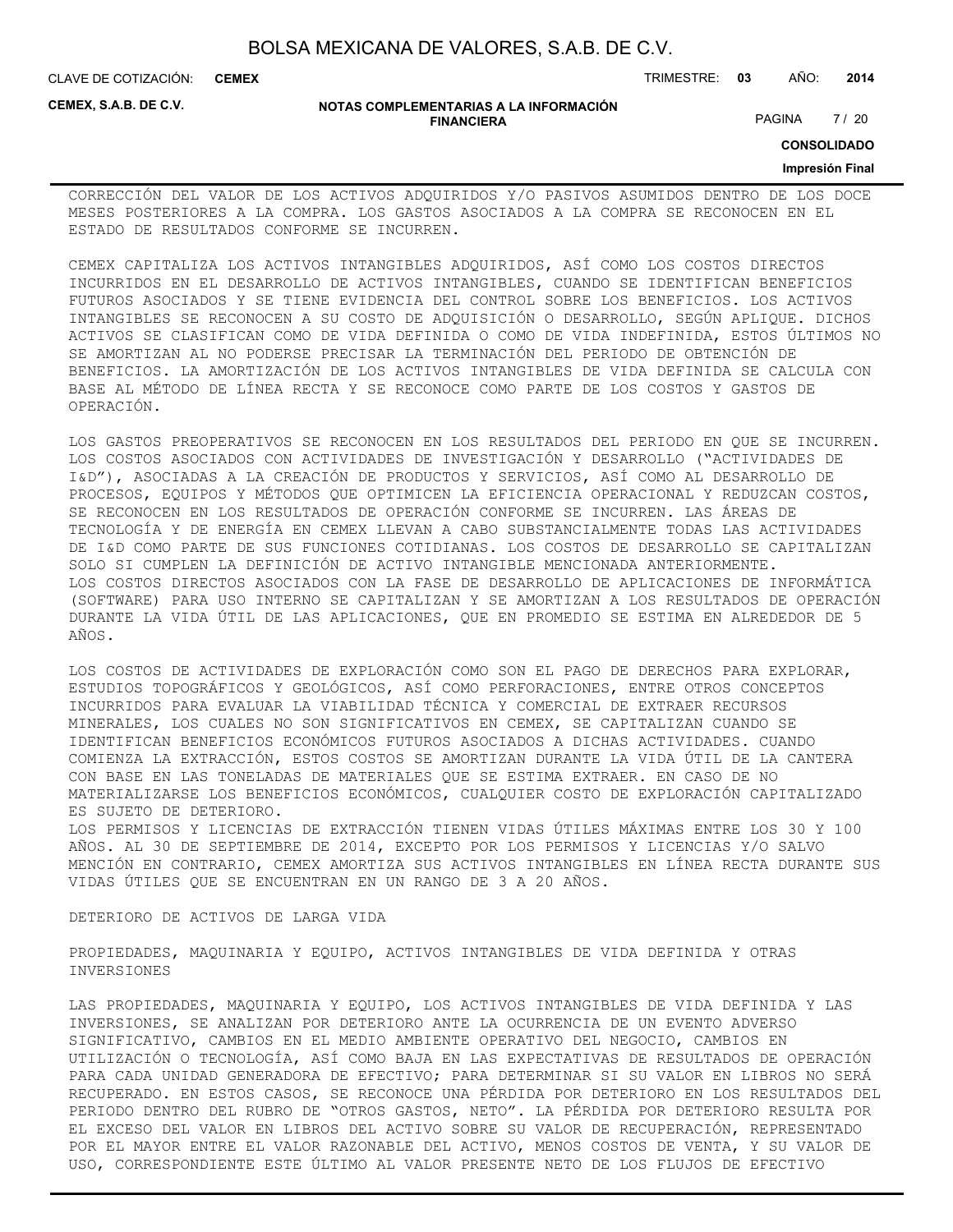| BOLSA MEXICANA DE VALORES, S.A.B. DE C.V. |  |  |
|-------------------------------------------|--|--|
|-------------------------------------------|--|--|

CLAVE DE COTIZACIÓN: TRIMESTRE: **03** AÑO: **2014 CEMEX**

**CEMEX, S.A.B. DE C.V.**

#### **NOTAS COMPLEMENTARIAS A LA INFORMACIÓN FINANCIERA**

PAGINA 7 / 20

**CONSOLIDADO**

#### **Impresión Final**

CORRECCIÓN DEL VALOR DE LOS ACTIVOS ADQUIRIDOS Y/O PASIVOS ASUMIDOS DENTRO DE LOS DOCE MESES POSTERIORES A LA COMPRA. LOS GASTOS ASOCIADOS A LA COMPRA SE RECONOCEN EN EL ESTADO DE RESULTADOS CONFORME SE INCURREN.

CEMEX CAPITALIZA LOS ACTIVOS INTANGIBLES ADQUIRIDOS, ASÍ COMO LOS COSTOS DIRECTOS INCURRIDOS EN EL DESARROLLO DE ACTIVOS INTANGIBLES, CUANDO SE IDENTIFICAN BENEFICIOS FUTUROS ASOCIADOS Y SE TIENE EVIDENCIA DEL CONTROL SOBRE LOS BENEFICIOS. LOS ACTIVOS INTANGIBLES SE RECONOCEN A SU COSTO DE ADQUISICIÓN O DESARROLLO, SEGÚN APLIQUE. DICHOS ACTIVOS SE CLASIFICAN COMO DE VIDA DEFINIDA O COMO DE VIDA INDEFINIDA, ESTOS ÚLTIMOS NO SE AMORTIZAN AL NO PODERSE PRECISAR LA TERMINACIÓN DEL PERIODO DE OBTENCIÓN DE BENEFICIOS. LA AMORTIZACIÓN DE LOS ACTIVOS INTANGIBLES DE VIDA DEFINIDA SE CALCULA CON BASE AL MÉTODO DE LÍNEA RECTA Y SE RECONOCE COMO PARTE DE LOS COSTOS Y GASTOS DE OPERACIÓN.

LOS GASTOS PREOPERATIVOS SE RECONOCEN EN LOS RESULTADOS DEL PERIODO EN QUE SE INCURREN. LOS COSTOS ASOCIADOS CON ACTIVIDADES DE INVESTIGACIÓN Y DESARROLLO ("ACTIVIDADES DE I&D"), ASOCIADAS A LA CREACIÓN DE PRODUCTOS Y SERVICIOS, ASÍ COMO AL DESARROLLO DE PROCESOS, EQUIPOS Y MÉTODOS QUE OPTIMICEN LA EFICIENCIA OPERACIONAL Y REDUZCAN COSTOS, SE RECONOCEN EN LOS RESULTADOS DE OPERACIÓN CONFORME SE INCURREN. LAS ÁREAS DE TECNOLOGÍA Y DE ENERGÍA EN CEMEX LLEVAN A CABO SUBSTANCIALMENTE TODAS LAS ACTIVIDADES DE I&D COMO PARTE DE SUS FUNCIONES COTIDIANAS. LOS COSTOS DE DESARROLLO SE CAPITALIZAN SOLO SI CUMPLEN LA DEFINICIÓN DE ACTIVO INTANGIBLE MENCIONADA ANTERIORMENTE. LOS COSTOS DIRECTOS ASOCIADOS CON LA FASE DE DESARROLLO DE APLICACIONES DE INFORMÁTICA (SOFTWARE) PARA USO INTERNO SE CAPITALIZAN Y SE AMORTIZAN A LOS RESULTADOS DE OPERACIÓN DURANTE LA VIDA ÚTIL DE LAS APLICACIONES, QUE EN PROMEDIO SE ESTIMA EN ALREDEDOR DE 5 AÑOS.

LOS COSTOS DE ACTIVIDADES DE EXPLORACIÓN COMO SON EL PAGO DE DERECHOS PARA EXPLORAR, ESTUDIOS TOPOGRÁFICOS Y GEOLÓGICOS, ASÍ COMO PERFORACIONES, ENTRE OTROS CONCEPTOS INCURRIDOS PARA EVALUAR LA VIABILIDAD TÉCNICA Y COMERCIAL DE EXTRAER RECURSOS MINERALES, LOS CUALES NO SON SIGNIFICATIVOS EN CEMEX, SE CAPITALIZAN CUANDO SE IDENTIFICAN BENEFICIOS ECONÓMICOS FUTUROS ASOCIADOS A DICHAS ACTIVIDADES. CUANDO COMIENZA LA EXTRACCIÓN, ESTOS COSTOS SE AMORTIZAN DURANTE LA VIDA ÚTIL DE LA CANTERA CON BASE EN LAS TONELADAS DE MATERIALES QUE SE ESTIMA EXTRAER. EN CASO DE NO MATERIALIZARSE LOS BENEFICIOS ECONÓMICOS, CUALQUIER COSTO DE EXPLORACIÓN CAPITALIZADO ES SUJETO DE DETERIORO.

LOS PERMISOS Y LICENCIAS DE EXTRACCIÓN TIENEN VIDAS ÚTILES MÁXIMAS ENTRE LOS 30 Y 100 AÑOS. AL 30 DE SEPTIEMBRE DE 2014, EXCEPTO POR LOS PERMISOS Y LICENCIAS Y/O SALVO MENCIÓN EN CONTRARIO, CEMEX AMORTIZA SUS ACTIVOS INTANGIBLES EN LÍNEA RECTA DURANTE SUS VIDAS ÚTILES QUE SE ENCUENTRAN EN UN RANGO DE 3 A 20 AÑOS.

#### DETERIORO DE ACTIVOS DE LARGA VIDA

PROPIEDADES, MAQUINARIA Y EQUIPO, ACTIVOS INTANGIBLES DE VIDA DEFINIDA Y OTRAS INVERSIONES

LAS PROPIEDADES, MAQUINARIA Y EQUIPO, LOS ACTIVOS INTANGIBLES DE VIDA DEFINIDA Y LAS INVERSIONES, SE ANALIZAN POR DETERIORO ANTE LA OCURRENCIA DE UN EVENTO ADVERSO SIGNIFICATIVO, CAMBIOS EN EL MEDIO AMBIENTE OPERATIVO DEL NEGOCIO, CAMBIOS EN UTILIZACIÓN O TECNOLOGÍA, ASÍ COMO BAJA EN LAS EXPECTATIVAS DE RESULTADOS DE OPERACIÓN PARA CADA UNIDAD GENERADORA DE EFECTIVO; PARA DETERMINAR SI SU VALOR EN LIBROS NO SERÁ RECUPERADO. EN ESTOS CASOS, SE RECONOCE UNA PÉRDIDA POR DETERIORO EN LOS RESULTADOS DEL PERIODO DENTRO DEL RUBRO DE "OTROS GASTOS, NETO". LA PÉRDIDA POR DETERIORO RESULTA POR EL EXCESO DEL VALOR EN LIBROS DEL ACTIVO SOBRE SU VALOR DE RECUPERACIÓN, REPRESENTADO POR EL MAYOR ENTRE EL VALOR RAZONABLE DEL ACTIVO, MENOS COSTOS DE VENTA, Y SU VALOR DE USO, CORRESPONDIENTE ESTE ÚLTIMO AL VALOR PRESENTE NETO DE LOS FLUJOS DE EFECTIVO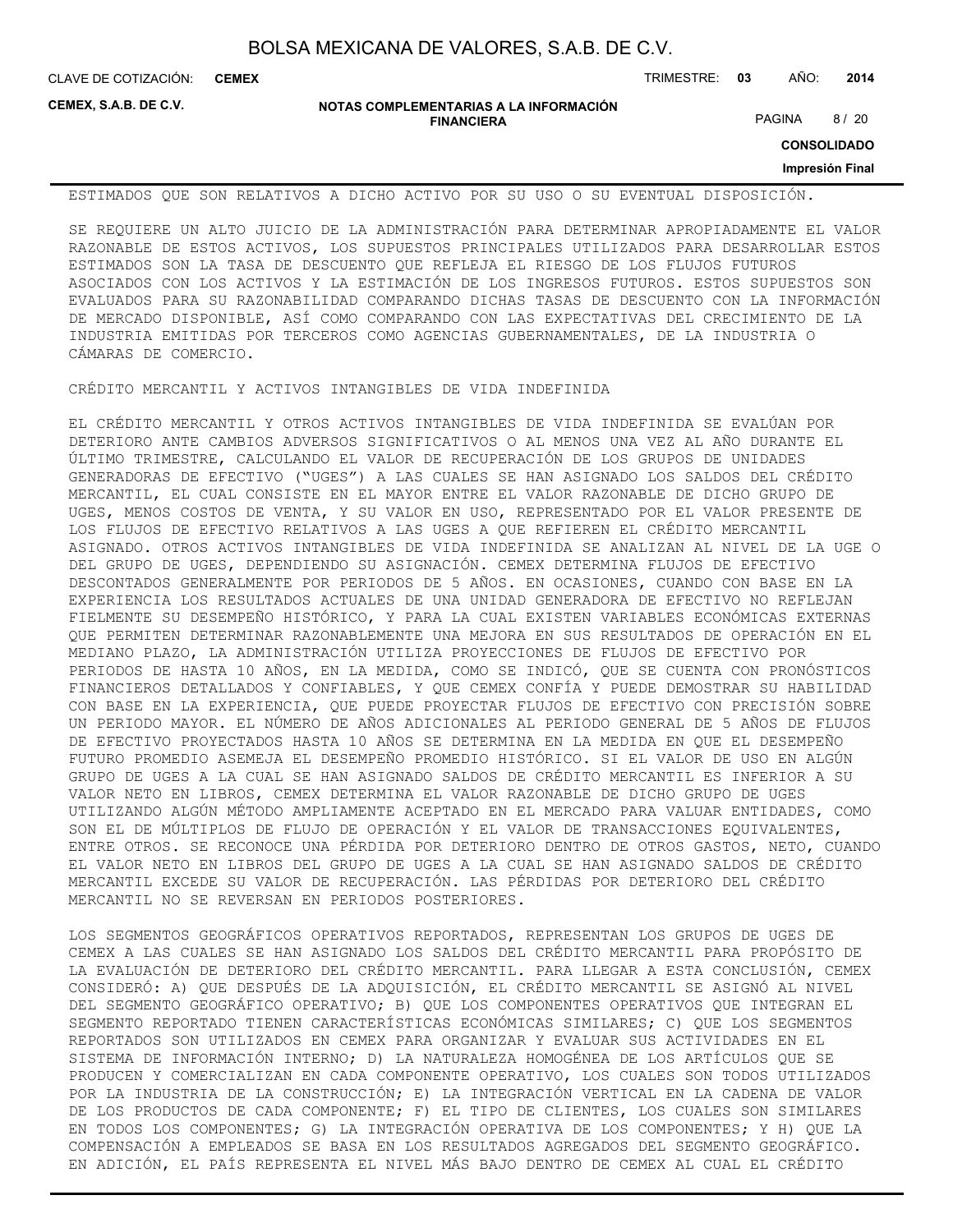**CEMEX**

CLAVE DE COTIZACIÓN: TRIMESTRE: **03** AÑO: **2014**

**CEMEX, S.A.B. DE C.V.**

**NOTAS COMPLEMENTARIAS A LA INFORMACIÓN FINANCIERA**

PAGINA 8 / 20

**CONSOLIDADO**

**Impresión Final**

ESTIMADOS QUE SON RELATIVOS A DICHO ACTIVO POR SU USO O SU EVENTUAL DISPOSICIÓN.

SE REQUIERE UN ALTO JUICIO DE LA ADMINISTRACIÓN PARA DETERMINAR APROPIADAMENTE EL VALOR RAZONABLE DE ESTOS ACTIVOS, LOS SUPUESTOS PRINCIPALES UTILIZADOS PARA DESARROLLAR ESTOS ESTIMADOS SON LA TASA DE DESCUENTO QUE REFLEJA EL RIESGO DE LOS FLUJOS FUTUROS ASOCIADOS CON LOS ACTIVOS Y LA ESTIMACIÓN DE LOS INGRESOS FUTUROS. ESTOS SUPUESTOS SON EVALUADOS PARA SU RAZONABILIDAD COMPARANDO DICHAS TASAS DE DESCUENTO CON LA INFORMACIÓN DE MERCADO DISPONIBLE, ASÍ COMO COMPARANDO CON LAS EXPECTATIVAS DEL CRECIMIENTO DE LA INDUSTRIA EMITIDAS POR TERCEROS COMO AGENCIAS GUBERNAMENTALES, DE LA INDUSTRIA O CÁMARAS DE COMERCIO.

CRÉDITO MERCANTIL Y ACTIVOS INTANGIBLES DE VIDA INDEFINIDA

EL CRÉDITO MERCANTIL Y OTROS ACTIVOS INTANGIBLES DE VIDA INDEFINIDA SE EVALÚAN POR DETERIORO ANTE CAMBIOS ADVERSOS SIGNIFICATIVOS O AL MENOS UNA VEZ AL AÑO DURANTE EL ÚLTIMO TRIMESTRE, CALCULANDO EL VALOR DE RECUPERACIÓN DE LOS GRUPOS DE UNIDADES GENERADORAS DE EFECTIVO ("UGES") A LAS CUALES SE HAN ASIGNADO LOS SALDOS DEL CRÉDITO MERCANTIL, EL CUAL CONSISTE EN EL MAYOR ENTRE EL VALOR RAZONABLE DE DICHO GRUPO DE UGES, MENOS COSTOS DE VENTA, Y SU VALOR EN USO, REPRESENTADO POR EL VALOR PRESENTE DE LOS FLUJOS DE EFECTIVO RELATIVOS A LAS UGES A QUE REFIEREN EL CRÉDITO MERCANTIL ASIGNADO. OTROS ACTIVOS INTANGIBLES DE VIDA INDEFINIDA SE ANALIZAN AL NIVEL DE LA UGE O DEL GRUPO DE UGES, DEPENDIENDO SU ASIGNACIÓN. CEMEX DETERMINA FLUJOS DE EFECTIVO DESCONTADOS GENERALMENTE POR PERIODOS DE 5 AÑOS. EN OCASIONES, CUANDO CON BASE EN LA EXPERIENCIA LOS RESULTADOS ACTUALES DE UNA UNIDAD GENERADORA DE EFECTIVO NO REFLEJAN FIELMENTE SU DESEMPEÑO HISTÓRICO, Y PARA LA CUAL EXISTEN VARIABLES ECONÓMICAS EXTERNAS QUE PERMITEN DETERMINAR RAZONABLEMENTE UNA MEJORA EN SUS RESULTADOS DE OPERACIÓN EN EL MEDIANO PLAZO, LA ADMINISTRACIÓN UTILIZA PROYECCIONES DE FLUJOS DE EFECTIVO POR PERIODOS DE HASTA 10 AÑOS, EN LA MEDIDA, COMO SE INDICÓ, QUE SE CUENTA CON PRONÓSTICOS FINANCIEROS DETALLADOS Y CONFIABLES, Y QUE CEMEX CONFÍA Y PUEDE DEMOSTRAR SU HABILIDAD CON BASE EN LA EXPERIENCIA, QUE PUEDE PROYECTAR FLUJOS DE EFECTIVO CON PRECISIÓN SOBRE UN PERIODO MAYOR. EL NÚMERO DE AÑOS ADICIONALES AL PERIODO GENERAL DE 5 AÑOS DE FLUJOS DE EFECTIVO PROYECTADOS HASTA 10 AÑOS SE DETERMINA EN LA MEDIDA EN QUE EL DESEMPEÑO FUTURO PROMEDIO ASEMEJA EL DESEMPEÑO PROMEDIO HISTÓRICO. SI EL VALOR DE USO EN ALGÚN GRUPO DE UGES A LA CUAL SE HAN ASIGNADO SALDOS DE CRÉDITO MERCANTIL ES INFERIOR A SU VALOR NETO EN LIBROS, CEMEX DETERMINA EL VALOR RAZONABLE DE DICHO GRUPO DE UGES UTILIZANDO ALGÚN MÉTODO AMPLIAMENTE ACEPTADO EN EL MERCADO PARA VALUAR ENTIDADES, COMO SON EL DE MÚLTIPLOS DE FLUJO DE OPERACIÓN Y EL VALOR DE TRANSACCIONES EQUIVALENTES, ENTRE OTROS. SE RECONOCE UNA PÉRDIDA POR DETERIORO DENTRO DE OTROS GASTOS, NETO, CUANDO EL VALOR NETO EN LIBROS DEL GRUPO DE UGES A LA CUAL SE HAN ASIGNADO SALDOS DE CRÉDITO MERCANTIL EXCEDE SU VALOR DE RECUPERACIÓN. LAS PÉRDIDAS POR DETERIORO DEL CRÉDITO MERCANTIL NO SE REVERSAN EN PERIODOS POSTERIORES.

LOS SEGMENTOS GEOGRÁFICOS OPERATIVOS REPORTADOS, REPRESENTAN LOS GRUPOS DE UGES DE CEMEX A LAS CUALES SE HAN ASIGNADO LOS SALDOS DEL CRÉDITO MERCANTIL PARA PROPÓSITO DE LA EVALUACIÓN DE DETERIORO DEL CRÉDITO MERCANTIL. PARA LLEGAR A ESTA CONCLUSIÓN, CEMEX CONSIDERÓ: A) QUE DESPUÉS DE LA ADQUISICIÓN, EL CRÉDITO MERCANTIL SE ASIGNÓ AL NIVEL DEL SEGMENTO GEOGRÁFICO OPERATIVO; B) QUE LOS COMPONENTES OPERATIVOS QUE INTEGRAN EL SEGMENTO REPORTADO TIENEN CARACTERÍSTICAS ECONÓMICAS SIMILARES; C) QUE LOS SEGMENTOS REPORTADOS SON UTILIZADOS EN CEMEX PARA ORGANIZAR Y EVALUAR SUS ACTIVIDADES EN EL SISTEMA DE INFORMACIÓN INTERNO; D) LA NATURALEZA HOMOGÉNEA DE LOS ARTÍCULOS QUE SE PRODUCEN Y COMERCIALIZAN EN CADA COMPONENTE OPERATIVO, LOS CUALES SON TODOS UTILIZADOS POR LA INDUSTRIA DE LA CONSTRUCCIÓN; E) LA INTEGRACIÓN VERTICAL EN LA CADENA DE VALOR DE LOS PRODUCTOS DE CADA COMPONENTE; F) EL TIPO DE CLIENTES, LOS CUALES SON SIMILARES EN TODOS LOS COMPONENTES; G) LA INTEGRACIÓN OPERATIVA DE LOS COMPONENTES; Y H) QUE LA COMPENSACIÓN A EMPLEADOS SE BASA EN LOS RESULTADOS AGREGADOS DEL SEGMENTO GEOGRÁFICO. EN ADICIÓN, EL PAÍS REPRESENTA EL NIVEL MÁS BAJO DENTRO DE CEMEX AL CUAL EL CRÉDITO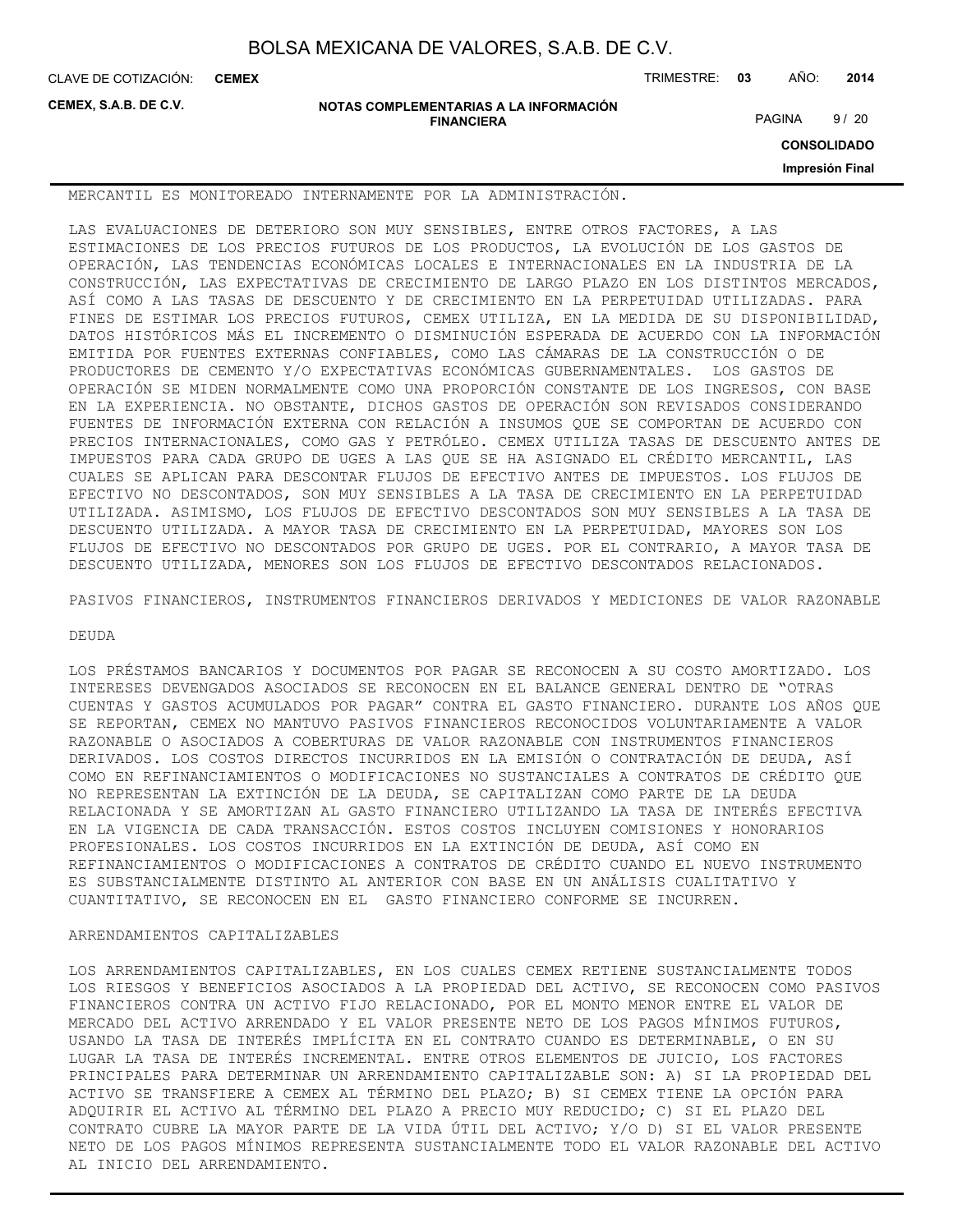**CEMEX**

CLAVE DE COTIZACIÓN: TRIMESTRE: **03** AÑO: **2014**

**CEMEX, S.A.B. DE C.V.**

**NOTAS COMPLEMENTARIAS A LA INFORMACIÓN FINANCIERA**

PAGINA 9/20

**CONSOLIDADO**

**Impresión Final**

MERCANTIL ES MONITOREADO INTERNAMENTE POR LA ADMINISTRACIÓN.

LAS EVALUACIONES DE DETERIORO SON MUY SENSIBLES, ENTRE OTROS FACTORES, A LAS ESTIMACIONES DE LOS PRECIOS FUTUROS DE LOS PRODUCTOS, LA EVOLUCIÓN DE LOS GASTOS DE OPERACIÓN, LAS TENDENCIAS ECONÓMICAS LOCALES E INTERNACIONALES EN LA INDUSTRIA DE LA CONSTRUCCIÓN, LAS EXPECTATIVAS DE CRECIMIENTO DE LARGO PLAZO EN LOS DISTINTOS MERCADOS, ASÍ COMO A LAS TASAS DE DESCUENTO Y DE CRECIMIENTO EN LA PERPETUIDAD UTILIZADAS. PARA FINES DE ESTIMAR LOS PRECIOS FUTUROS, CEMEX UTILIZA, EN LA MEDIDA DE SU DISPONIBILIDAD, DATOS HISTÓRICOS MÁS EL INCREMENTO O DISMINUCIÓN ESPERADA DE ACUERDO CON LA INFORMACIÓN EMITIDA POR FUENTES EXTERNAS CONFIABLES, COMO LAS CÁMARAS DE LA CONSTRUCCIÓN O DE PRODUCTORES DE CEMENTO Y/O EXPECTATIVAS ECONÓMICAS GUBERNAMENTALES. LOS GASTOS DE OPERACIÓN SE MIDEN NORMALMENTE COMO UNA PROPORCIÓN CONSTANTE DE LOS INGRESOS, CON BASE EN LA EXPERIENCIA. NO OBSTANTE, DICHOS GASTOS DE OPERACIÓN SON REVISADOS CONSIDERANDO FUENTES DE INFORMACIÓN EXTERNA CON RELACIÓN A INSUMOS QUE SE COMPORTAN DE ACUERDO CON PRECIOS INTERNACIONALES, COMO GAS Y PETRÓLEO. CEMEX UTILIZA TASAS DE DESCUENTO ANTES DE IMPUESTOS PARA CADA GRUPO DE UGES A LAS QUE SE HA ASIGNADO EL CRÉDITO MERCANTIL, LAS CUALES SE APLICAN PARA DESCONTAR FLUJOS DE EFECTIVO ANTES DE IMPUESTOS. LOS FLUJOS DE EFECTIVO NO DESCONTADOS, SON MUY SENSIBLES A LA TASA DE CRECIMIENTO EN LA PERPETUIDAD UTILIZADA. ASIMISMO, LOS FLUJOS DE EFECTIVO DESCONTADOS SON MUY SENSIBLES A LA TASA DE DESCUENTO UTILIZADA. A MAYOR TASA DE CRECIMIENTO EN LA PERPETUIDAD, MAYORES SON LOS FLUJOS DE EFECTIVO NO DESCONTADOS POR GRUPO DE UGES. POR EL CONTRARIO, A MAYOR TASA DE DESCUENTO UTILIZADA, MENORES SON LOS FLUJOS DE EFECTIVO DESCONTADOS RELACIONADOS.

PASIVOS FINANCIEROS, INSTRUMENTOS FINANCIEROS DERIVADOS Y MEDICIONES DE VALOR RAZONABLE

#### DEUDA

LOS PRÉSTAMOS BANCARIOS Y DOCUMENTOS POR PAGAR SE RECONOCEN A SU COSTO AMORTIZADO. LOS INTERESES DEVENGADOS ASOCIADOS SE RECONOCEN EN EL BALANCE GENERAL DENTRO DE "OTRAS CUENTAS Y GASTOS ACUMULADOS POR PAGAR" CONTRA EL GASTO FINANCIERO. DURANTE LOS AÑOS QUE SE REPORTAN, CEMEX NO MANTUVO PASIVOS FINANCIEROS RECONOCIDOS VOLUNTARIAMENTE A VALOR RAZONABLE O ASOCIADOS A COBERTURAS DE VALOR RAZONABLE CON INSTRUMENTOS FINANCIEROS DERIVADOS. LOS COSTOS DIRECTOS INCURRIDOS EN LA EMISIÓN O CONTRATACIÓN DE DEUDA, ASÍ COMO EN REFINANCIAMIENTOS O MODIFICACIONES NO SUSTANCIALES A CONTRATOS DE CRÉDITO QUE NO REPRESENTAN LA EXTINCIÓN DE LA DEUDA, SE CAPITALIZAN COMO PARTE DE LA DEUDA RELACIONADA Y SE AMORTIZAN AL GASTO FINANCIERO UTILIZANDO LA TASA DE INTERÉS EFECTIVA EN LA VIGENCIA DE CADA TRANSACCIÓN. ESTOS COSTOS INCLUYEN COMISIONES Y HONORARIOS PROFESIONALES. LOS COSTOS INCURRIDOS EN LA EXTINCIÓN DE DEUDA, ASÍ COMO EN REFINANCIAMIENTOS O MODIFICACIONES A CONTRATOS DE CRÉDITO CUANDO EL NUEVO INSTRUMENTO ES SUBSTANCIALMENTE DISTINTO AL ANTERIOR CON BASE EN UN ANÁLISIS CUALITATIVO Y CUANTITATIVO, SE RECONOCEN EN EL GASTO FINANCIERO CONFORME SE INCURREN.

#### ARRENDAMIENTOS CAPITALIZABLES

LOS ARRENDAMIENTOS CAPITALIZABLES, EN LOS CUALES CEMEX RETIENE SUSTANCIALMENTE TODOS LOS RIESGOS Y BENEFICIOS ASOCIADOS A LA PROPIEDAD DEL ACTIVO, SE RECONOCEN COMO PASIVOS FINANCIEROS CONTRA UN ACTIVO FIJO RELACIONADO, POR EL MONTO MENOR ENTRE EL VALOR DE MERCADO DEL ACTIVO ARRENDADO Y EL VALOR PRESENTE NETO DE LOS PAGOS MÍNIMOS FUTUROS, USANDO LA TASA DE INTERÉS IMPLÍCITA EN EL CONTRATO CUANDO ES DETERMINABLE, O EN SU LUGAR LA TASA DE INTERÉS INCREMENTAL. ENTRE OTROS ELEMENTOS DE JUICIO, LOS FACTORES PRINCIPALES PARA DETERMINAR UN ARRENDAMIENTO CAPITALIZABLE SON: A) SI LA PROPIEDAD DEL ACTIVO SE TRANSFIERE A CEMEX AL TÉRMINO DEL PLAZO; B) SI CEMEX TIENE LA OPCIÓN PARA ADQUIRIR EL ACTIVO AL TÉRMINO DEL PLAZO A PRECIO MUY REDUCIDO; C) SI EL PLAZO DEL CONTRATO CUBRE LA MAYOR PARTE DE LA VIDA ÚTIL DEL ACTIVO; Y/O D) SI EL VALOR PRESENTE NETO DE LOS PAGOS MÍNIMOS REPRESENTA SUSTANCIALMENTE TODO EL VALOR RAZONABLE DEL ACTIVO AL INICIO DEL ARRENDAMIENTO.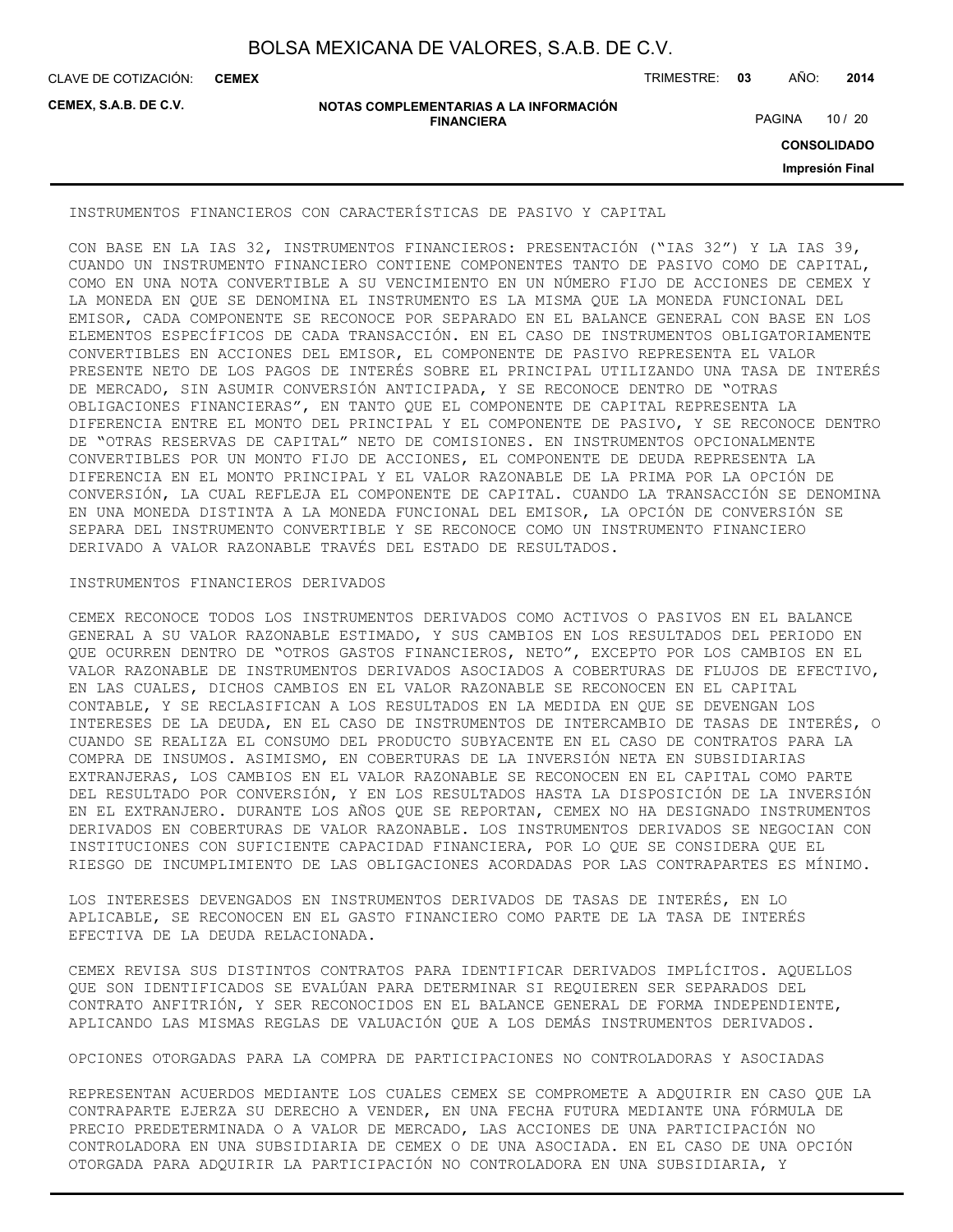CLAVE DE COTIZACIÓN: TRIMESTRE: **03** AÑO: **2014 CEMEX**

**CEMEX, S.A.B. DE C.V.**

#### **NOTAS COMPLEMENTARIAS A LA INFORMACIÓN FINANCIERA**

PAGINA 10 / 20

**CONSOLIDADO**

**Impresión Final**

INSTRUMENTOS FINANCIEROS CON CARACTERÍSTICAS DE PASIVO Y CAPITAL

CON BASE EN LA IAS 32, INSTRUMENTOS FINANCIEROS: PRESENTACIÓN ("IAS 32") Y LA IAS 39, CUANDO UN INSTRUMENTO FINANCIERO CONTIENE COMPONENTES TANTO DE PASIVO COMO DE CAPITAL, COMO EN UNA NOTA CONVERTIBLE A SU VENCIMIENTO EN UN NÚMERO FIJO DE ACCIONES DE CEMEX Y LA MONEDA EN QUE SE DENOMINA EL INSTRUMENTO ES LA MISMA QUE LA MONEDA FUNCIONAL DEL EMISOR, CADA COMPONENTE SE RECONOCE POR SEPARADO EN EL BALANCE GENERAL CON BASE EN LOS ELEMENTOS ESPECÍFICOS DE CADA TRANSACCIÓN. EN EL CASO DE INSTRUMENTOS OBLIGATORIAMENTE CONVERTIBLES EN ACCIONES DEL EMISOR, EL COMPONENTE DE PASIVO REPRESENTA EL VALOR PRESENTE NETO DE LOS PAGOS DE INTERÉS SOBRE EL PRINCIPAL UTILIZANDO UNA TASA DE INTERÉS DE MERCADO, SIN ASUMIR CONVERSIÓN ANTICIPADA, Y SE RECONOCE DENTRO DE "OTRAS OBLIGACIONES FINANCIERAS", EN TANTO QUE EL COMPONENTE DE CAPITAL REPRESENTA LA DIFERENCIA ENTRE EL MONTO DEL PRINCIPAL Y EL COMPONENTE DE PASIVO, Y SE RECONOCE DENTRO DE "OTRAS RESERVAS DE CAPITAL" NETO DE COMISIONES. EN INSTRUMENTOS OPCIONALMENTE CONVERTIBLES POR UN MONTO FIJO DE ACCIONES, EL COMPONENTE DE DEUDA REPRESENTA LA DIFERENCIA EN EL MONTO PRINCIPAL Y EL VALOR RAZONABLE DE LA PRIMA POR LA OPCIÓN DE CONVERSIÓN, LA CUAL REFLEJA EL COMPONENTE DE CAPITAL. CUANDO LA TRANSACCIÓN SE DENOMINA EN UNA MONEDA DISTINTA A LA MONEDA FUNCIONAL DEL EMISOR, LA OPCIÓN DE CONVERSIÓN SE SEPARA DEL INSTRUMENTO CONVERTIBLE Y SE RECONOCE COMO UN INSTRUMENTO FINANCIERO DERIVADO A VALOR RAZONABLE TRAVÉS DEL ESTADO DE RESULTADOS.

#### INSTRUMENTOS FINANCIEROS DERIVADOS

CEMEX RECONOCE TODOS LOS INSTRUMENTOS DERIVADOS COMO ACTIVOS O PASIVOS EN EL BALANCE GENERAL A SU VALOR RAZONABLE ESTIMADO, Y SUS CAMBIOS EN LOS RESULTADOS DEL PERIODO EN QUE OCURREN DENTRO DE "OTROS GASTOS FINANCIEROS, NETO", EXCEPTO POR LOS CAMBIOS EN EL VALOR RAZONABLE DE INSTRUMENTOS DERIVADOS ASOCIADOS A COBERTURAS DE FLUJOS DE EFECTIVO, EN LAS CUALES, DICHOS CAMBIOS EN EL VALOR RAZONABLE SE RECONOCEN EN EL CAPITAL CONTABLE, Y SE RECLASIFICAN A LOS RESULTADOS EN LA MEDIDA EN QUE SE DEVENGAN LOS INTERESES DE LA DEUDA, EN EL CASO DE INSTRUMENTOS DE INTERCAMBIO DE TASAS DE INTERÉS, O CUANDO SE REALIZA EL CONSUMO DEL PRODUCTO SUBYACENTE EN EL CASO DE CONTRATOS PARA LA COMPRA DE INSUMOS. ASIMISMO, EN COBERTURAS DE LA INVERSIÓN NETA EN SUBSIDIARIAS EXTRANJERAS, LOS CAMBIOS EN EL VALOR RAZONABLE SE RECONOCEN EN EL CAPITAL COMO PARTE DEL RESULTADO POR CONVERSIÓN, Y EN LOS RESULTADOS HASTA LA DISPOSICIÓN DE LA INVERSIÓN EN EL EXTRANJERO. DURANTE LOS AÑOS QUE SE REPORTAN, CEMEX NO HA DESIGNADO INSTRUMENTOS DERIVADOS EN COBERTURAS DE VALOR RAZONABLE. LOS INSTRUMENTOS DERIVADOS SE NEGOCIAN CON INSTITUCIONES CON SUFICIENTE CAPACIDAD FINANCIERA, POR LO QUE SE CONSIDERA QUE EL RIESGO DE INCUMPLIMIENTO DE LAS OBLIGACIONES ACORDADAS POR LAS CONTRAPARTES ES MÍNIMO.

LOS INTERESES DEVENGADOS EN INSTRUMENTOS DERIVADOS DE TASAS DE INTERÉS, EN LO APLICABLE, SE RECONOCEN EN EL GASTO FINANCIERO COMO PARTE DE LA TASA DE INTERÉS EFECTIVA DE LA DEUDA RELACIONADA.

CEMEX REVISA SUS DISTINTOS CONTRATOS PARA IDENTIFICAR DERIVADOS IMPLÍCITOS. AQUELLOS QUE SON IDENTIFICADOS SE EVALÚAN PARA DETERMINAR SI REQUIEREN SER SEPARADOS DEL CONTRATO ANFITRIÓN, Y SER RECONOCIDOS EN EL BALANCE GENERAL DE FORMA INDEPENDIENTE, APLICANDO LAS MISMAS REGLAS DE VALUACIÓN QUE A LOS DEMÁS INSTRUMENTOS DERIVADOS.

OPCIONES OTORGADAS PARA LA COMPRA DE PARTICIPACIONES NO CONTROLADORAS Y ASOCIADAS

REPRESENTAN ACUERDOS MEDIANTE LOS CUALES CEMEX SE COMPROMETE A ADQUIRIR EN CASO QUE LA CONTRAPARTE EJERZA SU DERECHO A VENDER, EN UNA FECHA FUTURA MEDIANTE UNA FÓRMULA DE PRECIO PREDETERMINADA O A VALOR DE MERCADO, LAS ACCIONES DE UNA PARTICIPACIÓN NO CONTROLADORA EN UNA SUBSIDIARIA DE CEMEX O DE UNA ASOCIADA. EN EL CASO DE UNA OPCIÓN OTORGADA PARA ADQUIRIR LA PARTICIPACIÓN NO CONTROLADORA EN UNA SUBSIDIARIA, Y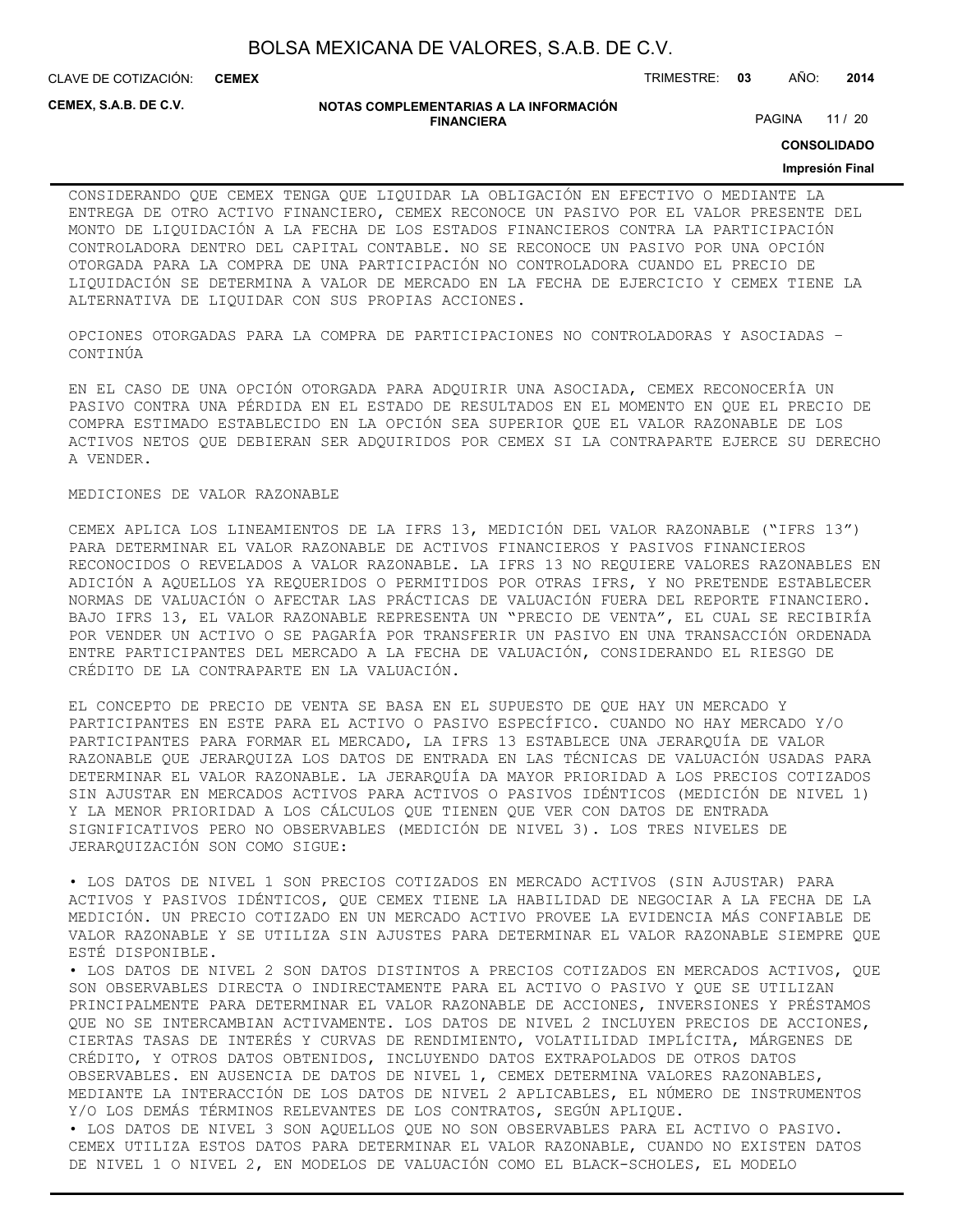CLAVE DE COTIZACIÓN: TRIMESTRE: **03** AÑO: **2014 CEMEX**

**CEMEX, S.A.B. DE C.V.**

#### **NOTAS COMPLEMENTARIAS A LA INFORMACIÓN FINANCIERA**

PAGINA 11 / 20

**CONSOLIDADO**

#### **Impresión Final**

CONSIDERANDO QUE CEMEX TENGA QUE LIQUIDAR LA OBLIGACIÓN EN EFECTIVO O MEDIANTE LA ENTREGA DE OTRO ACTIVO FINANCIERO, CEMEX RECONOCE UN PASIVO POR EL VALOR PRESENTE DEL MONTO DE LIQUIDACIÓN A LA FECHA DE LOS ESTADOS FINANCIEROS CONTRA LA PARTICIPACIÓN CONTROLADORA DENTRO DEL CAPITAL CONTABLE. NO SE RECONOCE UN PASIVO POR UNA OPCIÓN OTORGADA PARA LA COMPRA DE UNA PARTICIPACIÓN NO CONTROLADORA CUANDO EL PRECIO DE LIQUIDACIÓN SE DETERMINA A VALOR DE MERCADO EN LA FECHA DE EJERCICIO Y CEMEX TIENE LA ALTERNATIVA DE LIQUIDAR CON SUS PROPIAS ACCIONES.

OPCIONES OTORGADAS PARA LA COMPRA DE PARTICIPACIONES NO CONTROLADORAS Y ASOCIADAS – CONTINÚA

EN EL CASO DE UNA OPCIÓN OTORGADA PARA ADQUIRIR UNA ASOCIADA, CEMEX RECONOCERÍA UN PASIVO CONTRA UNA PÉRDIDA EN EL ESTADO DE RESULTADOS EN EL MOMENTO EN QUE EL PRECIO DE COMPRA ESTIMADO ESTABLECIDO EN LA OPCIÓN SEA SUPERIOR QUE EL VALOR RAZONABLE DE LOS ACTIVOS NETOS QUE DEBIERAN SER ADQUIRIDOS POR CEMEX SI LA CONTRAPARTE EJERCE SU DERECHO A VENDER.

#### MEDICIONES DE VALOR RAZONABLE

CEMEX APLICA LOS LINEAMIENTOS DE LA IFRS 13, MEDICIÓN DEL VALOR RAZONABLE ("IFRS 13") PARA DETERMINAR EL VALOR RAZONABLE DE ACTIVOS FINANCIEROS Y PASIVOS FINANCIEROS RECONOCIDOS O REVELADOS A VALOR RAZONABLE. LA IFRS 13 NO REQUIERE VALORES RAZONABLES EN ADICIÓN A AQUELLOS YA REQUERIDOS O PERMITIDOS POR OTRAS IFRS, Y NO PRETENDE ESTABLECER NORMAS DE VALUACIÓN O AFECTAR LAS PRÁCTICAS DE VALUACIÓN FUERA DEL REPORTE FINANCIERO. BAJO IFRS 13, EL VALOR RAZONABLE REPRESENTA UN "PRECIO DE VENTA", EL CUAL SE RECIBIRÍA POR VENDER UN ACTIVO O SE PAGARÍA POR TRANSFERIR UN PASIVO EN UNA TRANSACCIÓN ORDENADA ENTRE PARTICIPANTES DEL MERCADO A LA FECHA DE VALUACIÓN, CONSIDERANDO EL RIESGO DE CRÉDITO DE LA CONTRAPARTE EN LA VALUACIÓN.

EL CONCEPTO DE PRECIO DE VENTA SE BASA EN EL SUPUESTO DE QUE HAY UN MERCADO Y PARTICIPANTES EN ESTE PARA EL ACTIVO O PASIVO ESPECÍFICO. CUANDO NO HAY MERCADO Y/O PARTICIPANTES PARA FORMAR EL MERCADO, LA IFRS 13 ESTABLECE UNA JERARQUÍA DE VALOR RAZONABLE QUE JERARQUIZA LOS DATOS DE ENTRADA EN LAS TÉCNICAS DE VALUACIÓN USADAS PARA DETERMINAR EL VALOR RAZONABLE. LA JERARQUÍA DA MAYOR PRIORIDAD A LOS PRECIOS COTIZADOS SIN AJUSTAR EN MERCADOS ACTIVOS PARA ACTIVOS O PASIVOS IDÉNTICOS (MEDICIÓN DE NIVEL 1) Y LA MENOR PRIORIDAD A LOS CÁLCULOS QUE TIENEN QUE VER CON DATOS DE ENTRADA SIGNIFICATIVOS PERO NO OBSERVABLES (MEDICIÓN DE NIVEL 3). LOS TRES NIVELES DE JERARQUIZACIÓN SON COMO SIGUE:

• LOS DATOS DE NIVEL 1 SON PRECIOS COTIZADOS EN MERCADO ACTIVOS (SIN AJUSTAR) PARA ACTIVOS Y PASIVOS IDÉNTICOS, QUE CEMEX TIENE LA HABILIDAD DE NEGOCIAR A LA FECHA DE LA MEDICIÓN. UN PRECIO COTIZADO EN UN MERCADO ACTIVO PROVEE LA EVIDENCIA MÁS CONFIABLE DE VALOR RAZONABLE Y SE UTILIZA SIN AJUSTES PARA DETERMINAR EL VALOR RAZONABLE SIEMPRE QUE ESTÉ DISPONIBLE.

• LOS DATOS DE NIVEL 2 SON DATOS DISTINTOS A PRECIOS COTIZADOS EN MERCADOS ACTIVOS, QUE SON OBSERVABLES DIRECTA O INDIRECTAMENTE PARA EL ACTIVO O PASIVO Y QUE SE UTILIZAN PRINCIPALMENTE PARA DETERMINAR EL VALOR RAZONABLE DE ACCIONES, INVERSIONES Y PRÉSTAMOS QUE NO SE INTERCAMBIAN ACTIVAMENTE. LOS DATOS DE NIVEL 2 INCLUYEN PRECIOS DE ACCIONES, CIERTAS TASAS DE INTERÉS Y CURVAS DE RENDIMIENTO, VOLATILIDAD IMPLÍCITA, MÁRGENES DE CRÉDITO, Y OTROS DATOS OBTENIDOS, INCLUYENDO DATOS EXTRAPOLADOS DE OTROS DATOS OBSERVABLES. EN AUSENCIA DE DATOS DE NIVEL 1, CEMEX DETERMINA VALORES RAZONABLES, MEDIANTE LA INTERACCIÓN DE LOS DATOS DE NIVEL 2 APLICABLES, EL NÚMERO DE INSTRUMENTOS Y/O LOS DEMÁS TÉRMINOS RELEVANTES DE LOS CONTRATOS, SEGÚN APLIQUE.

• LOS DATOS DE NIVEL 3 SON AQUELLOS QUE NO SON OBSERVABLES PARA EL ACTIVO O PASIVO. CEMEX UTILIZA ESTOS DATOS PARA DETERMINAR EL VALOR RAZONABLE, CUANDO NO EXISTEN DATOS DE NIVEL 1 O NIVEL 2, EN MODELOS DE VALUACIÓN COMO EL BLACK-SCHOLES, EL MODELO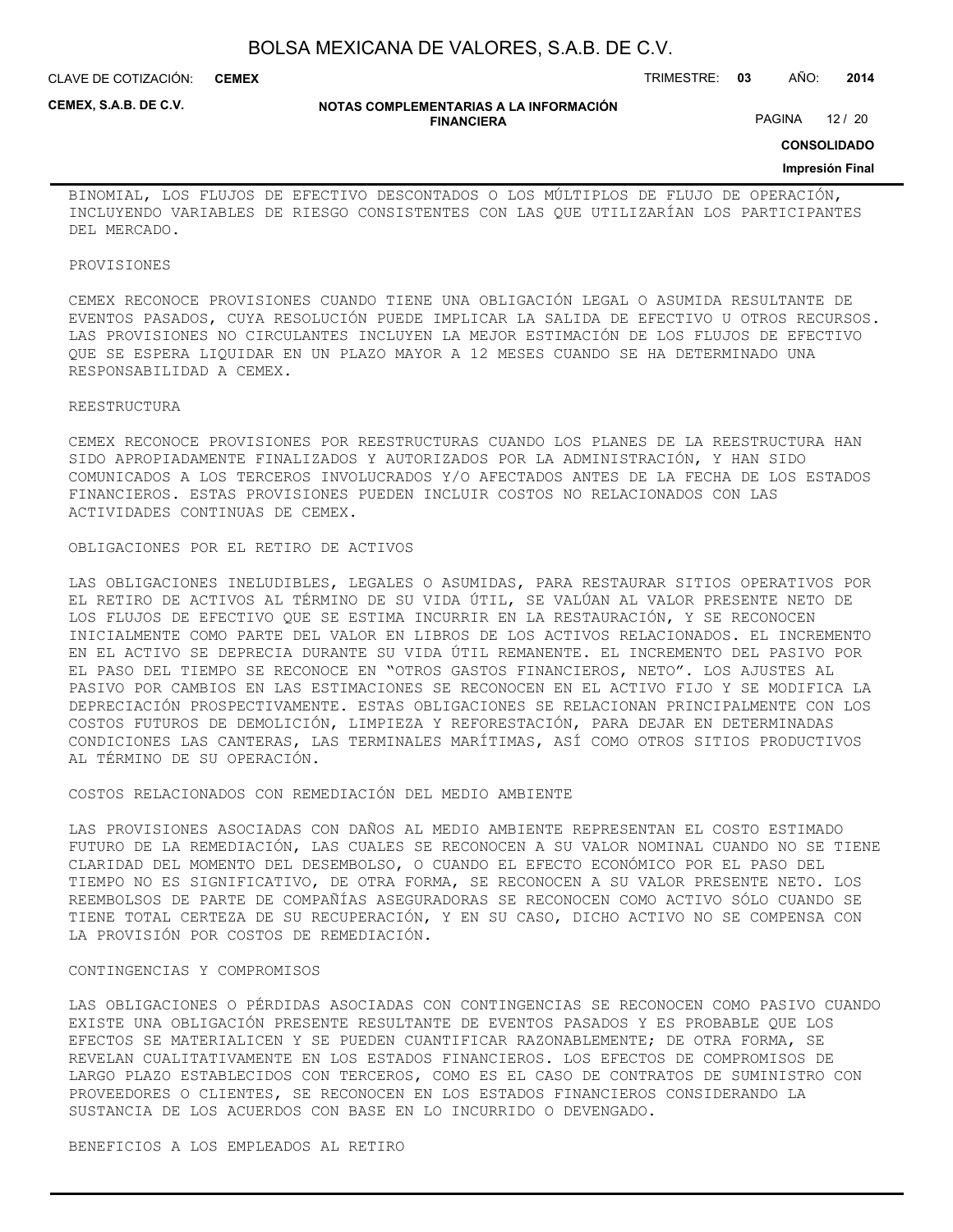CLAVE DE COTIZACIÓN: TRIMESTRE: **03** AÑO: **2014 CEMEX**

**CEMEX, S.A.B. DE C.V.**

#### **NOTAS COMPLEMENTARIAS A LA INFORMACIÓN FINANCIERA**

PAGINA 12 / 20

**CONSOLIDADO**

#### **Impresión Final**

BINOMIAL, LOS FLUJOS DE EFECTIVO DESCONTADOS O LOS MÚLTIPLOS DE FLUJO DE OPERACIÓN, INCLUYENDO VARIABLES DE RIESGO CONSISTENTES CON LAS QUE UTILIZARÍAN LOS PARTICIPANTES DEL MERCADO.

#### PROVISIONES

CEMEX RECONOCE PROVISIONES CUANDO TIENE UNA OBLIGACIÓN LEGAL O ASUMIDA RESULTANTE DE EVENTOS PASADOS, CUYA RESOLUCIÓN PUEDE IMPLICAR LA SALIDA DE EFECTIVO U OTROS RECURSOS. LAS PROVISIONES NO CIRCULANTES INCLUYEN LA MEJOR ESTIMACIÓN DE LOS FLUJOS DE EFECTIVO QUE SE ESPERA LIQUIDAR EN UN PLAZO MAYOR A 12 MESES CUANDO SE HA DETERMINADO UNA RESPONSABILIDAD A CEMEX.

#### REESTRUCTURA

CEMEX RECONOCE PROVISIONES POR REESTRUCTURAS CUANDO LOS PLANES DE LA REESTRUCTURA HAN SIDO APROPIADAMENTE FINALIZADOS Y AUTORIZADOS POR LA ADMINISTRACIÓN, Y HAN SIDO COMUNICADOS A LOS TERCEROS INVOLUCRADOS Y/O AFECTADOS ANTES DE LA FECHA DE LOS ESTADOS FINANCIEROS. ESTAS PROVISIONES PUEDEN INCLUIR COSTOS NO RELACIONADOS CON LAS ACTIVIDADES CONTINUAS DE CEMEX.

#### OBLIGACIONES POR EL RETIRO DE ACTIVOS

LAS OBLIGACIONES INELUDIBLES, LEGALES O ASUMIDAS, PARA RESTAURAR SITIOS OPERATIVOS POR EL RETIRO DE ACTIVOS AL TÉRMINO DE SU VIDA ÚTIL, SE VALÚAN AL VALOR PRESENTE NETO DE LOS FLUJOS DE EFECTIVO QUE SE ESTIMA INCURRIR EN LA RESTAURACIÓN, Y SE RECONOCEN INICIALMENTE COMO PARTE DEL VALOR EN LIBROS DE LOS ACTIVOS RELACIONADOS. EL INCREMENTO EN EL ACTIVO SE DEPRECIA DURANTE SU VIDA ÚTIL REMANENTE. EL INCREMENTO DEL PASIVO POR EL PASO DEL TIEMPO SE RECONOCE EN "OTROS GASTOS FINANCIEROS, NETO". LOS AJUSTES AL PASIVO POR CAMBIOS EN LAS ESTIMACIONES SE RECONOCEN EN EL ACTIVO FIJO Y SE MODIFICA LA DEPRECIACIÓN PROSPECTIVAMENTE. ESTAS OBLIGACIONES SE RELACIONAN PRINCIPALMENTE CON LOS COSTOS FUTUROS DE DEMOLICIÓN, LIMPIEZA Y REFORESTACIÓN, PARA DEJAR EN DETERMINADAS CONDICIONES LAS CANTERAS, LAS TERMINALES MARÍTIMAS, ASÍ COMO OTROS SITIOS PRODUCTIVOS AL TÉRMINO DE SU OPERACIÓN.

#### COSTOS RELACIONADOS CON REMEDIACIÓN DEL MEDIO AMBIENTE

LAS PROVISIONES ASOCIADAS CON DAÑOS AL MEDIO AMBIENTE REPRESENTAN EL COSTO ESTIMADO FUTURO DE LA REMEDIACIÓN, LAS CUALES SE RECONOCEN A SU VALOR NOMINAL CUANDO NO SE TIENE CLARIDAD DEL MOMENTO DEL DESEMBOLSO, O CUANDO EL EFECTO ECONÓMICO POR EL PASO DEL TIEMPO NO ES SIGNIFICATIVO, DE OTRA FORMA, SE RECONOCEN A SU VALOR PRESENTE NETO. LOS REEMBOLSOS DE PARTE DE COMPAÑÍAS ASEGURADORAS SE RECONOCEN COMO ACTIVO SÓLO CUANDO SE TIENE TOTAL CERTEZA DE SU RECUPERACIÓN, Y EN SU CASO, DICHO ACTIVO NO SE COMPENSA CON LA PROVISIÓN POR COSTOS DE REMEDIACIÓN.

#### CONTINGENCIAS Y COMPROMISOS

LAS OBLIGACIONES O PÉRDIDAS ASOCIADAS CON CONTINGENCIAS SE RECONOCEN COMO PASIVO CUANDO EXISTE UNA OBLIGACIÓN PRESENTE RESULTANTE DE EVENTOS PASADOS Y ES PROBABLE QUE LOS EFECTOS SE MATERIALICEN Y SE PUEDEN CUANTIFICAR RAZONABLEMENTE; DE OTRA FORMA, SE REVELAN CUALITATIVAMENTE EN LOS ESTADOS FINANCIEROS. LOS EFECTOS DE COMPROMISOS DE LARGO PLAZO ESTABLECIDOS CON TERCEROS, COMO ES EL CASO DE CONTRATOS DE SUMINISTRO CON PROVEEDORES O CLIENTES, SE RECONOCEN EN LOS ESTADOS FINANCIEROS CONSIDERANDO LA SUSTANCIA DE LOS ACUERDOS CON BASE EN LO INCURRIDO O DEVENGADO.

#### BENEFICIOS A LOS EMPLEADOS AL RETIRO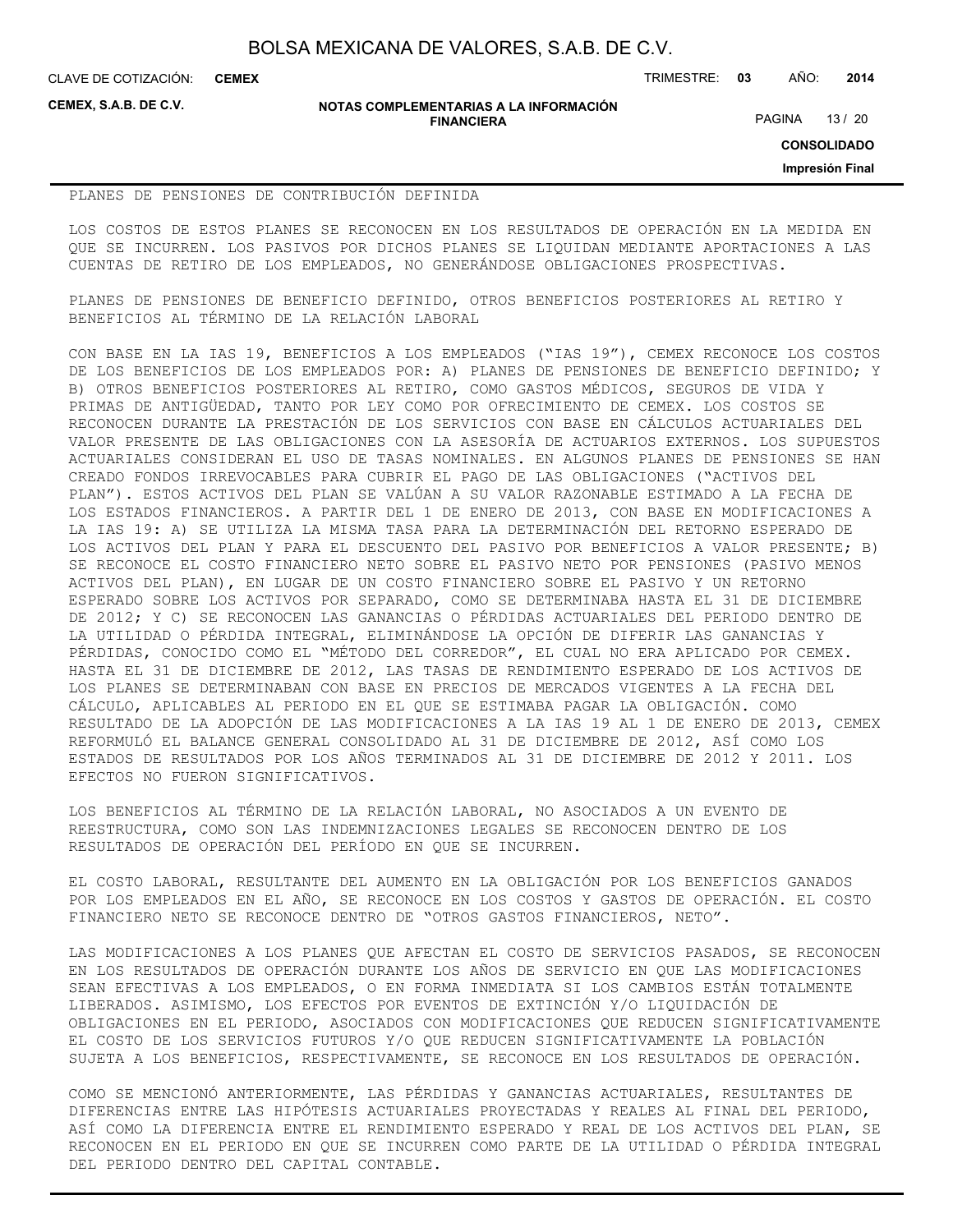**CEMEX**

CLAVE DE COTIZACIÓN: TRIMESTRE: **03** AÑO: **2014**

**CEMEX, S.A.B. DE C.V.**

#### **NOTAS COMPLEMENTARIAS A LA INFORMACIÓN FINANCIERA**

PAGINA 13 / 20

**CONSOLIDADO**

**Impresión Final**

#### PLANES DE PENSIONES DE CONTRIBUCIÓN DEFINIDA

LOS COSTOS DE ESTOS PLANES SE RECONOCEN EN LOS RESULTADOS DE OPERACIÓN EN LA MEDIDA EN QUE SE INCURREN. LOS PASIVOS POR DICHOS PLANES SE LIQUIDAN MEDIANTE APORTACIONES A LAS CUENTAS DE RETIRO DE LOS EMPLEADOS, NO GENERÁNDOSE OBLIGACIONES PROSPECTIVAS.

PLANES DE PENSIONES DE BENEFICIO DEFINIDO, OTROS BENEFICIOS POSTERIORES AL RETIRO Y BENEFICIOS AL TÉRMINO DE LA RELACIÓN LABORAL

CON BASE EN LA IAS 19, BENEFICIOS A LOS EMPLEADOS ("IAS 19"), CEMEX RECONOCE LOS COSTOS DE LOS BENEFICIOS DE LOS EMPLEADOS POR: A) PLANES DE PENSIONES DE BENEFICIO DEFINIDO; Y B) OTROS BENEFICIOS POSTERIORES AL RETIRO, COMO GASTOS MÉDICOS, SEGUROS DE VIDA Y PRIMAS DE ANTIGÜEDAD, TANTO POR LEY COMO POR OFRECIMIENTO DE CEMEX. LOS COSTOS SE RECONOCEN DURANTE LA PRESTACIÓN DE LOS SERVICIOS CON BASE EN CÁLCULOS ACTUARIALES DEL VALOR PRESENTE DE LAS OBLIGACIONES CON LA ASESORÍA DE ACTUARIOS EXTERNOS. LOS SUPUESTOS ACTUARIALES CONSIDERAN EL USO DE TASAS NOMINALES. EN ALGUNOS PLANES DE PENSIONES SE HAN CREADO FONDOS IRREVOCABLES PARA CUBRIR EL PAGO DE LAS OBLIGACIONES ("ACTIVOS DEL PLAN"). ESTOS ACTIVOS DEL PLAN SE VALÚAN A SU VALOR RAZONABLE ESTIMADO A LA FECHA DE LOS ESTADOS FINANCIEROS. A PARTIR DEL 1 DE ENERO DE 2013, CON BASE EN MODIFICACIONES A LA IAS 19: A) SE UTILIZA LA MISMA TASA PARA LA DETERMINACIÓN DEL RETORNO ESPERADO DE LOS ACTIVOS DEL PLAN Y PARA EL DESCUENTO DEL PASIVO POR BENEFICIOS A VALOR PRESENTE; B) SE RECONOCE EL COSTO FINANCIERO NETO SOBRE EL PASIVO NETO POR PENSIONES (PASIVO MENOS ACTIVOS DEL PLAN), EN LUGAR DE UN COSTO FINANCIERO SOBRE EL PASIVO Y UN RETORNO ESPERADO SOBRE LOS ACTIVOS POR SEPARADO, COMO SE DETERMINABA HASTA EL 31 DE DICIEMBRE DE 2012; Y C) SE RECONOCEN LAS GANANCIAS O PÉRDIDAS ACTUARIALES DEL PERIODO DENTRO DE LA UTILIDAD O PÉRDIDA INTEGRAL, ELIMINÁNDOSE LA OPCIÓN DE DIFERIR LAS GANANCIAS Y PÉRDIDAS, CONOCIDO COMO EL "MÉTODO DEL CORREDOR", EL CUAL NO ERA APLICADO POR CEMEX. HASTA EL 31 DE DICIEMBRE DE 2012, LAS TASAS DE RENDIMIENTO ESPERADO DE LOS ACTIVOS DE LOS PLANES SE DETERMINABAN CON BASE EN PRECIOS DE MERCADOS VIGENTES A LA FECHA DEL CÁLCULO, APLICABLES AL PERIODO EN EL QUE SE ESTIMABA PAGAR LA OBLIGACIÓN. COMO RESULTADO DE LA ADOPCIÓN DE LAS MODIFICACIONES A LA IAS 19 AL 1 DE ENERO DE 2013, CEMEX REFORMULÓ EL BALANCE GENERAL CONSOLIDADO AL 31 DE DICIEMBRE DE 2012, ASÍ COMO LOS ESTADOS DE RESULTADOS POR LOS AÑOS TERMINADOS AL 31 DE DICIEMBRE DE 2012 Y 2011. LOS EFECTOS NO FUERON SIGNIFICATIVOS.

LOS BENEFICIOS AL TÉRMINO DE LA RELACIÓN LABORAL, NO ASOCIADOS A UN EVENTO DE REESTRUCTURA, COMO SON LAS INDEMNIZACIONES LEGALES SE RECONOCEN DENTRO DE LOS RESULTADOS DE OPERACIÓN DEL PERÍODO EN QUE SE INCURREN.

EL COSTO LABORAL, RESULTANTE DEL AUMENTO EN LA OBLIGACIÓN POR LOS BENEFICIOS GANADOS POR LOS EMPLEADOS EN EL AÑO, SE RECONOCE EN LOS COSTOS Y GASTOS DE OPERACIÓN. EL COSTO FINANCIERO NETO SE RECONOCE DENTRO DE "OTROS GASTOS FINANCIEROS, NETO".

LAS MODIFICACIONES A LOS PLANES QUE AFECTAN EL COSTO DE SERVICIOS PASADOS, SE RECONOCEN EN LOS RESULTADOS DE OPERACIÓN DURANTE LOS AÑOS DE SERVICIO EN QUE LAS MODIFICACIONES SEAN EFECTIVAS A LOS EMPLEADOS, O EN FORMA INMEDIATA SI LOS CAMBIOS ESTÁN TOTALMENTE LIBERADOS. ASIMISMO, LOS EFECTOS POR EVENTOS DE EXTINCIÓN Y/O LIQUIDACIÓN DE OBLIGACIONES EN EL PERIODO, ASOCIADOS CON MODIFICACIONES QUE REDUCEN SIGNIFICATIVAMENTE EL COSTO DE LOS SERVICIOS FUTUROS Y/O QUE REDUCEN SIGNIFICATIVAMENTE LA POBLACIÓN SUJETA A LOS BENEFICIOS, RESPECTIVAMENTE, SE RECONOCE EN LOS RESULTADOS DE OPERACIÓN.

COMO SE MENCIONÓ ANTERIORMENTE, LAS PÉRDIDAS Y GANANCIAS ACTUARIALES, RESULTANTES DE DIFERENCIAS ENTRE LAS HIPÓTESIS ACTUARIALES PROYECTADAS Y REALES AL FINAL DEL PERIODO, ASÍ COMO LA DIFERENCIA ENTRE EL RENDIMIENTO ESPERADO Y REAL DE LOS ACTIVOS DEL PLAN, SE RECONOCEN EN EL PERIODO EN QUE SE INCURREN COMO PARTE DE LA UTILIDAD O PÉRDIDA INTEGRAL DEL PERIODO DENTRO DEL CAPITAL CONTABLE.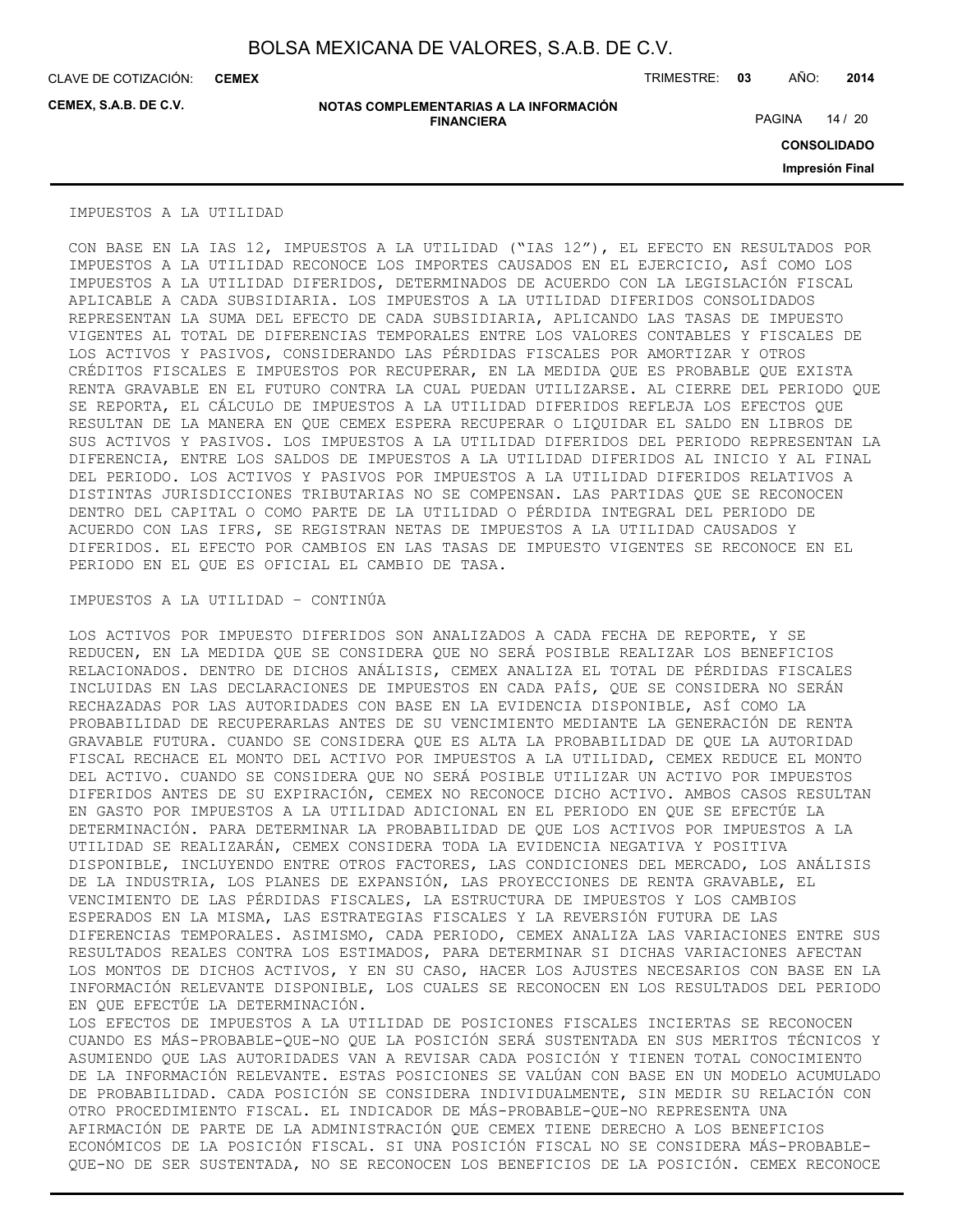CLAVE DE COTIZACIÓN: TRIMESTRE: **03** AÑO: **2014 CEMEX**

**CEMEX, S.A.B. DE C.V.**

**NOTAS COMPLEMENTARIAS A LA INFORMACIÓN FINANCIERA**

PAGINA 14 / 20

**CONSOLIDADO**

**Impresión Final**

#### IMPUESTOS A LA UTILIDAD

CON BASE EN LA IAS 12, IMPUESTOS A LA UTILIDAD ("IAS 12"), EL EFECTO EN RESULTADOS POR IMPUESTOS A LA UTILIDAD RECONOCE LOS IMPORTES CAUSADOS EN EL EJERCICIO, ASÍ COMO LOS IMPUESTOS A LA UTILIDAD DIFERIDOS, DETERMINADOS DE ACUERDO CON LA LEGISLACIÓN FISCAL APLICABLE A CADA SUBSIDIARIA. LOS IMPUESTOS A LA UTILIDAD DIFERIDOS CONSOLIDADOS REPRESENTAN LA SUMA DEL EFECTO DE CADA SUBSIDIARIA, APLICANDO LAS TASAS DE IMPUESTO VIGENTES AL TOTAL DE DIFERENCIAS TEMPORALES ENTRE LOS VALORES CONTABLES Y FISCALES DE LOS ACTIVOS Y PASIVOS, CONSIDERANDO LAS PÉRDIDAS FISCALES POR AMORTIZAR Y OTROS CRÉDITOS FISCALES E IMPUESTOS POR RECUPERAR, EN LA MEDIDA QUE ES PROBABLE QUE EXISTA RENTA GRAVABLE EN EL FUTURO CONTRA LA CUAL PUEDAN UTILIZARSE. AL CIERRE DEL PERIODO QUE SE REPORTA, EL CÁLCULO DE IMPUESTOS A LA UTILIDAD DIFERIDOS REFLEJA LOS EFECTOS QUE RESULTAN DE LA MANERA EN QUE CEMEX ESPERA RECUPERAR O LIQUIDAR EL SALDO EN LIBROS DE SUS ACTIVOS Y PASIVOS. LOS IMPUESTOS A LA UTILIDAD DIFERIDOS DEL PERIODO REPRESENTAN LA DIFERENCIA, ENTRE LOS SALDOS DE IMPUESTOS A LA UTILIDAD DIFERIDOS AL INICIO Y AL FINAL DEL PERIODO. LOS ACTIVOS Y PASIVOS POR IMPUESTOS A LA UTILIDAD DIFERIDOS RELATIVOS A DISTINTAS JURISDICCIONES TRIBUTARIAS NO SE COMPENSAN. LAS PARTIDAS QUE SE RECONOCEN DENTRO DEL CAPITAL O COMO PARTE DE LA UTILIDAD O PÉRDIDA INTEGRAL DEL PERIODO DE ACUERDO CON LAS IFRS, SE REGISTRAN NETAS DE IMPUESTOS A LA UTILIDAD CAUSADOS Y DIFERIDOS. EL EFECTO POR CAMBIOS EN LAS TASAS DE IMPUESTO VIGENTES SE RECONOCE EN EL PERIODO EN EL QUE ES OFICIAL EL CAMBIO DE TASA.

#### IMPUESTOS A LA UTILIDAD – CONTINÚA

LOS ACTIVOS POR IMPUESTO DIFERIDOS SON ANALIZADOS A CADA FECHA DE REPORTE, Y SE REDUCEN, EN LA MEDIDA QUE SE CONSIDERA QUE NO SERÁ POSIBLE REALIZAR LOS BENEFICIOS RELACIONADOS. DENTRO DE DICHOS ANÁLISIS, CEMEX ANALIZA EL TOTAL DE PÉRDIDAS FISCALES INCLUIDAS EN LAS DECLARACIONES DE IMPUESTOS EN CADA PAÍS, QUE SE CONSIDERA NO SERÁN RECHAZADAS POR LAS AUTORIDADES CON BASE EN LA EVIDENCIA DISPONIBLE, ASÍ COMO LA PROBABILIDAD DE RECUPERARLAS ANTES DE SU VENCIMIENTO MEDIANTE LA GENERACIÓN DE RENTA GRAVABLE FUTURA. CUANDO SE CONSIDERA QUE ES ALTA LA PROBABILIDAD DE QUE LA AUTORIDAD FISCAL RECHACE EL MONTO DEL ACTIVO POR IMPUESTOS A LA UTILIDAD, CEMEX REDUCE EL MONTO DEL ACTIVO. CUANDO SE CONSIDERA QUE NO SERÁ POSIBLE UTILIZAR UN ACTIVO POR IMPUESTOS DIFERIDOS ANTES DE SU EXPIRACIÓN, CEMEX NO RECONOCE DICHO ACTIVO. AMBOS CASOS RESULTAN EN GASTO POR IMPUESTOS A LA UTILIDAD ADICIONAL EN EL PERIODO EN QUE SE EFECTÚE LA DETERMINACIÓN. PARA DETERMINAR LA PROBABILIDAD DE QUE LOS ACTIVOS POR IMPUESTOS A LA UTILIDAD SE REALIZARÁN, CEMEX CONSIDERA TODA LA EVIDENCIA NEGATIVA Y POSITIVA DISPONIBLE, INCLUYENDO ENTRE OTROS FACTORES, LAS CONDICIONES DEL MERCADO, LOS ANÁLISIS DE LA INDUSTRIA, LOS PLANES DE EXPANSIÓN, LAS PROYECCIONES DE RENTA GRAVABLE, EL VENCIMIENTO DE LAS PÉRDIDAS FISCALES, LA ESTRUCTURA DE IMPUESTOS Y LOS CAMBIOS ESPERADOS EN LA MISMA, LAS ESTRATEGIAS FISCALES Y LA REVERSIÓN FUTURA DE LAS DIFERENCIAS TEMPORALES. ASIMISMO, CADA PERIODO, CEMEX ANALIZA LAS VARIACIONES ENTRE SUS RESULTADOS REALES CONTRA LOS ESTIMADOS, PARA DETERMINAR SI DICHAS VARIACIONES AFECTAN LOS MONTOS DE DICHOS ACTIVOS, Y EN SU CASO, HACER LOS AJUSTES NECESARIOS CON BASE EN LA INFORMACIÓN RELEVANTE DISPONIBLE, LOS CUALES SE RECONOCEN EN LOS RESULTADOS DEL PERIODO EN QUE EFECTÚE LA DETERMINACIÓN. LOS EFECTOS DE IMPUESTOS A LA UTILIDAD DE POSICIONES FISCALES INCIERTAS SE RECONOCEN

CUANDO ES MÁS-PROBABLE-QUE-NO QUE LA POSICIÓN SERÁ SUSTENTADA EN SUS MERITOS TÉCNICOS Y ASUMIENDO QUE LAS AUTORIDADES VAN A REVISAR CADA POSICIÓN Y TIENEN TOTAL CONOCIMIENTO DE LA INFORMACIÓN RELEVANTE. ESTAS POSICIONES SE VALÚAN CON BASE EN UN MODELO ACUMULADO DE PROBABILIDAD. CADA POSICIÓN SE CONSIDERA INDIVIDUALMENTE, SIN MEDIR SU RELACIÓN CON OTRO PROCEDIMIENTO FISCAL. EL INDICADOR DE MÁS-PROBABLE-QUE-NO REPRESENTA UNA AFIRMACIÓN DE PARTE DE LA ADMINISTRACIÓN QUE CEMEX TIENE DERECHO A LOS BENEFICIOS ECONÓMICOS DE LA POSICIÓN FISCAL. SI UNA POSICIÓN FISCAL NO SE CONSIDERA MÁS-PROBABLE-QUE-NO DE SER SUSTENTADA, NO SE RECONOCEN LOS BENEFICIOS DE LA POSICIÓN. CEMEX RECONOCE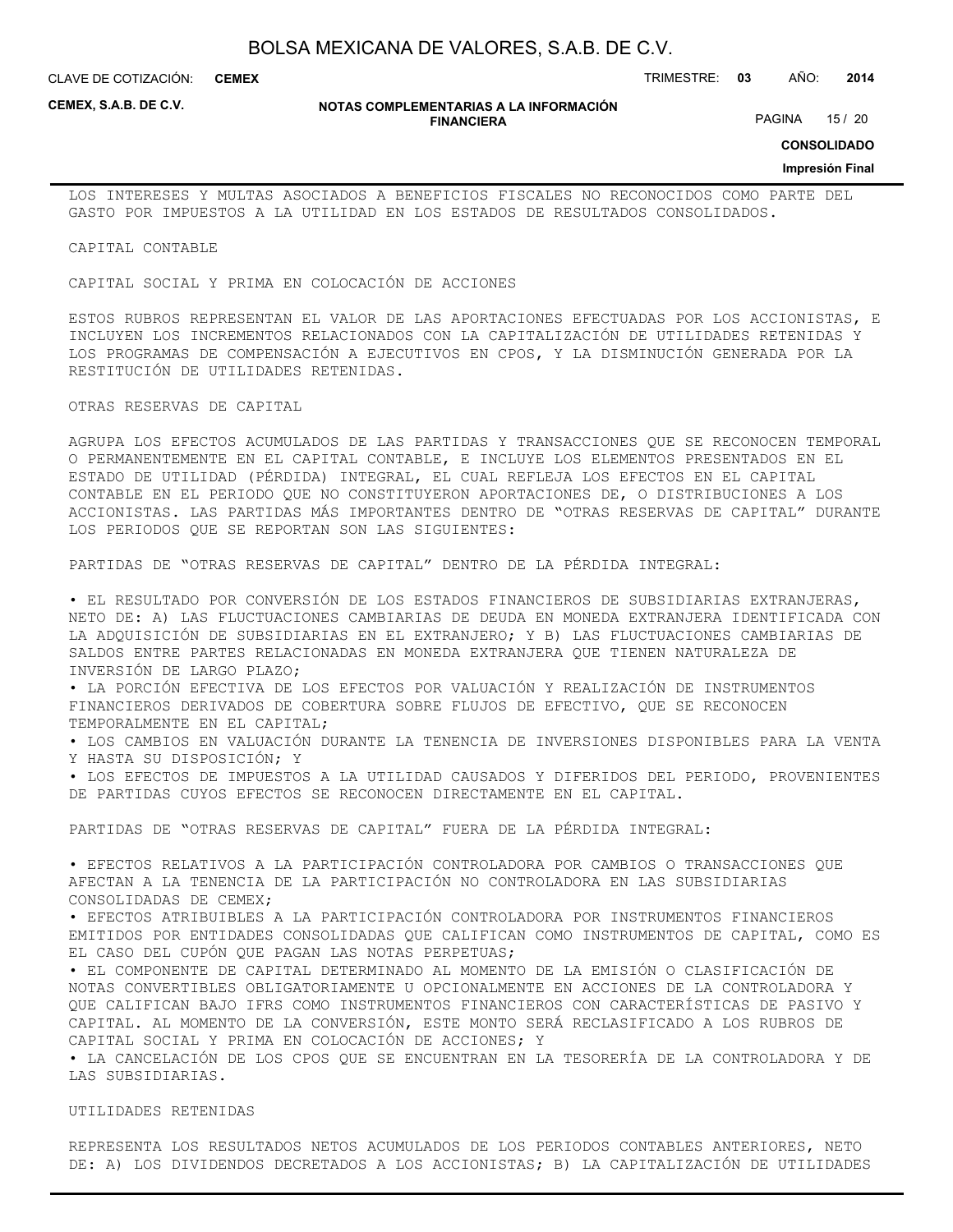CLAVE DE COTIZACIÓN: TRIMESTRE: **03** AÑO: **2014 CEMEX**

**CEMEX, S.A.B. DE C.V.**

#### **NOTAS COMPLEMENTARIAS A LA INFORMACIÓN FINANCIERA**

PAGINA 15 / 20

**CONSOLIDADO**

#### **Impresión Final**

LOS INTERESES Y MULTAS ASOCIADOS A BENEFICIOS FISCALES NO RECONOCIDOS COMO PARTE DEL GASTO POR IMPUESTOS A LA UTILIDAD EN LOS ESTADOS DE RESULTADOS CONSOLIDADOS.

CAPITAL CONTABLE

CAPITAL SOCIAL Y PRIMA EN COLOCACIÓN DE ACCIONES

ESTOS RUBROS REPRESENTAN EL VALOR DE LAS APORTACIONES EFECTUADAS POR LOS ACCIONISTAS, E INCLUYEN LOS INCREMENTOS RELACIONADOS CON LA CAPITALIZACIÓN DE UTILIDADES RETENIDAS Y LOS PROGRAMAS DE COMPENSACIÓN A EJECUTIVOS EN CPOS, Y LA DISMINUCIÓN GENERADA POR LA RESTITUCIÓN DE UTILIDADES RETENIDAS.

OTRAS RESERVAS DE CAPITAL

AGRUPA LOS EFECTOS ACUMULADOS DE LAS PARTIDAS Y TRANSACCIONES QUE SE RECONOCEN TEMPORAL O PERMANENTEMENTE EN EL CAPITAL CONTABLE, E INCLUYE LOS ELEMENTOS PRESENTADOS EN EL ESTADO DE UTILIDAD (PÉRDIDA) INTEGRAL, EL CUAL REFLEJA LOS EFECTOS EN EL CAPITAL CONTABLE EN EL PERIODO QUE NO CONSTITUYERON APORTACIONES DE, O DISTRIBUCIONES A LOS ACCIONISTAS. LAS PARTIDAS MÁS IMPORTANTES DENTRO DE "OTRAS RESERVAS DE CAPITAL" DURANTE LOS PERIODOS QUE SE REPORTAN SON LAS SIGUIENTES:

PARTIDAS DE "OTRAS RESERVAS DE CAPITAL" DENTRO DE LA PÉRDIDA INTEGRAL:

• EL RESULTADO POR CONVERSIÓN DE LOS ESTADOS FINANCIEROS DE SUBSIDIARIAS EXTRANJERAS, NETO DE: A) LAS FLUCTUACIONES CAMBIARIAS DE DEUDA EN MONEDA EXTRANJERA IDENTIFICADA CON LA ADQUISICIÓN DE SUBSIDIARIAS EN EL EXTRANJERO; Y B) LAS FLUCTUACIONES CAMBIARIAS DE SALDOS ENTRE PARTES RELACIONADAS EN MONEDA EXTRANJERA QUE TIENEN NATURALEZA DE INVERSIÓN DE LARGO PLAZO;

• LA PORCIÓN EFECTIVA DE LOS EFECTOS POR VALUACIÓN Y REALIZACIÓN DE INSTRUMENTOS FINANCIEROS DERIVADOS DE COBERTURA SOBRE FLUJOS DE EFECTIVO, QUE SE RECONOCEN TEMPORALMENTE EN EL CAPITAL;

• LOS CAMBIOS EN VALUACIÓN DURANTE LA TENENCIA DE INVERSIONES DISPONIBLES PARA LA VENTA Y HASTA SU DISPOSICIÓN; Y

• LOS EFECTOS DE IMPUESTOS A LA UTILIDAD CAUSADOS Y DIFERIDOS DEL PERIODO, PROVENIENTES DE PARTIDAS CUYOS EFECTOS SE RECONOCEN DIRECTAMENTE EN EL CAPITAL.

PARTIDAS DE "OTRAS RESERVAS DE CAPITAL" FUERA DE LA PÉRDIDA INTEGRAL:

• EFECTOS RELATIVOS A LA PARTICIPACIÓN CONTROLADORA POR CAMBIOS O TRANSACCIONES QUE AFECTAN A LA TENENCIA DE LA PARTICIPACIÓN NO CONTROLADORA EN LAS SUBSIDIARIAS CONSOLIDADAS DE CEMEX;

• EFECTOS ATRIBUIBLES A LA PARTICIPACIÓN CONTROLADORA POR INSTRUMENTOS FINANCIEROS EMITIDOS POR ENTIDADES CONSOLIDADAS QUE CALIFICAN COMO INSTRUMENTOS DE CAPITAL, COMO ES EL CASO DEL CUPÓN QUE PAGAN LAS NOTAS PERPETUAS;

• EL COMPONENTE DE CAPITAL DETERMINADO AL MOMENTO DE LA EMISIÓN O CLASIFICACIÓN DE NOTAS CONVERTIBLES OBLIGATORIAMENTE U OPCIONALMENTE EN ACCIONES DE LA CONTROLADORA Y QUE CALIFICAN BAJO IFRS COMO INSTRUMENTOS FINANCIEROS CON CARACTERÍSTICAS DE PASIVO Y CAPITAL. AL MOMENTO DE LA CONVERSIÓN, ESTE MONTO SERÁ RECLASIFICADO A LOS RUBROS DE CAPITAL SOCIAL Y PRIMA EN COLOCACIÓN DE ACCIONES; Y

• LA CANCELACIÓN DE LOS CPOS QUE SE ENCUENTRAN EN LA TESORERÍA DE LA CONTROLADORA Y DE LAS SUBSIDIARIAS.

UTILIDADES RETENIDAS

REPRESENTA LOS RESULTADOS NETOS ACUMULADOS DE LOS PERIODOS CONTABLES ANTERIORES, NETO DE: A) LOS DIVIDENDOS DECRETADOS A LOS ACCIONISTAS; B) LA CAPITALIZACIÓN DE UTILIDADES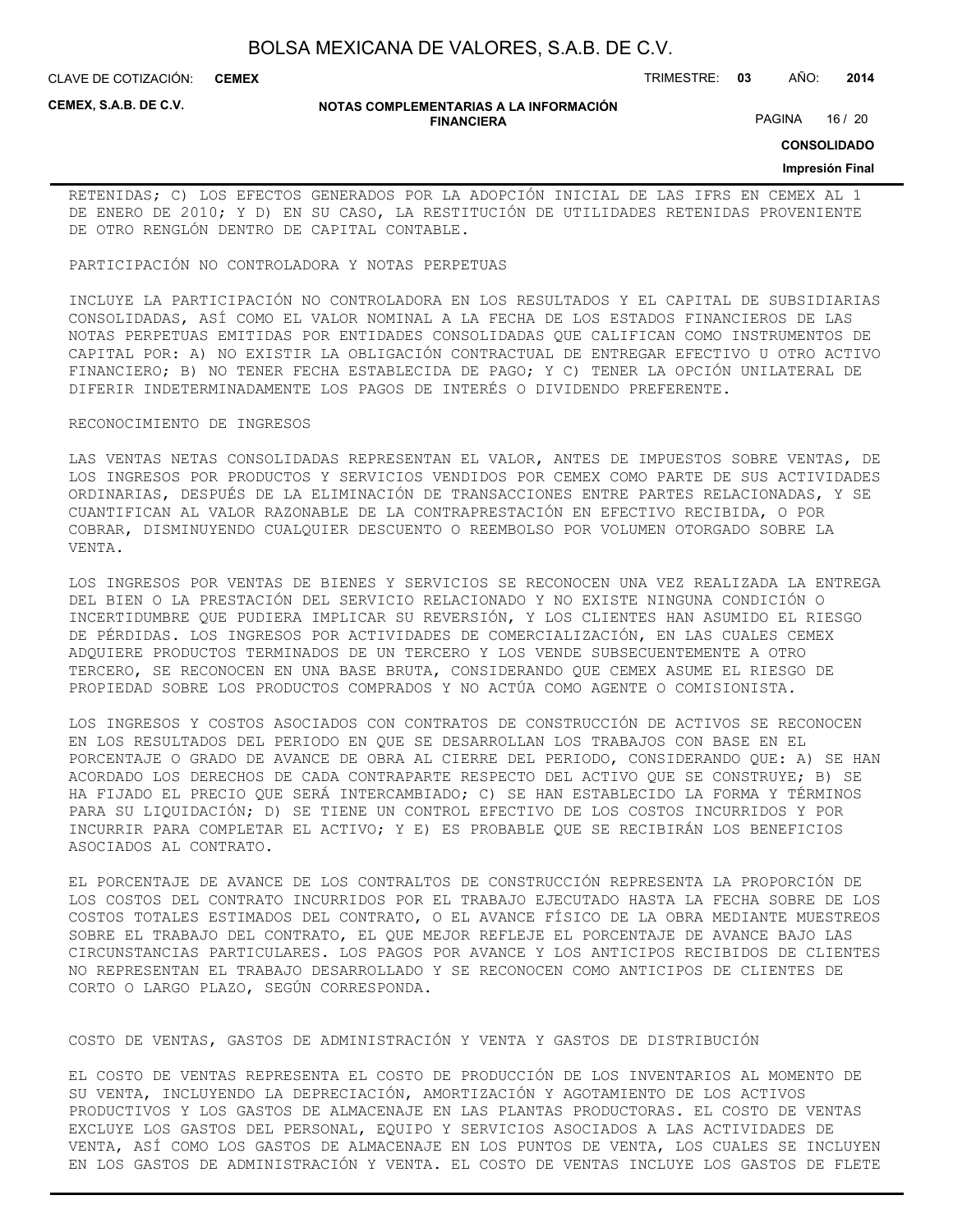CLAVE DE COTIZACIÓN: TRIMESTRE: **03** AÑO: **2014 CEMEX**

**CEMEX, S.A.B. DE C.V.**

#### **NOTAS COMPLEMENTARIAS A LA INFORMACIÓN FINANCIERA**

PAGINA 16 / 20

**CONSOLIDADO**

#### **Impresión Final**

RETENIDAS; C) LOS EFECTOS GENERADOS POR LA ADOPCIÓN INICIAL DE LAS IFRS EN CEMEX AL 1 DE ENERO DE 2010; Y D) EN SU CASO, LA RESTITUCIÓN DE UTILIDADES RETENIDAS PROVENIENTE DE OTRO RENGLÓN DENTRO DE CAPITAL CONTABLE.

#### PARTICIPACIÓN NO CONTROLADORA Y NOTAS PERPETUAS

INCLUYE LA PARTICIPACIÓN NO CONTROLADORA EN LOS RESULTADOS Y EL CAPITAL DE SUBSIDIARIAS CONSOLIDADAS, ASÍ COMO EL VALOR NOMINAL A LA FECHA DE LOS ESTADOS FINANCIEROS DE LAS NOTAS PERPETUAS EMITIDAS POR ENTIDADES CONSOLIDADAS QUE CALIFICAN COMO INSTRUMENTOS DE CAPITAL POR: A) NO EXISTIR LA OBLIGACIÓN CONTRACTUAL DE ENTREGAR EFECTIVO U OTRO ACTIVO FINANCIERO; B) NO TENER FECHA ESTABLECIDA DE PAGO; Y C) TENER LA OPCIÓN UNILATERAL DE DIFERIR INDETERMINADAMENTE LOS PAGOS DE INTERÉS O DIVIDENDO PREFERENTE.

#### RECONOCIMIENTO DE INGRESOS

LAS VENTAS NETAS CONSOLIDADAS REPRESENTAN EL VALOR, ANTES DE IMPUESTOS SOBRE VENTAS, DE LOS INGRESOS POR PRODUCTOS Y SERVICIOS VENDIDOS POR CEMEX COMO PARTE DE SUS ACTIVIDADES ORDINARIAS, DESPUÉS DE LA ELIMINACIÓN DE TRANSACCIONES ENTRE PARTES RELACIONADAS, Y SE CUANTIFICAN AL VALOR RAZONABLE DE LA CONTRAPRESTACIÓN EN EFECTIVO RECIBIDA, O POR COBRAR, DISMINUYENDO CUALQUIER DESCUENTO O REEMBOLSO POR VOLUMEN OTORGADO SOBRE LA VENTA.

LOS INGRESOS POR VENTAS DE BIENES Y SERVICIOS SE RECONOCEN UNA VEZ REALIZADA LA ENTREGA DEL BIEN O LA PRESTACIÓN DEL SERVICIO RELACIONADO Y NO EXISTE NINGUNA CONDICIÓN O INCERTIDUMBRE QUE PUDIERA IMPLICAR SU REVERSIÓN, Y LOS CLIENTES HAN ASUMIDO EL RIESGO DE PÉRDIDAS. LOS INGRESOS POR ACTIVIDADES DE COMERCIALIZACIÓN, EN LAS CUALES CEMEX ADQUIERE PRODUCTOS TERMINADOS DE UN TERCERO Y LOS VENDE SUBSECUENTEMENTE A OTRO TERCERO, SE RECONOCEN EN UNA BASE BRUTA, CONSIDERANDO QUE CEMEX ASUME EL RIESGO DE PROPIEDAD SOBRE LOS PRODUCTOS COMPRADOS Y NO ACTÚA COMO AGENTE O COMISIONISTA.

LOS INGRESOS Y COSTOS ASOCIADOS CON CONTRATOS DE CONSTRUCCIÓN DE ACTIVOS SE RECONOCEN EN LOS RESULTADOS DEL PERIODO EN QUE SE DESARROLLAN LOS TRABAJOS CON BASE EN EL PORCENTAJE O GRADO DE AVANCE DE OBRA AL CIERRE DEL PERIODO, CONSIDERANDO QUE: A) SE HAN ACORDADO LOS DERECHOS DE CADA CONTRAPARTE RESPECTO DEL ACTIVO QUE SE CONSTRUYE; B) SE HA FIJADO EL PRECIO QUE SERÁ INTERCAMBIADO; C) SE HAN ESTABLECIDO LA FORMA Y TÉRMINOS PARA SU LIQUIDACIÓN; D) SE TIENE UN CONTROL EFECTIVO DE LOS COSTOS INCURRIDOS Y POR INCURRIR PARA COMPLETAR EL ACTIVO; Y E) ES PROBABLE QUE SE RECIBIRÁN LOS BENEFICIOS ASOCIADOS AL CONTRATO.

EL PORCENTAJE DE AVANCE DE LOS CONTRALTOS DE CONSTRUCCIÓN REPRESENTA LA PROPORCIÓN DE LOS COSTOS DEL CONTRATO INCURRIDOS POR EL TRABAJO EJECUTADO HASTA LA FECHA SOBRE DE LOS COSTOS TOTALES ESTIMADOS DEL CONTRATO, O EL AVANCE FÍSICO DE LA OBRA MEDIANTE MUESTREOS SOBRE EL TRABAJO DEL CONTRATO, EL QUE MEJOR REFLEJE EL PORCENTAJE DE AVANCE BAJO LAS CIRCUNSTANCIAS PARTICULARES. LOS PAGOS POR AVANCE Y LOS ANTICIPOS RECIBIDOS DE CLIENTES NO REPRESENTAN EL TRABAJO DESARROLLADO Y SE RECONOCEN COMO ANTICIPOS DE CLIENTES DE CORTO O LARGO PLAZO, SEGÚN CORRESPONDA.

#### COSTO DE VENTAS, GASTOS DE ADMINISTRACIÓN Y VENTA Y GASTOS DE DISTRIBUCIÓN

EL COSTO DE VENTAS REPRESENTA EL COSTO DE PRODUCCIÓN DE LOS INVENTARIOS AL MOMENTO DE SU VENTA, INCLUYENDO LA DEPRECIACIÓN, AMORTIZACIÓN Y AGOTAMIENTO DE LOS ACTIVOS PRODUCTIVOS Y LOS GASTOS DE ALMACENAJE EN LAS PLANTAS PRODUCTORAS. EL COSTO DE VENTAS EXCLUYE LOS GASTOS DEL PERSONAL, EQUIPO Y SERVICIOS ASOCIADOS A LAS ACTIVIDADES DE VENTA, ASÍ COMO LOS GASTOS DE ALMACENAJE EN LOS PUNTOS DE VENTA, LOS CUALES SE INCLUYEN EN LOS GASTOS DE ADMINISTRACIÓN Y VENTA. EL COSTO DE VENTAS INCLUYE LOS GASTOS DE FLETE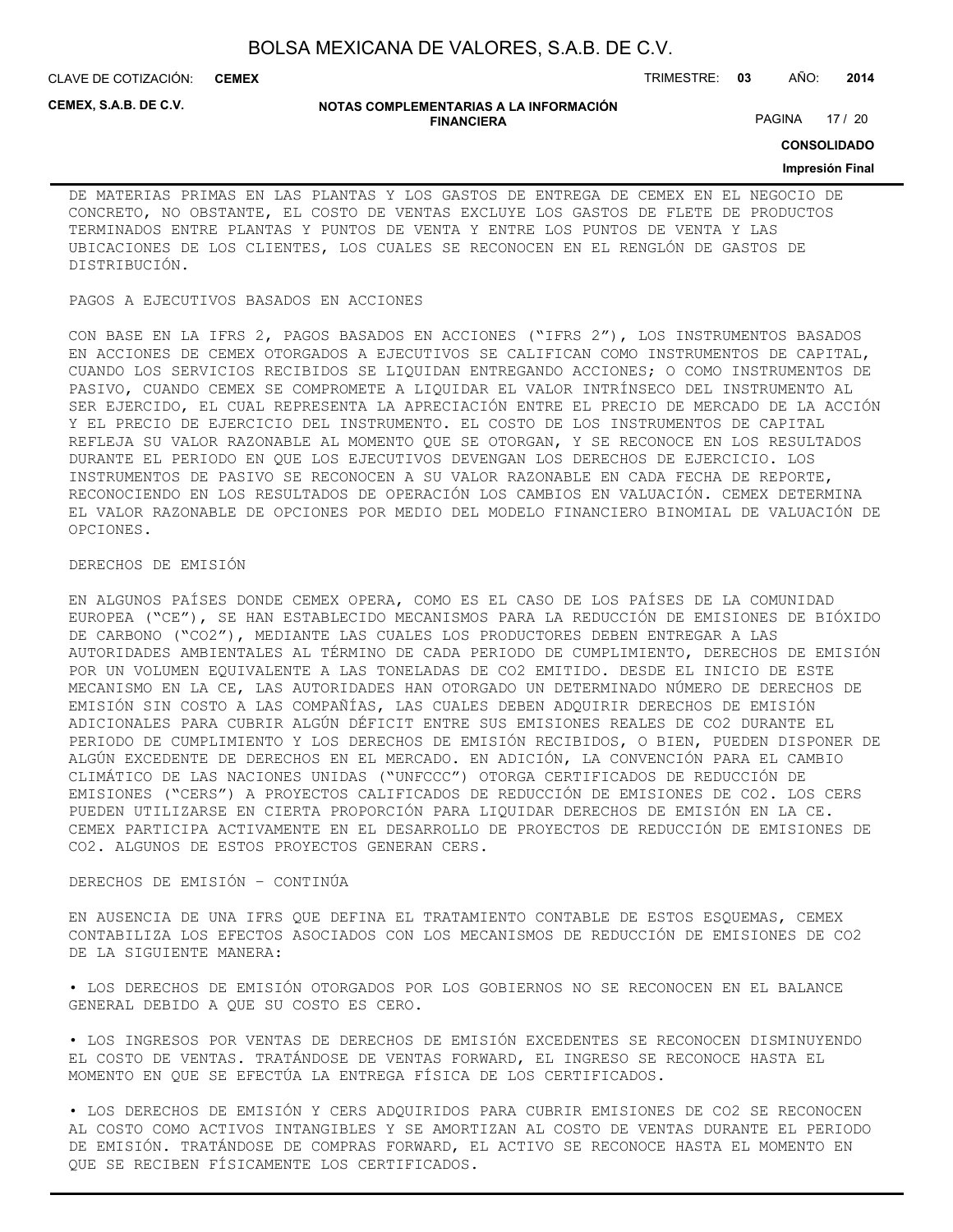CLAVE DE COTIZACIÓN: TRIMESTRE: **03** AÑO: **2014 CEMEX**

**CEMEX, S.A.B. DE C.V.**

#### **NOTAS COMPLEMENTARIAS A LA INFORMACIÓN FINANCIERA**

PAGINA 17 / 20

**CONSOLIDADO**

#### **Impresión Final**

DE MATERIAS PRIMAS EN LAS PLANTAS Y LOS GASTOS DE ENTREGA DE CEMEX EN EL NEGOCIO DE CONCRETO, NO OBSTANTE, EL COSTO DE VENTAS EXCLUYE LOS GASTOS DE FLETE DE PRODUCTOS TERMINADOS ENTRE PLANTAS Y PUNTOS DE VENTA Y ENTRE LOS PUNTOS DE VENTA Y LAS UBICACIONES DE LOS CLIENTES, LOS CUALES SE RECONOCEN EN EL RENGLÓN DE GASTOS DE DISTRIBUCIÓN.

#### PAGOS A EJECUTIVOS BASADOS EN ACCIONES

CON BASE EN LA IFRS 2, PAGOS BASADOS EN ACCIONES ("IFRS 2"), LOS INSTRUMENTOS BASADOS EN ACCIONES DE CEMEX OTORGADOS A EJECUTIVOS SE CALIFICAN COMO INSTRUMENTOS DE CAPITAL, CUANDO LOS SERVICIOS RECIBIDOS SE LIQUIDAN ENTREGANDO ACCIONES; O COMO INSTRUMENTOS DE PASIVO, CUANDO CEMEX SE COMPROMETE A LIQUIDAR EL VALOR INTRÍNSECO DEL INSTRUMENTO AL SER EJERCIDO, EL CUAL REPRESENTA LA APRECIACIÓN ENTRE EL PRECIO DE MERCADO DE LA ACCIÓN Y EL PRECIO DE EJERCICIO DEL INSTRUMENTO. EL COSTO DE LOS INSTRUMENTOS DE CAPITAL REFLEJA SU VALOR RAZONABLE AL MOMENTO QUE SE OTORGAN, Y SE RECONOCE EN LOS RESULTADOS DURANTE EL PERIODO EN QUE LOS EJECUTIVOS DEVENGAN LOS DERECHOS DE EJERCICIO. LOS INSTRUMENTOS DE PASIVO SE RECONOCEN A SU VALOR RAZONABLE EN CADA FECHA DE REPORTE, RECONOCIENDO EN LOS RESULTADOS DE OPERACIÓN LOS CAMBIOS EN VALUACIÓN. CEMEX DETERMINA EL VALOR RAZONABLE DE OPCIONES POR MEDIO DEL MODELO FINANCIERO BINOMIAL DE VALUACIÓN DE OPCIONES.

### DERECHOS DE EMISIÓN

EN ALGUNOS PAÍSES DONDE CEMEX OPERA, COMO ES EL CASO DE LOS PAÍSES DE LA COMUNIDAD EUROPEA ("CE"), SE HAN ESTABLECIDO MECANISMOS PARA LA REDUCCIÓN DE EMISIONES DE BIÓXIDO DE CARBONO ("CO2"), MEDIANTE LAS CUALES LOS PRODUCTORES DEBEN ENTREGAR A LAS AUTORIDADES AMBIENTALES AL TÉRMINO DE CADA PERIODO DE CUMPLIMIENTO, DERECHOS DE EMISIÓN POR UN VOLUMEN EQUIVALENTE A LAS TONELADAS DE CO2 EMITIDO. DESDE EL INICIO DE ESTE MECANISMO EN LA CE, LAS AUTORIDADES HAN OTORGADO UN DETERMINADO NÚMERO DE DERECHOS DE EMISIÓN SIN COSTO A LAS COMPAÑÍAS, LAS CUALES DEBEN ADQUIRIR DERECHOS DE EMISIÓN ADICIONALES PARA CUBRIR ALGÚN DÉFICIT ENTRE SUS EMISIONES REALES DE CO2 DURANTE EL PERIODO DE CUMPLIMIENTO Y LOS DERECHOS DE EMISIÓN RECIBIDOS, O BIEN, PUEDEN DISPONER DE ALGÚN EXCEDENTE DE DERECHOS EN EL MERCADO. EN ADICIÓN, LA CONVENCIÓN PARA EL CAMBIO CLIMÁTICO DE LAS NACIONES UNIDAS ("UNFCCC") OTORGA CERTIFICADOS DE REDUCCIÓN DE EMISIONES ("CERS") A PROYECTOS CALIFICADOS DE REDUCCIÓN DE EMISIONES DE CO2. LOS CERS PUEDEN UTILIZARSE EN CIERTA PROPORCIÓN PARA LIQUIDAR DERECHOS DE EMISIÓN EN LA CE. CEMEX PARTICIPA ACTIVAMENTE EN EL DESARROLLO DE PROYECTOS DE REDUCCIÓN DE EMISIONES DE CO2. ALGUNOS DE ESTOS PROYECTOS GENERAN CERS.

#### DERECHOS DE EMISIÓN – CONTINÚA

EN AUSENCIA DE UNA IFRS QUE DEFINA EL TRATAMIENTO CONTABLE DE ESTOS ESQUEMAS, CEMEX CONTABILIZA LOS EFECTOS ASOCIADOS CON LOS MECANISMOS DE REDUCCIÓN DE EMISIONES DE CO2 DE LA SIGUIENTE MANERA:

• LOS DERECHOS DE EMISIÓN OTORGADOS POR LOS GOBIERNOS NO SE RECONOCEN EN EL BALANCE GENERAL DEBIDO A QUE SU COSTO ES CERO.

• LOS INGRESOS POR VENTAS DE DERECHOS DE EMISIÓN EXCEDENTES SE RECONOCEN DISMINUYENDO EL COSTO DE VENTAS. TRATÁNDOSE DE VENTAS FORWARD, EL INGRESO SE RECONOCE HASTA EL MOMENTO EN QUE SE EFECTÚA LA ENTREGA FÍSICA DE LOS CERTIFICADOS.

• LOS DERECHOS DE EMISIÓN Y CERS ADQUIRIDOS PARA CUBRIR EMISIONES DE CO2 SE RECONOCEN AL COSTO COMO ACTIVOS INTANGIBLES Y SE AMORTIZAN AL COSTO DE VENTAS DURANTE EL PERIODO DE EMISIÓN. TRATÁNDOSE DE COMPRAS FORWARD, EL ACTIVO SE RECONOCE HASTA EL MOMENTO EN QUE SE RECIBEN FÍSICAMENTE LOS CERTIFICADOS.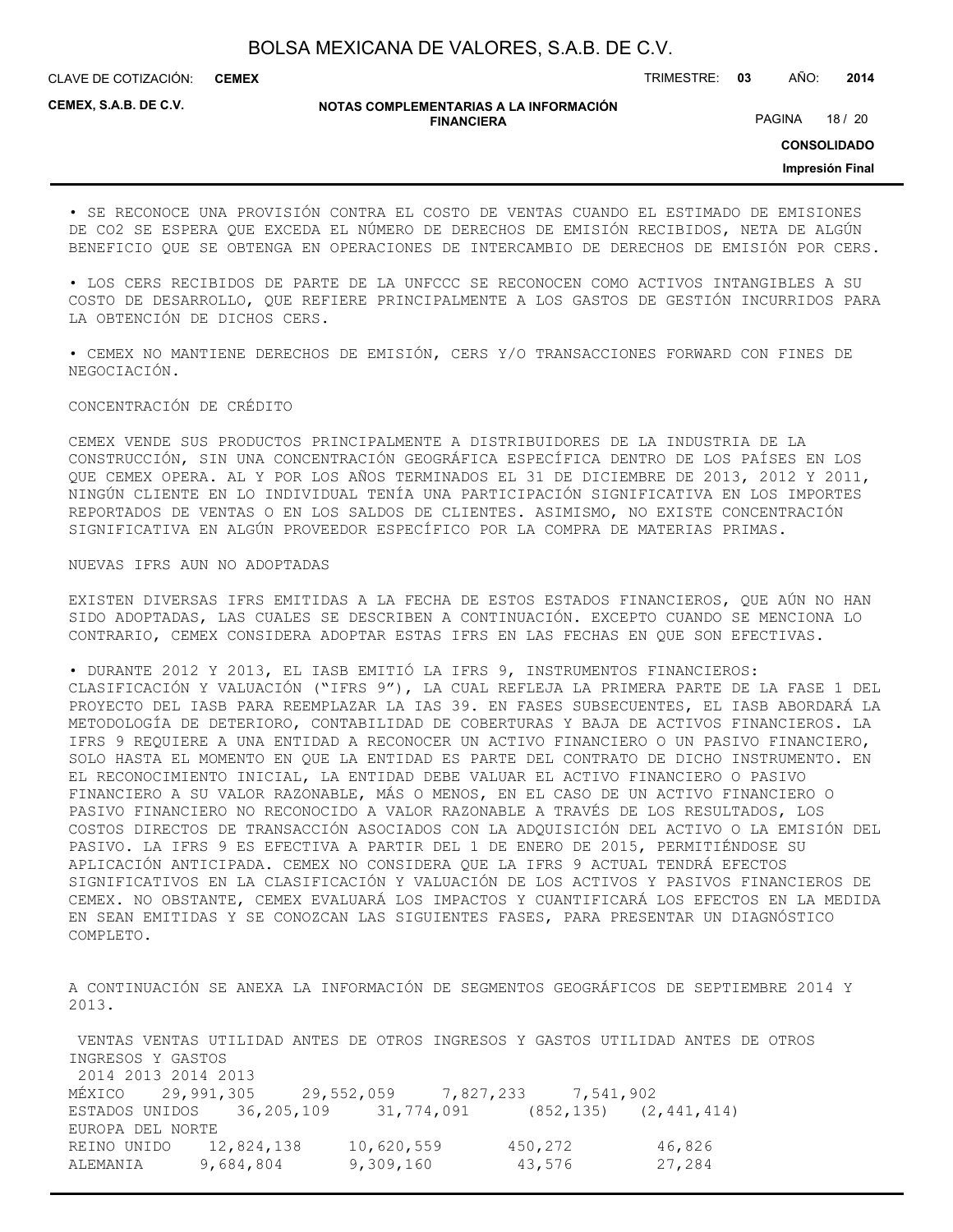CLAVE DE COTIZACIÓN: TRIMESTRE: **03** AÑO: **2014 CEMEX**

**CEMEX, S.A.B. DE C.V.**

#### **NOTAS COMPLEMENTARIAS A LA INFORMACIÓN FINANCIERA**

PAGINA 18 / 20

**CONSOLIDADO**

**Impresión Final**

• SE RECONOCE UNA PROVISIÓN CONTRA EL COSTO DE VENTAS CUANDO EL ESTIMADO DE EMISIONES DE CO2 SE ESPERA QUE EXCEDA EL NÚMERO DE DERECHOS DE EMISIÓN RECIBIDOS, NETA DE ALGÚN BENEFICIO QUE SE OBTENGA EN OPERACIONES DE INTERCAMBIO DE DERECHOS DE EMISIÓN POR CERS.

• LOS CERS RECIBIDOS DE PARTE DE LA UNFCCC SE RECONOCEN COMO ACTIVOS INTANGIBLES A SU COSTO DE DESARROLLO, QUE REFIERE PRINCIPALMENTE A LOS GASTOS DE GESTIÓN INCURRIDOS PARA LA OBTENCIÓN DE DICHOS CERS.

• CEMEX NO MANTIENE DERECHOS DE EMISIÓN, CERS Y/O TRANSACCIONES FORWARD CON FINES DE NEGOCIACIÓN.

#### CONCENTRACIÓN DE CRÉDITO

CEMEX VENDE SUS PRODUCTOS PRINCIPALMENTE A DISTRIBUIDORES DE LA INDUSTRIA DE LA CONSTRUCCIÓN, SIN UNA CONCENTRACIÓN GEOGRÁFICA ESPECÍFICA DENTRO DE LOS PAÍSES EN LOS QUE CEMEX OPERA. AL Y POR LOS AÑOS TERMINADOS EL 31 DE DICIEMBRE DE 2013, 2012 Y 2011, NINGÚN CLIENTE EN LO INDIVIDUAL TENÍA UNA PARTICIPACIÓN SIGNIFICATIVA EN LOS IMPORTES REPORTADOS DE VENTAS O EN LOS SALDOS DE CLIENTES. ASIMISMO, NO EXISTE CONCENTRACIÓN SIGNIFICATIVA EN ALGÚN PROVEEDOR ESPECÍFICO POR LA COMPRA DE MATERIAS PRIMAS.

#### NUEVAS IFRS AUN NO ADOPTADAS

EXISTEN DIVERSAS IFRS EMITIDAS A LA FECHA DE ESTOS ESTADOS FINANCIEROS, QUE AÚN NO HAN SIDO ADOPTADAS, LAS CUALES SE DESCRIBEN A CONTINUACIÓN. EXCEPTO CUANDO SE MENCIONA LO CONTRARIO, CEMEX CONSIDERA ADOPTAR ESTAS IFRS EN LAS FECHAS EN QUE SON EFECTIVAS.

• DURANTE 2012 Y 2013, EL IASB EMITIÓ LA IFRS 9, INSTRUMENTOS FINANCIEROS: CLASIFICACIÓN Y VALUACIÓN ("IFRS 9"), LA CUAL REFLEJA LA PRIMERA PARTE DE LA FASE 1 DEL PROYECTO DEL IASB PARA REEMPLAZAR LA IAS 39. EN FASES SUBSECUENTES, EL IASB ABORDARÁ LA METODOLOGÍA DE DETERIORO, CONTABILIDAD DE COBERTURAS Y BAJA DE ACTIVOS FINANCIEROS. LA IFRS 9 REQUIERE A UNA ENTIDAD A RECONOCER UN ACTIVO FINANCIERO O UN PASIVO FINANCIERO, SOLO HASTA EL MOMENTO EN QUE LA ENTIDAD ES PARTE DEL CONTRATO DE DICHO INSTRUMENTO. EN EL RECONOCIMIENTO INICIAL, LA ENTIDAD DEBE VALUAR EL ACTIVO FINANCIERO O PASIVO FINANCIERO A SU VALOR RAZONABLE, MÁS O MENOS, EN EL CASO DE UN ACTIVO FINANCIERO O PASIVO FINANCIERO NO RECONOCIDO A VALOR RAZONABLE A TRAVÉS DE LOS RESULTADOS, LOS COSTOS DIRECTOS DE TRANSACCIÓN ASOCIADOS CON LA ADQUISICIÓN DEL ACTIVO O LA EMISIÓN DEL PASIVO. LA IFRS 9 ES EFECTIVA A PARTIR DEL 1 DE ENERO DE 2015, PERMITIÉNDOSE SU APLICACIÓN ANTICIPADA. CEMEX NO CONSIDERA QUE LA IFRS 9 ACTUAL TENDRÁ EFECTOS SIGNIFICATIVOS EN LA CLASIFICACIÓN Y VALUACIÓN DE LOS ACTIVOS Y PASIVOS FINANCIEROS DE CEMEX. NO OBSTANTE, CEMEX EVALUARÁ LOS IMPACTOS Y CUANTIFICARÁ LOS EFECTOS EN LA MEDIDA EN SEAN EMITIDAS Y SE CONOZCAN LAS SIGUIENTES FASES, PARA PRESENTAR UN DIAGNÓSTICO COMPLETO.

A CONTINUACIÓN SE ANEXA LA INFORMACIÓN DE SEGMENTOS GEOGRÁFICOS DE SEPTIEMBRE 2014 Y 2013.

 VENTAS VENTAS UTILIDAD ANTES DE OTROS INGRESOS Y GASTOS UTILIDAD ANTES DE OTROS INGRESOS Y GASTOS 2014 2013 2014 2013 MÉXICO 29,991,305 29,552,059 7,827,233 7,541,902 ESTADOS UNIDOS 36,205,109 31,774,091 (852,135) (2,441,414) EUROPA DEL NORTE REINO UNIDO 12,824,138 10,620,559 450,272 46,826 ALEMANIA 9,684,804 9,309,160 43,576 27,284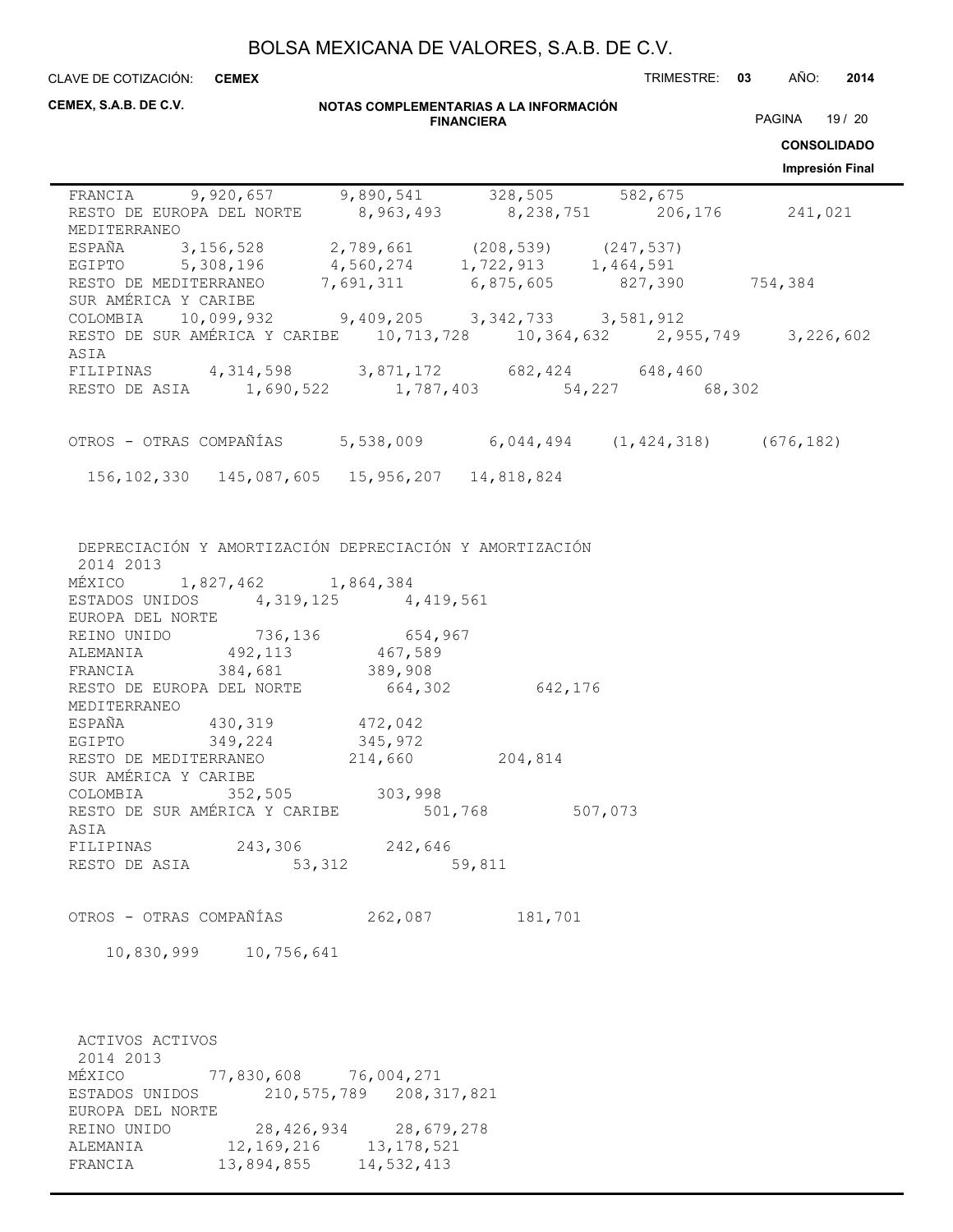CLAVE DE COTIZACIÓN: TRIMESTRE: **03** AÑO: **2014 CEMEX**

| CEMEX, S.A.B. DE C.V.                                                                                                                                                                                                                                                                                                                                                                                                          |            |                                                                                                                              | NOTAS COMPLEMENTARIAS A LA INFORMACIÓN<br><b>FINANCIERA</b> |         | PAGINA 19 / 20<br><b>CONSOLIDADO</b><br>Impresión Final |
|--------------------------------------------------------------------------------------------------------------------------------------------------------------------------------------------------------------------------------------------------------------------------------------------------------------------------------------------------------------------------------------------------------------------------------|------------|------------------------------------------------------------------------------------------------------------------------------|-------------------------------------------------------------|---------|---------------------------------------------------------|
| FRANCIA 9,920,657 9,890,541 328,505 582,675<br>RESTO DE EUROPA DEL NORTE 8,963,493 8,238,751 206,176 241,021<br>MEDITERRANEO                                                                                                                                                                                                                                                                                                   |            |                                                                                                                              |                                                             |         |                                                         |
| ESPAÑA 3,156,528 2,789,661 (208,539) (247,537)<br>EGIPTO 5,308,196 4,560,274 1,722,913 1,464,591<br>RESTO DE MEDITERRANEO 7,691,311 6,875,605 827,390 754,384<br>SUR AMÉRICA Y CARIBE                                                                                                                                                                                                                                          |            |                                                                                                                              |                                                             |         |                                                         |
| COLOMBIA 10,099,932 9,409,205 3,342,733 3,581,912<br>RESTO DE SUR AMÉRICA Y CARIBE 10,713,728 10,364,632 2,955,749 3,226,602<br>ASIA                                                                                                                                                                                                                                                                                           |            |                                                                                                                              |                                                             |         |                                                         |
| FILIPINAS 4,314,598 3,871,172 682,424 648,460<br>RESTO DE ASIA 1,690,522 1,787,403 54,227 68,302                                                                                                                                                                                                                                                                                                                               |            |                                                                                                                              |                                                             |         |                                                         |
| OTROS - OTRAS COMPAÑÍAS 5,538,009 6,044,494 (1,424,318) (676,182)                                                                                                                                                                                                                                                                                                                                                              |            |                                                                                                                              |                                                             |         |                                                         |
| 156, 102, 330 145, 087, 605 15, 956, 207 14, 818, 824                                                                                                                                                                                                                                                                                                                                                                          |            |                                                                                                                              |                                                             |         |                                                         |
| MÉXICO 1,827,462 1,864,384<br>ESTADOS UNIDOS 4,319,125 4,419,561<br>EUROPA DEL NORTE<br>REINO UNIDO 736,136 654,967<br>ALEMANIA 492,113 467,589<br>FRANCIA 384,681 389,908<br>RESTO DE EUROPA DEL NORTE 664,302 642,176<br>MEDITERRANEO<br>ESPAÑA 430,319 472,042<br>EGIPTO 349,224 345,972<br>RESTO DE MEDITERRANEO 214,660 204,814<br>SUR AMÉRICA Y CARIBE<br>COLOMBIA<br>RESTO DE SUR AMÉRICA Y CARIBE<br>ASIA<br>FILIPINAS | 352,505    | 303,998<br>243,306 242,646                                                                                                   | 501,768                                                     | 507,073 |                                                         |
| RESTO DE ASIA                                                                                                                                                                                                                                                                                                                                                                                                                  | 53,312     |                                                                                                                              | 59,811                                                      |         |                                                         |
| OTROS - OTRAS COMPAÑÍAS<br>10,830,999                                                                                                                                                                                                                                                                                                                                                                                          | 10,756,641 | 262,087                                                                                                                      | 181,701                                                     |         |                                                         |
| ACTIVOS ACTIVOS<br>2014 2013<br>MÉXICO<br>ESTADOS UNIDOS<br>EUROPA DEL NORTE<br>REINO UNIDO<br>ALEMANIA<br>FRANCIA                                                                                                                                                                                                                                                                                                             | 13,894,855 | 77,830,608 76,004,271<br>210, 575, 789 208, 317, 821<br>28, 426, 934 28, 679, 278<br>12, 169, 216 13, 178, 521<br>14,532,413 |                                                             |         |                                                         |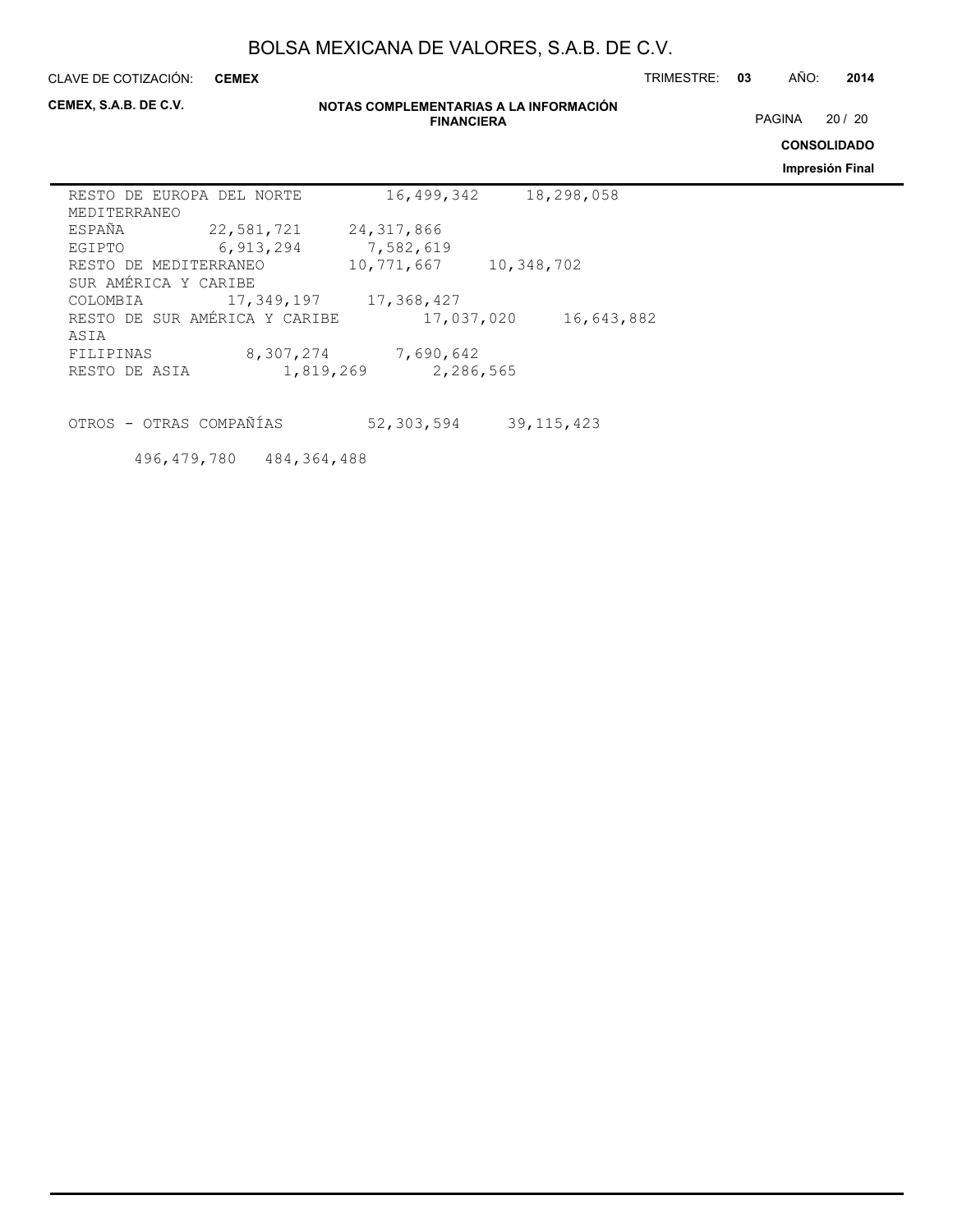**CEMEX**

CLAVE DE COTIZACIÓN: TRIMESTRE: **03** AÑO: **2014**

**CEMEX, S.A.B. DE C.V.**

#### **NOTAS COMPLEMENTARIAS A LA INFORMACIÓN FINANCIERA**

PAGINA 20 / 20

**CONSOLIDADO**

**Impresión Final**

| RESTO DE EUROPA DEL NORTE |                               | 16,499,342   | 18,298,058 |
|---------------------------|-------------------------------|--------------|------------|
| MEDITERRANEO              |                               |              |            |
| ESPAÑA                    | 22,581,721                    | 24, 317, 866 |            |
| EGIPTO                    | 6,913,294                     | 7,582,619    |            |
| RESTO DE MEDITERRANEO     |                               | 10,771,667   | 10,348,702 |
| SUR AMÉRICA Y CARIBE      |                               |              |            |
| COLOMBIA                  | 17,349,197                    | 17,368,427   |            |
|                           | RESTO DE SUR AMÉRICA Y CARIBE | 17,037,020   | 16,643,882 |
| ASIA                      |                               |              |            |
| FILIPINAS                 | 8,307,274                     | 7,690,642    |            |
| RESTO DE ASIA             | 1,819,269                     | 2,286,565    |            |
|                           |                               |              |            |

OTROS - OTRAS COMPAÑÍAS 52,303,594 39,115,423

496,479,780 484,364,488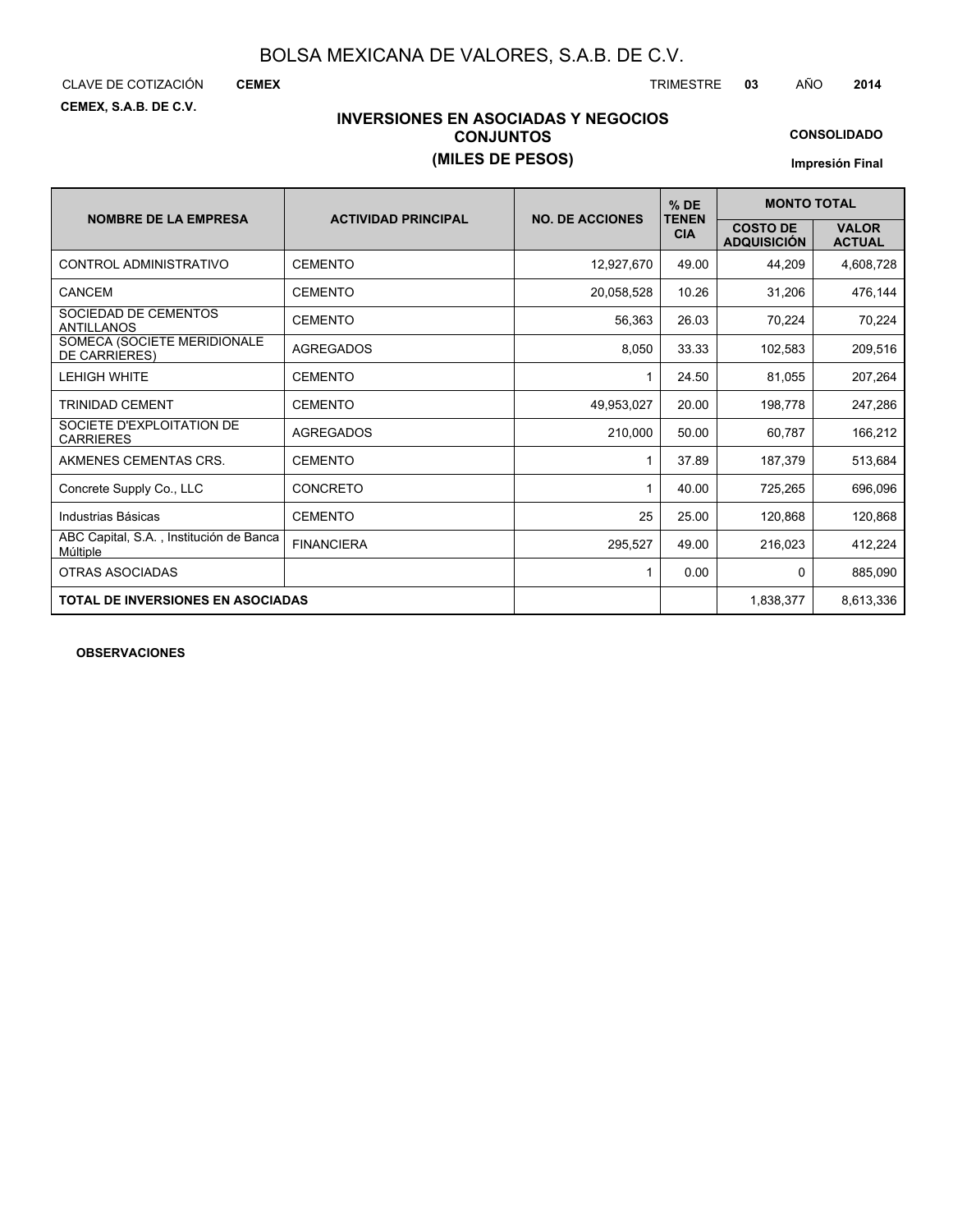CLAVE DE COTIZACIÓN TRIMESTRE **03** AÑO **2014**

**CEMEX**

**CEMEX, S.A.B. DE C.V.**

### **INVERSIONES EN ASOCIADAS Y NEGOCIOS CONJUNTOS (MILES DE PESOS)**

**CONSOLIDADO**

**Impresión Final**

|                                                     |                            | <b>NO. DE ACCIONES</b> | $%$ DE<br><b>TENEN</b> | <b>MONTO TOTAL</b>                    |                               |  |  |
|-----------------------------------------------------|----------------------------|------------------------|------------------------|---------------------------------------|-------------------------------|--|--|
| <b>NOMBRE DE LA EMPRESA</b>                         | <b>ACTIVIDAD PRINCIPAL</b> |                        | <b>CIA</b>             | <b>COSTO DE</b><br><b>ADQUISICIÓN</b> | <b>VALOR</b><br><b>ACTUAL</b> |  |  |
| CONTROL ADMINISTRATIVO                              | <b>CEMENTO</b>             | 12,927,670             | 49.00                  | 44,209                                | 4,608,728                     |  |  |
| CANCEM                                              | <b>CEMENTO</b>             | 20,058,528             | 10.26                  | 31,206                                | 476,144                       |  |  |
| SOCIEDAD DE CEMENTOS<br>ANTILLANOS                  | <b>CEMENTO</b>             | 56.363                 | 26.03                  | 70,224                                | 70.224                        |  |  |
| SOMECA (SOCIETE MERIDIONALE<br>DE CARRIERES)        | <b>AGREGADOS</b>           | 8,050                  | 33.33                  | 102,583                               | 209,516                       |  |  |
| <b>LEHIGH WHITE</b>                                 | <b>CEMENTO</b>             | 1                      | 24.50                  | 81,055                                | 207,264                       |  |  |
| <b>TRINIDAD CEMENT</b>                              | <b>CEMENTO</b>             | 49,953,027             | 20.00                  | 198,778                               | 247,286                       |  |  |
| SOCIETE D'EXPLOITATION DE<br><b>CARRIERES</b>       | AGREGADOS                  | 210,000                | 50.00                  | 60,787                                | 166,212                       |  |  |
| AKMENES CEMENTAS CRS.                               | <b>CEMENTO</b>             | 1                      | 37.89                  | 187,379                               | 513,684                       |  |  |
| Concrete Supply Co., LLC                            | CONCRETO                   | 1                      | 40.00                  | 725,265                               | 696,096                       |  |  |
| Industrias Básicas                                  | <b>CEMENTO</b>             | 25                     | 25.00                  | 120,868                               | 120,868                       |  |  |
| ABC Capital, S.A., Institución de Banca<br>Múltiple | <b>FINANCIERA</b>          | 295,527                | 49.00                  | 216,023                               | 412,224                       |  |  |
| OTRAS ASOCIADAS                                     |                            | 1                      | 0.00                   | $\Omega$                              | 885,090                       |  |  |
| <b>TOTAL DE INVERSIONES EN ASOCIADAS</b>            |                            |                        |                        | 1,838,377                             | 8,613,336                     |  |  |

**OBSERVACIONES**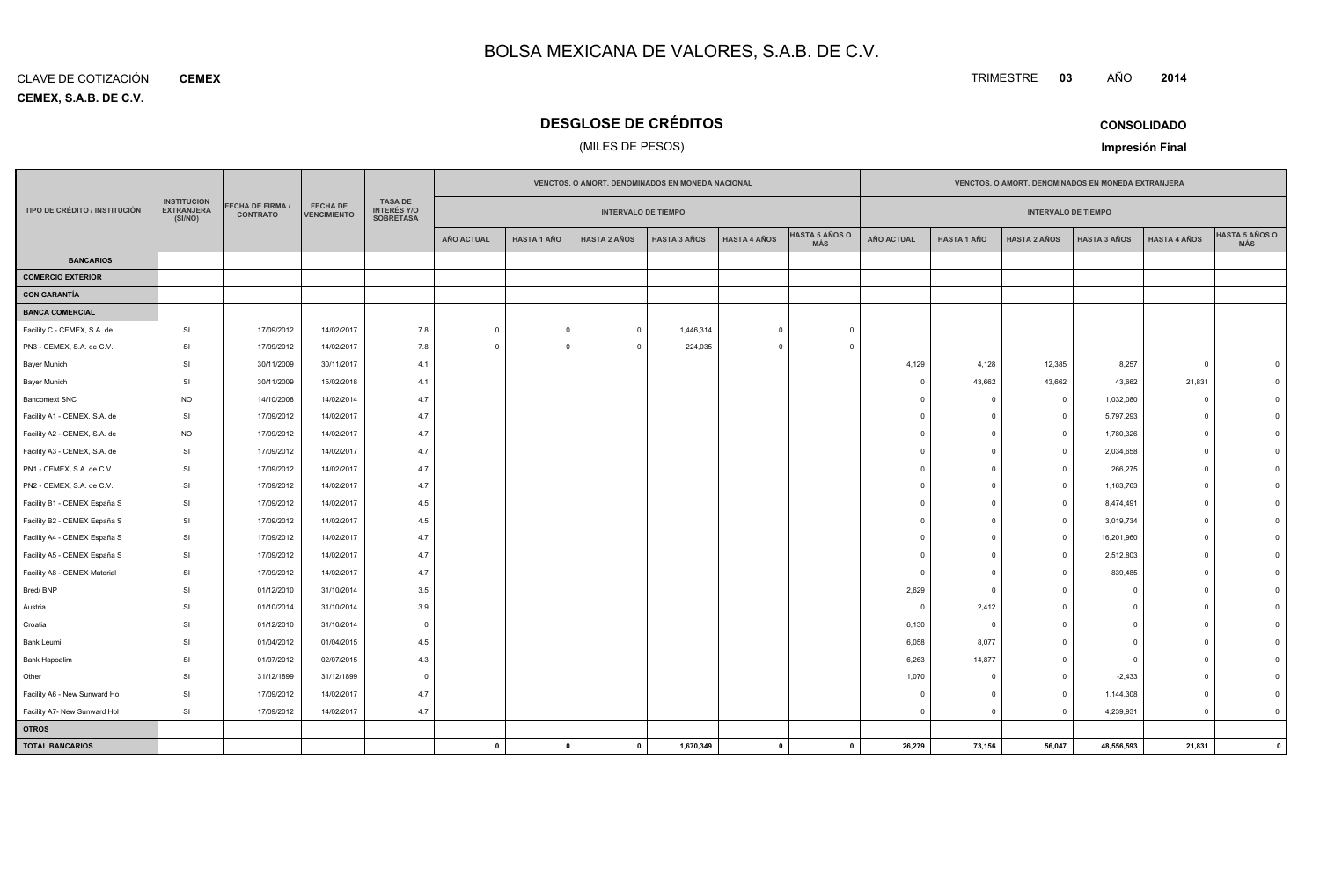**CEMEX, S.A.B. DE C.V.** CLAVE DE COTIZACIÓN**CEMEX**

### **DESGLOSE DE CRÉDITOS**

### (MILES DE PESOS)

| <b>CONSOLIDADO</b> |  |
|--------------------|--|

**Impresión Final**

|                               |                                                    |                                     |                                       |                                                          |                                                          | VENCTOS. O AMORT. DENOMINADOS EN MONEDA NACIONAL |                     |                     |                     |                                     |                   | VENCTOS. O AMORT. DENOMINADOS EN MONEDA EXTRANJERA |                         |                     |                     |                              |
|-------------------------------|----------------------------------------------------|-------------------------------------|---------------------------------------|----------------------------------------------------------|----------------------------------------------------------|--------------------------------------------------|---------------------|---------------------|---------------------|-------------------------------------|-------------------|----------------------------------------------------|-------------------------|---------------------|---------------------|------------------------------|
| TIPO DE CRÉDITO / INSTITUCIÓN | <b>INSTITUCION</b><br><b>EXTRANJERA</b><br>(SI/NO) | FECHA DE FIRMA /<br><b>CONTRATO</b> | <b>FECHA DE</b><br><b>VENCIMIENTO</b> | <b>TASA DE</b><br><b>INTERÉS Y/O</b><br><b>SOBRETASA</b> | <b>INTERVALO DE TIEMPO</b><br><b>INTERVALO DE TIEMPO</b> |                                                  |                     |                     |                     |                                     |                   |                                                    |                         |                     |                     |                              |
|                               |                                                    |                                     |                                       |                                                          | <b>AÑO ACTUAL</b>                                        | <b>HASTA 1 AÑO</b>                               | <b>HASTA 2 AÑOS</b> | <b>HASTA 3 AÑOS</b> | <b>HASTA 4 AÑOS</b> | <b>HASTA 5 AÑOS O</b><br><b>MÁS</b> | <b>AÑO ACTUAL</b> | <b>HASTA 1 AÑO</b>                                 | <b>HASTA 2 AÑOS</b>     | <b>HASTA 3 AÑOS</b> | <b>HASTA 4 AÑOS</b> | <b>HASTA 5 AÑOS O</b><br>MÁS |
| <b>BANCARIOS</b>              |                                                    |                                     |                                       |                                                          |                                                          |                                                  |                     |                     |                     |                                     |                   |                                                    |                         |                     |                     |                              |
| <b>COMERCIO EXTERIOR</b>      |                                                    |                                     |                                       |                                                          |                                                          |                                                  |                     |                     |                     |                                     |                   |                                                    |                         |                     |                     |                              |
| <b>CON GARANTÍA</b>           |                                                    |                                     |                                       |                                                          |                                                          |                                                  |                     |                     |                     |                                     |                   |                                                    |                         |                     |                     |                              |
| <b>BANCA COMERCIAL</b>        |                                                    |                                     |                                       |                                                          |                                                          |                                                  |                     |                     |                     |                                     |                   |                                                    |                         |                     |                     |                              |
| Facility C - CEMEX, S.A. de   | SI                                                 | 17/09/2012                          | 14/02/2017                            | 7.8                                                      | $\Omega$                                                 | $\mathbf 0$                                      | $\overline{0}$      | 1,446,314           | $\Omega$            | $\Omega$                            |                   |                                                    |                         |                     |                     |                              |
| PN3 - CEMEX, S.A. de C.V.     | SI                                                 | 17/09/2012                          | 14/02/2017                            | 7.8                                                      | $\Omega$                                                 | $\Omega$                                         | $\Omega$            | 224,035             | $\Omega$            | $\Omega$                            |                   |                                                    |                         |                     |                     |                              |
| Bayer Munich                  | SI                                                 | 30/11/2009                          | 30/11/2017                            | 4.1                                                      |                                                          |                                                  |                     |                     |                     |                                     | 4,129             | 4,128                                              | 12,385                  | 8,257               | $\Omega$            |                              |
| Bayer Munich                  | SI                                                 | 30/11/2009                          | 15/02/2018                            | 4.1                                                      |                                                          |                                                  |                     |                     |                     |                                     | $\Omega$          | 43,662                                             | 43,662                  | 43,662              | 21,831              |                              |
| <b>Bancomext SNC</b>          | <b>NO</b>                                          | 14/10/2008                          | 14/02/2014                            | 4.7                                                      |                                                          |                                                  |                     |                     |                     |                                     |                   | $\overline{0}$                                     | $\overline{0}$          | 1,032,080           | $\Omega$            |                              |
| Facility A1 - CEMEX, S.A. de  | SI                                                 | 17/09/2012                          | 14/02/2017                            | 4.7                                                      |                                                          |                                                  |                     |                     |                     |                                     |                   | $\Omega$                                           | $\Omega$                | 5,797,293           |                     |                              |
| Facility A2 - CEMEX, S.A. de  | <b>NO</b>                                          | 17/09/2012                          | 14/02/2017                            | 4.7                                                      |                                                          |                                                  |                     |                     |                     |                                     |                   | $\Omega$                                           | $\Omega$                | 1,780,326           | $\Omega$            |                              |
| Facility A3 - CEMEX, S.A. de  | SI                                                 | 17/09/2012                          | 14/02/2017                            | 4.7                                                      |                                                          |                                                  |                     |                     |                     |                                     |                   | $\Omega$                                           | $\overline{\mathbf{0}}$ | 2,034,658           | $\Omega$            |                              |
| PN1 - CEMEX, S.A. de C.V.     | SI                                                 | 17/09/2012                          | 14/02/2017                            | 4.7                                                      |                                                          |                                                  |                     |                     |                     |                                     |                   | $\Omega$                                           | $\overline{\mathbf{0}}$ | 266,275             | $\Omega$            |                              |
| PN2 - CEMEX, S.A. de C.V.     | SI                                                 | 17/09/2012                          | 14/02/2017                            | 4.7                                                      |                                                          |                                                  |                     |                     |                     |                                     |                   | $\Omega$                                           | $\Omega$                | 1,163,763           | $\Omega$            |                              |
| Facility B1 - CEMEX España S  | SI                                                 | 17/09/2012                          | 14/02/2017                            | 4.5                                                      |                                                          |                                                  |                     |                     |                     |                                     |                   | $\Omega$                                           | $\Omega$                | 8,474,491           |                     |                              |
| Facility B2 - CEMEX España S  | SI                                                 | 17/09/2012                          | 14/02/2017                            | 4.5                                                      |                                                          |                                                  |                     |                     |                     |                                     |                   | $\Omega$                                           | $\Omega$                | 3,019,734           | $\Omega$            |                              |
| Facility A4 - CEMEX España S  | SI                                                 | 17/09/2012                          | 14/02/2017                            | 4.7                                                      |                                                          |                                                  |                     |                     |                     |                                     |                   | $\Omega$                                           | $\Omega$                | 16,201,960          | $\Omega$            |                              |
| Facility A5 - CEMEX España S  | SI                                                 | 17/09/2012                          | 14/02/2017                            | 4.7                                                      |                                                          |                                                  |                     |                     |                     |                                     |                   | $\Omega$                                           | - 0                     | 2,512,803           | $\Omega$            |                              |
| Facility A8 - CEMEX Material  | SI                                                 | 17/09/2012                          | 14/02/2017                            | 4.7                                                      |                                                          |                                                  |                     |                     |                     |                                     |                   | $\Omega$                                           | - 0                     | 839,485             | $\Omega$            |                              |
| Bred/BNP                      | SI                                                 | 01/12/2010                          | 31/10/2014                            | 3.5                                                      |                                                          |                                                  |                     |                     |                     |                                     | 2,629             | $\overline{0}$                                     | $\Omega$                | $\mathbf 0$         | $\Omega$            |                              |
| Austria                       | SI                                                 | 01/10/2014                          | 31/10/2014                            | 3.9                                                      |                                                          |                                                  |                     |                     |                     |                                     | $\overline{0}$    | 2,412                                              | $\Omega$                | $\Omega$            | $\Omega$            |                              |
| Croatia                       | SI                                                 | 01/12/2010                          | 31/10/2014                            | $\overline{0}$                                           |                                                          |                                                  |                     |                     |                     |                                     | 6,130             | $\overline{0}$                                     | $\Omega$                | $\Omega$            |                     |                              |
| Bank Leumi                    | SI                                                 | 01/04/2012                          | 01/04/2015                            | 4.5                                                      |                                                          |                                                  |                     |                     |                     |                                     | 6,058             | 8,077                                              | $\Omega$                | $\Omega$            |                     |                              |
| Bank Hapoalim                 | SI                                                 | 01/07/2012                          | 02/07/2015                            | 4.3                                                      |                                                          |                                                  |                     |                     |                     |                                     | 6,263             | 14,877                                             | $\Omega$                | $\Omega$            | $\Omega$            |                              |
| Other                         | SI                                                 | 31/12/1899                          | 31/12/1899                            | $\overline{0}$                                           |                                                          |                                                  |                     |                     |                     |                                     | 1,070             | $\overline{0}$                                     | $\mathbf 0$             | $-2,433$            | $\Omega$            |                              |
| Facility A6 - New Sunward Ho  | SI                                                 | 17/09/2012                          | 14/02/2017                            | 4.7                                                      |                                                          |                                                  |                     |                     |                     |                                     |                   | $\Omega$                                           | $\Omega$                | 1,144,308           | $\Omega$            |                              |
| Facility A7- New Sunward Hol  | SI                                                 | 17/09/2012                          | 14/02/2017                            | 4.7                                                      |                                                          |                                                  |                     |                     |                     |                                     | $\Omega$          | $\Omega$                                           | $\Omega$                | 4,239,931           | $\Omega$            | $\mathbf{0}$                 |
| <b>OTROS</b>                  |                                                    |                                     |                                       |                                                          |                                                          |                                                  |                     |                     |                     |                                     |                   |                                                    |                         |                     |                     |                              |
| <b>TOTAL BANCARIOS</b>        |                                                    |                                     |                                       |                                                          | $\mathbf 0$                                              | $\mathbf{0}$                                     | $\mathbf{0}$        | 1,670,349           | $\mathbf{0}$        | $\mathbf{0}$                        | 26,279            | 73,156                                             | 56,047                  | 48,556,593          | 21,831              | $\mathbf{0}$                 |

**<sup>2014</sup>**

TRIMESTRE **<sup>03</sup>** AÑO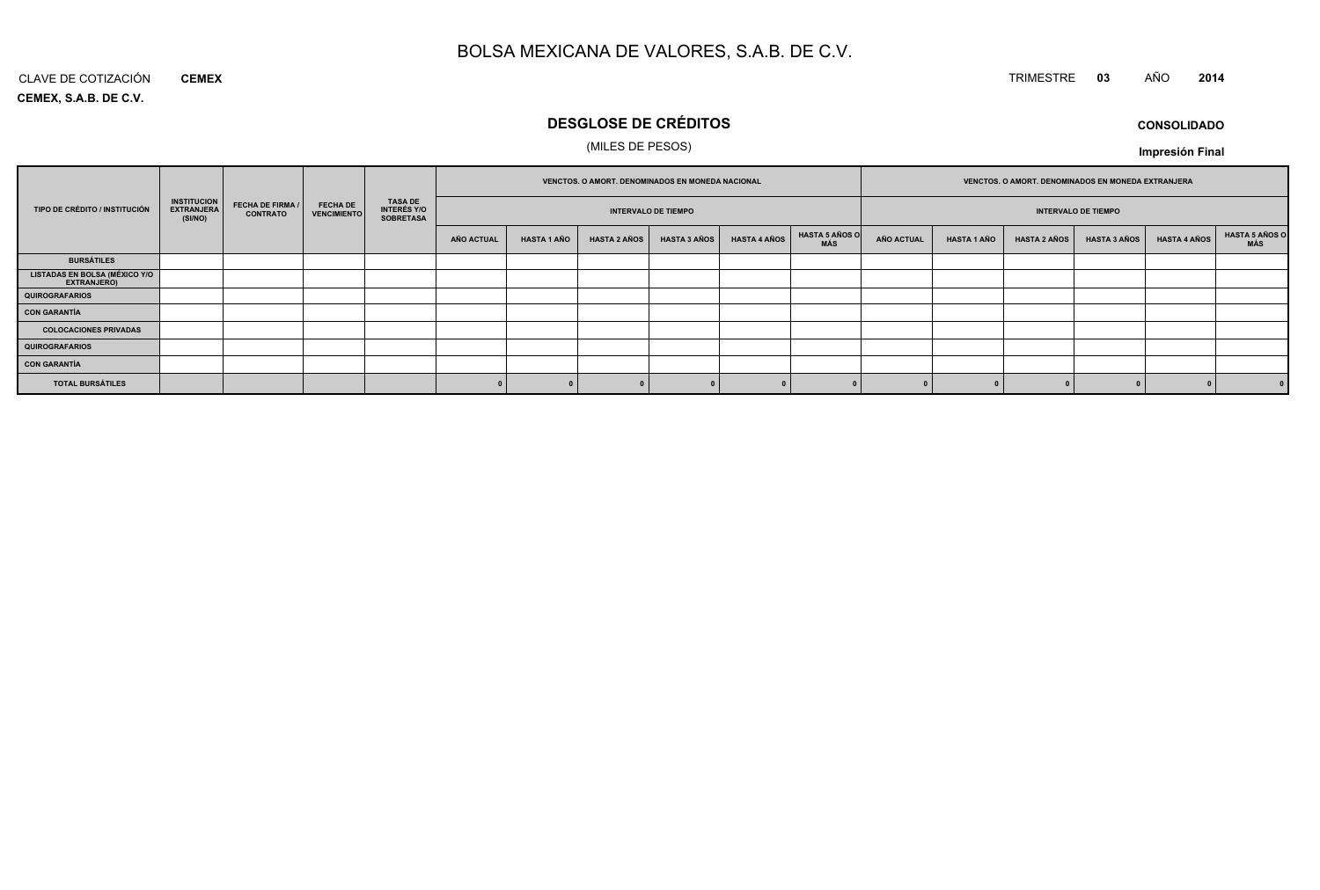### TRIMESTRE **<sup>03</sup>** AÑO **<sup>2014</sup>**

**CEMEX, S.A.B. DE C.V.**CLAVE DE COTIZACIÓN**CEMEX**

### **DESGLOSE DE CRÉDITOS**

### (MILES DE PESOS)

**CONSOLIDADOImpresión Final**

|                                                     |                                                    |                                            |                                       |                                                          |                   |                    | VENCTOS. O AMORT. DENOMINADOS EN MONEDA NACIONAL |                            |                     |                              |                   |                    | VENCTOS. O AMORT. DENOMINADOS EN MONEDA EXTRANJERA |                            |                     |                       |
|-----------------------------------------------------|----------------------------------------------------|--------------------------------------------|---------------------------------------|----------------------------------------------------------|-------------------|--------------------|--------------------------------------------------|----------------------------|---------------------|------------------------------|-------------------|--------------------|----------------------------------------------------|----------------------------|---------------------|-----------------------|
| TIPO DE CRÉDITO / INSTITUCIÓN                       | <b>INSTITUCION</b><br><b>EXTRANJERA</b><br>(SI/NO) | <b>FECHA DE FIRMA /</b><br><b>CONTRATO</b> | <b>FECHA DE</b><br><b>VENCIMIENTO</b> | <b>TASA DE</b><br><b>INTERÉS Y/O</b><br><b>SOBRETASA</b> |                   |                    |                                                  | <b>INTERVALO DE TIEMPO</b> |                     |                              |                   |                    |                                                    | <b>INTERVALO DE TIEMPO</b> |                     |                       |
|                                                     |                                                    |                                            |                                       |                                                          | <b>AÑO ACTUAL</b> | <b>HASTA 1 AÑO</b> | <b>HASTA 2 AÑOS</b>                              | <b>HASTA 3 AÑOS</b>        | <b>HASTA 4 AÑOS</b> | <b>HASTA 5 AÑOS O</b><br>MÁS | <b>AÑO ACTUAL</b> | <b>HASTA 1 AÑO</b> | <b>HASTA 2 AÑOS</b>                                | <b>HASTA 3 AÑOS</b>        | <b>HASTA 4 AÑOS</b> | HASTA 5 AÑOS C<br>MÁS |
| <b>BURSÁTILES</b>                                   |                                                    |                                            |                                       |                                                          |                   |                    |                                                  |                            |                     |                              |                   |                    |                                                    |                            |                     |                       |
| <b>LISTADAS EN BOLSA (MÉXICO Y/O</b><br>EXTRANJERO) |                                                    |                                            |                                       |                                                          |                   |                    |                                                  |                            |                     |                              |                   |                    |                                                    |                            |                     |                       |
| <b>QUIROGRAFARIOS</b>                               |                                                    |                                            |                                       |                                                          |                   |                    |                                                  |                            |                     |                              |                   |                    |                                                    |                            |                     |                       |
| <b>CON GARANTÍA</b>                                 |                                                    |                                            |                                       |                                                          |                   |                    |                                                  |                            |                     |                              |                   |                    |                                                    |                            |                     |                       |
| <b>COLOCACIONES PRIVADAS</b>                        |                                                    |                                            |                                       |                                                          |                   |                    |                                                  |                            |                     |                              |                   |                    |                                                    |                            |                     |                       |
| <b>QUIROGRAFARIOS</b>                               |                                                    |                                            |                                       |                                                          |                   |                    |                                                  |                            |                     |                              |                   |                    |                                                    |                            |                     |                       |
| <b>CON GARANTÍA</b>                                 |                                                    |                                            |                                       |                                                          |                   |                    |                                                  |                            |                     |                              |                   |                    |                                                    |                            |                     |                       |
| <b>TOTAL BURSÁTILES</b>                             |                                                    |                                            |                                       |                                                          |                   |                    |                                                  |                            |                     |                              |                   |                    |                                                    |                            |                     | 0                     |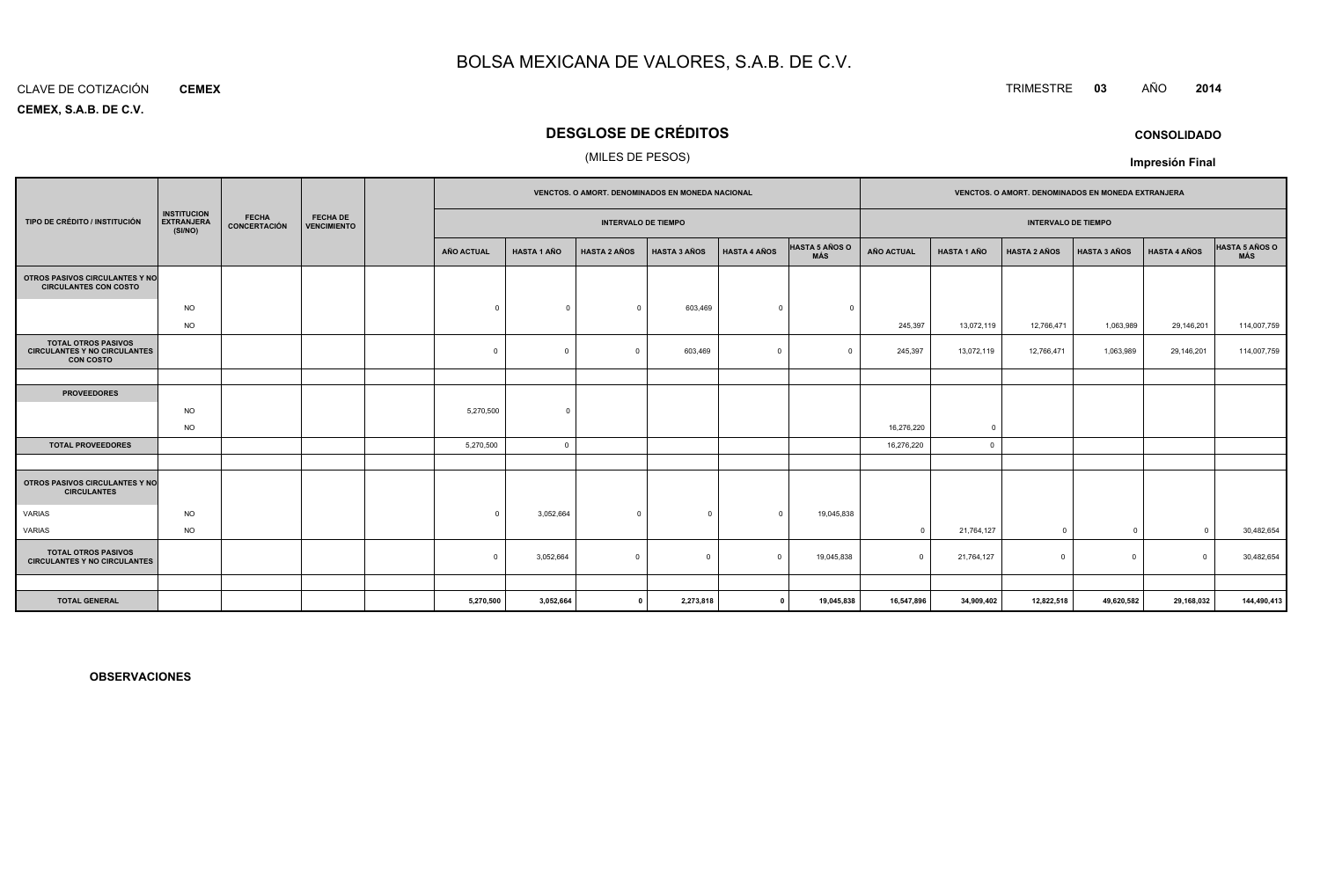#### CLAVE DE COTIZACIÓN**CEMEX**

**CEMEX, S.A.B. DE C.V.**

### **DESGLOSE DE CRÉDITOS**

### (MILES DE PESOS)

|                                                                                       |                                                    |                              |                                       |  | <b>VENCTOS, O AMORT, DENOMINADOS EN MONEDA NACIONAL</b> |                    |                            |                     |                     |                              | <b>VENCTOS, O AMORT, DENOMINADOS EN MONEDA EXTRANJERA</b> |                            |                     |                     |                     |                              |
|---------------------------------------------------------------------------------------|----------------------------------------------------|------------------------------|---------------------------------------|--|---------------------------------------------------------|--------------------|----------------------------|---------------------|---------------------|------------------------------|-----------------------------------------------------------|----------------------------|---------------------|---------------------|---------------------|------------------------------|
| TIPO DE CRÉDITO / INSTITUCIÓN                                                         | <b>INSTITUCION</b><br><b>EXTRANJERA</b><br>(SI/NO) | <b>FECHA</b><br>CONCERTACIÓN | <b>FECHA DE</b><br><b>VENCIMIENTO</b> |  |                                                         |                    | <b>INTERVALO DE TIEMPO</b> |                     |                     |                              |                                                           | <b>INTERVALO DE TIEMPO</b> |                     |                     |                     |                              |
|                                                                                       |                                                    |                              |                                       |  | AÑO ACTUAL                                              | <b>HASTA 1 AÑO</b> | <b>HASTA 2 AÑOS</b>        | <b>HASTA 3 AÑOS</b> | <b>HASTA 4 AÑOS</b> | <b>HASTA 5 AÑOS O</b><br>MÁS | AÑO ACTUAL                                                | <b>HASTA 1 AÑO</b>         | <b>HASTA 2 AÑOS</b> | <b>HASTA 3 AÑOS</b> | <b>HASTA 4 AÑOS</b> | <b>HASTA 5 AÑOS O</b><br>MÁS |
| OTROS PASIVOS CIRCULANTES Y NO<br><b>CIRCULANTES CON COSTO</b>                        |                                                    |                              |                                       |  |                                                         |                    |                            |                     |                     |                              |                                                           |                            |                     |                     |                     |                              |
|                                                                                       | <b>NO</b>                                          |                              |                                       |  | $\Omega$                                                | $\Omega$           | $\mathbf{0}$               | 603,469             | $\Omega$            | $\Omega$                     |                                                           |                            |                     |                     |                     |                              |
|                                                                                       | <b>NO</b>                                          |                              |                                       |  |                                                         |                    |                            |                     |                     |                              | 245,397                                                   | 13,072,119                 | 12,766,471          | 1,063,989           | 29,146,201          | 114,007,759                  |
| <b>TOTAL OTROS PASIVOS</b><br><b>CIRCULANTES Y NO CIRCULANTES</b><br><b>CON COSTO</b> |                                                    |                              |                                       |  | $\overline{0}$                                          | $\Omega$           | $\Omega$                   | 603,469             | $\Omega$            | $\sqrt{ }$                   | 245,397                                                   | 13,072,119                 | 12,766,471          | 1,063,989           | 29,146,201          | 114,007,759                  |
|                                                                                       |                                                    |                              |                                       |  |                                                         |                    |                            |                     |                     |                              |                                                           |                            |                     |                     |                     |                              |
| <b>PROVEEDORES</b>                                                                    |                                                    |                              |                                       |  |                                                         |                    |                            |                     |                     |                              |                                                           |                            |                     |                     |                     |                              |
|                                                                                       | <b>NO</b>                                          |                              |                                       |  | 5,270,500                                               | $\Omega$           |                            |                     |                     |                              |                                                           |                            |                     |                     |                     |                              |
|                                                                                       | <b>NO</b>                                          |                              |                                       |  |                                                         |                    |                            |                     |                     |                              | 16,276,220                                                | $\overline{0}$             |                     |                     |                     |                              |
| <b>TOTAL PROVEEDORES</b>                                                              |                                                    |                              |                                       |  | 5,270,500                                               | $\overline{0}$     |                            |                     |                     |                              | 16,276,220                                                | $\overline{0}$             |                     |                     |                     |                              |
|                                                                                       |                                                    |                              |                                       |  |                                                         |                    |                            |                     |                     |                              |                                                           |                            |                     |                     |                     |                              |
| OTROS PASIVOS CIRCULANTES Y NO<br><b>CIRCULANTES</b>                                  |                                                    |                              |                                       |  |                                                         |                    |                            |                     |                     |                              |                                                           |                            |                     |                     |                     |                              |
| VARIAS                                                                                | <b>NO</b>                                          |                              |                                       |  | $\Omega$                                                | 3,052,664          | $\overline{0}$             | $\Omega$            | $\Omega$            | 19,045,838                   |                                                           |                            |                     |                     |                     |                              |
| VARIAS                                                                                | <b>NO</b>                                          |                              |                                       |  |                                                         |                    |                            |                     |                     |                              | $\Omega$                                                  | 21,764,127                 | $\Omega$            | $\overline{0}$      | $\Omega$            | 30,482,654                   |
| <b>TOTAL OTROS PASIVOS</b><br><b>CIRCULANTES Y NO CIRCULANTES</b>                     |                                                    |                              |                                       |  | $^{\circ}$                                              | 3,052,664          | $\mathbf 0$                | $\Omega$            | $\Omega$            | 19,045,838                   | $\Omega$                                                  | 21,764,127                 | $\Omega$            | $\mathbf 0$         | $\Omega$            | 30,482,654                   |
|                                                                                       |                                                    |                              |                                       |  |                                                         |                    |                            |                     |                     |                              |                                                           |                            |                     |                     |                     |                              |
| <b>TOTAL GENERAL</b>                                                                  |                                                    |                              |                                       |  | 5,270,500                                               | 3,052,664          | $\mathbf{0}$               | 2,273,818           | - 0                 | 19,045,838                   | 16,547,896                                                | 34,909,402                 | 12,822,518          | 49,620,582          | 29,168,032          | 144,490,413                  |

**OBSERVACIONES**

### TRIMESTRE **<sup>03</sup>** AÑO **<sup>2014</sup>**

**CONSOLIDADO**

**Impresión Final**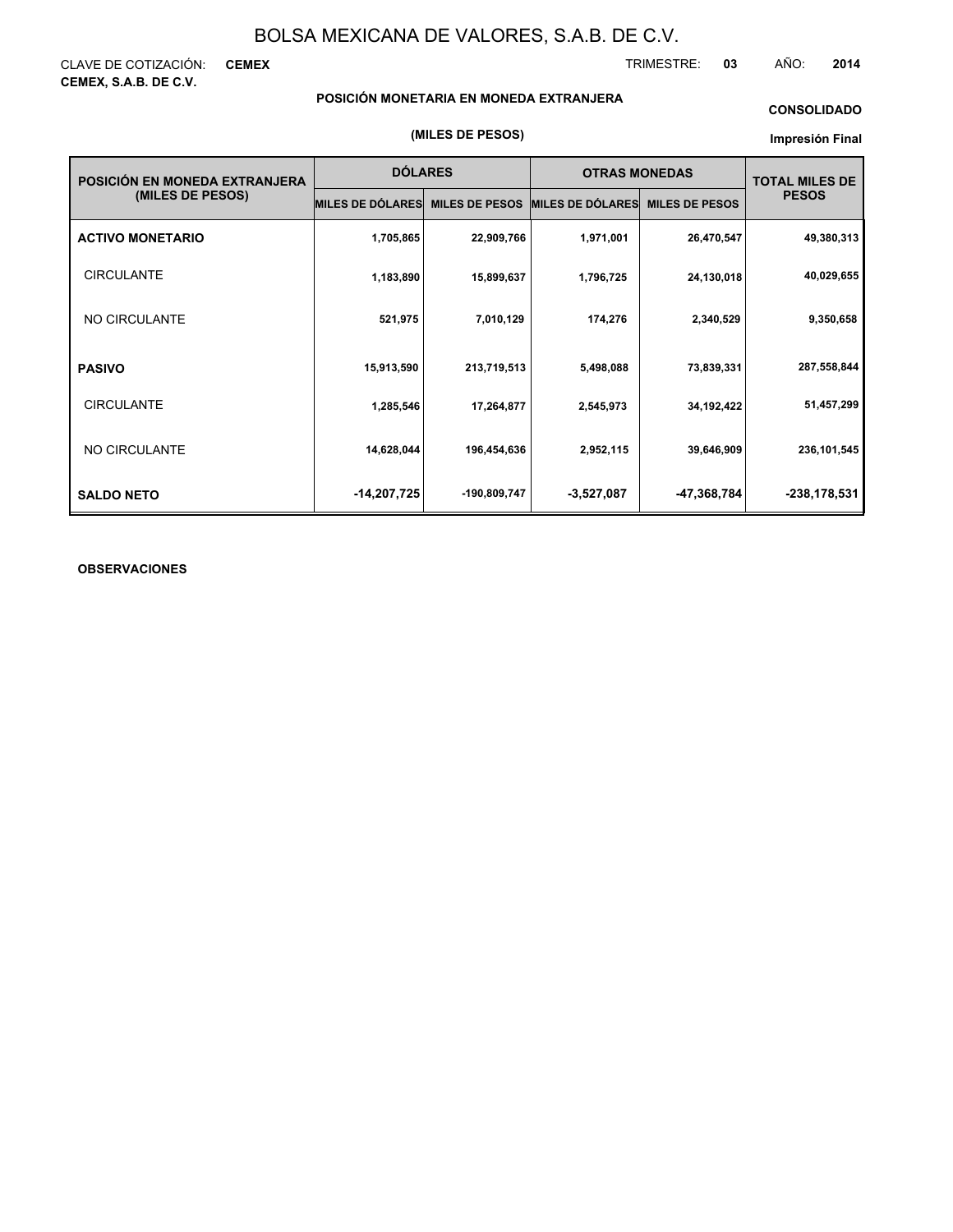CLAVE DE COTIZACIÓN: **CEMEX CEMEX, S.A.B. DE C.V.**

TRIMESTRE: **03** AÑO: **2014**

### **POSICIÓN MONETARIA EN MONEDA EXTRANJERA**

### **CONSOLIDADO**

#### **Impresión Final**

| POSICIÓN EN MONEDA EXTRANJERA | <b>DÓLARES</b>          |                       | <b>OTRAS MONEDAS</b>    | <b>TOTAL MILES DE</b> |               |
|-------------------------------|-------------------------|-----------------------|-------------------------|-----------------------|---------------|
| (MILES DE PESOS)              | <b>MILES DE DÓLARES</b> | <b>MILES DE PESOS</b> | <b>MILES DE DÓLARES</b> | <b>MILES DE PESOS</b> | <b>PESOS</b>  |
| <b>ACTIVO MONETARIO</b>       | 1,705,865               | 22,909,766            | 1,971,001               | 26,470,547            | 49,380,313    |
| <b>CIRCULANTE</b>             | 1,183,890               | 15,899,637            | 1,796,725               | 24,130,018            | 40,029,655    |
| NO CIRCULANTE                 | 521,975                 | 7,010,129             | 174,276                 | 2,340,529             | 9,350,658     |
| <b>PASIVO</b>                 | 15,913,590              | 213,719,513           | 5,498,088               | 73,839,331            | 287,558,844   |
| <b>CIRCULANTE</b>             | 1,285,546               | 17,264,877            | 2,545,973               | 34,192,422            | 51,457,299    |
| NO CIRCULANTE                 | 14,628,044              | 196,454,636           | 2,952,115               | 39,646,909            | 236, 101, 545 |
| <b>SALDO NETO</b>             | -14,207,725             | -190,809,747          | $-3,527,087$            | -47,368,784           | -238,178,531  |

### **OBSERVACIONES**

#### **(MILES DE PESOS)**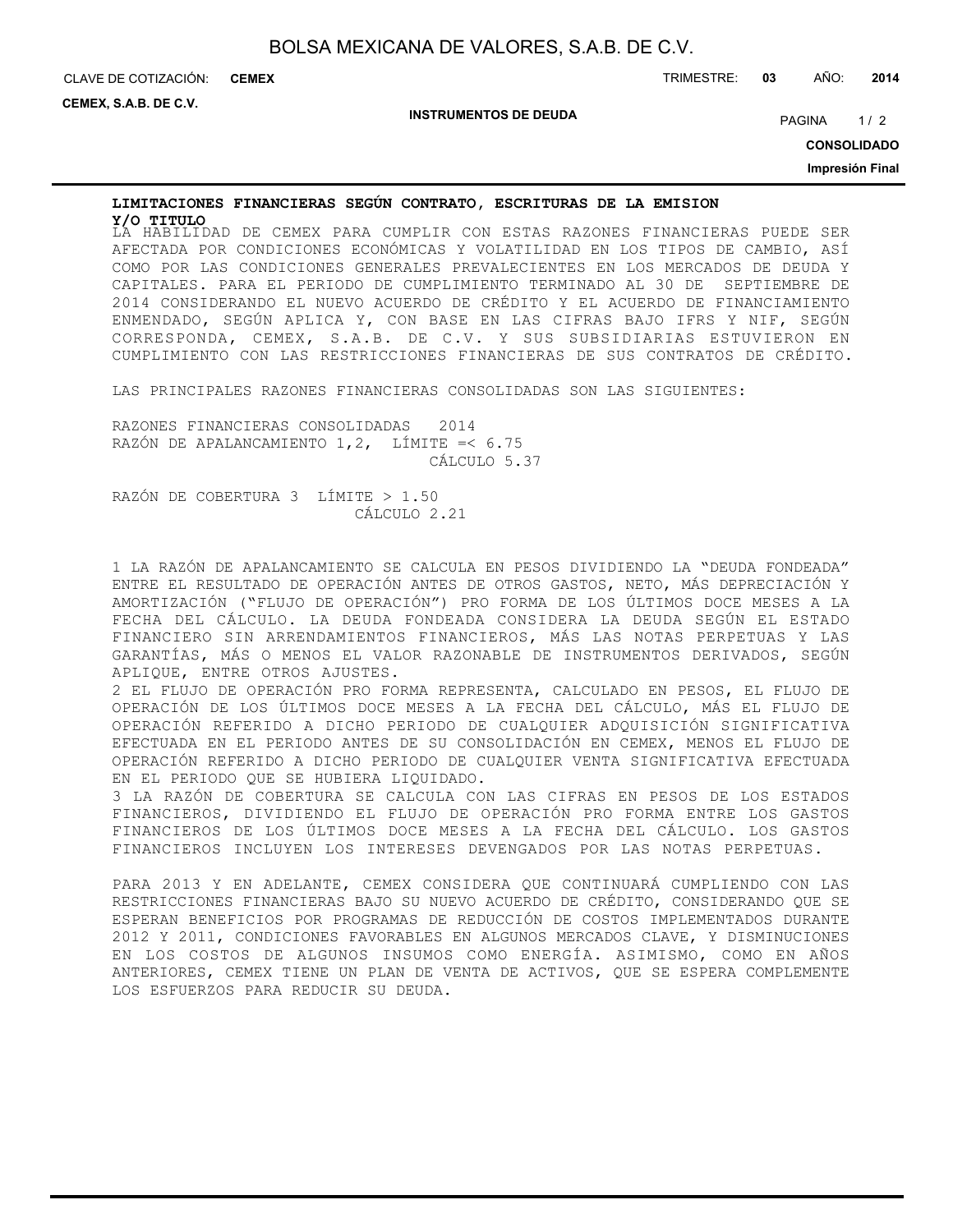| BOLSA MEXICANA DE VALORES, S.A.B. DE C.V. |  |  |  |  |  |  |
|-------------------------------------------|--|--|--|--|--|--|
|-------------------------------------------|--|--|--|--|--|--|

**CEMEX, S.A.B. DE C.V.**

**INSTRUMENTOS DE DEUDA**

PAGINA 1/2

**CONSOLIDADO**

**Impresión Final**

# **LIMITACIONES FINANCIERAS SEGÚN CONTRATO, ESCRITURAS DE LA EMISION**

LA HABILIDAD DE CEMEX PARA CUMPLIR CON ESTAS RAZONES FINANCIERAS PUEDE SER **Y/O TITULO**AFECTADA POR CONDICIONES ECONÓMICAS Y VOLATILIDAD EN LOS TIPOS DE CAMBIO, ASÍ COMO POR LAS CONDICIONES GENERALES PREVALECIENTES EN LOS MERCADOS DE DEUDA Y CAPITALES. PARA EL PERIODO DE CUMPLIMIENTO TERMINADO AL 30 DE SEPTIEMBRE DE 2014 CONSIDERANDO EL NUEVO ACUERDO DE CRÉDITO Y EL ACUERDO DE FINANCIAMIENTO ENMENDADO, SEGÚN APLICA Y, CON BASE EN LAS CIFRAS BAJO IFRS Y NIF, SEGÚN CORRESPONDA, CEMEX, S.A.B. DE C.V. Y SUS SUBSIDIARIAS ESTUVIERON EN CUMPLIMIENTO CON LAS RESTRICCIONES FINANCIERAS DE SUS CONTRATOS DE CRÉDITO.

LAS PRINCIPALES RAZONES FINANCIERAS CONSOLIDADAS SON LAS SIGUIENTES:

RAZONES FINANCIERAS CONSOLIDADAS 2014 RAZÓN DE APALANCAMIENTO 1,2, LÍMITE =< 6.75 CÁLCULO 5.37

RAZÓN DE COBERTURA 3 LÍMITE > 1.50 CÁLCULO 2.21

1 LA RAZÓN DE APALANCAMIENTO SE CALCULA EN PESOS DIVIDIENDO LA "DEUDA FONDEADA" ENTRE EL RESULTADO DE OPERACIÓN ANTES DE OTROS GASTOS, NETO, MÁS DEPRECIACIÓN Y AMORTIZACIÓN ("FLUJO DE OPERACIÓN") PRO FORMA DE LOS ÚLTIMOS DOCE MESES A LA FECHA DEL CÁLCULO. LA DEUDA FONDEADA CONSIDERA LA DEUDA SEGÚN EL ESTADO FINANCIERO SIN ARRENDAMIENTOS FINANCIEROS, MÁS LAS NOTAS PERPETUAS Y LAS GARANTÍAS, MÁS O MENOS EL VALOR RAZONABLE DE INSTRUMENTOS DERIVADOS, SEGÚN APLIQUE, ENTRE OTROS AJUSTES.

2 EL FLUJO DE OPERACIÓN PRO FORMA REPRESENTA, CALCULADO EN PESOS, EL FLUJO DE OPERACIÓN DE LOS ÚLTIMOS DOCE MESES A LA FECHA DEL CÁLCULO, MÁS EL FLUJO DE OPERACIÓN REFERIDO A DICHO PERIODO DE CUALQUIER ADQUISICIÓN SIGNIFICATIVA EFECTUADA EN EL PERIODO ANTES DE SU CONSOLIDACIÓN EN CEMEX, MENOS EL FLUJO DE OPERACIÓN REFERIDO A DICHO PERIODO DE CUALQUIER VENTA SIGNIFICATIVA EFECTUADA EN EL PERIODO QUE SE HUBIERA LIQUIDADO.

3 LA RAZÓN DE COBERTURA SE CALCULA CON LAS CIFRAS EN PESOS DE LOS ESTADOS FINANCIEROS, DIVIDIENDO EL FLUJO DE OPERACIÓN PRO FORMA ENTRE LOS GASTOS FINANCIEROS DE LOS ÚLTIMOS DOCE MESES A LA FECHA DEL CÁLCULO. LOS GASTOS FINANCIEROS INCLUYEN LOS INTERESES DEVENGADOS POR LAS NOTAS PERPETUAS.

PARA 2013 Y EN ADELANTE, CEMEX CONSIDERA QUE CONTINUARÁ CUMPLIENDO CON LAS RESTRICCIONES FINANCIERAS BAJO SU NUEVO ACUERDO DE CRÉDITO, CONSIDERANDO QUE SE ESPERAN BENEFICIOS POR PROGRAMAS DE REDUCCIÓN DE COSTOS IMPLEMENTADOS DURANTE 2012 Y 2011, CONDICIONES FAVORABLES EN ALGUNOS MERCADOS CLAVE, Y DISMINUCIONES EN LOS COSTOS DE ALGUNOS INSUMOS COMO ENERGÍA. ASIMISMO, COMO EN AÑOS ANTERIORES, CEMEX TIENE UN PLAN DE VENTA DE ACTIVOS, QUE SE ESPERA COMPLEMENTE LOS ESFUERZOS PARA REDUCIR SU DEUDA.

CLAVE DE COTIZACIÓN: TRIMESTRE: **03** AÑO: **2014 CEMEX**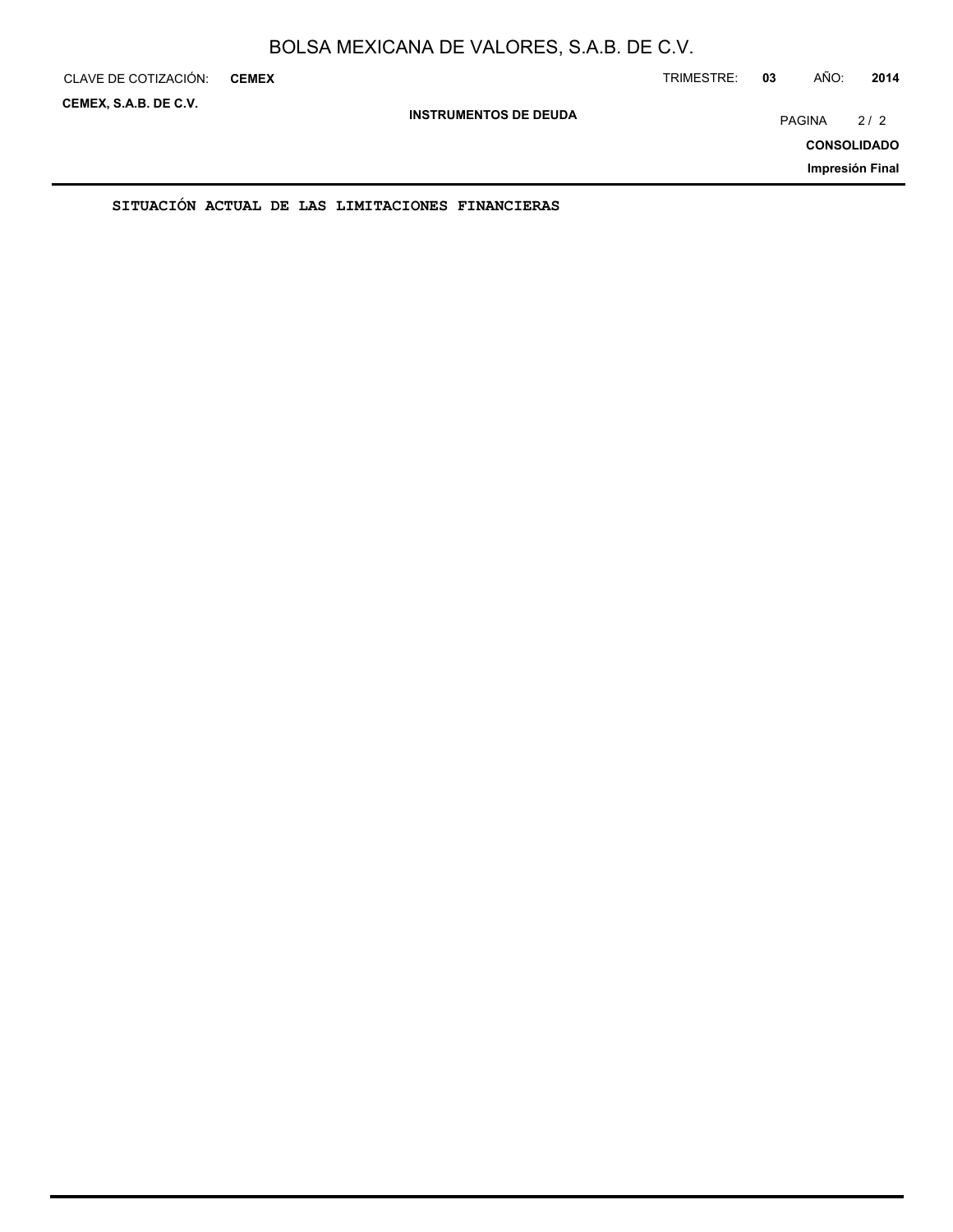| CLAVE DE COTIZACIÓN:  | <b>CEMEX</b> |                                                  |                              | TRIMESTRE: | 03 | AÑO:          | 2014                      |
|-----------------------|--------------|--------------------------------------------------|------------------------------|------------|----|---------------|---------------------------|
| CEMEX, S.A.B. DE C.V. |              |                                                  | <b>INSTRUMENTOS DE DEUDA</b> |            |    | <b>PAGINA</b> | 2/2<br><b>CONSOLIDADO</b> |
|                       |              |                                                  |                              |            |    |               | Impresión Final           |
|                       |              | SITUACIÓN ACTUAL DE LAS LIMITACIONES FINANCIERAS |                              |            |    |               |                           |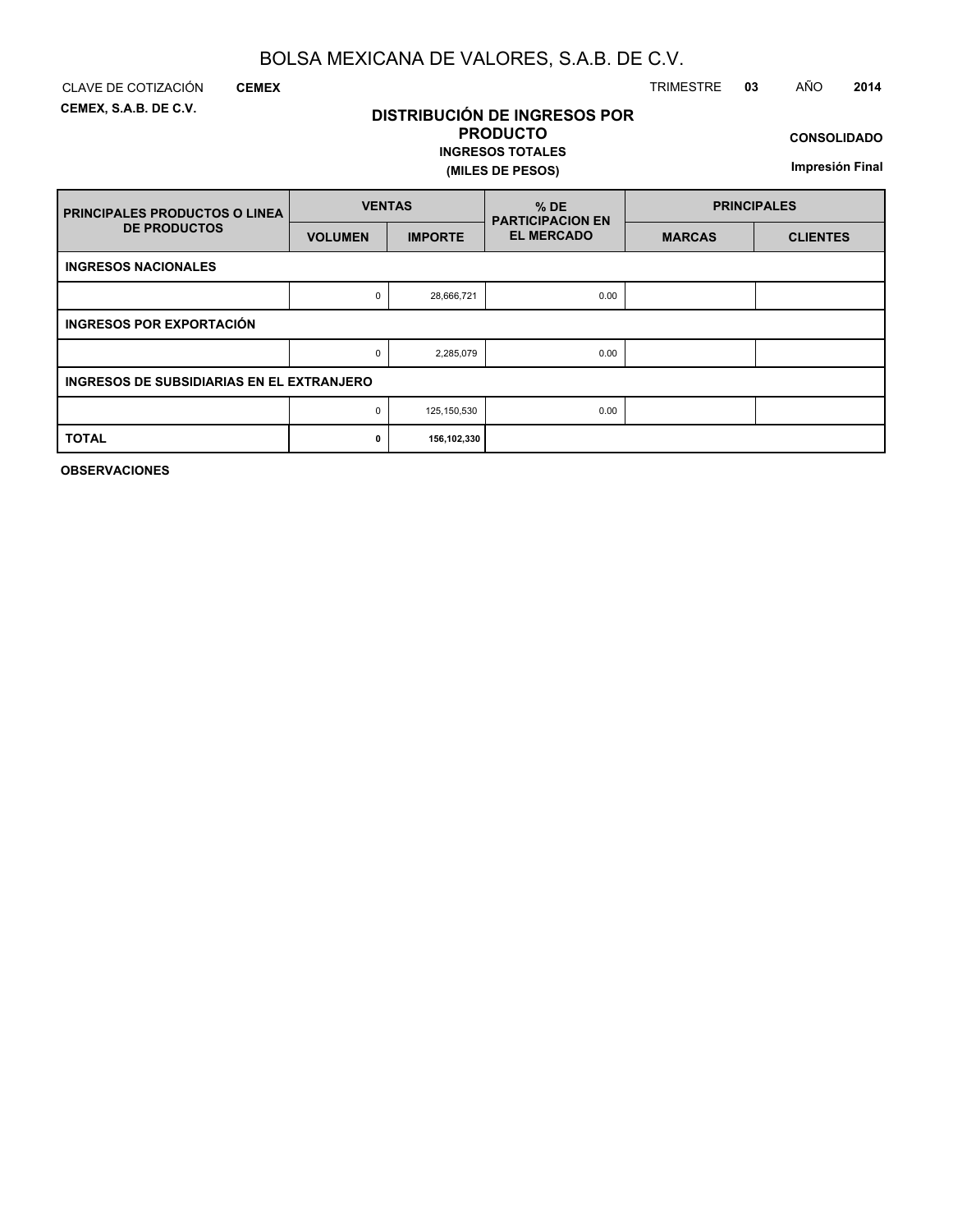**DISTRIBUCIÓN DE INGRESOS POR PRODUCTO**

**INGRESOS TOTALES**

**(MILES DE PESOS)**

**CEMEX, S.A.B. DE C.V.**

**CEMEX**

### CLAVE DE COTIZACIÓN TRIMESTRE **03** AÑO **2014**

**CONSOLIDADO**

**Impresión Final**

| <b>PRINCIPALES PRODUCTOS O LINEA</b>      | <b>VENTAS</b>  |                | $%$ DE<br><b>PARTICIPACION EN</b> | <b>PRINCIPALES</b> |                 |  |  |  |  |  |  |  |
|-------------------------------------------|----------------|----------------|-----------------------------------|--------------------|-----------------|--|--|--|--|--|--|--|
| <b>DE PRODUCTOS</b>                       | <b>VOLUMEN</b> | <b>IMPORTE</b> | <b>EL MERCADO</b>                 | <b>MARCAS</b>      | <b>CLIENTES</b> |  |  |  |  |  |  |  |
| <b>INGRESOS NACIONALES</b>                |                |                |                                   |                    |                 |  |  |  |  |  |  |  |
|                                           | 0              | 28,666,721     | 0.00                              |                    |                 |  |  |  |  |  |  |  |
| INGRESOS POR EXPORTACIÓN                  |                |                |                                   |                    |                 |  |  |  |  |  |  |  |
|                                           | 0              | 2,285,079      | 0.00                              |                    |                 |  |  |  |  |  |  |  |
| INGRESOS DE SUBSIDIARIAS EN EL EXTRANJERO |                |                |                                   |                    |                 |  |  |  |  |  |  |  |
|                                           | 0              | 125, 150, 530  | 0.00                              |                    |                 |  |  |  |  |  |  |  |
| <b>TOTAL</b>                              | 0              | 156,102,330    |                                   |                    |                 |  |  |  |  |  |  |  |

**OBSERVACIONES**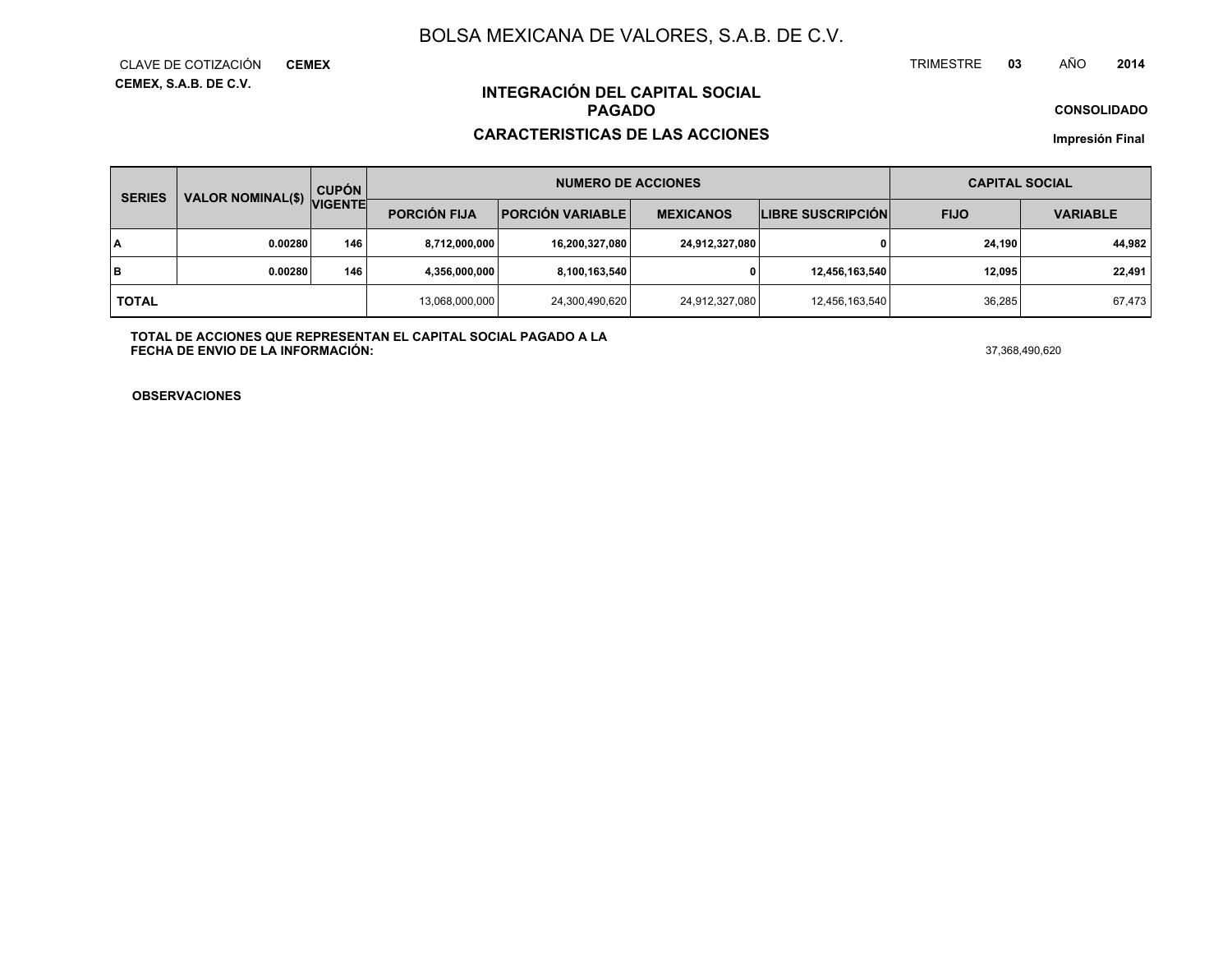**CEMEX, S.A.B. DE C.V.** CLAVE DE COTIZACIÓN**CEMEX**

#### TRIMESTRE **<sup>03</sup>** AÑO**<sup>2014</sup>**

**CONSOLIDADO**

### **INTEGRACIÓN DEL CAPITAL SOCIALPAGADO**

#### **CARACTERISTICAS DE LAS ACCIONES**

**Impresión Final**

| <b>SERIES</b> | <b>VALOR NOMINAL(\$)</b> | <b>CUPÓN</b><br><b>VIGENTE</b> | <b>NUMERO DE ACCIONES</b> |                         |                  |                          | <b>CAPITAL SOCIAL</b> |                 |
|---------------|--------------------------|--------------------------------|---------------------------|-------------------------|------------------|--------------------------|-----------------------|-----------------|
|               |                          |                                | <b>PORCIÓN FIJA</b>       | <b>PORCIÓN VARIABLE</b> | <b>MEXICANOS</b> | <b>LIBRE SUSCRIPCIÓN</b> | <b>FIJO</b>           | <b>VARIABLE</b> |
| l٨            | 0.00280                  | 146                            | 8,712,000,000             | 16,200,327,080          | 24,912,327,080   |                          | 24.190                | 44,982          |
| lв            | 0.00280                  | 146                            | 4,356,000,000             | 8,100,163,540           |                  | 12,456,163,540           | 12.095                | 22,491          |
| <b>TOTAL</b>  |                          | 13,068,000,000                 | 24,300,490,620            | 24,912,327,080          | 12,456,163,540   | 36.285                   | 67,473                |                 |

**TOTAL DE ACCIONES QUE REPRESENTAN EL CAPITAL SOCIAL PAGADO A LAFECHA DE ENVIO DE LA INFORMACIÓN:**37,368,490,620

**OBSERVACIONES**